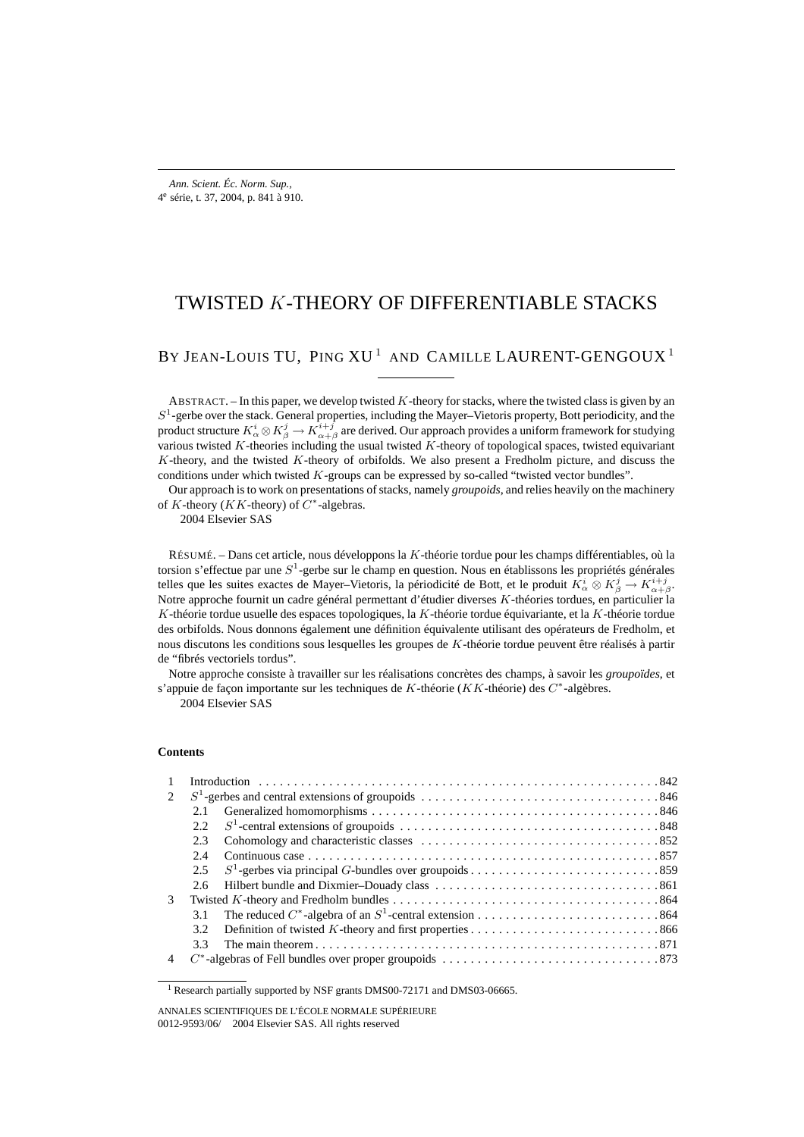# TWISTED K-THEORY OF DIFFERENTIABLE STACKS

## BY JEAN-LOUIS TU, PING XU<sup>1</sup> AND CAMILLE LAURENT-GENGOUX<sup>1</sup>

ABSTRACT. – In this paper, we develop twisted K-theory for stacks, where the twisted class is given by an  $S<sup>1</sup>$ -gerbe over the stack. General properties, including the Mayer–Vietoris property, Bott periodicity, and the product structure  $K^i_\alpha\otimes K^j_\beta\to K^{i+j}_{\alpha+\beta}$  are derived. Our approach provides a uniform framework for studying various twisted  $K$ -theories including the usual twisted  $K$ -theory of topological spaces, twisted equivariant  $K$ -theory, and the twisted  $K$ -theory of orbifolds. We also present a Fredholm picture, and discuss the conditions under which twisted  $K$ -groups can be expressed by so-called "twisted vector bundles".

Our approach is to work on presentations of stacks, namely *groupoids*, and relies heavily on the machinery of K-theory ( $KK$ -theory) of  $C^*$ -algebras.

2004 Elsevier SAS

RÉSUMÉ. – Dans cet article, nous développons la K-théorie tordue pour les champs différentiables, où la torsion s'effectue par une  $S^1$ -gerbe sur le champ en question. Nous en établissons les propriétés générales telles que les suites exactes de Mayer–Vietoris, la périodicité de Bott, et le produit  $K^i_\alpha\otimes K^j_\beta\to K^{i+j}_{\alpha+\beta}$ . Notre approche fournit un cadre général permettant d'étudier diverses K-théories tordues, en particulier la K-théorie tordue usuelle des espaces topologiques, la K-théorie tordue équivariante, et la K-théorie tordue des orbifolds. Nous donnons également une définition équivalente utilisant des opérateurs de Fredholm, et nous discutons les conditions sous lesquelles les groupes de K-théorie tordue peuvent être réalisés à partir de "fibrés vectoriels tordus".

Notre approche consiste à travailler sur les réalisations concrètes des champs, à savoir les *groupoïdes*, et s'appuie de façon importante sur les techniques de K-théorie (KK-théorie) des C∗-algèbres.

2004 Elsevier SAS

### **Contents**

| $\mathbf{1}$ |      |  |
|--------------|------|--|
|              |      |  |
|              | 2.1  |  |
|              | 2.2. |  |
|              | 2.3  |  |
|              | 2.4  |  |
|              | 2.5  |  |
|              | 2.6  |  |
| 3            |      |  |
|              | 3.1  |  |
|              | 32   |  |
|              | 33   |  |
|              |      |  |

<sup>&</sup>lt;sup>1</sup> Research partially supported by NSF grants DMS00-72171 and DMS03-06665.

ANNALES SCIENTIFIQUES DE L'ÉCOLE NORMALE SUPÉRIEURE 0012-9593/06/© 2004 Elsevier SAS. All rights reserved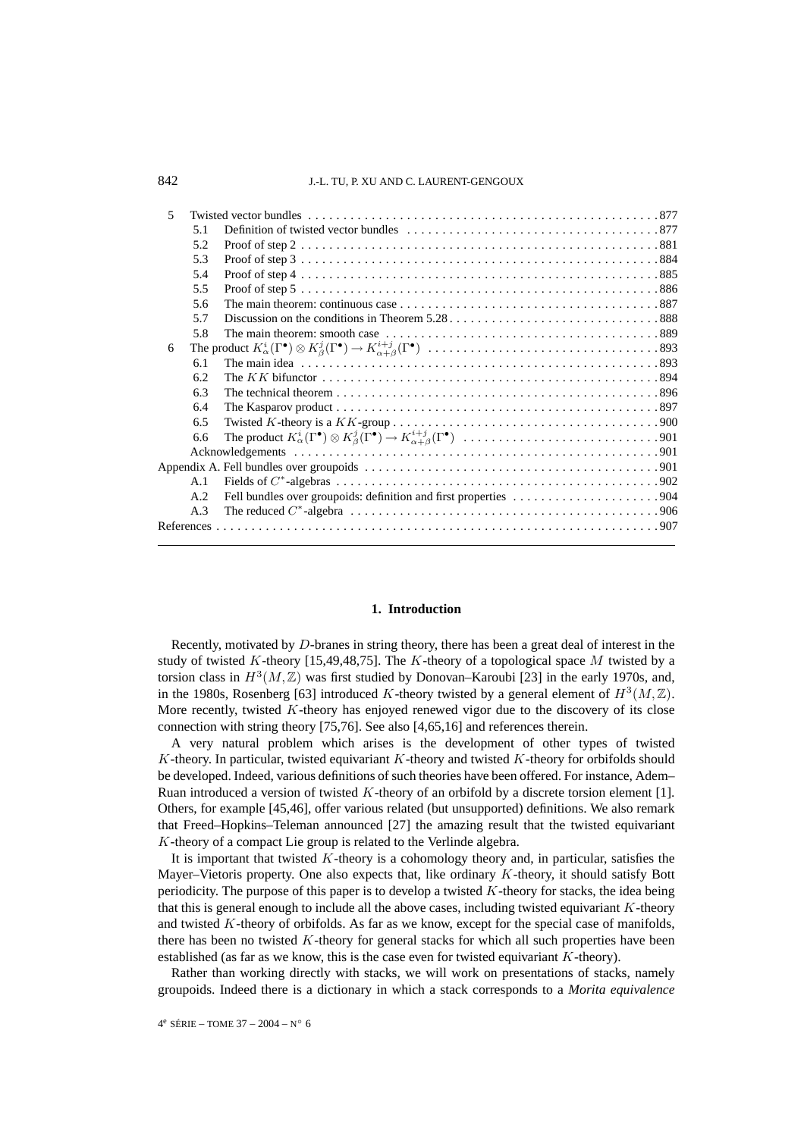| $\overline{\mathcal{L}}$ |     |  |
|--------------------------|-----|--|
|                          | 5.1 |  |
|                          | 5.2 |  |
|                          | 5.3 |  |
|                          | 5.4 |  |
|                          | 5.5 |  |
|                          | 5.6 |  |
|                          | 5.7 |  |
|                          | 5.8 |  |
| 6                        |     |  |
|                          | 6.1 |  |
|                          | 6.2 |  |
|                          | 6.3 |  |
|                          | 6.4 |  |
|                          | 6.5 |  |
|                          | 6.6 |  |
|                          |     |  |
|                          |     |  |
|                          | A.1 |  |
|                          | A.2 |  |
|                          | A.3 |  |
|                          |     |  |
|                          |     |  |

### **1. Introduction**

Recently, motivated by D-branes in string theory, there has been a great deal of interest in the study of twisted K-theory [15,49,48,75]. The K-theory of a topological space M twisted by a torsion class in  $H^3(M,\mathbb{Z})$  was first studied by Donovan–Karoubi [23] in the early 1970s, and, in the 1980s, Rosenberg [63] introduced K-theory twisted by a general element of  $H^3(M,\mathbb{Z})$ . More recently, twisted K-theory has enjoyed renewed vigor due to the discovery of its close connection with string theory [75,76]. See also [4,65,16] and references therein.

A very natural problem which arises is the development of other types of twisted  $K$ -theory. In particular, twisted equivariant  $K$ -theory and twisted  $K$ -theory for orbifolds should be developed. Indeed, various definitions of such theories have been offered. For instance, Adem– Ruan introduced a version of twisted K-theory of an orbifold by a discrete torsion element [1]. Others, for example [45,46], offer various related (but unsupported) definitions. We also remark that Freed–Hopkins–Teleman announced [27] the amazing result that the twisted equivariant K-theory of a compact Lie group is related to the Verlinde algebra.

It is important that twisted  $K$ -theory is a cohomology theory and, in particular, satisfies the Mayer–Vietoris property. One also expects that, like ordinary  $K$ -theory, it should satisfy Bott periodicity. The purpose of this paper is to develop a twisted K-theory for stacks, the idea being that this is general enough to include all the above cases, including twisted equivariant  $K$ -theory and twisted  $K$ -theory of orbifolds. As far as we know, except for the special case of manifolds, there has been no twisted  $K$ -theory for general stacks for which all such properties have been established (as far as we know, this is the case even for twisted equivariant  $K$ -theory).

Rather than working directly with stacks, we will work on presentations of stacks, namely groupoids. Indeed there is a dictionary in which a stack corresponds to a *Morita equivalence*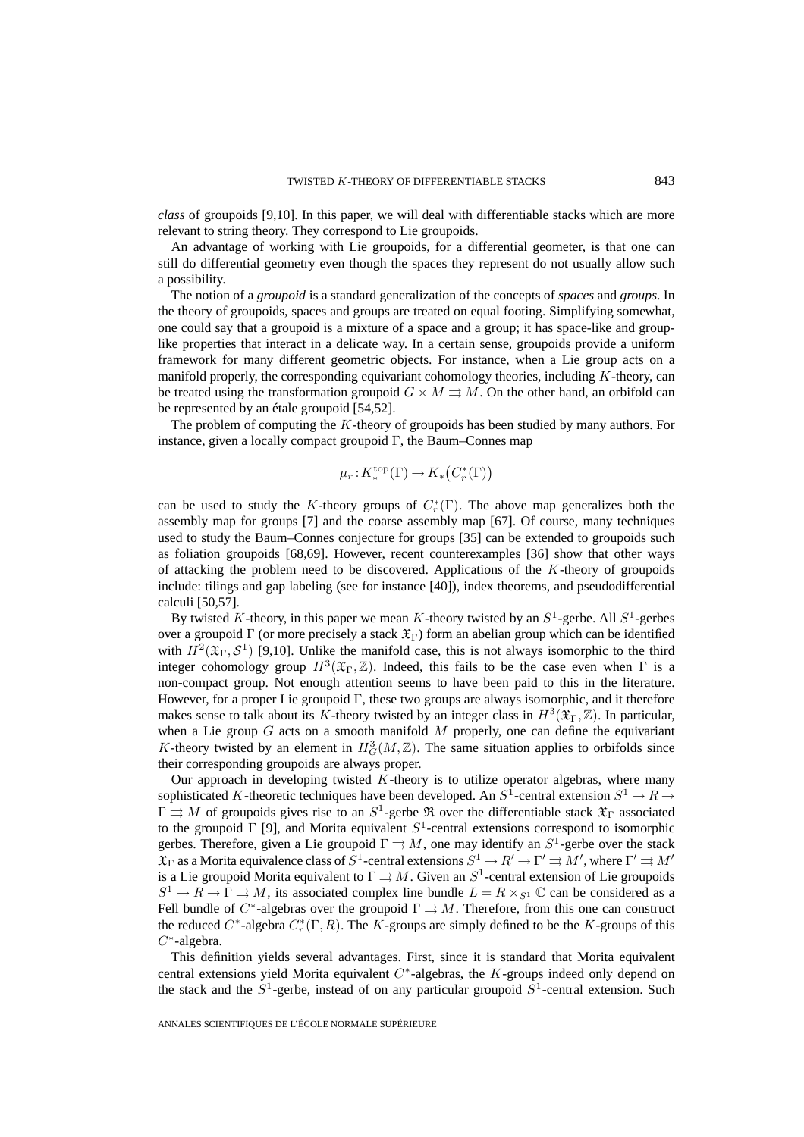*class* of groupoids [9,10]. In this paper, we will deal with differentiable stacks which are more relevant to string theory. They correspond to Lie groupoids.

An advantage of working with Lie groupoids, for a differential geometer, is that one can still do differential geometry even though the spaces they represent do not usually allow such a possibility.

The notion of a *groupoid* is a standard generalization of the concepts of *spaces* and *groups*. In the theory of groupoids, spaces and groups are treated on equal footing. Simplifying somewhat, one could say that a groupoid is a mixture of a space and a group; it has space-like and grouplike properties that interact in a delicate way. In a certain sense, groupoids provide a uniform framework for many different geometric objects. For instance, when a Lie group acts on a manifold properly, the corresponding equivariant cohomology theories, including  $K$ -theory, can be treated using the transformation groupoid  $G \times M \rightrightarrows M$ . On the other hand, an orbifold can be represented by an étale groupoid [54,52].

The problem of computing the K-theory of groupoids has been studied by many authors. For instance, given a locally compact groupoid  $\Gamma$ , the Baum–Connes map

$$
\mu_r:K^{\mathrm{top}}_*(\Gamma)\to K_*\big(C^*_r(\Gamma)\big)
$$

can be used to study the K-theory groups of  $C_r^*(\Gamma)$ . The above map generalizes both the assembly map for groups [7] and the coarse assembly map [67]. Of course, many techniques used to study the Baum–Connes conjecture for groups [35] can be extended to groupoids such as foliation groupoids [68,69]. However, recent counterexamples [36] show that other ways of attacking the problem need to be discovered. Applications of the  $K$ -theory of groupoids include: tilings and gap labeling (see for instance [40]), index theorems, and pseudodifferential calculi [50,57].

By twisted K-theory, in this paper we mean K-theory twisted by an  $S^1$ -gerbe. All  $S^1$ -gerbes over a groupoid Γ (or more precisely a stack  $\mathfrak{X}_{\Gamma}$ ) form an abelian group which can be identified with  $H^2(\mathfrak{X}_{\Gamma}, \mathcal{S}^1)$  [9,10]. Unlike the manifold case, this is not always isomorphic to the third integer cohomology group  $H^3(\mathfrak{X}_{\Gamma}, \mathbb{Z})$ . Indeed, this fails to be the case even when  $\Gamma$  is a non-compact group. Not enough attention seems to have been paid to this in the literature. However, for a proper Lie groupoid  $\Gamma$ , these two groups are always isomorphic, and it therefore makes sense to talk about its K-theory twisted by an integer class in  $H^3(\mathfrak{X}_{\Gamma},\mathbb{Z})$ . In particular, when a Lie group  $G$  acts on a smooth manifold  $M$  properly, one can define the equivariant K-theory twisted by an element in  $H_G^3(M,\mathbb{Z})$ . The same situation applies to orbifolds since their corresponding groupoids are always proper.

Our approach in developing twisted  $K$ -theory is to utilize operator algebras, where many sophisticated K-theoretic techniques have been developed. An  $S^1$ -central extension  $S^1 \to R \to$  $\Gamma \rightrightarrows M$  of groupoids gives rise to an  $S^1$ -gerbe  $\Re$  over the differentiable stack  $\mathfrak{X}_{\Gamma}$  associated to the groupoid Γ [9], and Morita equivalent  $S^1$ -central extensions correspond to isomorphic gerbes. Therefore, given a Lie groupoid  $\Gamma \rightrightarrows M$ , one may identify an  $S^1$ -gerbe over the stack  $\mathfrak{X}_{\Gamma}$  as a Morita equivalence class of  $S^1$ -central extensions  $S^1\to R'\to \Gamma'\rightrightarrows M'$  , where  $\Gamma'\rightrightarrows M'$ is a Lie groupoid Morita equivalent to  $\Gamma \rightrightarrows M$ . Given an  $S^1$ -central extension of Lie groupoids  $S^1 \to R \to \Gamma \rightrightarrows M$ , its associated complex line bundle  $L = R \times_{S^1} \mathbb{C}$  can be considered as a Fell bundle of  $C^*$ -algebras over the groupoid  $\Gamma \rightrightarrows M$ . Therefore, from this one can construct the reduced C<sup>\*</sup>-algebra  $C_r^*(\Gamma, R)$ . The K-groups are simply defined to be the K-groups of this  $C^*$ -algebra.

This definition yields several advantages. First, since it is standard that Morita equivalent central extensions yield Morita equivalent  $C^*$ -algebras, the K-groups indeed only depend on the stack and the  $S^1$ -gerbe, instead of on any particular groupoid  $S^1$ -central extension. Such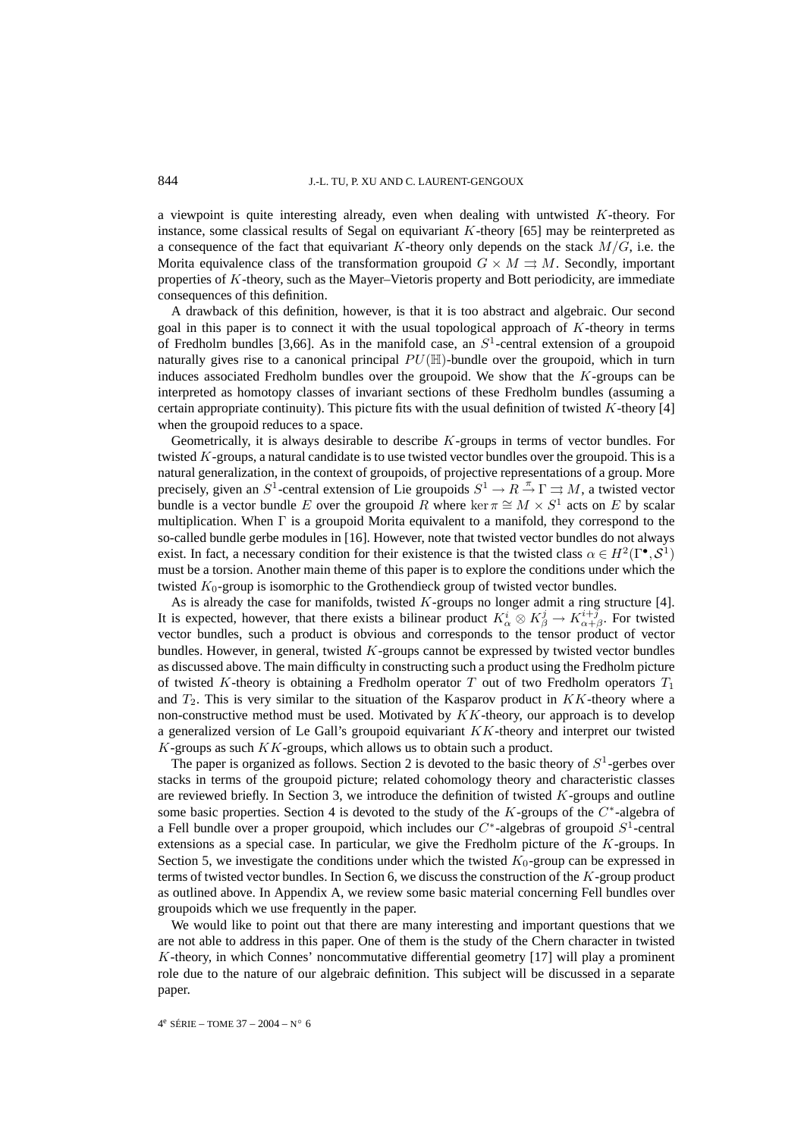a viewpoint is quite interesting already, even when dealing with untwisted  $K$ -theory. For instance, some classical results of Segal on equivariant  $K$ -theory [65] may be reinterpreted as a consequence of the fact that equivariant K-theory only depends on the stack  $M/G$ , i.e. the Morita equivalence class of the transformation groupoid  $G \times M \rightrightarrows M$ . Secondly, important properties of K-theory, such as the Mayer–Vietoris property and Bott periodicity, are immediate consequences of this definition.

A drawback of this definition, however, is that it is too abstract and algebraic. Our second goal in this paper is to connect it with the usual topological approach of K-theory in terms of Fredholm bundles [3,66]. As in the manifold case, an  $S<sup>1</sup>$ -central extension of a groupoid naturally gives rise to a canonical principal  $PU(\mathbb{H})$ -bundle over the groupoid, which in turn induces associated Fredholm bundles over the groupoid. We show that the  $K$ -groups can be interpreted as homotopy classes of invariant sections of these Fredholm bundles (assuming a certain appropriate continuity). This picture fits with the usual definition of twisted  $K$ -theory [4] when the groupoid reduces to a space.

Geometrically, it is always desirable to describe K-groups in terms of vector bundles. For twisted  $K$ -groups, a natural candidate is to use twisted vector bundles over the groupoid. This is a natural generalization, in the context of groupoids, of projective representations of a group. More precisely, given an  $S^1$ -central extension of Lie groupoids  $S^1 \to R \to \Gamma \Rightarrow M$ , a twisted vector bundle is a vector bundle E over the groupoid R where ker  $\pi \cong M \times S^1$  acts on E by scalar multiplication. When  $\Gamma$  is a groupoid Morita equivalent to a manifold, they correspond to the so-called bundle gerbe modules in [16]. However, note that twisted vector bundles do not always exist. In fact, a necessary condition for their existence is that the twisted class  $\alpha \in H^2(\Gamma^{\bullet}, \mathcal{S}^1)$ must be a torsion. Another main theme of this paper is to explore the conditions under which the twisted  $K_0$ -group is isomorphic to the Grothendieck group of twisted vector bundles.

As is already the case for manifolds, twisted  $K$ -groups no longer admit a ring structure [4]. It is expected, however, that there exists a bilinear product  $K^i_\alpha \otimes K^j_\beta \to K^{i+\bar{j}}_{\alpha+\beta}$ . For twisted vector bundles, such a product is obvious and corresponds to the tensor product of vector bundles. However, in general, twisted  $K$ -groups cannot be expressed by twisted vector bundles as discussed above. The main difficulty in constructing such a product using the Fredholm picture of twisted K-theory is obtaining a Fredholm operator  $T$  out of two Fredholm operators  $T_1$ and  $T_2$ . This is very similar to the situation of the Kasparov product in  $KK$ -theory where a non-constructive method must be used. Motivated by  $KK$ -theory, our approach is to develop a generalized version of Le Gall's groupoid equivariant  $KK$ -theory and interpret our twisted  $K$ -groups as such  $KK$ -groups, which allows us to obtain such a product.

The paper is organized as follows. Section 2 is devoted to the basic theory of  $S^1$ -gerbes over stacks in terms of the groupoid picture; related cohomology theory and characteristic classes are reviewed briefly. In Section 3, we introduce the definition of twisted  $K$ -groups and outline some basic properties. Section 4 is devoted to the study of the  $K$ -groups of the  $C^*$ -algebra of a Fell bundle over a proper groupoid, which includes our  $C^*$ -algebras of groupoid  $S^1$ -central extensions as a special case. In particular, we give the Fredholm picture of the K-groups. In Section 5, we investigate the conditions under which the twisted  $K_0$ -group can be expressed in terms of twisted vector bundles. In Section 6, we discuss the construction of the  $K$ -group product as outlined above. In Appendix A, we review some basic material concerning Fell bundles over groupoids which we use frequently in the paper.

We would like to point out that there are many interesting and important questions that we are not able to address in this paper. One of them is the study of the Chern character in twisted K-theory, in which Connes' noncommutative differential geometry [17] will play a prominent role due to the nature of our algebraic definition. This subject will be discussed in a separate paper.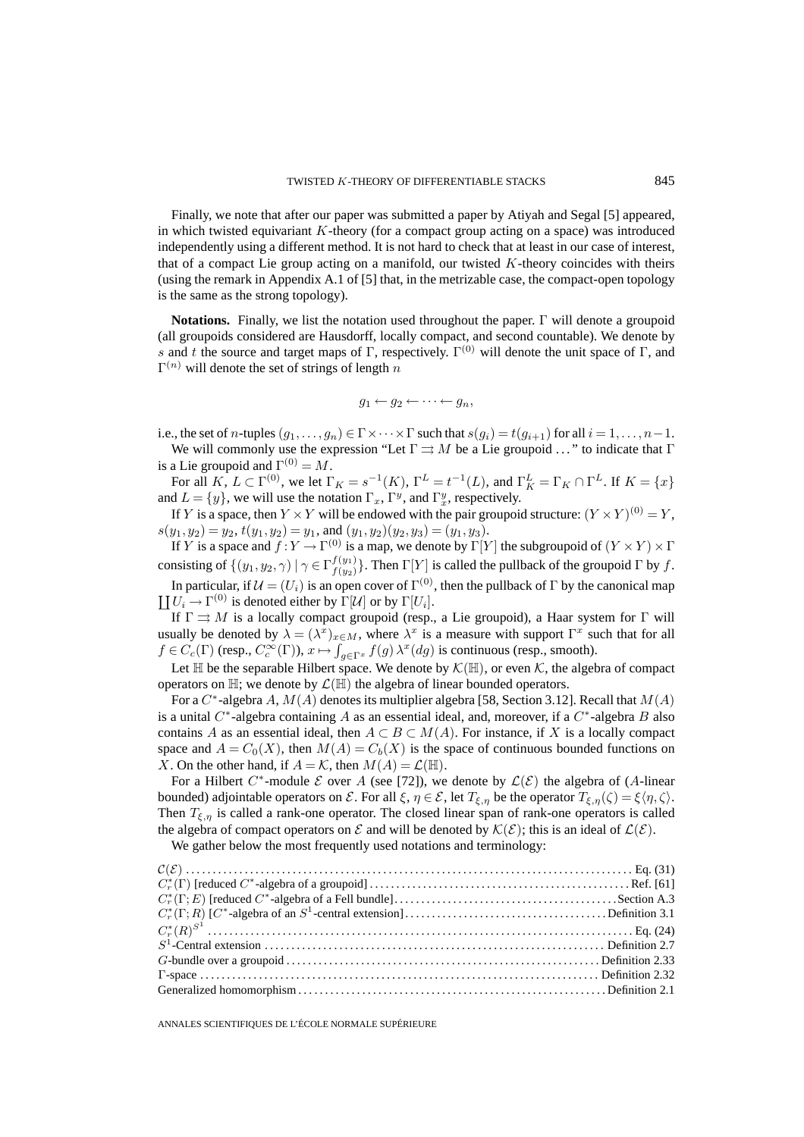Finally, we note that after our paper was submitted a paper by Atiyah and Segal [5] appeared, in which twisted equivariant K-theory (for a compact group acting on a space) was introduced independently using a different method. It is not hard to check that at least in our case of interest, that of a compact Lie group acting on a manifold, our twisted  $K$ -theory coincides with theirs (using the remark in Appendix A.1 of [5] that, in the metrizable case, the compact-open topology is the same as the strong topology).

**Notations.** Finally, we list the notation used throughout the paper. Γ will denote a groupoid (all groupoids considered are Hausdorff, locally compact, and second countable). We denote by s and t the source and target maps of Γ, respectively.  $\Gamma^{(0)}$  will denote the unit space of Γ, and  $\Gamma^{(n)}$  will denote the set of strings of length n

$$
g_1 \leftarrow g_2 \leftarrow \cdots \leftarrow g_n,
$$

i.e., the set of n-tuples  $(g_1, \ldots, g_n) \in \Gamma \times \cdots \times \Gamma$  such that  $s(g_i) = t(g_{i+1})$  for all  $i = 1, \ldots, n-1$ .

We will commonly use the expression "Let  $\Gamma \rightrightarrows M$  be a Lie groupoid ..." to indicate that  $\Gamma$ is a Lie groupoid and  $\Gamma^{(0)} = M$ .

For all  $K, L \subset \Gamma^{(0)}$ , we let  $\Gamma_K = s^{-1}(K)$ ,  $\Gamma^L = t^{-1}(L)$ , and  $\Gamma_K^L = \Gamma_K \cap \Gamma^L$ . If  $K = \{x\}$ and  $L = \{y\}$ , we will use the notation  $\Gamma_x$ ,  $\Gamma^y$ , and  $\Gamma_x^y$ , respectively.

If Y is a space, then  $Y \times Y$  will be endowed with the pair groupoid structure:  $(Y \times Y)^{(0)} = Y$ ,  $s(y_1, y_2) = y_2, t(y_1, y_2) = y_1$ , and  $(y_1, y_2)(y_2, y_3) = (y_1, y_3)$ .

If Y is a space and  $f: Y \to \Gamma^{(0)}$  is a map, we denote by  $\Gamma[Y]$  the subgroupoid of  $(Y \times Y) \times \Gamma$ consisting of  $\{(y_1, y_2, \gamma) \mid \gamma \in \Gamma f(y_1) \}$ . Then  $\Gamma[Y]$  is called the pullback of the groupoid  $\Gamma$  by f.

In particular, if  $\mathcal{U}=(U_i)$  is an open cover of  $\Gamma^{(0)},$  then the pullback of  $\Gamma$  by the canonical map  $\coprod U_i \to \Gamma^{(0)}$  is denoted either by  $\Gamma[\mathcal{U}]$  or by  $\Gamma[U_i]$ .

If  $\Gamma \rightrightarrows M$  is a locally compact groupoid (resp., a Lie groupoid), a Haar system for  $\Gamma$  will usually be denoted by  $\lambda = (\lambda^x)_{x \in M}$ , where  $\lambda^x$  is a measure with support  $\Gamma^x$  such that for all  $f \in C_c(\Gamma)$  (resp.,  $C_c^{\infty}(\Gamma)$ ),  $x \mapsto \int_{g \in \Gamma^x} f(g) \lambda^x(g)$  is continuous (resp., smooth).

Let  $\mathbb H$  be the separable Hilbert space. We denote by  $\mathcal K(\mathbb H)$ , or even  $\mathcal K$ , the algebra of compact operators on  $\mathbb{H}$ ; we denote by  $\mathcal{L}(\mathbb{H})$  the algebra of linear bounded operators.

For a  $C^*$ -algebra A,  $M(A)$  denotes its multiplier algebra [58, Section 3.12]. Recall that  $M(A)$ is a unital  $C^*$ -algebra containing A as an essential ideal, and, moreover, if a  $C^*$ -algebra B also contains A as an essential ideal, then  $A \subset B \subset M(A)$ . For instance, if X is a locally compact space and  $A = C_0(X)$ , then  $M(A) = C_b(X)$  is the space of continuous bounded functions on X. On the other hand, if  $A = \mathcal{K}$ , then  $M(A) = \mathcal{L}(\mathbb{H})$ .

For a Hilbert C<sup>\*</sup>-module E over A (see [72]), we denote by  $\mathcal{L}(\mathcal{E})$  the algebra of (A-linear bounded) adjointable operators on  $\mathcal E$ . For all  $\xi, \eta \in \mathcal E$ , let  $T_{\xi, \eta}$  be the operator  $T_{\xi, \eta}(\zeta) = \xi \langle \eta, \zeta \rangle$ . Then  $T_{\xi,\eta}$  is called a rank-one operator. The closed linear span of rank-one operators is called the algebra of compact operators on  $\mathcal E$  and will be denoted by  $\mathcal K(\mathcal E)$ ; this is an ideal of  $\mathcal L(\mathcal E)$ .

We gather below the most frequently used notations and terminology: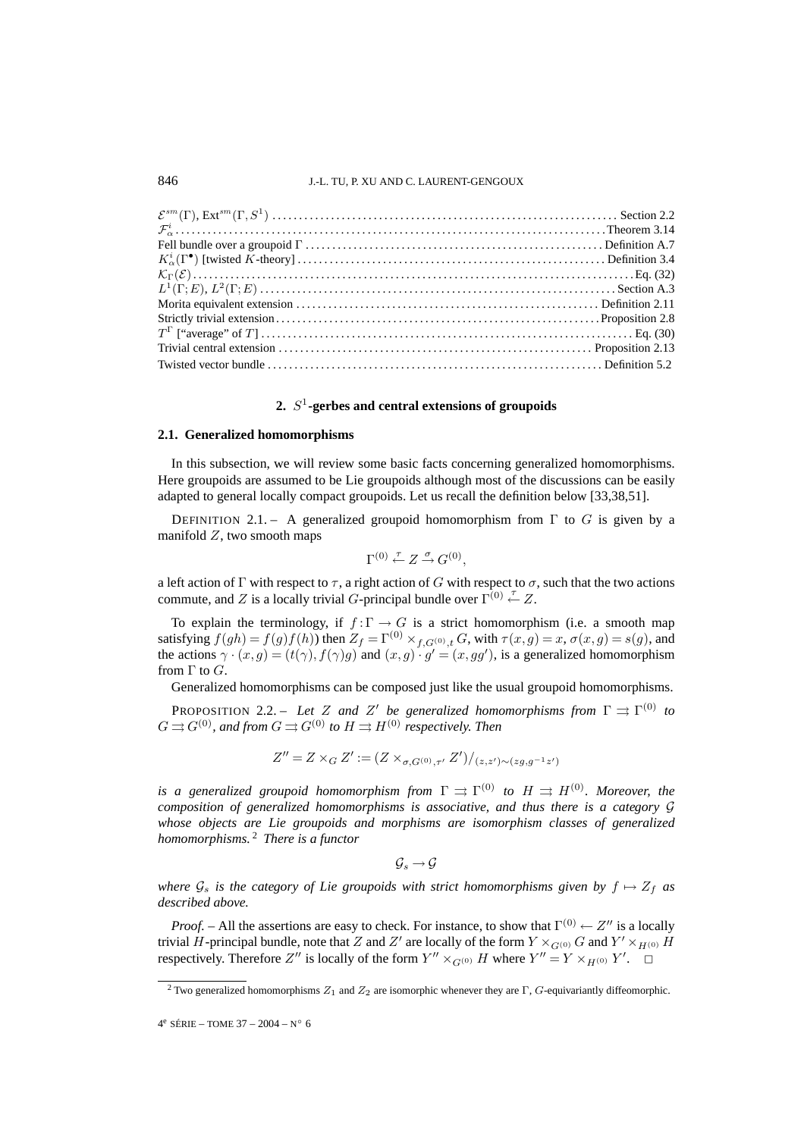### 846 J.-L. TU, P. XU AND C. LAURENT-GENGOUX

### **2.** S<sup>1</sup>**-gerbes and central extensions of groupoids**

### **2.1. Generalized homomorphisms**

In this subsection, we will review some basic facts concerning generalized homomorphisms. Here groupoids are assumed to be Lie groupoids although most of the discussions can be easily adapted to general locally compact groupoids. Let us recall the definition below [33,38,51].

DEFINITION 2.1. – A generalized groupoid homomorphism from  $\Gamma$  to G is given by a manifold  $Z$ , two smooth maps

$$
\Gamma^{(0)} \stackrel{\tau}{\leftarrow} Z \stackrel{\sigma}{\rightarrow} G^{(0)},
$$

a left action of Γ with respect to  $\tau$ , a right action of G with respect to  $\sigma$ , such that the two actions commute, and Z is a locally trivial G-principal bundle over  $\Gamma^{(0)} \stackrel{\tau}{\leftarrow} Z$ .

To explain the terminology, if  $f : \Gamma \to G$  is a strict homomorphism (i.e. a smooth map satisfying  $f(gh) = f(g)f(h)$ ) then  $Z_f = \Gamma^{(0)} \times_{f, G^{(0)}, t} G$ , with  $\tau(x, g) = x$ ,  $\sigma(x, g) = s(g)$ , and the actions  $\gamma \cdot (x, g) = (t(\gamma), f(\gamma)g)$  and  $(x, g) \cdot g' = (x, gg')$ , is a generalized homomorphism from  $\Gamma$  to  $G$ .

Generalized homomorphisms can be composed just like the usual groupoid homomorphisms.

**PROPOSITION** 2.2. – Let Z and Z' be generalized homomorphisms from  $\Gamma \rightrightarrows \Gamma^{(0)}$  to  $G \rightrightarrows G^{(0)}$ , and from  $G \rightrightarrows G^{(0)}$  to  $H \rightrightarrows H^{(0)}$  respectively. Then

$$
Z'' = Z \times_G Z' := (Z \times_{\sigma, G^{(0)}, \tau'} Z') / (z, z') \sim (z g, g^{-1} z')
$$

*is a generalized groupoid homomorphism from*  $\Gamma \rightrightarrows \Gamma^{(0)}$  *to*  $H \rightrightarrows H^{(0)}$ *. Moreover, the composition of generalized homomorphisms is associative, and thus there is a category* G *whose objects are Lie groupoids and morphisms are isomorphism classes of generalized homomorphisms.* <sup>2</sup> *There is a functor*

$$
\mathcal{G}_s \to \mathcal{G}
$$

*where*  $\mathcal{G}_s$  *is the category of Lie groupoids with strict homomorphisms given by*  $f \mapsto Z_f$  *as described above.*

*Proof.* – All the assertions are easy to check. For instance, to show that  $\Gamma^{(0)} \leftarrow Z''$  is a locally trivial  $H$ -principal bundle, note that  $Z$  and  $Z'$  are locally of the form  $Y\times_{G^{(0)}}G$  and  $Y'\times_{H^{(0)}}H$ respectively. Therefore Z'' is locally of the form  $Y'' \times_{G^{(0)}} H$  where  $Y'' = Y \times_{H^{(0)}} Y'$ .  $\Box$ 

<sup>&</sup>lt;sup>2</sup> Two generalized homomorphisms  $Z_1$  and  $Z_2$  are isomorphic whenever they are Γ, G-equivariantly diffeomorphic.

 $4^e$  SÉRIE – TOME 37 – 2004 – N° 6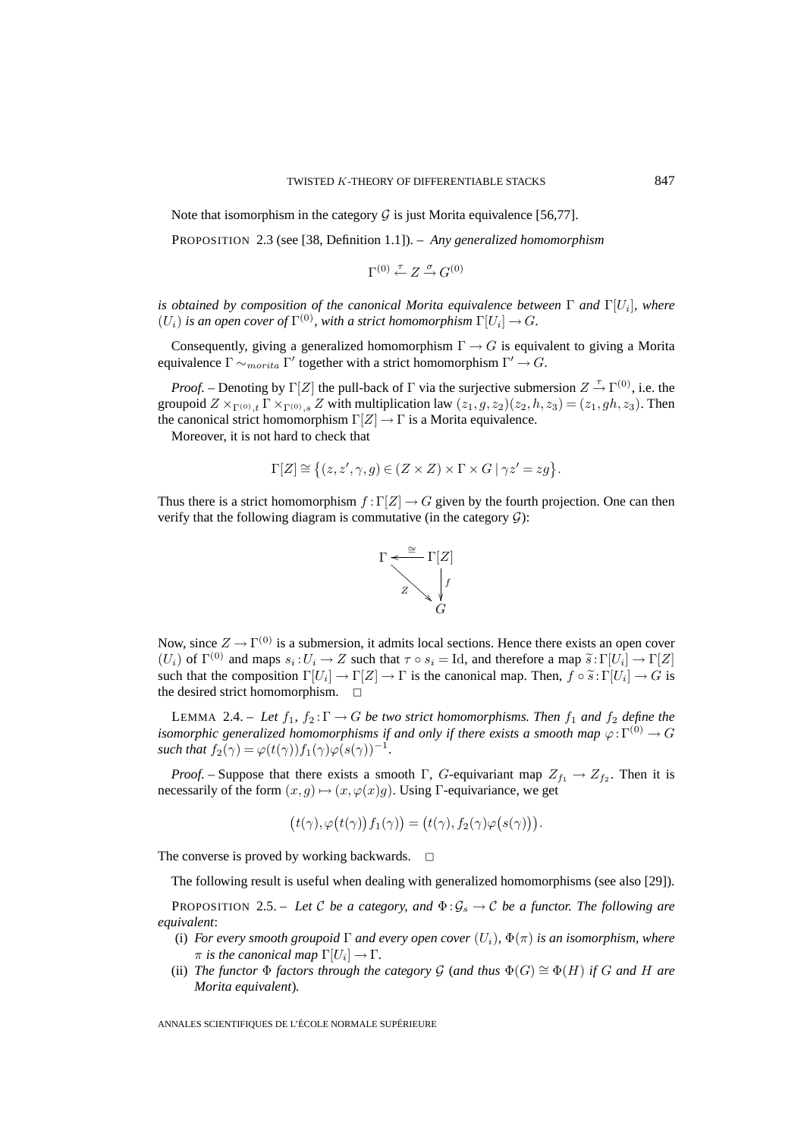Note that isomorphism in the category  $G$  is just Morita equivalence [56,77].

PROPOSITION 2.3 (see [38, Definition 1.1]). – *Any generalized homomorphism*

$$
\Gamma^{(0)} \stackrel{\tau}{\leftarrow} Z \stackrel{\sigma}{\rightarrow} G^{(0)}
$$

*is obtained by composition of the canonical Morita equivalence between*  $\Gamma$  *and*  $\Gamma[U_i]$ *, where*  $(U_i)$  *is an open cover of*  $\Gamma^{(0)}$ *, with a strict homomorphism*  $\Gamma[U_i] \to G$ *.* 

Consequently, giving a generalized homomorphism  $\Gamma \rightarrow G$  is equivalent to giving a Morita equivalence  $\Gamma \sim_{morita} \Gamma'$  together with a strict homomorphism  $\Gamma' \to G$ .

*Proof.* – Denoting by  $\Gamma[Z]$  the pull-back of  $\Gamma$  via the surjective submersion  $Z \stackrel{\tau}{\rightarrow} \Gamma^{(0)}$ , i.e. the groupoid  $Z \times_{\Gamma^{(0)},t} \Gamma \times_{\Gamma^{(0)},s} Z$  with multiplication law  $(z_1,g,z_2)(z_2,h,z_3)=(z_1, gh, z_3)$ . Then the canonical strict homomorphism  $\Gamma[Z] \to \Gamma$  is a Morita equivalence.

Moreover, it is not hard to check that

$$
\Gamma[Z] \cong \big\{ (z, z', \gamma, g) \in (Z \times Z) \times \Gamma \times G \mid \gamma z' = zg \big\}.
$$

Thus there is a strict homomorphism  $f : \Gamma[Z] \to G$  given by the fourth projection. One can then verify that the following diagram is commutative (in the category  $G$ ):



Now, since  $Z \to \Gamma^{(0)}$  is a submersion, it admits local sections. Hence there exists an open cover  $(U_i)$  of  $\Gamma^{(0)}$  and maps  $s_i:U_i\to Z$  such that  $\tau\circ s_i = \text{Id}$ , and therefore a map  $\tilde{s}:\Gamma[U_i]\to \Gamma[Z]$ such that the composition  $\Gamma[U_i] \to \Gamma[Z] \to \Gamma$  is the canonical map. Then,  $f \circ \tilde{s} : \Gamma[U_i] \to G$  is the desired strict homomorphism.  $\square$ 

LEMMA 2.4. – Let  $f_1, f_2: \Gamma \to G$  be two strict homomorphisms. Then  $f_1$  and  $f_2$  define the *isomorphic generalized homomorphisms if and only if there exists a smooth map*  $\varphi: \Gamma^{(0)} \to G$ *such that*  $f_2(\gamma) = \varphi(t(\gamma))f_1(\gamma)\varphi(s(\gamma))^{-1}$ .

*Proof.* – Suppose that there exists a smooth Γ, G-equivariant map  $Z_{f_1} \to Z_{f_2}$ . Then it is necessarily of the form  $(x, g) \mapsto (x, \varphi(x)g)$ . Using Γ-equivariance, we get

$$
(t(\gamma), \varphi(t(\gamma)) f_1(\gamma)) = (t(\gamma), f_2(\gamma) \varphi(s(\gamma))).
$$

The converse is proved by working backwards.  $\Box$ 

The following result is useful when dealing with generalized homomorphisms (see also [29]).

PROPOSITION 2.5. – Let C be a category, and  $\Phi$ :  $\mathcal{G}_s \to \mathcal{C}$  be a functor. The following are *equivalent*:

- (i) *For every smooth groupoid*  $\Gamma$  *and every open cover*  $(U_i)$ ,  $\Phi(\pi)$  *is an isomorphism, where*  $\pi$  *is the canonical map*  $\Gamma[U_i] \to \Gamma$ .
- (ii) *The functor*  $\Phi$  *factors through the category*  $\mathcal{G}$  (*and thus*  $\Phi(G) \cong \Phi(H)$  *if* G *and* H *are Morita equivalent*)*.*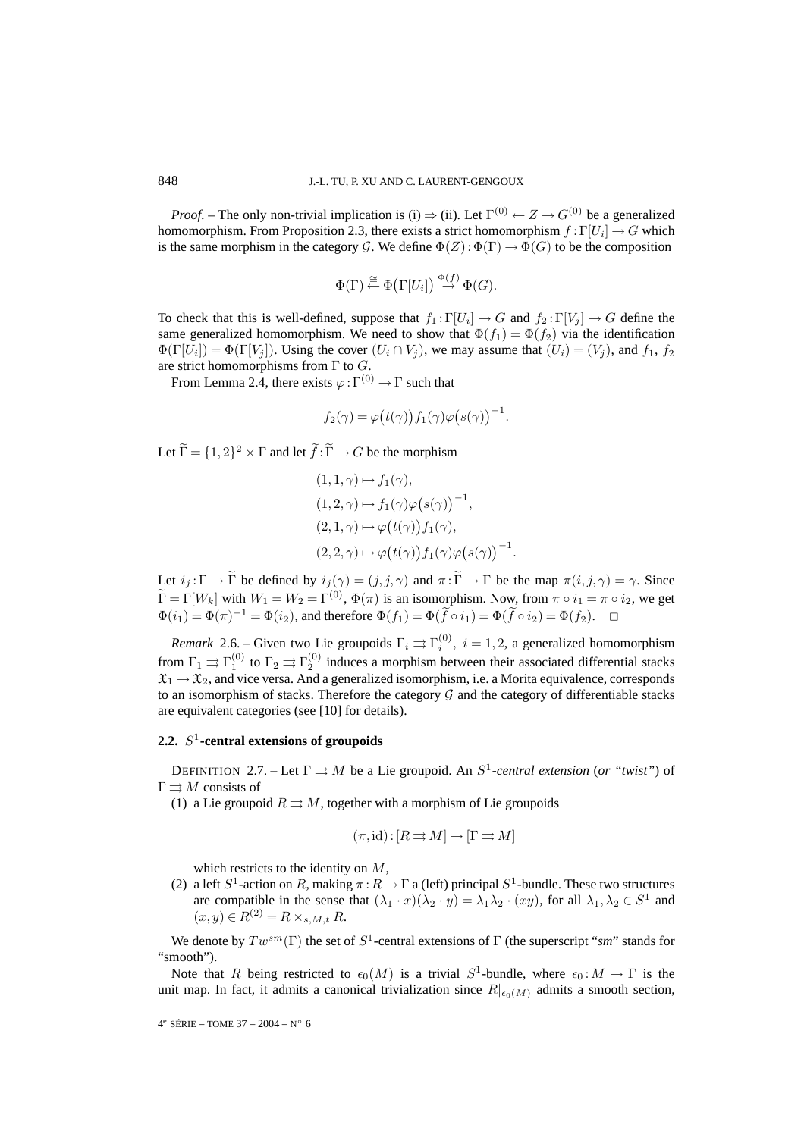*Proof.* – The only non-trivial implication is (i)  $\Rightarrow$  (ii). Let  $\Gamma^{(0)} \leftarrow Z \rightarrow G^{(0)}$  be a generalized homomorphism. From Proposition 2.3, there exists a strict homomorphism  $f : \Gamma[U_i] \to G$  which is the same morphism in the category G. We define  $\Phi(Z)$ :  $\Phi(\Gamma) \to \Phi(G)$  to be the composition

$$
\Phi(\Gamma) \stackrel{\cong}{\leftarrow} \Phi\big(\Gamma[U_i]\big) \stackrel{\Phi(f)}{\rightarrow} \Phi(G).
$$

To check that this is well-defined, suppose that  $f_1 : \Gamma[U_i] \to G$  and  $f_2 : \Gamma[V_i] \to G$  define the same generalized homomorphism. We need to show that  $\Phi(f_1) = \Phi(f_2)$  via the identification  $\Phi(\Gamma[U_i]) = \Phi(\Gamma[V_i])$ . Using the cover  $(U_i \cap V_j)$ , we may assume that  $(U_i) = (V_i)$ , and  $f_1, f_2$ are strict homomorphisms from  $\Gamma$  to  $G$ .

From Lemma 2.4, there exists  $\varphi : \Gamma^{(0)} \to \Gamma$  such that

$$
f_2(\gamma) = \varphi(t(\gamma)) f_1(\gamma) \varphi(s(\gamma))^{-1}.
$$

Let  $\tilde{\Gamma} = \{1, 2\}^2 \times \Gamma$  and let  $\tilde{f} : \tilde{\Gamma} \to G$  be the morphism

$$
(1,1,\gamma) \mapsto f_1(\gamma),
$$
  
\n
$$
(1,2,\gamma) \mapsto f_1(\gamma)\varphi(s(\gamma))^{-1},
$$
  
\n
$$
(2,1,\gamma) \mapsto \varphi(t(\gamma))f_1(\gamma),
$$
  
\n
$$
(2,2,\gamma) \mapsto \varphi(t(\gamma))f_1(\gamma)\varphi(s(\gamma))^{-1}
$$

Let  $i_j : \Gamma \to \widetilde{\Gamma}$  be defined by  $i_j(\gamma)=(j, j, \gamma)$  and  $\pi : \widetilde{\Gamma} \to \Gamma$  be the map  $\pi(i, j, \gamma) = \gamma$ . Since  $\widetilde{\Gamma} = \Gamma[W_k]$  with  $W_1 = W_2 = \Gamma^{(0)}$ ,  $\Phi(\pi)$  is an isomorphism. Now, from  $\pi \circ i_1 = \pi \circ i_2$ , we get  $\Phi(i_1) = \Phi(\pi)^{-1} = \Phi(i_2)$ , and therefore  $\Phi(f_1) = \Phi(\tilde{f} \circ i_1) = \Phi(\tilde{f} \circ i_2) = \Phi(f_2)$ .  $\Box$ 

.

*Remark* 2.6. – Given two Lie groupoids  $\Gamma_i \rightrightarrows \Gamma_i^{(0)}$ ,  $i = 1, 2$ , a generalized homomorphism from  $\Gamma_1 \rightrightarrows \Gamma_1^{(0)}$  to  $\Gamma_2 \rightrightarrows \Gamma_2^{(0)}$  induces a morphism between their associated differential stacks  $\mathfrak{X}_1 \to \mathfrak{X}_2$ , and vice versa. And a generalized isomorphism, i.e. a Morita equivalence, corresponds to an isomorphism of stacks. Therefore the category  $G$  and the category of differentiable stacks are equivalent categories (see [10] for details).

### **2.2.** S<sup>1</sup>**-central extensions of groupoids**

DEFINITION 2.7. – Let  $\Gamma \rightrightarrows M$  be a Lie groupoid. An  $S^1$ -central extension (or "twist") of  $\Gamma \rightrightarrows M$  consists of

(1) a Lie groupoid  $R \rightrightarrows M$ , together with a morphism of Lie groupoids

$$
(\pi, id) : [R \rightrightarrows M] \to [\Gamma \rightrightarrows M]
$$

which restricts to the identity on M,

(2) a left  $S^1$ -action on R, making  $\pi : R \to \Gamma$  a (left) principal  $S^1$ -bundle. These two structures are compatible in the sense that  $(\lambda_1 \cdot x)(\lambda_2 \cdot y) = \lambda_1 \lambda_2 \cdot (xy)$ , for all  $\lambda_1, \lambda_2 \in S^1$  and  $(x, y) \in R^{(2)} = R \times_{s, M, t} R.$ 

We denote by  $Tw^{sm}(\Gamma)$  the set of  $S^1$ -central extensions of  $\Gamma$  (the superscript "*sm*" stands for "smooth").

Note that R being restricted to  $\epsilon_0(M)$  is a trivial  $S^1$ -bundle, where  $\epsilon_0 : M \to \Gamma$  is the unit map. In fact, it admits a canonical trivialization since  $R|_{\epsilon_0(M)}$  admits a smooth section,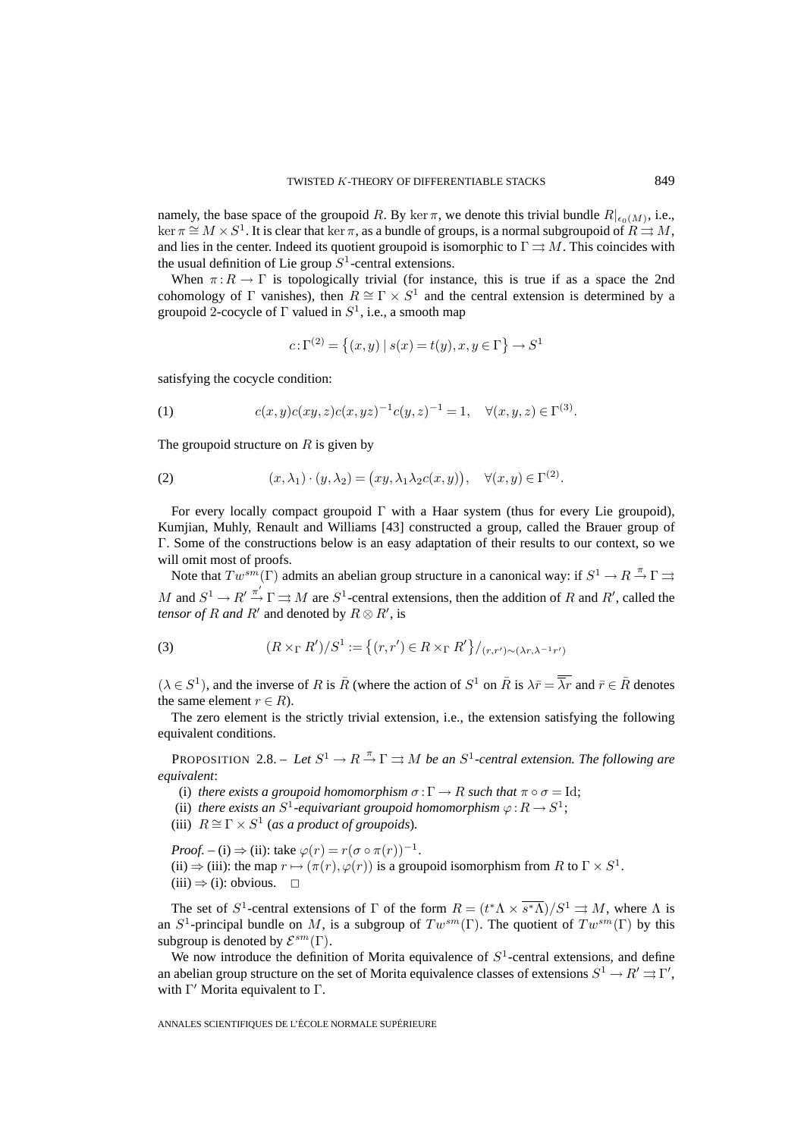namely, the base space of the groupoid R. By ker  $\pi$ , we denote this trivial bundle  $R|_{\epsilon_0(M)}$ , i.e.,  $\ker \pi \cong M \times S^1$ . It is clear that  $\ker \pi$ , as a bundle of groups, is a normal subgroupoid of  $R \rightrightarrows M$ , and lies in the center. Indeed its quotient groupoid is isomorphic to  $\Gamma \rightrightarrows M$ . This coincides with the usual definition of Lie group  $S^1$ -central extensions.

When  $\pi: R \to \Gamma$  is topologically trivial (for instance, this is true if as a space the 2nd cohomology of Γ vanishes), then  $R \cong \Gamma \times S^1$  and the central extension is determined by a groupoid 2-cocycle of  $\Gamma$  valued in  $S^1$ , i.e., a smooth map

$$
c\!:\!\Gamma^{(2)}\!=\left\{(x,y)\:|\:s(x)\!=\!t(y),x,y\in\Gamma\right\}\rightarrow S^1
$$

satisfying the cocycle condition:

(1) 
$$
c(x,y)c(xy,z)c(x,yz)^{-1}c(y,z)^{-1} = 1, \quad \forall (x,y,z) \in \Gamma^{(3)}.
$$

The groupoid structure on  $R$  is given by

(2) 
$$
(x, \lambda_1) \cdot (y, \lambda_2) = (xy, \lambda_1 \lambda_2 c(x, y)), \quad \forall (x, y) \in \Gamma^{(2)}.
$$

For every locally compact groupoid Γ with a Haar system (thus for every Lie groupoid), Kumjian, Muhly, Renault and Williams [43] constructed a group, called the Brauer group of Γ. Some of the constructions below is an easy adaptation of their results to our context, so we will omit most of proofs.

Note that  $Tw^{sm}(\Gamma)$  admits an abelian group structure in a canonical way: if  $S^1 \to R \stackrel{\pi}{\to} \Gamma \Rightarrow$ M and  $S^1 \to R' \xrightarrow{\pi'} \Gamma \rightrightarrows M$  are  $S^1$ -central extensions, then the addition of R and R', called the *tensor of R and R'* and denoted by  $R \otimes R'$ , is

(3) 
$$
(R \times_{\Gamma} R')/S^1 := \{(r, r') \in R \times_{\Gamma} R'\}/_{(r, r') \sim (\lambda r, \lambda^{-1} r')}
$$

 $(\lambda \in S^1)$ , and the inverse of R is  $\bar{R}$  (where the action of  $S^1$  on  $\bar{R}$  is  $\lambda \bar{r} = \overline{\lambda r}$  and  $\bar{r} \in \bar{R}$  denotes the same element  $r \in R$ ).

The zero element is the strictly trivial extension, i.e., the extension satisfying the following equivalent conditions.

PROPOSITION 2.8. – Let  $S^1 \to R \stackrel{\pi}{\to} \Gamma \rightrightarrows M$  be an  $S^1$ -central extension. The following are *equivalent*:

- (i) *there exists a groupoid homomorphism*  $\sigma : \Gamma \to R$  *such that*  $\pi \circ \sigma = Id$ ;
- (ii) *there exists an*  $S^1$ -equivariant groupoid homomorphism  $\varphi : R \to S^1$ ;
- (iii)  $R \cong \Gamma \times S^1$  (*as a product of groupoids*).

*Proof.* – (i)  $\Rightarrow$  (ii): take  $\varphi(r) = r(\sigma \circ \pi(r))^{-1}$ . (ii)  $\Rightarrow$  (iii): the map  $r \mapsto (\pi(r), \varphi(r))$  is a groupoid isomorphism from R to  $\Gamma \times S^1$ .  $(iii) \Rightarrow (i):$  obvious.  $\Box$ 

The set of  $S^1$ -central extensions of  $\Gamma$  of the form  $R = (t^* \Lambda \times \overline{s^* \Lambda})/S^1 \rightrightarrows M$ , where  $\Lambda$  is an  $S^1$ -principal bundle on M, is a subgroup of  $Tw^{sm}(\Gamma)$ . The quotient of  $Tw^{sm}(\Gamma)$  by this subgroup is denoted by  $\mathcal{E}^{sm}(\Gamma)$ .

We now introduce the definition of Morita equivalence of  $S<sup>1</sup>$ -central extensions, and define an abelian group structure on the set of Morita equivalence classes of extensions  $S^1 \to R' \rightrightarrows \Gamma',$ with  $\Gamma'$  Morita equivalent to  $\Gamma$ .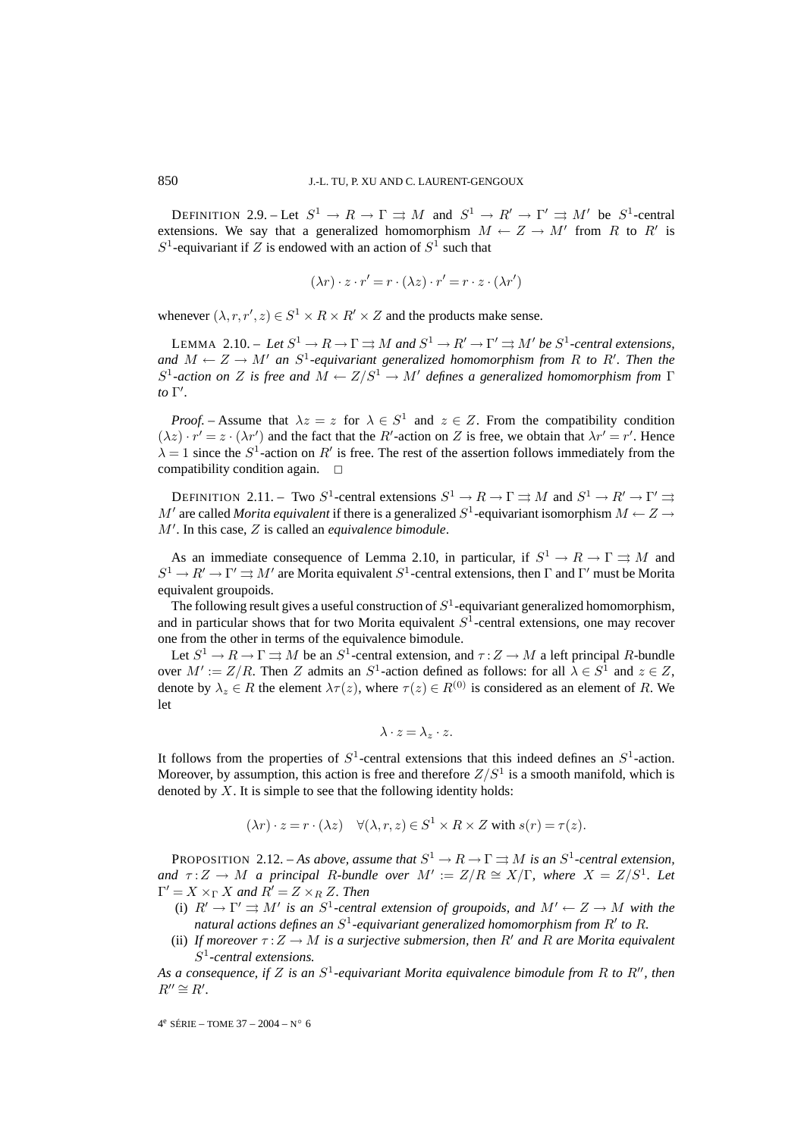DEFINITION 2.9. – Let  $S^1 \to R \to \Gamma \rightrightarrows M$  and  $S^1 \to R' \to \Gamma' \rightrightarrows M'$  be  $S^1$ -central extensions. We say that a generalized homomorphism  $M \leftarrow Z \rightarrow M'$  from R to R' is  $S^1$ -equivariant if Z is endowed with an action of  $S^1$  such that

$$
(\lambda r) \cdot z \cdot r' = r \cdot (\lambda z) \cdot r' = r \cdot z \cdot (\lambda r')
$$

whenever  $(\lambda, r, r', z) \in S^1 \times R \times R' \times Z$  and the products make sense.

LEMMA 2.10. – Let  $S^1 \to R \to \Gamma \rightrightarrows M$  and  $S^1 \to R' \to \Gamma' \rightrightarrows M'$  be  $S^1$ -central extensions, *and*  $M \leftarrow Z \rightarrow M'$  an  $S^1$ -equivariant generalized homomorphism from R to R'. Then the  $S^1$ -action on Z is free and  $M \leftarrow Z/S^1 \rightarrow M'$  defines a generalized homomorphism from  $\Gamma$ *to*  $\Gamma'$ .

*Proof.* – Assume that  $\lambda z = z$  for  $\lambda \in S^1$  and  $z \in Z$ . From the compatibility condition  $(\lambda z) \cdot r' = z \cdot (\lambda r')$  and the fact that the R'-action on Z is free, we obtain that  $\lambda r' = r'$ . Hence  $\lambda = 1$  since the  $S^1$ -action on R' is free. The rest of the assertion follows immediately from the compatibility condition again.  $\square$ 

DEFINITION 2.11. – Two  $S^1$ -central extensions  $S^1 \to R \to \Gamma \rightrightarrows M$  and  $S^1 \to R' \to \Gamma' \rightrightarrows$ M' are called *Morita equivalent* if there is a generalized  $S^1$ -equivariant isomorphism  $M \leftarrow Z \rightarrow$ M- . In this case, Z is called an *equivalence bimodule*.

As an immediate consequence of Lemma 2.10, in particular, if  $S^1 \to R \to \Gamma \rightrightarrows M$  and  $S^1 \to R' \to \Gamma' \rightrightarrows M'$  are Morita equivalent  $S^1$ -central extensions, then  $\Gamma$  and  $\Gamma'$  must be Morita equivalent groupoids.

The following result gives a useful construction of  $S<sup>1</sup>$ -equivariant generalized homomorphism, and in particular shows that for two Morita equivalent  $S<sup>1</sup>$ -central extensions, one may recover one from the other in terms of the equivalence bimodule.

Let  $S^1 \to R \to \Gamma \rightrightarrows M$  be an  $S^1$ -central extension, and  $\tau: Z \to M$  a left principal R-bundle over  $M' := Z/R$ . Then Z admits an  $S^1$ -action defined as follows: for all  $\lambda \in S^1$  and  $z \in Z$ , denote by  $\lambda_z \in R$  the element  $\lambda \tau(z)$ , where  $\tau(z) \in R^{(0)}$  is considered as an element of R. We let

$$
\lambda \cdot z = \lambda_z \cdot z.
$$

It follows from the properties of  $S^1$ -central extensions that this indeed defines an  $S^1$ -action. Moreover, by assumption, this action is free and therefore  $Z/S<sup>1</sup>$  is a smooth manifold, which is denoted by  $X$ . It is simple to see that the following identity holds:

$$
(\lambda r) \cdot z = r \cdot (\lambda z) \quad \forall (\lambda, r, z) \in S^1 \times R \times Z \text{ with } s(r) = \tau(z).
$$

PROPOSITION 2.12. – As above, assume that  $S^1 \to R \to \Gamma \rightrightarrows M$  is an  $S^1$ -central extension, *and*  $\tau: Z \to M$  *a* principal R-bundle over  $M' := Z/R \cong X/\Gamma$ , where  $X = Z/S^1$ . Let  $\Gamma' = X \times_{\Gamma} X$  and  $R' = Z \times_R Z$ *. Then* 

- (i)  $R' \to \Gamma' \rightrightarrows M'$  is an  $S^1$ -central extension of groupoids, and  $M' \leftarrow Z \to M$  with the natural actions defines an  $S^1$ -equivariant generalized homomorphism from  $R'$  to  $R$ .
- (ii) If moreover  $\tau: Z \to M$  is a surjective submersion, then R' and R are Morita equivalent S<sup>1</sup>*-central extensions.*

As a consequence, if Z is an  $S^1$ -equivariant Morita equivalence bimodule from R to R'', then  $R'' \cong R'.$ 

 $4^e$  SÉRIE – TOME 37 – 2004 – N° 6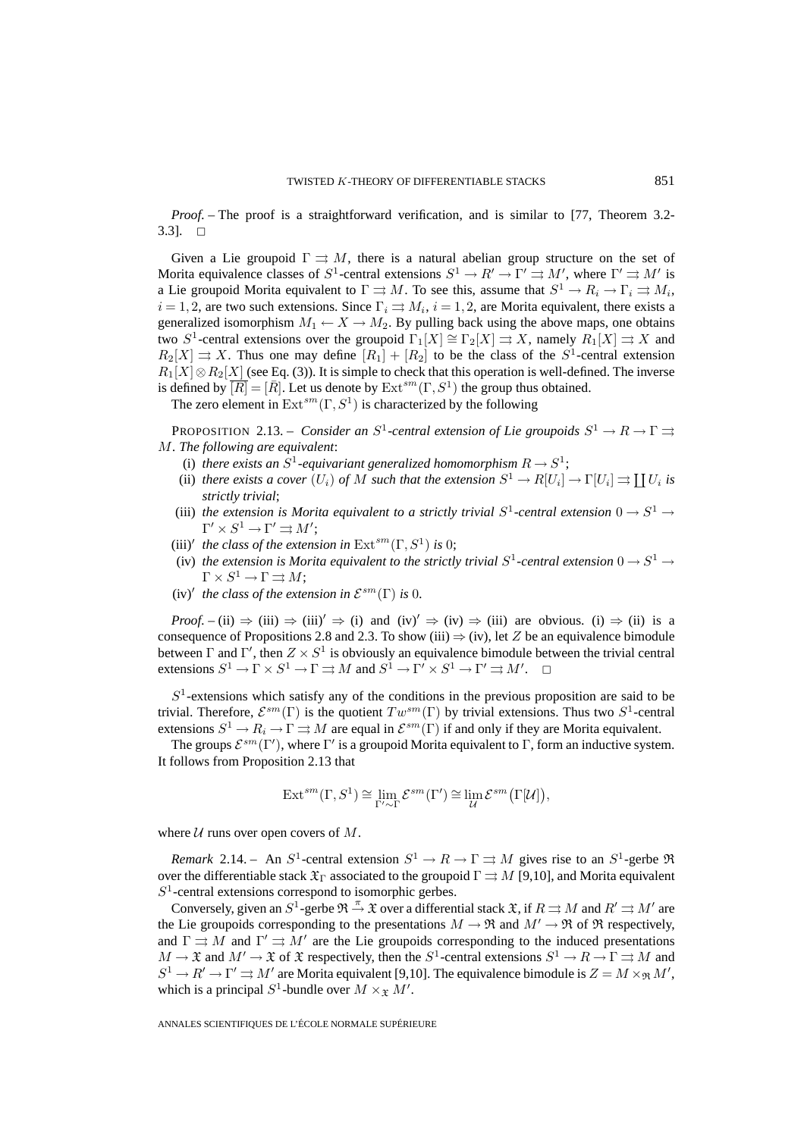*Proof. –* The proof is a straightforward verification, and is similar to [77, Theorem 3.2-  $3.3$ ].  $\Box$ 

Given a Lie groupoid  $\Gamma \rightrightarrows M$ , there is a natural abelian group structure on the set of Morita equivalence classes of  $S^1$ -central extensions  $S^1 \to R' \to \Gamma' \rightrightarrows M'$ , where  $\Gamma' \rightrightarrows M'$  is a Lie groupoid Morita equivalent to  $\Gamma \rightrightarrows M$ . To see this, assume that  $S^1 \to R_i \to \Gamma_i \rightrightarrows M_i$ ,  $i = 1, 2$ , are two such extensions. Since  $\Gamma_i \rightrightarrows M_i$ ,  $i = 1, 2$ , are Morita equivalent, there exists a generalized isomorphism  $M_1 \leftarrow X \rightarrow M_2$ . By pulling back using the above maps, one obtains two S<sup>1</sup>-central extensions over the groupoid  $\Gamma_1[X] \cong \Gamma_2[X] \Rightarrow X$ , namely  $R_1[X] \Rightarrow X$  and  $R_2[X] \rightrightarrows X$ . Thus one may define  $[R_1]+[R_2]$  to be the class of the  $S^1$ -central extension  $R_1[X] \otimes R_2[X]$  (see Eq. (3)). It is simple to check that this operation is well-defined. The inverse is defined by  $\overline{[R]}=[\overline{R}].$  Let us denote by  $\text{Ext}^{sm}(\Gamma, S^1)$  the group thus obtained.

The zero element in  $\text{Ext}^{sm}(\Gamma, S^1)$  is characterized by the following

PROPOSITION 2.13. – *Consider an*  $S^1$ -central extension of Lie groupoids  $S^1 \to R \to \Gamma \rightrightarrows$ M*. The following are equivalent*:

- (i) *there exists an*  $S^1$ -equivariant generalized homomorphism  $R \to S^1$ ;
- (ii) *there exists a cover*  $(U_i)$  *of* M *such that the extension*  $S^1 \to R[U_i] \to \Gamma[U_i] \rightrightarrows \prod U_i$  *is strictly trivial*;
- (iii) *the extension is Morita equivalent to a strictly trivial*  $S^1$ -central extension  $0 \rightarrow S^1 \rightarrow$  $\Gamma' \times S^1 \to \Gamma' \rightrightarrows M';$
- (iii)<sup> $\prime$ </sup> *the class of the extension in*  $\text{Ext}^{sm}(\Gamma, S^1)$  *is* 0;
- (iv) *the extension is Morita equivalent to the strictly trivial*  $S^1$ -central extension  $0 \rightarrow S^1 \rightarrow$  $\Gamma \times S^1 \to \Gamma \rightrightarrows M$ ;
- $(iv)'$  *the class of the extension in*  $\mathcal{E}^{sm}(\Gamma)$  *is* 0*.*

*Proof.* – (ii)  $\Rightarrow$  (iii)  $\Rightarrow$  (iii)'  $\Rightarrow$  (i) and (iv)'  $\Rightarrow$  (iv)  $\Rightarrow$  (iii) are obvious. (i)  $\Rightarrow$  (ii) is a consequence of Propositions 2.8 and 2.3. To show (iii)  $\Rightarrow$  (iv), let Z be an equivalence bimodule between  $\Gamma$  and  $\Gamma'$ , then  $Z \times S^1$  is obviously an equivalence bimodule between the trivial central extensions  $S^1 \to \Gamma \times S^1 \to \Gamma \rightrightarrows M$  and  $S^1 \to \Gamma' \times S^1 \to \Gamma' \rightrightarrows M'$  $\Box$ 

 $S<sup>1</sup>$ -extensions which satisfy any of the conditions in the previous proposition are said to be trivial. Therefore,  $\mathcal{E}^{sm}(\Gamma)$  is the quotient  $Tw^{sm}(\Gamma)$  by trivial extensions. Thus two  $S^1$ -central extensions  $S^1 \to R_i \to \Gamma \to M$  are equal in  $\mathcal{E}^{sm}(\Gamma)$  if and only if they are Morita equivalent.

The groups  $\mathcal{E}^{sm}(\Gamma')$ , where  $\Gamma'$  is a groupoid Morita equivalent to  $\Gamma$ , form an inductive system. It follows from Proposition 2.13 that

$$
\operatorname{Ext}^{sm}(\Gamma,S^1)\cong \lim_{\Gamma'\sim \Gamma} \mathcal{E}^{sm}(\Gamma')\cong \lim_{\mathcal{U}} \mathcal{E}^{sm}\big(\Gamma[\mathcal{U}]\big),
$$

where  $U$  runs over open covers of  $M$ .

*Remark* 2.14. – An  $S^1$ -central extension  $S^1 \to R \to \Gamma \rightrightarrows M$  gives rise to an  $S^1$ -gerbe  $\Re$ over the differentiable stack  $\mathfrak{X}_{\Gamma}$  associated to the groupoid  $\Gamma \rightrightarrows M$  [9,10], and Morita equivalent  $S<sup>1</sup>$ -central extensions correspond to isomorphic gerbes.

Conversely, given an  $S^1$ -gerbe  $\mathfrak{R} \stackrel{\pi}{\to} \mathfrak{X}$  over a differential stack  $\mathfrak{X}$ , if  $R \rightrightarrows M$  and  $R' \rightrightarrows M'$  are the Lie groupoids corresponding to the presentations  $M \to \mathfrak{R}$  and  $M' \to \mathfrak{R}$  of  $\mathfrak{R}$  respectively, and  $\Gamma \rightrightarrows M$  and  $\Gamma' \rightrightarrows M'$  are the Lie groupoids corresponding to the induced presentations  $M \to \mathfrak{X}$  and  $M' \to \mathfrak{X}$  of  $\mathfrak{X}$  respectively, then the  $S^1$ -central extensions  $S^1 \to R \to \Gamma \rightrightarrows M$  and  $S^1 \to R' \to \Gamma' \rightrightarrows M'$  are Morita equivalent [9,10]. The equivalence bimodule is  $Z = M \times_{\Re} M'$ , which is a principal  $S^1$ -bundle over  $M \times_{\mathfrak{X}} M'$ .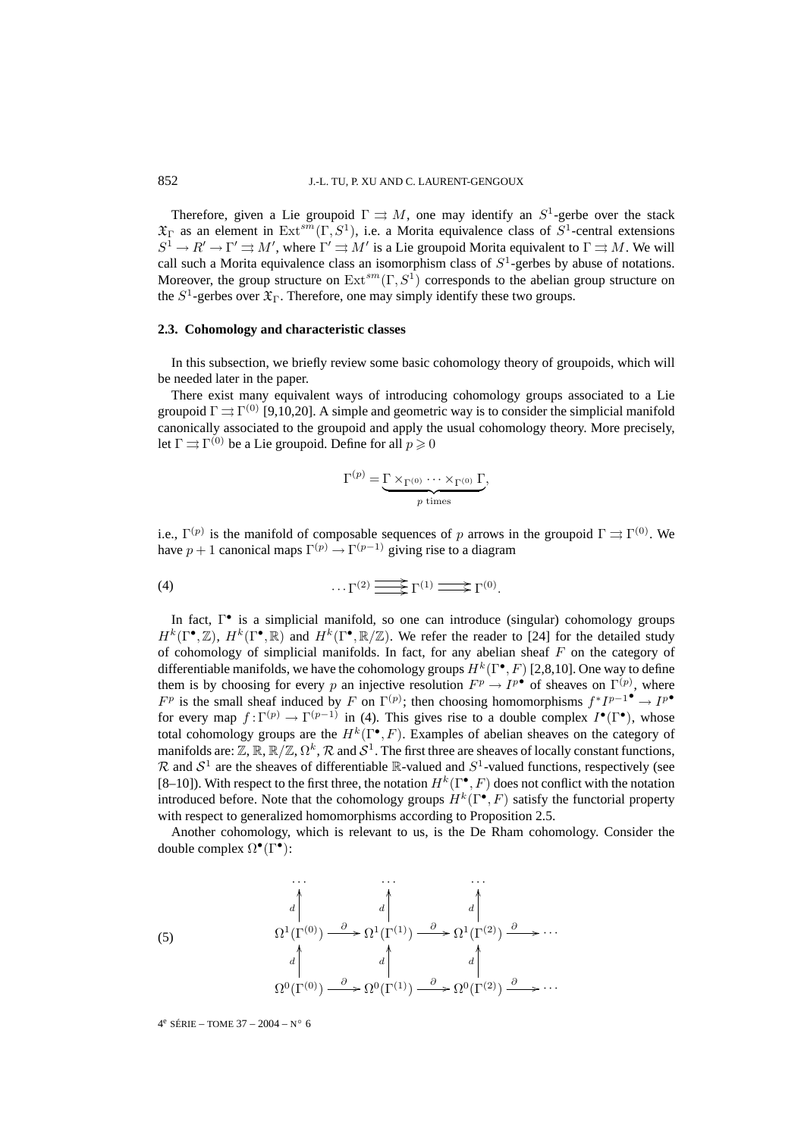Therefore, given a Lie groupoid  $\Gamma \rightrightarrows M$ , one may identify an  $S^1$ -gerbe over the stack  $\mathfrak{X}_{\Gamma}$  as an element in Ext<sup>sm</sup>(Γ, S<sup>1</sup>), i.e. a Morita equivalence class of S<sup>1</sup>-central extensions  $S^1 \to R' \to \Gamma' \rightrightarrows M'$ , where  $\Gamma' \rightrightarrows M'$  is a Lie groupoid Morita equivalent to  $\Gamma \rightrightarrows M$ . We will call such a Morita equivalence class an isomorphism class of  $S<sup>1</sup>$ -gerbes by abuse of notations. Moreover, the group structure on  $Ext^{sm}(\Gamma, S^1)$  corresponds to the abelian group structure on the  $S^1$ -gerbes over  $\mathfrak{X}_{\Gamma}$ . Therefore, one may simply identify these two groups.

### **2.3. Cohomology and characteristic classes**

In this subsection, we briefly review some basic cohomology theory of groupoids, which will be needed later in the paper.

There exist many equivalent ways of introducing cohomology groups associated to a Lie groupoid  $\Gamma \rightrightarrows \Gamma^{(0)}$  [9,10,20]. A simple and geometric way is to consider the simplicial manifold canonically associated to the groupoid and apply the usual cohomology theory. More precisely, let  $\Gamma \rightrightarrows \Gamma^{(0)}$  be a Lie groupoid. Define for all  $p \geqslant 0$ 

$$
\Gamma^{(p)} = \underbrace{\Gamma \times_{\Gamma^{(0)}} \cdots \times_{\Gamma^{(0)}} \Gamma}_{p \text{ times}},
$$

i.e.,  $\Gamma^{(p)}$  is the manifold of composable sequences of p arrows in the groupoid  $\Gamma \rightrightarrows \Gamma^{(0)}$ . We have  $p + 1$  canonical maps  $\Gamma^{(p)} \to \Gamma^{(p-1)}$  giving rise to a diagram

(4) 
$$
\cdots \Gamma^{(2)} \longrightarrow \Gamma^{(1)} \longrightarrow \Gamma^{(0)}.
$$

In fact, Γ• is a simplicial manifold, so one can introduce (singular) cohomology groups  $H^k(\Gamma^{\bullet},\mathbb{Z})$ ,  $H^k(\Gamma^{\bullet},\mathbb{R})$  and  $H^k(\Gamma^{\bullet},\mathbb{R}/\mathbb{Z})$ . We refer the reader to [24] for the detailed study of cohomology of simplicial manifolds. In fact, for any abelian sheaf  $F$  on the category of differentiable manifolds, we have the cohomology groups  $H^k(\Gamma^{\bullet}, F)$  [2,8,10]. One way to define them is by choosing for every p an injective resolution  $F^p \to I^{p^{\bullet}}$  of sheaves on  $\Gamma^{(p)}$ , where  $F^p$  is the small sheaf induced by F on  $\Gamma^{(p)}$ ; then choosing homomorphisms  $f^*I^{p-1^{\bullet}} \to I^{p^{\bullet}}$ for every map  $f: \Gamma^{(p)} \to \Gamma^{(p-1)}$  in (4). This gives rise to a double complex  $I^{\bullet}(\Gamma^{\bullet})$ , whose total cohomology groups are the  $H^k(\Gamma^{\bullet}, F)$ . Examples of abelian sheaves on the category of manifolds are:  $\mathbb{Z}, \mathbb{R}, \mathbb{R}/\mathbb{Z}, \Omega^k, \mathcal{R}$  and  $\mathcal{S}^1$ . The first three are sheaves of locally constant functions,  $\mathcal R$  and  $\mathcal S^1$  are the sheaves of differentiable  $\mathbb R$ -valued and  $\mathcal S^1$ -valued functions, respectively (see [8–10]). With respect to the first three, the notation  $H^k(\Gamma^{\bullet}, F)$  does not conflict with the notation introduced before. Note that the cohomology groups  $H^k(\Gamma^{\bullet}, F)$  satisfy the functorial property with respect to generalized homomorphisms according to Proposition 2.5.

Another cohomology, which is relevant to us, is the De Rham cohomology. Consider the double complex  $\Omega^{\bullet}(\Gamma^{\bullet})$ :

(5)  
\n
$$
\begin{array}{ccc}\n & \cdots & \cdots & \cdots \\
d & d & d & d \\
\Omega^1(\Gamma^{(0)}) & \stackrel{\partial}{\longrightarrow} \Omega^1(\Gamma^{(1)}) & \stackrel{\partial}{\longrightarrow} \Omega^1(\Gamma^{(2)}) & \stackrel{\partial}{\longrightarrow} \cdots \\
d & d & d & d \\
\Omega^0(\Gamma^{(0)}) & \stackrel{\partial}{\longrightarrow} \Omega^0(\Gamma^{(1)}) & \stackrel{\partial}{\longrightarrow} \Omega^0(\Gamma^{(2)}) & \stackrel{\partial}{\longrightarrow} \cdots\n\end{array}
$$

 $4^e$  SÉRIE – TOME 37 – 2004 – N° 6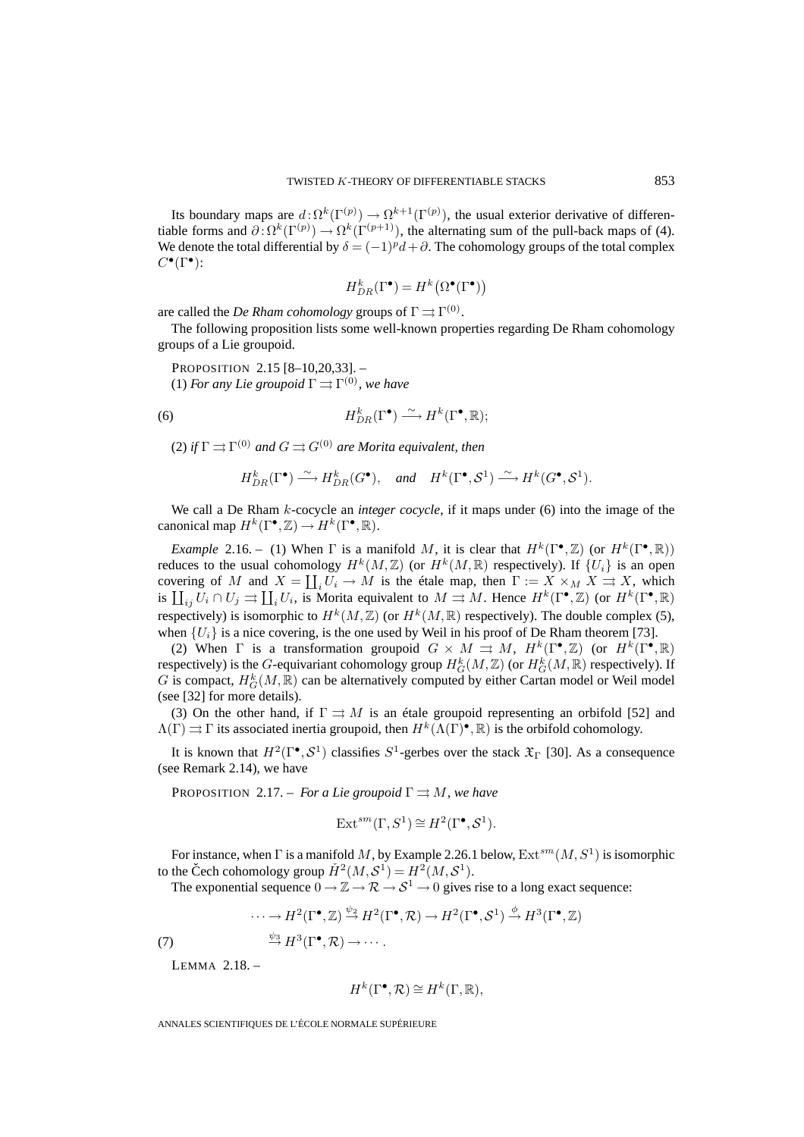Its boundary maps are  $d \colon \Omega^k(\Gamma^{(p)}) \to \Omega^{k+1}(\Gamma^{(p)})$ , the usual exterior derivative of differentiable forms and  $\partial \cdot \Omega^k(\Gamma^{(p)}) \to \Omega^k(\Gamma^{(p+1)})$ , the alternating sum of the pull-back maps of (4). We denote the total differential by  $\delta = (-1)^p d + \partial$ . The cohomology groups of the total complex  $C^{\bullet}(\Gamma^{\bullet})$ :

$$
H^k_{DR}(\Gamma^\bullet)=H^k\big(\Omega^\bullet(\Gamma^\bullet)\big)
$$

are called the *De Rham cohomology* groups of  $\Gamma \rightrightarrows \Gamma^{(0)}$ .

The following proposition lists some well-known properties regarding De Rham cohomology groups of a Lie groupoid.

PROPOSITION 2.15 [8–10,20,33]. – (1) *For any Lie groupoid*  $\Gamma \rightrightarrows \Gamma^{(0)}$ *, we have* 

(6) 
$$
H^k_{DR}(\Gamma^{\bullet}) \stackrel{\sim}{\longrightarrow} H^k(\Gamma^{\bullet}, \mathbb{R});
$$

(2) *if*  $\Gamma \rightrightarrows \Gamma^{(0)}$  *and*  $G \rightrightarrows G^{(0)}$  *are Morita equivalent, then* 

$$
H_{DR}^k(\Gamma^{\bullet}) \longrightarrow H_{DR}^k(G^{\bullet}), \text{ and } H^k(\Gamma^{\bullet}, S^1) \longrightarrow H^k(G^{\bullet}, S^1).
$$

We call a De Rham k-cocycle an *integer cocycle*, if it maps under (6) into the image of the canonical map  $H^k(\Gamma^{\bullet}, \mathbb{Z}) \to H^k(\Gamma^{\bullet}, \mathbb{R})$ .

*Example* 2.16. – (1) When  $\Gamma$  is a manifold M, it is clear that  $H^k(\Gamma^{\bullet}, \mathbb{Z})$  (or  $H^k(\Gamma^{\bullet}, \mathbb{R})$ ) reduces to the usual cohomology  $H^k(M,\mathbb{Z})$  (or  $H^k(M,\mathbb{R})$  respectively). If  $\{U_i\}$  is an open covering of M and  $X = \coprod_i U_i \to M$  is the étale map, then  $\Gamma := X \times_M X \to X$ , which is  $\prod_{ij} U_i \cap U_j \rightrightarrows \prod_i U_i$ , is Morita equivalent to  $M \rightrightarrows M$ . Hence  $H^k(\Gamma^{\bullet}, \mathbb{Z})$  (or  $H^k(\Gamma^{\bullet}, \mathbb{R})$ respectively) is isomorphic to  $H^k(M,\mathbb{Z})$  (or  $H^k(M,\mathbb{R})$  respectively). The double complex (5), when  $\{U_i\}$  is a nice covering, is the one used by Weil in his proof of De Rham theorem [73].

(2) When  $\Gamma$  is a transformation groupoid  $G \times M \rightrightarrows M$ ,  $H^k(\Gamma^{\bullet}, \mathbb{Z})$  (or  $H^k(\Gamma^{\bullet}, \mathbb{R})$ respectively) is the G-equivariant cohomology group  $H_G^k(M,\mathbb{Z})$  (or  $H_G^k(M,\mathbb{R})$  respectively). If G is compact,  $H_G^k(M,\mathbb{R})$  can be alternatively computed by either Cartan model or Weil model (see [32] for more details).

(3) On the other hand, if  $\Gamma \rightrightarrows M$  is an étale groupoid representing an orbifold [52] and  $\Lambda(\Gamma) \rightrightarrows \Gamma$  its associated inertia groupoid, then  $H^k(\Lambda(\Gamma)^{\bullet}, \mathbb{R})$  is the orbifold cohomology.

It is known that  $H^2(\Gamma^{\bullet}, S^1)$  classifies  $S^1$ -gerbes over the stack  $\mathfrak{X}_{\Gamma}$  [30]. As a consequence (see Remark 2.14), we have

PROPOSITION 2.17. – *For a Lie groupoid*  $\Gamma \rightrightarrows M$ *, we have* 

$$
\operatorname{Ext}^{sm}(\Gamma, S^1) \cong H^2(\Gamma^{\bullet}, \mathcal{S}^1).
$$

For instance, when  $\Gamma$  is a manifold M, by Example 2.26.1 below,  $\text{Ext}^{sm}(M,S^1)$  is isomorphic to the Čech cohomology group  $\check{H}^2(M,\mathcal{S}^1) = H^2(M,\mathcal{S}^1)$ .

The exponential sequence  $0 \to \mathbb{Z} \to \mathcal{R} \to \mathcal{S}^1 \to 0$  gives rise to a long exact sequence:

$$
\cdots \to H^2(\Gamma^{\bullet}, \mathbb{Z}) \stackrel{\psi_2}{\to} H^2(\Gamma^{\bullet}, \mathcal{R}) \to H^2(\Gamma^{\bullet}, \mathcal{S}^1) \stackrel{\phi}{\to} H^3(\Gamma^{\bullet}, \mathbb{Z})
$$

(7)  $\stackrel{\psi_3}{\longrightarrow} H^3(\Gamma^\bullet, \mathcal{R}) \longrightarrow \cdots$ .

LEMMA 2.18. –

$$
H^k(\Gamma^\bullet, \mathcal{R}) \cong H^k(\Gamma, \mathbb{R}),
$$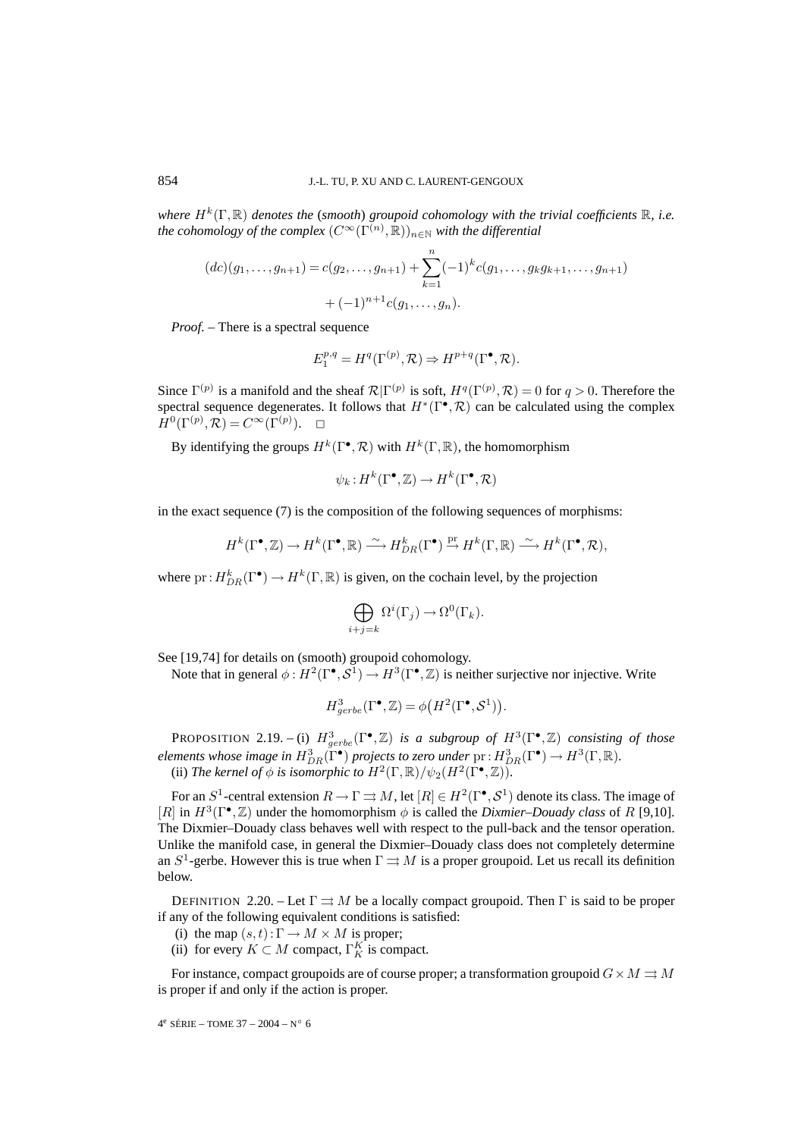*where*  $H^k(\Gamma, \mathbb{R})$  *denotes the* (*smooth*) *groupoid cohomology with the trivial coefficients*  $\mathbb{R}$ *, i.e.* the cohomology of the complex  $(C^{\infty}(\Gamma^{(n)}, \mathbb{R}))_{n \in \mathbb{N}}$  *with the differential* 

$$
(dc)(g_1, \ldots, g_{n+1}) = c(g_2, \ldots, g_{n+1}) + \sum_{k=1}^n (-1)^k c(g_1, \ldots, g_k g_{k+1}, \ldots, g_{n+1})
$$

$$
+ (-1)^{n+1} c(g_1, \ldots, g_n).
$$

*Proof. –* There is a spectral sequence

$$
E_1^{p,q}=H^q(\Gamma^{(p)},{\mathcal R})\Rightarrow H^{p+q}(\Gamma^\bullet,{\mathcal R}).
$$

Since  $\Gamma^{(p)}$  is a manifold and the sheaf  $\mathcal{R}|\Gamma^{(p)}$  is soft,  $H^q(\Gamma^{(p)}, \mathcal{R}) = 0$  for  $q > 0$ . Therefore the spectral sequence degenerates. It follows that  $H^*(\Gamma^{\bullet}, \mathcal{R})$  can be calculated using the complex  $H^0(\Gamma^{(p)}, \mathcal{R}) = C^\infty(\Gamma^{(p)})$  $\Box$ 

By identifying the groups  $H^k(\Gamma^{\bullet}, \mathcal{R})$  with  $H^k(\Gamma, \mathbb{R})$ , the homomorphism

$$
\psi_k: H^k(\Gamma^\bullet, \mathbb{Z}) \to H^k(\Gamma^\bullet, \mathcal{R})
$$

in the exact sequence (7) is the composition of the following sequences of morphisms:

$$
H^k(\Gamma^\bullet,\mathbb{Z})\rightarrow H^k(\Gamma^\bullet,\mathbb{R})\xrightarrow{\,\sim\,} H^k_{DR}(\Gamma^\bullet)\xrightarrow{\mathrm{pr}} H^k(\Gamma,\mathbb{R})\xrightarrow{\,\sim\,} H^k(\Gamma^\bullet,\mathcal{R}),
$$

where  $pr: H^k_{DR}(\Gamma^{\bullet}) \to H^k(\Gamma, \mathbb{R})$  is given, on the cochain level, by the projection

$$
\bigoplus_{i+j=k} \Omega^i(\Gamma_j) \to \Omega^0(\Gamma_k).
$$

See [19,74] for details on (smooth) groupoid cohomology.

Note that in general  $\phi: H^2(\Gamma^{\bullet}, \mathcal{S}^1) \to H^3(\Gamma^{\bullet}, \mathbb{Z})$  is neither surjective nor injective. Write

$$
H^3_{gerbe}(\Gamma^\bullet,\mathbb{Z})=\phi\big(H^2(\Gamma^\bullet,\mathcal{S}^1)\big).
$$

**PROPOSITION** 2.19. - (i)  $H_{gerbe}^3(\Gamma^{\bullet}, \mathbb{Z})$  *is a subgroup of*  $H^3(\Gamma^{\bullet}, \mathbb{Z})$  *consisting of those elements whose image in*  $H^3_{DR}(\Gamma^{\bullet})$  *projects to zero under*  $\text{pr}: H^3_{DR}(\Gamma^{\bullet}) \to H^3(\Gamma, \mathbb{R})$ . (ii) *The kernel of*  $\phi$  *is isomorphic to*  $H^2(\Gamma,\mathbb{R})/\psi_2(H^2(\Gamma^{\bullet},\mathbb{Z}))$ .

For an  $S^1$ -central extension  $R \to \Gamma \rightrightarrows M$ , let  $[R] \in H^2(\Gamma^{\bullet}, \mathcal{S}^1)$  denote its class. The image of [R] in  $H^3(\Gamma^{\bullet}, \mathbb{Z})$  under the homomorphism  $\phi$  is called the *Dixmier–Douady class* of R [9,10]. The Dixmier–Douady class behaves well with respect to the pull-back and the tensor operation. Unlike the manifold case, in general the Dixmier–Douady class does not completely determine an  $S^1$ -gerbe. However this is true when  $\Gamma \rightrightarrows M$  is a proper groupoid. Let us recall its definition below.

DEFINITION 2.20. – Let  $\Gamma \rightrightarrows M$  be a locally compact groupoid. Then  $\Gamma$  is said to be proper if any of the following equivalent conditions is satisfied:

(i) the map  $(s, t): \Gamma \to M \times M$  is proper;

(ii) for every  $K \subset M$  compact,  $\Gamma_K^K$  is compact.

For instance, compact groupoids are of course proper; a transformation groupoid  $G \times M \rightrightarrows M$ is proper if and only if the action is proper.

$$
4^e \text{ SÉRIE} - \text{TOME } 37 - 2004 - N^{\circ} 6
$$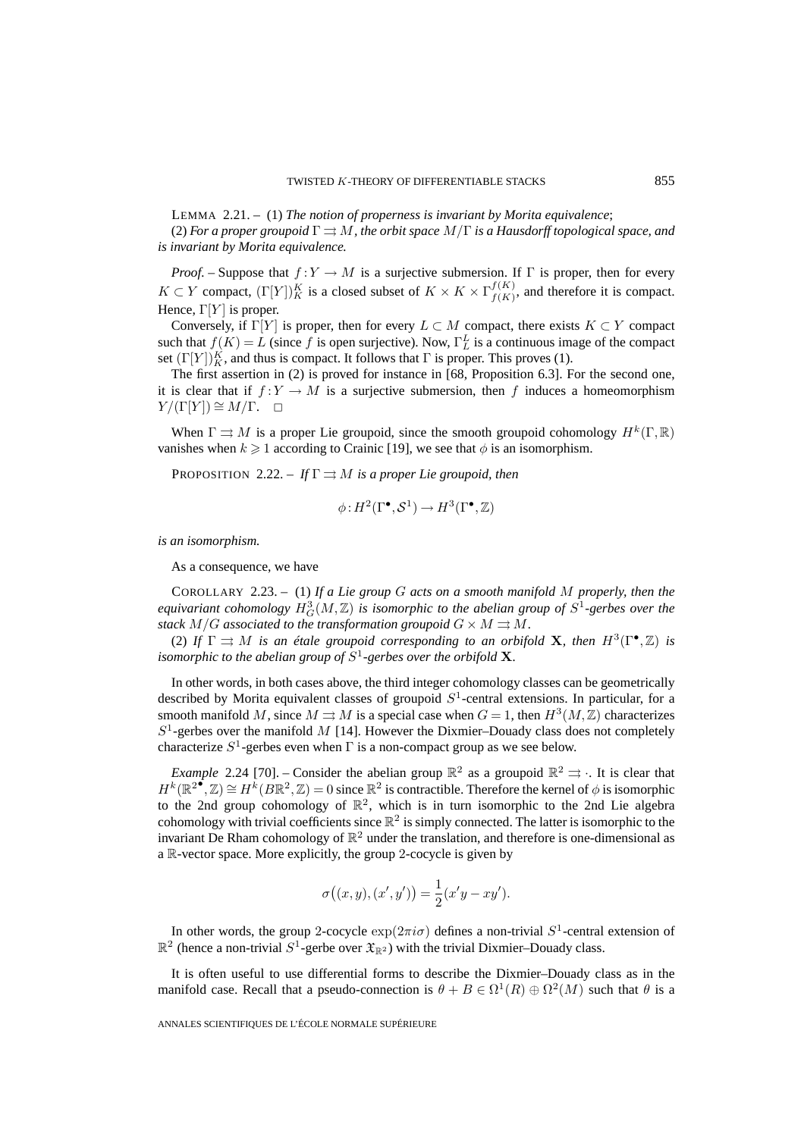LEMMA 2.21. – (1) *The notion of properness is invariant by Morita equivalence*;

(2) *For a proper groupoid* Γ ⇒ M*, the orbit space* M/Γ *is a Hausdorff topological space, and is invariant by Morita equivalence.*

*Proof.* – Suppose that  $f:Y \to M$  is a surjective submersion. If  $\Gamma$  is proper, then for every  $K \subset Y$  compact,  $(\Gamma[Y])_K^K$  is a closed subset of  $K \times K \times \Gamma_{f(K)}^{f(K)}$ , and therefore it is compact. Hence,  $\Gamma[Y]$  is proper.

Conversely, if Γ[Y] is proper, then for every  $L \subset M$  compact, there exists  $K \subset Y$  compact such that  $f(K) = L$  (since f is open surjective). Now,  $\Gamma_L^L$  is a continuous image of the compact set  $(\Gamma[Y])_K^K$ , and thus is compact. It follows that  $\Gamma$  is proper. This proves (1).

The first assertion in (2) is proved for instance in [68, Proposition 6.3]. For the second one, it is clear that if  $f:Y \to M$  is a surjective submersion, then f induces a homeomorphism  $Y/(\Gamma[Y]) \cong M/\Gamma$ .  $\Box$ 

When  $\Gamma \rightrightarrows M$  is a proper Lie groupoid, since the smooth groupoid cohomology  $H^k(\Gamma,\mathbb{R})$ vanishes when  $k \geq 1$  according to Crainic [19], we see that  $\phi$  is an isomorphism.

PROPOSITION 2.22. – If  $\Gamma \rightrightarrows M$  *is a proper Lie groupoid, then* 

$$
\phi: H^2(\Gamma^\bullet, \mathcal{S}^1) \to H^3(\Gamma^\bullet, \mathbb{Z})
$$

*is an isomorphism.*

As a consequence, we have

COROLLARY 2.23. – (1) *If a Lie group* G *acts on a smooth manifold* M *properly, then the* equivariant cohomology  $H^3_G(M,\mathbb{Z})$  is isomorphic to the abelian group of  $S^1$ -gerbes over the *stack*  $M/G$  *associated to the transformation groupoid*  $G \times M \rightrightarrows M$ *.* 

(2) If  $\Gamma \rightrightarrows M$  *is an étale groupoid corresponding to an orbifold* **X***, then*  $H^3(\Gamma^\bullet, \mathbb{Z})$  *is isomorphic to the abelian group of*  $S^1$ -gerbes over the orbifold **X**.

In other words, in both cases above, the third integer cohomology classes can be geometrically described by Morita equivalent classes of groupoid  $S<sup>1</sup>$ -central extensions. In particular, for a smooth manifold M, since  $M \rightrightarrows M$  is a special case when  $G = 1$ , then  $H^3(M, \mathbb{Z})$  characterizes  $S<sup>1</sup>$ -gerbes over the manifold M [14]. However the Dixmier–Douady class does not completely characterize  $S^1$ -gerbes even when  $\Gamma$  is a non-compact group as we see below.

*Example* 2.24 [70]. – Consider the abelian group  $\mathbb{R}^2$  as a groupoid  $\mathbb{R}^2 \rightrightarrows \rightrightarrows$ . It is clear that  $H^k(\mathbb{R}^2 \cdot \mathbb{Z}) \cong H^k(B\mathbb{R}^2, \mathbb{Z}) = 0$  since  $\mathbb{R}^2$  is contractible. Therefore the kernel of  $\phi$  is isomorphic to the 2nd group cohomology of  $\mathbb{R}^2$ , which is in turn isomorphic to the 2nd Lie algebra cohomology with trivial coefficients since  $\mathbb{R}^2$  is simply connected. The latter is isomorphic to the invariant De Rham cohomology of  $\mathbb{R}^2$  under the translation, and therefore is one-dimensional as a R-vector space. More explicitly, the group 2-cocycle is given by

$$
\sigma((x, y), (x', y')) = \frac{1}{2}(x'y - xy').
$$

In other words, the group 2-cocycle  $\exp(2\pi i\sigma)$  defines a non-trivial  $S^1$ -central extension of  $\mathbb{R}^2$  (hence a non-trivial  $S^1$ -gerbe over  $\mathfrak{X}_{\mathbb{R}^2}$ ) with the trivial Dixmier–Douady class.

It is often useful to use differential forms to describe the Dixmier–Douady class as in the manifold case. Recall that a pseudo-connection is  $\theta + B \in \Omega^1(R) \oplus \Omega^2(M)$  such that  $\theta$  is a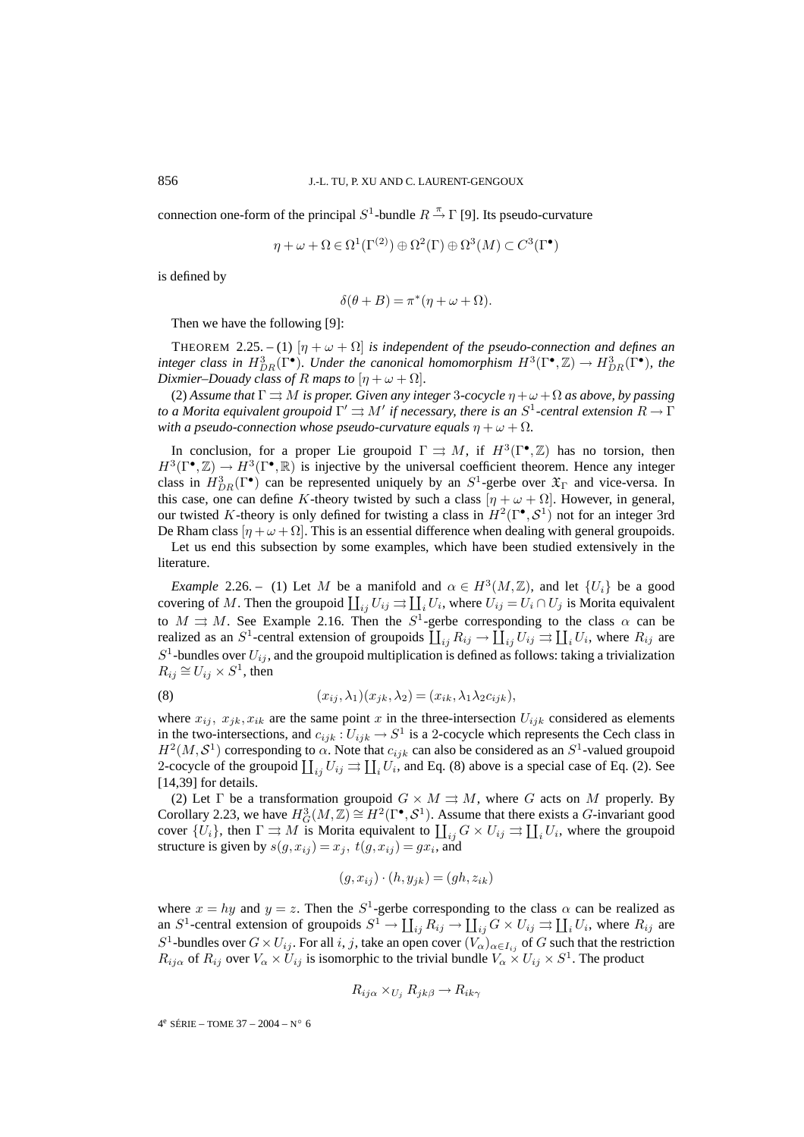connection one-form of the principal  $S^1$ -bundle  $R \stackrel{\pi}{\rightarrow} \Gamma$  [9]. Its pseudo-curvature

$$
\eta + \omega + \Omega \in \Omega^1(\Gamma^{(2)}) \oplus \Omega^2(\Gamma) \oplus \Omega^3(M) \subset C^3(\Gamma^{\bullet})
$$

is defined by

$$
\delta(\theta + B) = \pi^*(\eta + \omega + \Omega).
$$

Then we have the following [9]:

THEOREM 2.25. – (1)  $[\eta + \omega + \Omega]$  *is independent of the pseudo-connection and defines an integer class in*  $H^3_{DR}(\Gamma \bullet)$ *. Under the canonical homomorphism*  $H^3(\Gamma \bullet, \mathbb{Z}) \to H^3_{DR}(\Gamma \bullet)$ *, the Dixmier–Douady class of* R *maps to*  $[\eta + \omega + \Omega]$ *.* 

(2) Assume that  $\Gamma \rightrightarrows M$  *is proper. Given any integer* 3-cocycle  $\eta + \omega + \Omega$  *as above, by passing to a Morita equivalent groupoid*  $\Gamma' \rightrightarrows M'$  *if necessary, there is an*  $S^1$ *-central extension*  $R \to \Gamma$ *with a pseudo-connection whose pseudo-curvature equals*  $\eta + \omega + \Omega$ *.* 

In conclusion, for a proper Lie groupoid  $\Gamma \rightrightarrows M$ , if  $H^3(\Gamma^{\bullet}, \mathbb{Z})$  has no torsion, then  $H^3(\Gamma^{\bullet}, \mathbb{Z}) \to H^3(\Gamma^{\bullet}, \mathbb{R})$  is injective by the universal coefficient theorem. Hence any integer class in  $H_{DR}^3(\Gamma^{\bullet})$  can be represented uniquely by an  $S^1$ -gerbe over  $\mathfrak{X}_{\Gamma}$  and vice-versa. In this case, one can define K-theory twisted by such a class  $[\eta + \omega + \Omega]$ . However, in general, our twisted K-theory is only defined for twisting a class in  $H^2(\Gamma^{\bullet}, \mathcal{S}^1)$  not for an integer 3rd De Rham class  $[\eta + \omega + \Omega]$ . This is an essential difference when dealing with general groupoids.

Let us end this subsection by some examples, which have been studied extensively in the literature.

*Example* 2.26. – (1) Let M be a manifold and  $\alpha \in H^3(M, \mathbb{Z})$ , and let  $\{U_i\}$  be a good covering of M. Then the groupoid  $\coprod_{ij} U_{ij} \rightrightarrows \coprod_i U_i$ , where  $U_{ij} = U_i \cap U_j$  is Morita equivalent to  $M \rightrightarrows M$ . See Example 2.16. Then the  $S^1$ -gerbe corresponding to the class  $\alpha$  can be realized as an S<sup>1</sup>-central extension of groupoids  $\coprod_{ij} R_{ij} \to \coprod_{ij} U_{ij} \rightrightarrows \coprod_i U_i$ , where  $R_{ij}$  are  $S^1$ -bundles over  $U_{ij}$ , and the groupoid multiplication is defined as follows: taking a trivialization  $R_{ij} \cong U_{ij} \times S^1$ , then

(8) 
$$
(x_{ij}, \lambda_1)(x_{jk}, \lambda_2) = (x_{ik}, \lambda_1 \lambda_2 c_{ijk}),
$$

where  $x_{ij}$ ,  $x_{jk}$ ,  $x_{ik}$  are the same point x in the three-intersection  $U_{ijk}$  considered as elements in the two-intersections, and  $c_{ijk}: U_{ijk} \to S^1$  is a 2-cocycle which represents the Cech class in  $H^2(M, S^1)$  corresponding to  $\alpha$ . Note that  $c_{ijk}$  can also be considered as an  $S^1$ -valued groupoid 2-cocycle of the groupoid  $\coprod_{ij} U_{ij} \rightrightarrows \coprod_{i} U_i$ , and Eq. (8) above is a special case of Eq. (2). See [14,39] for details.

(2) Let  $\Gamma$  be a transformation groupoid  $G \times M \rightrightarrows M$ , where G acts on M properly. By Corollary 2.23, we have  $H^3_G(M,\mathbb{Z}) \cong H^2(\Gamma^{\bullet}, \mathcal{S}^1)$ . Assume that there exists a *G*-invariant good cover  $\{U_i\}$ , then  $\Gamma \rightrightarrows M$  is Morita equivalent to  $\prod_{ij} G \times U_{ij} \rightrightarrows \prod_i U_i$ , where the groupoid structure is given by  $s(g, x_{ij}) = x_j$ ,  $t(g, x_{ij}) = gx_i$ , and

$$
(g, x_{ij}) \cdot (h, y_{jk}) = (gh, z_{ik})
$$

where  $x = hy$  and  $y = z$ . Then the  $S^1$ -gerbe corresponding to the class  $\alpha$  can be realized as an  $S^1$ -central extension of groupoids  $S^1 \to \coprod_{ij} R_{ij} \to \coprod_{ij} G \times U_{ij} \rightrightarrows \coprod_i U_i$ , where  $R_{ij}$  are S<sup>1</sup>-bundles over  $G \times U_{ij}$ . For all i, j, take an open cover  $(V_{\alpha})_{\alpha \in I_{ij}}$  of G such that the restriction  $R_{ij\alpha}$  of  $R_{ij}$  over  $V_\alpha \times U_{ij}$  is isomorphic to the trivial bundle  $V_\alpha \times U_{ij} \times S^1$ . The product

$$
R_{ij\alpha} \times_{U_j} R_{jk\beta} \to R_{ik\gamma}
$$

 $4^e$  SÉRIE – TOME 37 – 2004 – N° 6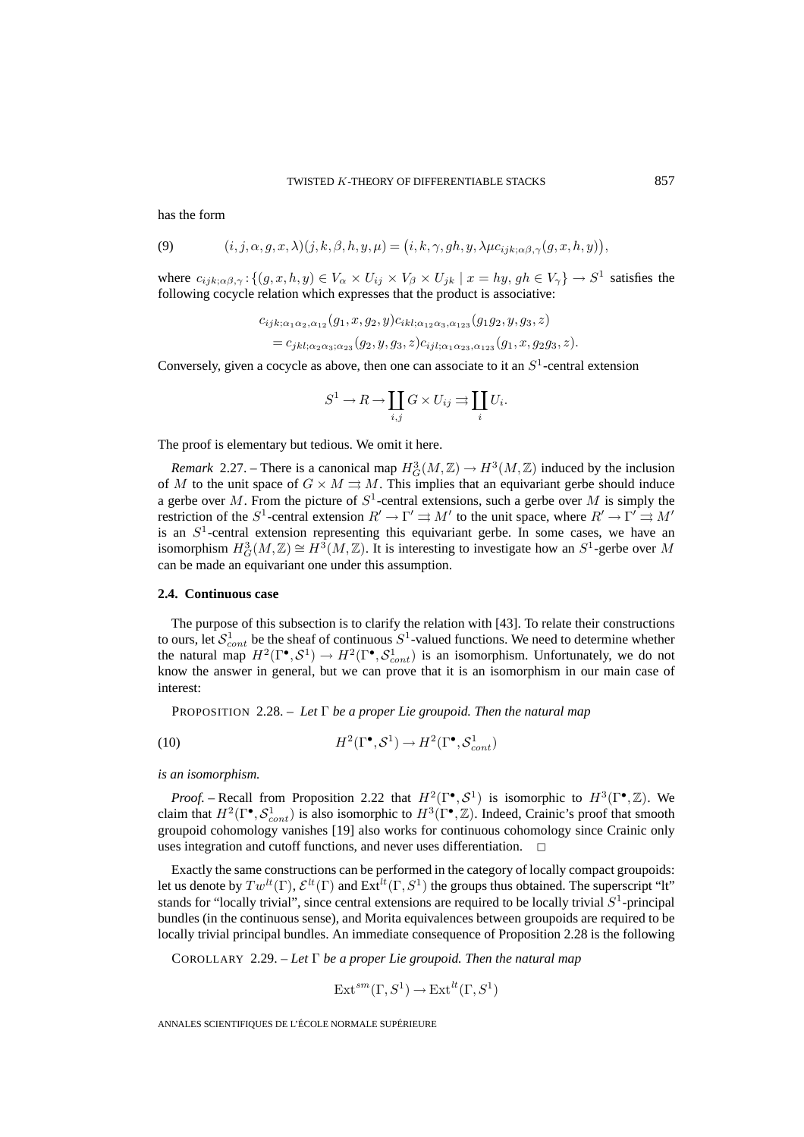has the form

(9) 
$$
(i, j, \alpha, g, x, \lambda)(j, k, \beta, h, y, \mu) = (i, k, \gamma, gh, y, \lambda \mu c_{ijk; \alpha \beta, \gamma}(g, x, h, y)),
$$

where  $c_{ijk;\alpha\beta,\gamma}$ :  $\{(g, x, h, y) \in V_\alpha \times U_{ij} \times V_\beta \times U_{jk} \mid x = hy, gh \in V_\gamma\} \to S^1$  satisfies the following cocycle relation which expresses that the product is associative:

$$
c_{ijk;\alpha_1\alpha_2,\alpha_{12}}(g_1, x, g_2, y)c_{ikl;\alpha_{12}\alpha_3,\alpha_{123}}(g_1g_2, y, g_3, z)
$$
  
=  $c_{jkl;\alpha_2\alpha_3;\alpha_{23}}(g_2, y, g_3, z)c_{ijl;\alpha_1\alpha_{23},\alpha_{123}}(g_1, x, g_2g_3, z).$ 

Conversely, given a cocycle as above, then one can associate to it an  $S<sup>1</sup>$ -central extension

$$
S^1 \to R \to \coprod_{i,j} G \times U_{ij} \rightrightarrows \coprod_i U_i.
$$

The proof is elementary but tedious. We omit it here.

*Remark* 2.27. – There is a canonical map  $H_G^3(M,\mathbb{Z}) \to H^3(M,\mathbb{Z})$  induced by the inclusion of M to the unit space of  $G \times M \rightrightarrows M$ . This implies that an equivariant gerbe should induce a gerbe over M. From the picture of  $S<sup>1</sup>$ -central extensions, such a gerbe over M is simply the restriction of the  $S^1$ -central extension  $R' \to \Gamma' \rightrightarrows M'$  to the unit space, where  $R' \to \Gamma' \rightrightarrows M'$ is an  $S<sup>1</sup>$ -central extension representing this equivariant gerbe. In some cases, we have an isomorphism  $H^3_G(M,\mathbb{Z}) \cong H^3(M,\mathbb{Z})$ . It is interesting to investigate how an  $S^1$ -gerbe over M can be made an equivariant one under this assumption.

### **2.4. Continuous case**

The purpose of this subsection is to clarify the relation with [43]. To relate their constructions to ours, let  $S_{cont}^1$  be the sheaf of continuous  $S^1$ -valued functions. We need to determine whether the natural map  $H^2(\Gamma^{\bullet}, S^1) \to H^2(\Gamma^{\bullet}, S^1_{cont})$  is an isomorphism. Unfortunately, we do not know the answer in general, but we can prove that it is an isomorphism in our main case of interest:

PROPOSITION 2.28. – *Let* Γ *be a proper Lie groupoid. Then the natural map*

(10) 
$$
H^2(\Gamma^{\bullet}, \mathcal{S}^1) \to H^2(\Gamma^{\bullet}, \mathcal{S}^1_{cont})
$$

*is an isomorphism.*

*Proof.* – Recall from Proposition 2.22 that  $H^2(\Gamma^{\bullet}, \mathcal{S}^1)$  is isomorphic to  $H^3(\Gamma^{\bullet}, \mathbb{Z})$ . We claim that  $H^2(\Gamma^{\bullet}, S^1_{cont})$  is also isomorphic to  $H^3(\Gamma^{\bullet}, \mathbb{Z})$ . Indeed, Crainic's proof that smooth groupoid cohomology vanishes [19] also works for continuous cohomology since Crainic only uses integration and cutoff functions, and never uses differentiation.

Exactly the same constructions can be performed in the category of locally compact groupoids: let us denote by  $Tw^{lt}(\Gamma), \mathcal{E}^{lt}(\Gamma)$  and  $Ext^{lt}(\Gamma, S^1)$  the groups thus obtained. The superscript "lt" stands for "locally trivial", since central extensions are required to be locally trivial  $S<sup>1</sup>$ -principal bundles (in the continuous sense), and Morita equivalences between groupoids are required to be locally trivial principal bundles. An immediate consequence of Proposition 2.28 is the following

COROLLARY 2.29. – *Let* Γ *be a proper Lie groupoid. Then the natural map*

$$
\operatorname{Ext}^{sm}(\Gamma, S^1) \to \operatorname{Ext}^{lt}(\Gamma, S^1)
$$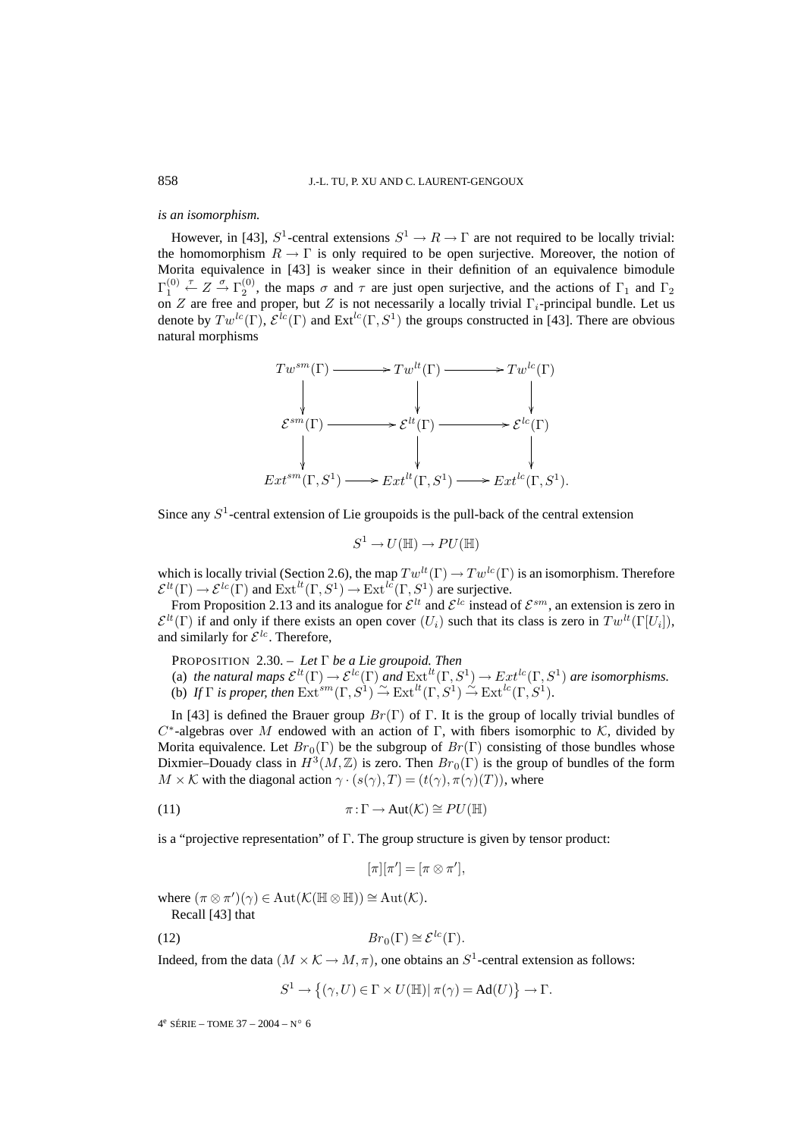### *is an isomorphism.*

However, in [43],  $S^1$ -central extensions  $S^1 \to R \to \Gamma$  are not required to be locally trivial: the homomorphism  $R \to \Gamma$  is only required to be open surjective. Moreover, the notion of Morita equivalence in [43] is weaker since in their definition of an equivalence bimodule  $\Gamma_1^{(0)}$  $\stackrel{\tau}{\leftarrow} Z \stackrel{\sigma}{\rightarrow} \Gamma_2^{(0)}$ , the maps  $\sigma$  and  $\tau$  are just open surjective, and the actions of  $\Gamma_1$  and  $\Gamma_2$ on Z are free and proper, but Z is not necessarily a locally trivial  $\Gamma_i$ -principal bundle. Let us denote by  $Tw^{lc}(\Gamma), \mathcal{E}^{lc}(\Gamma)$  and  $Ext^{lc}(\Gamma, S^1)$  the groups constructed in [43]. There are obvious natural morphisms



Since any  $S<sup>1</sup>$ -central extension of Lie groupoids is the pull-back of the central extension

$$
S^1 \to U(\mathbb{H}) \to PU(\mathbb{H})
$$

which is locally trivial (Section 2.6), the map  $Tw^{lt}(\Gamma) \to Tw^{lc}(\Gamma)$  is an isomorphism. Therefore  $\mathcal{E}^{lt}(\Gamma) \to \mathcal{E}^{lc}(\Gamma)$  and  $\text{Ext}^{lt}(\Gamma, S^1) \to \text{Ext}^{lc}(\Gamma, S^1)$  are surjective.

From Proposition 2.13 and its analogue for  $\mathcal{E}^{lt}$  and  $\mathcal{E}^{lc}$  instead of  $\mathcal{E}^{sm}$ , an extension is zero in  $\mathcal{E}^{lt}(\Gamma)$  if and only if there exists an open cover  $(U_i)$  such that its class is zero in  $Tw^{lt}(\Gamma[U_i])$ , and similarly for  $\mathcal{E}^{lc}$ . Therefore,

PROPOSITION 2.30. – *Let* Γ *be a Lie groupoid. Then*

(a) *the natural maps*  $\mathcal{E}^{lt}(\Gamma) \to \mathcal{E}^{lc}(\Gamma)$  *and*  $\text{Ext}^{lt}(\Gamma, S^1) \to \text{Ext}^{lc}(\Gamma, S^1)$  *are isomorphisms.* (b) If  $\Gamma$  *is proper, then*  $\operatorname{Ext}^{sm}(\Gamma, S^1) \xrightarrow{\sim} \operatorname{Ext}^{lt}(\Gamma, S^1) \xrightarrow{\sim} \operatorname{Ext}^{lc}(\Gamma, S^1)$ .

In [43] is defined the Brauer group  $Br(\Gamma)$  of  $\Gamma$ . It is the group of locally trivial bundles of  $C^*$ -algebras over M endowed with an action of Γ, with fibers isomorphic to K, divided by Morita equivalence. Let  $Br_0(\Gamma)$  be the subgroup of  $Br(\Gamma)$  consisting of those bundles whose Dixmier–Douady class in  $H^3(M,\mathbb{Z})$  is zero. Then  $Br_0(\Gamma)$  is the group of bundles of the form  $M \times K$  with the diagonal action  $\gamma \cdot (s(\gamma), T) = (t(\gamma), \pi(\gamma)(T))$ , where

(11) 
$$
\pi: \Gamma \to \text{Aut}(\mathcal{K}) \cong PU(\mathbb{H})
$$

is a "projective representation" of Γ. The group structure is given by tensor product:

$$
[\pi][\pi'] = [\pi \otimes \pi'],
$$

where  $(\pi \otimes \pi')(\gamma) \in \text{Aut}(\mathcal{K}(\mathbb{H} \otimes \mathbb{H})) \cong \text{Aut}(\mathcal{K})$ . Recall [43] that

(12) 
$$
Br_0(\Gamma) \cong \mathcal{E}^{lc}(\Gamma).
$$

Indeed, from the data  $(M \times K \to M, \pi)$ , one obtains an  $S^1$ -central extension as follows:

 $S^1 \to \{(\gamma, U) \in \Gamma \times U(\mathbb{H}) | \pi(\gamma) = \mathrm{Ad}(U) \} \to \Gamma.$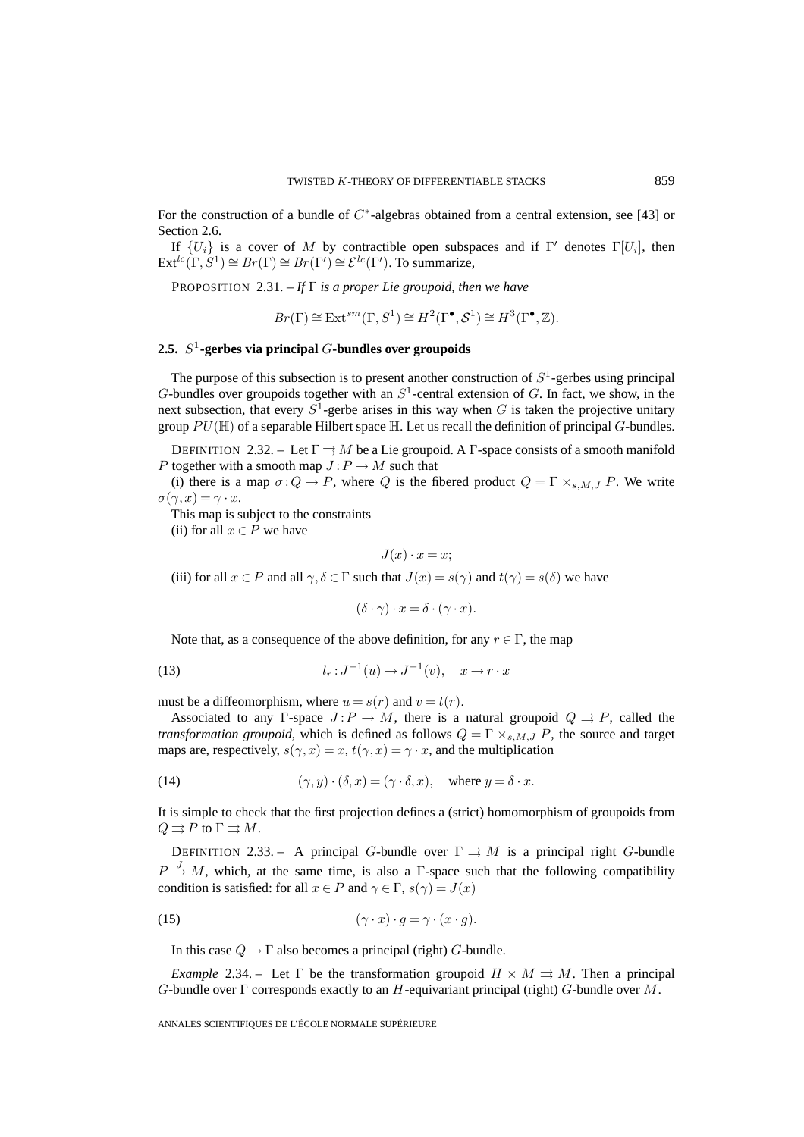For the construction of a bundle of  $C^*$ -algebras obtained from a central extension, see [43] or Section 2.6.

If  $\{U_i\}$  is a cover of M by contractible open subspaces and if  $\Gamma'$  denotes  $\Gamma[U_i]$ , then  $\text{Ext}^{lc}(\Gamma, S^1) \cong Br(\Gamma) \cong Br(\Gamma') \cong \mathcal{E}^{lc}(\Gamma').$  To summarize,

PROPOSITION 2.31. – *If* Γ *is a proper Lie groupoid, then we have*

$$
Br(\Gamma) \cong \text{Ext}^{sm}(\Gamma, S^1) \cong H^2(\Gamma^{\bullet}, \mathcal{S}^1) \cong H^3(\Gamma^{\bullet}, \mathbb{Z}).
$$

## **2.5.** S<sup>1</sup>**-gerbes via principal** G**-bundles over groupoids**

The purpose of this subsection is to present another construction of  $S<sup>1</sup>$ -gerbes using principal G-bundles over groupoids together with an  $S<sup>1</sup>$ -central extension of G. In fact, we show, in the next subsection, that every  $S^1$ -gerbe arises in this way when G is taken the projective unitary group  $PU(\mathbb{H})$  of a separable Hilbert space  $\mathbb{H}$ . Let us recall the definition of principal G-bundles.

DEFINITION 2.32. – Let  $\Gamma \rightrightarrows M$  be a Lie groupoid. A  $\Gamma$ -space consists of a smooth manifold P together with a smooth map  $J: P \to M$  such that

(i) there is a map  $\sigma: Q \to P$ , where Q is the fibered product  $Q = \Gamma \times_{s,M,J} P$ . We write  $\sigma(\gamma, x) = \gamma \cdot x.$ 

This map is subject to the constraints

(ii) for all  $x \in P$  we have

$$
J(x) \cdot x = x;
$$

(iii) for all  $x \in P$  and all  $\gamma, \delta \in \Gamma$  such that  $J(x) = s(\gamma)$  and  $t(\gamma) = s(\delta)$  we have

 $(\delta \cdot \gamma) \cdot x = \delta \cdot (\gamma \cdot x).$ 

Note that, as a consequence of the above definition, for any  $r \in \Gamma$ , the map

(13) 
$$
l_r: J^{-1}(u) \to J^{-1}(v), \quad x \to r \cdot x
$$

must be a diffeomorphism, where  $u = s(r)$  and  $v = t(r)$ .

Associated to any Γ-space  $J : P \to M$ , there is a natural groupoid  $Q \rightrightarrows P$ , called the *transformation groupoid*, which is defined as follows  $Q = \Gamma \times_{s,M,J} P$ , the source and target maps are, respectively,  $s(\gamma, x) = x$ ,  $t(\gamma, x) = \gamma \cdot x$ , and the multiplication

(14) 
$$
(\gamma, y) \cdot (\delta, x) = (\gamma \cdot \delta, x), \text{ where } y = \delta \cdot x.
$$

It is simple to check that the first projection defines a (strict) homomorphism of groupoids from  $Q \rightrightarrows P$  to  $\Gamma \rightrightarrows M$ .

DEFINITION 2.33. – A principal G-bundle over  $\Gamma \rightrightarrows M$  is a principal right G-bundle  $P \stackrel{J}{\rightarrow} M$ , which, at the same time, is also a  $\Gamma$ -space such that the following compatibility condition is satisfied: for all  $x \in P$  and  $\gamma \in \Gamma$ ,  $s(\gamma) = J(x)$ 

(15) 
$$
(\gamma \cdot x) \cdot g = \gamma \cdot (x \cdot g).
$$

In this case  $Q \to \Gamma$  also becomes a principal (right) G-bundle.

*Example* 2.34. – Let  $\Gamma$  be the transformation groupoid  $H \times M \Rightarrow M$ . Then a principal  $G$ -bundle over  $\Gamma$  corresponds exactly to an  $H$ -equivariant principal (right)  $G$ -bundle over  $M$ .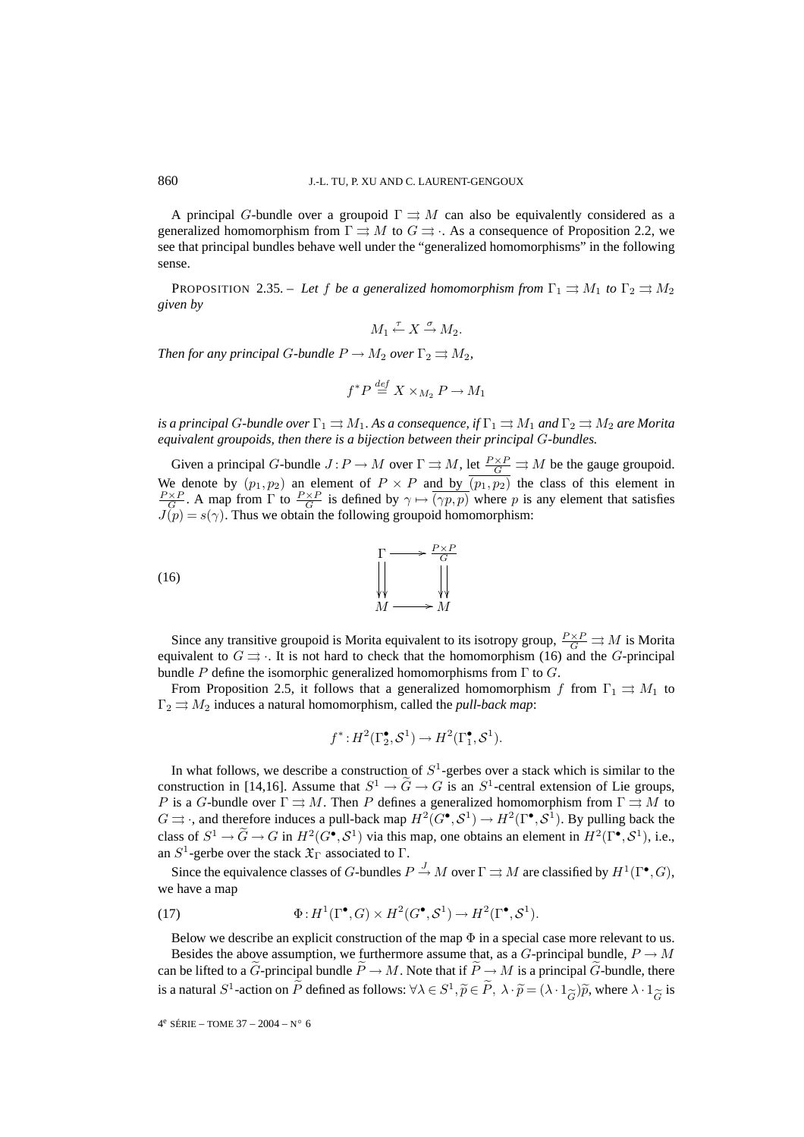A principal G-bundle over a groupoid  $\Gamma \rightrightarrows M$  can also be equivalently considered as a generalized homomorphism from  $\Gamma \rightrightarrows M$  to  $G \rightrightarrows \rightrightarrows \rightrightarrows$ . As a consequence of Proposition 2.2, we see that principal bundles behave well under the "generalized homomorphisms" in the following sense.

PROPOSITION 2.35. – Let f be a generalized homomorphism from  $\Gamma_1 \rightrightarrows M_1$  to  $\Gamma_2 \rightrightarrows M_2$ *given by*

$$
M_1 \stackrel{\tau}{\leftarrow} X \stackrel{\sigma}{\rightarrow} M_2.
$$

*Then for any principal G-bundle*  $P \to M_2$  *over*  $\Gamma_2 \rightrightarrows M_2$ *,* 

$$
f^*P \stackrel{\text{def}}{=} X \times_{M_2} P \to M_1
$$

*is a principal G-bundle over*  $\Gamma_1 \rightrightarrows M_1$ *. As a consequence, if*  $\Gamma_1 \rightrightarrows M_1$  *and*  $\Gamma_2 \rightrightarrows M_2$  *are Morita equivalent groupoids, then there is a bijection between their principal* G*-bundles.*

Given a principal G-bundle  $J: P \to M$  over  $\Gamma \rightrightarrows M$ , let  $\frac{P \times P}{G} \rightrightarrows M$  be the gauge groupoid. We denote by  $(p_1, p_2)$  an element of  $P \times P$  and by  $(p_1, p_2)$  the class of this element in  $\frac{P\times P}{G}$ . A map from  $\Gamma$  to  $\frac{P\times P}{G}$  is defined by  $\gamma \mapsto \overline{(\gamma p, p)}$  where p is any element that satisfies  $J(p) = s(\gamma)$ . Thus we obtain the following groupoid homomorphism:



Since any transitive groupoid is Morita equivalent to its isotropy group,  $\frac{P\times P}{G} \rightrightarrows M$  is Morita equivalent to  $G \rightrightarrows$ . It is not hard to check that the homomorphism (16) and the G-principal bundle P define the isomorphic generalized homomorphisms from  $\Gamma$  to  $G$ .

From Proposition 2.5, it follows that a generalized homomorphism f from  $\Gamma_1 \rightrightarrows M_1$  to  $\Gamma_2 \rightrightarrows M_2$  induces a natural homomorphism, called the *pull-back map*:

$$
f^*: H^2(\Gamma_2^{\bullet}, \mathcal{S}^1) \to H^2(\Gamma_1^{\bullet}, \mathcal{S}^1).
$$

In what follows, we describe a construction of  $S^1$ -gerbes over a stack which is similar to the construction in [14,16]. Assume that  $S^1 \rightarrow \tilde{G} \rightarrow G$  is an  $S^1$ -central extension of Lie groups, P is a G-bundle over  $\Gamma \rightrightarrows M$ . Then P defines a generalized homomorphism from  $\Gamma \rightrightarrows M$  to  $G \rightrightarrows$ , and therefore induces a pull-back map  $H^2(G^{\bullet}, \mathcal{S}^1) \to H^2(\Gamma^{\bullet}, \mathcal{S}^1)$ . By pulling back the class of  $S^1 \to \widetilde{G} \to G$  in  $H^2(G^{\bullet}, \mathcal{S}^1)$  via this map, one obtains an element in  $H^2(\Gamma^{\bullet}, \mathcal{S}^1)$ , i.e., an  $S^1$ -gerbe over the stack  $\mathfrak{X}_{\Gamma}$  associated to  $\Gamma$ .

Since the equivalence classes of G-bundles  $P \stackrel{J}{\to} M$  over  $\Gamma \rightrightarrows M$  are classified by  $H^1(\Gamma^\bullet,G)$ , we have a map

(17) 
$$
\Phi: H^1(\Gamma^\bullet, G) \times H^2(G^\bullet, \mathcal{S}^1) \to H^2(\Gamma^\bullet, \mathcal{S}^1).
$$

Below we describe an explicit construction of the map  $\Phi$  in a special case more relevant to us.

Besides the above assumption, we furthermore assume that, as a G-principal bundle,  $P \to M$ can be lifted to a  $\ddot{G}$ -principal bundle  $\ddot{P} \to M$ . Note that if  $\ddot{P} \to M$  is a principal  $\ddot{G}$ -bundle, there is a natural  $S^1$ -action on  $\widetilde{P}$  defined as follows:  $\forall \lambda \in S^1$ ,  $\widetilde{p} \in \widetilde{P}$ ,  $\lambda \cdot \widetilde{p} = (\lambda \cdot 1_{\widetilde{G}}) \widetilde{p}$ , where  $\lambda \cdot 1_{\widetilde{G}}$  is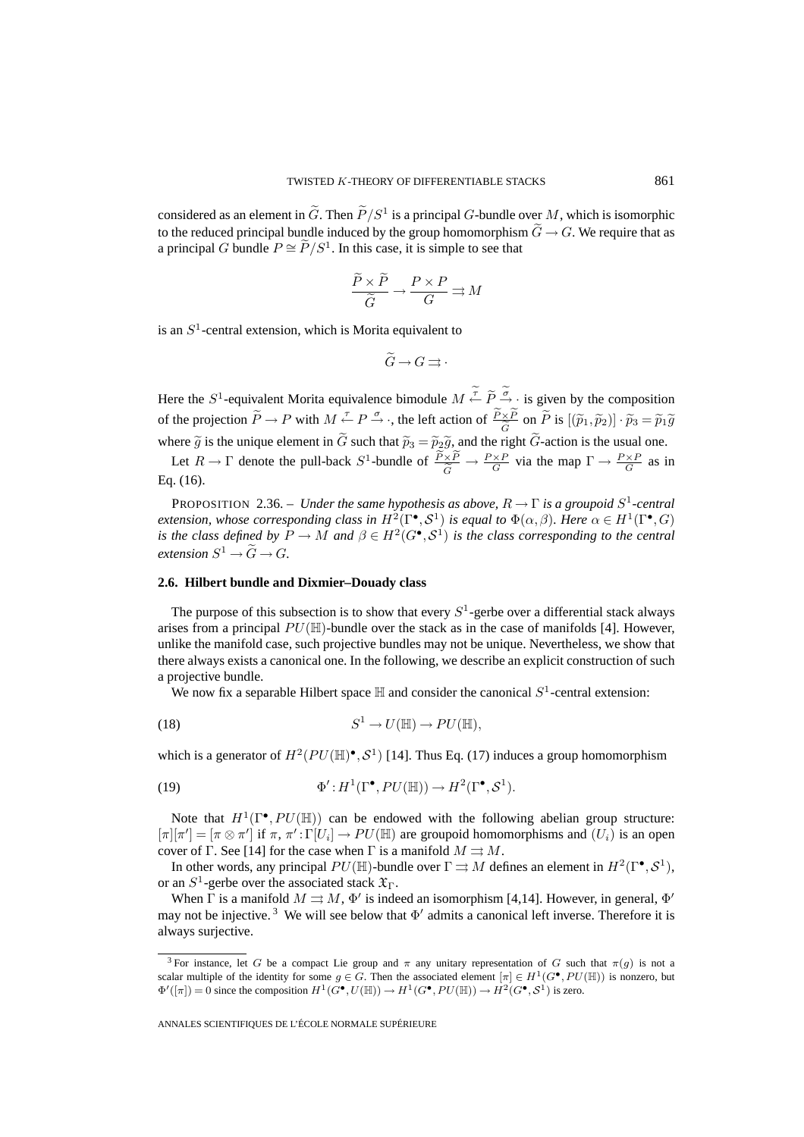considered as an element in  $\tilde{G}$ . Then  $\tilde{P}/S^1$  is a principal G-bundle over M, which is isomorphic to the reduced principal bundle induced by the group homomorphism  $\widetilde{G} \to G$ . We require that as a principal G bundle  $P \cong \widetilde{P}/S^1$ . In this case, it is simple to see that

$$
\frac{\widetilde{P} \times \widetilde{P}}{\widetilde{G}} \to \frac{P \times P}{G} \rightrightarrows M
$$

is an  $S<sup>1</sup>$ -central extension, which is Morita equivalent to

$$
\widetilde{G} \to G \rightrightarrows \cdot
$$

Here the  $S^1$ -equivalent Morita equivalence bimodule  $M \leftarrow \widetilde{P} \underset{\sim}{\sim} \widetilde{P}$  is given by the composition of the projection  $\widetilde{P} \to P$  with  $M \stackrel{\tau}{\leftarrow} P \stackrel{\sigma}{\to}$ , the left action of  $\frac{\widetilde{P} \times \widetilde{P}}{\widetilde{G}}$  on  $\widetilde{P}$  is  $[(\widetilde{p}_1, \widetilde{p}_2)] \cdot \widetilde{p}_3 = \widetilde{p}_1 \widetilde{g}$ <br>where  $\widetilde{\sigma}$  is the unique element in  $\widetilde{G}$ where  $\tilde{g}$  is the unique element in  $\tilde{G}$  such that  $\tilde{p}_3 = \tilde{p}_2 \tilde{g}$ , and the right  $\tilde{G}$ -action is the usual one.

Let  $R \to \Gamma$  denote the pull-back  $S^1$ -bundle of  $\frac{P \times P}{G} \to \frac{P \times P}{G}$  via the map  $\Gamma \to \frac{P \times P}{G}$  as in Eq. (16).

PROPOSITION 2.36. – *Under the same hypothesis as above,* R → Γ *is a groupoid* S<sup>1</sup>*-central extension, whose corresponding class in*  $H^2(\Gamma^{\bullet}, \mathcal{S}^1)$  *is equal to*  $\Phi(\alpha, \beta)$ *. Here*  $\alpha \in H^1(\Gamma^{\bullet}, G)$ *is the class defined by*  $P \to M$  *and*  $\beta \in H^2(G^{\bullet}, S^1)$  *is the class corresponding to the central extension*  $S^1 \rightarrow \widetilde{G} \rightarrow G$ .

### **2.6. Hilbert bundle and Dixmier–Douady class**

The purpose of this subsection is to show that every  $S^1$ -gerbe over a differential stack always arises from a principal  $PU(\mathbb{H})$ -bundle over the stack as in the case of manifolds [4]. However, unlike the manifold case, such projective bundles may not be unique. Nevertheless, we show that there always exists a canonical one. In the following, we describe an explicit construction of such a projective bundle.

We now fix a separable Hilbert space  $\mathbb H$  and consider the canonical  $S^1$ -central extension:

(18) 
$$
S^1 \to U(\mathbb{H}) \to PU(\mathbb{H}),
$$

which is a generator of  $H^2(PU(\mathbb{H})^{\bullet}, \mathcal{S}^1)$  [14]. Thus Eq. (17) induces a group homomorphism

(19) 
$$
\Phi': H^1(\Gamma^\bullet, PU(\mathbb{H})) \to H^2(\Gamma^\bullet, \mathcal{S}^1).
$$

Note that  $H^1(\Gamma^{\bullet}, PU(\mathbb{H}))$  can be endowed with the following abelian group structure:  $[\pi][\pi'] = [\pi \otimes \pi']$  if  $\pi$ ,  $\pi' : \Gamma[U_i] \to PU(\mathbb{H})$  are groupoid homomorphisms and  $(U_i)$  is an open cover of Γ. See [14] for the case when Γ is a manifold  $M \rightrightarrows M$ .

In other words, any principal  $PU(\mathbb{H})$ -bundle over  $\Gamma \rightrightarrows M$  defines an element in  $H^2(\Gamma^{\bullet}, \mathcal{S}^1)$ , or an  $S^1$ -gerbe over the associated stack  $\mathfrak{X}_{\Gamma}$ .

When  $\Gamma$  is a manifold  $M \rightrightarrows M$ ,  $\Phi'$  is indeed an isomorphism [4,14]. However, in general,  $\Phi'$ may not be injective.<sup>3</sup> We will see below that  $\Phi'$  admits a canonical left inverse. Therefore it is always surjective.

<sup>&</sup>lt;sup>3</sup> For instance, let G be a compact Lie group and  $\pi$  any unitary representation of G such that  $\pi(q)$  is not a scalar multiple of the identity for some  $g \in G$ . Then the associated element  $[\pi] \in H^1(G^{\bullet}, PU(\mathbb{H}))$  is nonzero, but  $\Phi'([\pi]) = 0$  since the composition  $H^1(G^{\bullet}, U(\mathbb{H})) \to H^1(G^{\bullet}, PU(\mathbb{H})) \to H^2(G^{\bullet}, S^1)$  is zero.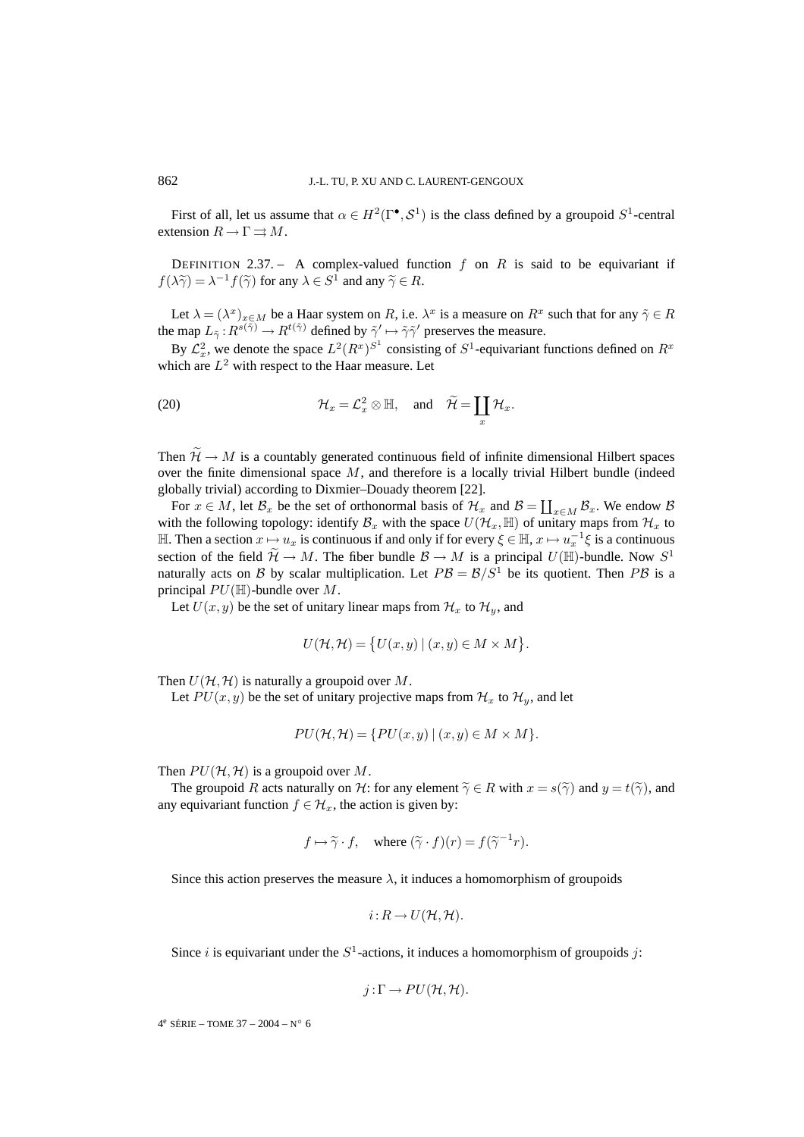First of all, let us assume that  $\alpha \in H^2(\Gamma^{\bullet}, \mathcal{S}^1)$  is the class defined by a groupoid  $S^1$ -central extension  $R \to \Gamma \rightrightarrows M$ .

DEFINITION 2.37. – A complex-valued function f on R is said to be equivariant if  $f(\lambda \widetilde{\gamma}) = \lambda^{-1} f(\widetilde{\gamma})$  for any  $\lambda \in S^1$  and any  $\widetilde{\gamma} \in R$ .

Let  $\lambda = (\lambda^x)_{x \in M}$  be a Haar system on R, i.e.  $\lambda^x$  is a measure on  $R^x$  such that for any  $\tilde{\gamma} \in R$ the map  $L_{\tilde{\gamma}}: R^{s(\tilde{\gamma})} \to R^{t(\tilde{\gamma})}$  defined by  $\tilde{\gamma}' \mapsto \tilde{\gamma}\tilde{\gamma}'$  preserves the measure.

By  $\mathcal{L}_x^2$ , we denote the space  $L^2(R^x)^{S^1}$  consisting of  $S^1$ -equivariant functions defined on  $R^x$ which are  $L^2$  with respect to the Haar measure. Let

(20) 
$$
\mathcal{H}_x = \mathcal{L}_x^2 \otimes \mathbb{H}, \text{ and } \widetilde{\mathcal{H}} = \coprod_x \mathcal{H}_x.
$$

Then  $\widetilde{\mathcal{H}} \to M$  is a countably generated continuous field of infinite dimensional Hilbert spaces over the finite dimensional space  $M$ , and therefore is a locally trivial Hilbert bundle (indeed globally trivial) according to Dixmier–Douady theorem [22].

For  $x \in M$ , let  $\mathcal{B}_x$  be the set of orthonormal basis of  $\mathcal{H}_x$  and  $\mathcal{B} = \coprod_{x \in M} \mathcal{B}_x$ . We endow  $\mathcal{B}$ with the following topology: identify  $\mathcal{B}_x$  with the space  $U(\mathcal{H}_x,\mathbb{H})$  of unitary maps from  $\mathcal{H}_x$  to H. Then a section  $x \mapsto u_x$  is continuous if and only if for every  $\xi \in \mathbb{H}$ ,  $x \mapsto u_x^{-1}\xi$  is a continuous section of the field  $\widetilde{\mathcal{H}} \to M$ . The fiber bundle  $\mathcal{B} \to M$  is a principal  $U(\mathbb{H})$ -bundle. Now  $S^1$ naturally acts on B by scalar multiplication. Let  $PB = B/S<sup>1</sup>$  be its quotient. Then PB is a principal  $PU(\mathbb{H})$ -bundle over M.

Let  $U(x, y)$  be the set of unitary linear maps from  $\mathcal{H}_x$  to  $\mathcal{H}_y$ , and

$$
U(\mathcal{H}, \mathcal{H}) = \{ U(x, y) | (x, y) \in M \times M \}.
$$

Then  $U(\mathcal{H},\mathcal{H})$  is naturally a groupoid over M.

Let  $PU(x, y)$  be the set of unitary projective maps from  $\mathcal{H}_x$  to  $\mathcal{H}_y$ , and let

$$
PU(\mathcal{H}, \mathcal{H}) = \{ PU(x, y) \mid (x, y) \in M \times M \}.
$$

Then  $PU(H, H)$  is a groupoid over M.

The groupoid R acts naturally on H: for any element  $\tilde{\gamma} \in R$  with  $x = s(\tilde{\gamma})$  and  $y = t(\tilde{\gamma})$ , and any equivariant function  $f \in \mathcal{H}_x$ , the action is given by:

$$
f \mapsto \widetilde{\gamma} \cdot f
$$
, where  $(\widetilde{\gamma} \cdot f)(r) = f(\widetilde{\gamma}^{-1}r)$ .

Since this action preserves the measure  $\lambda$ , it induces a homomorphism of groupoids

$$
i: R \to U(\mathcal{H}, \mathcal{H}).
$$

Since i is equivariant under the  $S^1$ -actions, it induces a homomorphism of groupoids j:

$$
j:\Gamma\to PU(\mathcal{H},\mathcal{H}).
$$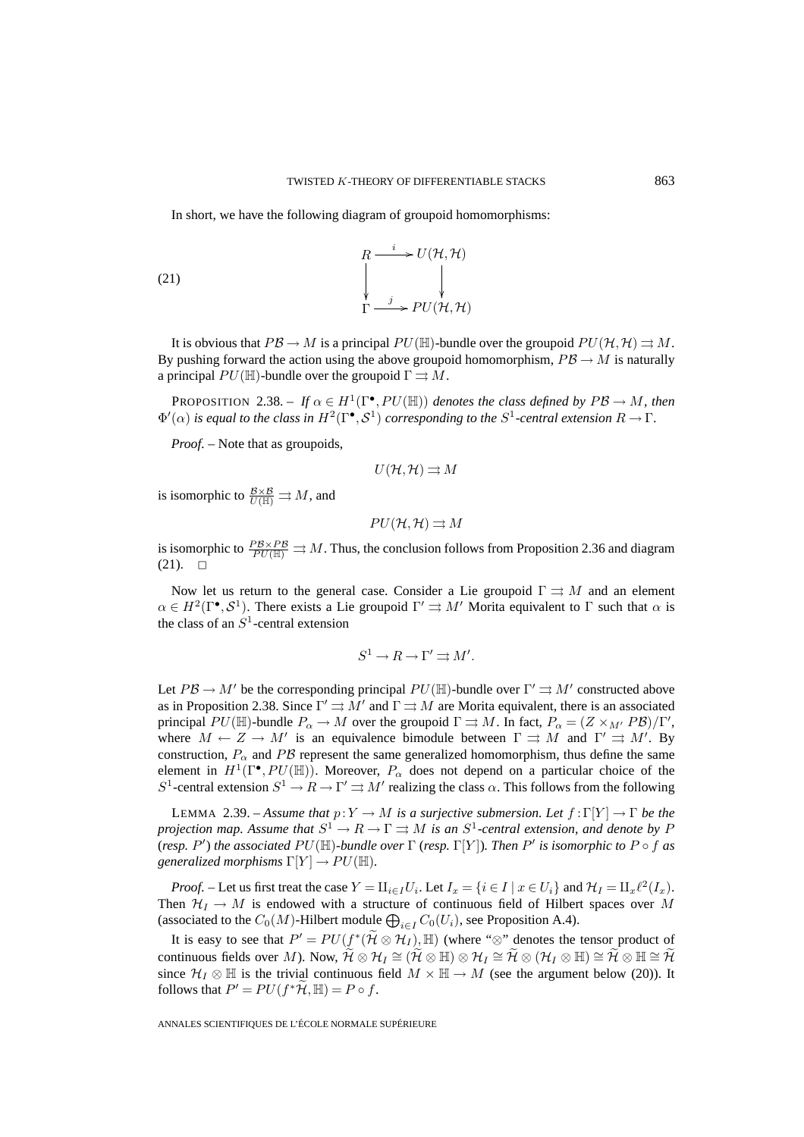In short, we have the following diagram of groupoid homomorphisms:

(21) 
$$
\begin{array}{ccc}\n & R & \xrightarrow{i} & U(\mathcal{H}, \mathcal{H}) \\
 & \downarrow & & \downarrow \\
 & \downarrow & & \downarrow \\
\Gamma & \xrightarrow{j} & PU(\mathcal{H}, \mathcal{H})\n\end{array}
$$

It is obvious that  $PB \to M$  is a principal  $PU(\mathbb{H})$ -bundle over the groupoid  $PU(\mathcal{H},\mathcal{H}) \rightrightarrows M$ . By pushing forward the action using the above groupoid homomorphism,  $P\mathcal{B} \to M$  is naturally a principal  $PU(\mathbb{H})$ -bundle over the groupoid  $\Gamma \rightrightarrows M$ .

**PROPOSITION** 2.38. – *If*  $\alpha \in H^1(\Gamma^{\bullet}, PU(\mathbb{H}))$  *denotes the class defined by*  $PB \to M$ *, then*  $\Phi'(\alpha)$  *is equal to the class in*  $H^2(\Gamma^{\bullet}, \mathcal{S}^1)$  *corresponding to the*  $S^1$ -central extension  $R \to \Gamma$ .

*Proof. –* Note that as groupoids,

$$
U(\mathcal{H},\mathcal{H})\rightrightarrows M
$$

is isomorphic to  $\frac{B \times B}{U(\mathbb{H})} \rightrightarrows M$ , and

$$
PU(\mathcal{H},\mathcal{H}) \rightrightarrows M
$$

is isomorphic to  $\frac{PS \times PS}{PU(\mathbb{H})} \Rightarrow M$ . Thus, the conclusion follows from Proposition 2.36 and diagram  $(21)$ .  $\Box$ 

Now let us return to the general case. Consider a Lie groupoid  $\Gamma \rightrightarrows M$  and an element  $\alpha \in H^2(\Gamma^{\bullet}, \mathcal{S}^1)$ . There exists a Lie groupoid  $\Gamma' \rightrightarrows M'$  Morita equivalent to  $\Gamma$  such that  $\alpha$  is the class of an  $S<sup>1</sup>$ -central extension

$$
S^1 \to R \to \Gamma' \rightrightarrows M'.
$$

Let  $PB \to M'$  be the corresponding principal  $PU(\mathbb{H})$ -bundle over  $\Gamma' \rightrightarrows M'$  constructed above as in Proposition 2.38. Since  $\Gamma' \rightrightarrows M'$  and  $\Gamma \rightrightarrows M$  are Morita equivalent, there is an associated principal  $PU(\mathbb{H})$ -bundle  $P_\alpha \to M$  over the groupoid  $\Gamma \rightrightarrows M$ . In fact,  $P_\alpha = (Z \times_{M'} PB)/\Gamma'$ , where  $M \leftarrow Z \rightarrow M'$  is an equivalence bimodule between  $\Gamma \rightrightarrows M$  and  $\Gamma' \rightrightarrows M'$ . By construction,  $P_{\alpha}$  and PB represent the same generalized homomorphism, thus define the same element in  $H^1(\Gamma^{\bullet}, PU(\mathbb{H}))$ . Moreover,  $P_{\alpha}$  does not depend on a particular choice of the S<sup>1</sup>-central extension  $S^1 \to R \to \Gamma' \rightrightarrows M'$  realizing the class  $\alpha$ . This follows from the following

LEMMA 2.39. – *Assume that*  $p: Y \to M$  *is a surjective submersion. Let*  $f: \Gamma[Y] \to \Gamma$  *be the projection map.* Assume that  $S^1 \to R \to \Gamma \rightrightarrows M$  *is an*  $S^1$ -central extension, and denote by P (*resp.* P') the associated  $PU(\mathbb{H})$ -bundle over  $\Gamma$  (*resp.*  $\Gamma[Y]$ ). Then P' is isomorphic to P  $\circ$  f as *generalized morphisms*  $\Gamma[Y] \to PU(\mathbb{H})$ *.* 

*Proof.* – Let us first treat the case  $Y = \prod_{i \in I} U_i$ . Let  $I_x = \{i \in I \mid x \in U_i\}$  and  $\mathcal{H}_I = \prod_x \ell^2(I_x)$ . Then  $\mathcal{H}_I \to M$  is endowed with a structure of continuous field of Hilbert spaces over M (associated to the  $C_0(M)$ -Hilbert module  $\bigoplus_{i\in I} C_0(U_i)$ , see Proposition A.4).

It is easy to see that  $P' = PU(f^*(H \otimes H_I), \mathbb{H})$  (where " $\otimes$ " denotes the tensor product of continuous fields over M). Now,  $\widetilde{\mathcal{H}} \otimes \mathcal{H}_I \cong (\widetilde{\mathcal{H}} \otimes \mathbb{H}) \otimes \mathcal{H}_I \cong \widetilde{\mathcal{H}} \otimes (\mathcal{H}_I \otimes \mathbb{H}) \cong \widetilde{\mathcal{H}} \otimes \mathbb{H} \cong \widetilde{\mathcal{H}}$ since  $\mathcal{H}_I \otimes \mathbb{H}$  is the trivial continuous field  $M \times \mathbb{H} \to M$  (see the argument below (20)). It follows that  $P' = PU(f^*H, \mathbb{H}) = P \circ f$ .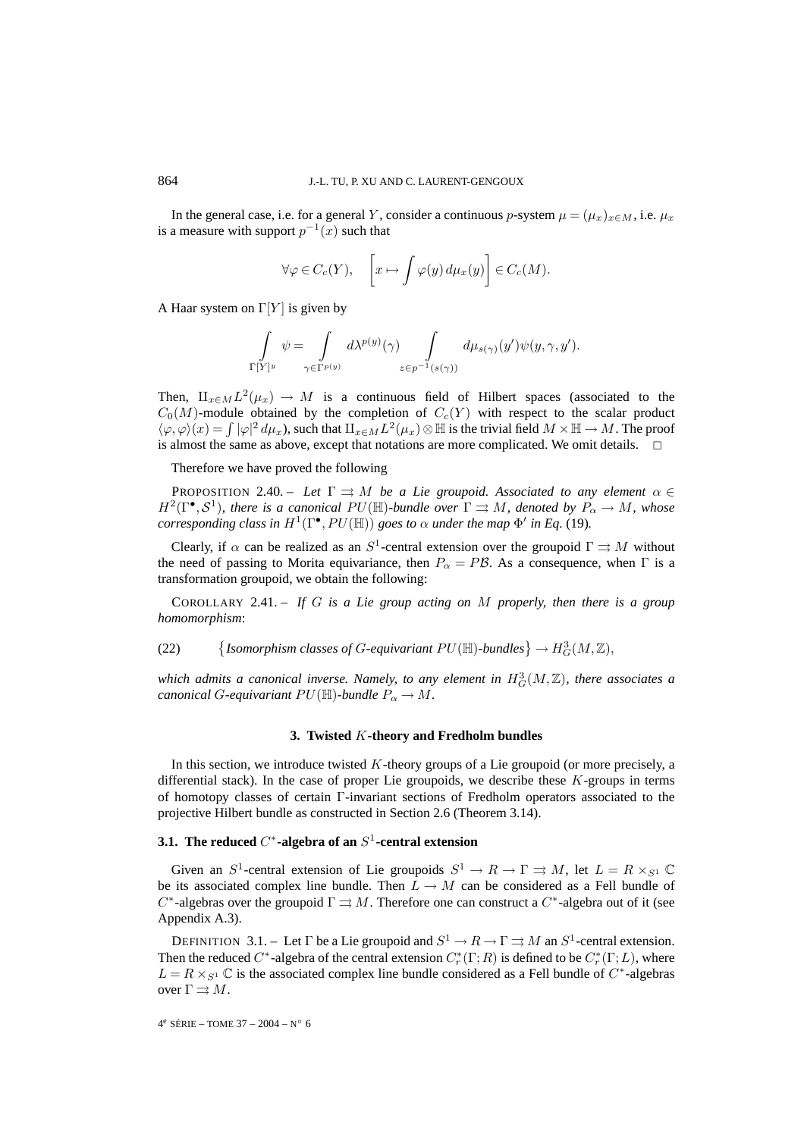In the general case, i.e. for a general Y, consider a continuous p-system  $\mu = (\mu_x)_{x \in M}$ , i.e.  $\mu_x$ is a measure with support  $p^{-1}(x)$  such that

$$
\forall \varphi \in C_c(Y), \quad \left[ x \mapsto \int \varphi(y) \, d\mu_x(y) \right] \in C_c(M).
$$

A Haar system on  $\Gamma[Y]$  is given by

$$
\int_{\Gamma[Y]^y} \psi = \int_{\gamma \in \Gamma^{p(y)}} d\lambda^{p(y)}(\gamma) \int_{z \in p^{-1}(s(\gamma))} d\mu_{s(\gamma)}(y') \psi(y, \gamma, y').
$$

Then,  $\prod_{x\in M}L^2(\mu_x)\to M$  is a continuous field of Hilbert spaces (associated to the  $C_0(M)$ -module obtained by the completion of  $C_c(Y)$  with respect to the scalar product  $\langle \varphi, \varphi \rangle (x) = \int |\varphi|^2 d\mu_x$ , such that  $\prod_{x \in M} L^2(\mu_x) \otimes \mathbb{H}$  is the trivial field  $M \times \mathbb{H} \to M$ . The proof is almost the same as above, except that notations are more complicated. We omit details.  $\Box$ 

Therefore we have proved the following

PROPOSITION 2.40. – *Let*  $\Gamma \rightrightarrows M$  *be a Lie groupoid. Associated to any element*  $\alpha \in$  $H^2(\Gamma^{\bullet}, \mathcal{S}^1)$ *, there is a canonical PU*(H)*-bundle over*  $\Gamma \rightrightarrows M$ *, denoted by*  $P_{\alpha} \to M$ *, whose corresponding class in*  $H^1(\Gamma^\bullet, PU(\mathbb{H}))$  *goes to*  $\alpha$  *under the map*  $\Phi'$  *in Eq.* (19)*.* 

Clearly, if  $\alpha$  can be realized as an S<sup>1</sup>-central extension over the groupoid  $\Gamma \rightrightarrows M$  without the need of passing to Morita equivariance, then  $P_{\alpha} = PB$ . As a consequence, when  $\Gamma$  is a transformation groupoid, we obtain the following:

COROLLARY 2.41. – *If* G *is a Lie group acting on* M *properly, then there is a group homomorphism*:

(22)  $\{Isomorphism classes of G-equivation \,PU(\mathbb{H})\text{-} bundles\} \to H^3_G(M,\mathbb{Z}),$ 

which admits a canonical inverse. Namely, to any element in  $H^3_G(M,\mathbb{Z})$ , there associates a *canonical* G-equivariant  $PU(\mathbb{H})$ -bundle  $P_{\alpha} \to M$ .

### **3. Twisted** K**-theory and Fredholm bundles**

In this section, we introduce twisted K-theory groups of a Lie groupoid (or more precisely, a differential stack). In the case of proper Lie groupoids, we describe these  $K$ -groups in terms of homotopy classes of certain Γ-invariant sections of Fredholm operators associated to the projective Hilbert bundle as constructed in Section 2.6 (Theorem 3.14).

### **3.1.** The reduced  $C^*$ -algebra of an S<sup>1</sup>-central extension

Given an  $S^1$ -central extension of Lie groupoids  $S^1 \to R \to \Gamma \rightrightarrows M$ , let  $L = R \times_{S^1} \mathbb{C}$ be its associated complex line bundle. Then  $L \to M$  can be considered as a Fell bundle of C<sup>∗</sup>-algebras over the groupoid  $\Gamma \rightrightarrows M$ . Therefore one can construct a C<sup>∗</sup>-algebra out of it (see Appendix A.3).

DEFINITION 3.1. – Let  $\Gamma$  be a Lie groupoid and  $S^1 \to R \to \Gamma \rightrightarrows M$  an  $S^1$ -central extension. Then the reduced  $C^*$ -algebra of the central extension  $C_r^*$ ( $\Gamma; R$ ) is defined to be  $C_r^*$ ( $\Gamma; L$ ), where  $L = R \times_{S^1} \mathbb{C}$  is the associated complex line bundle considered as a Fell bundle of  $C^*$ -algebras over  $\Gamma \rightrightarrows M$ .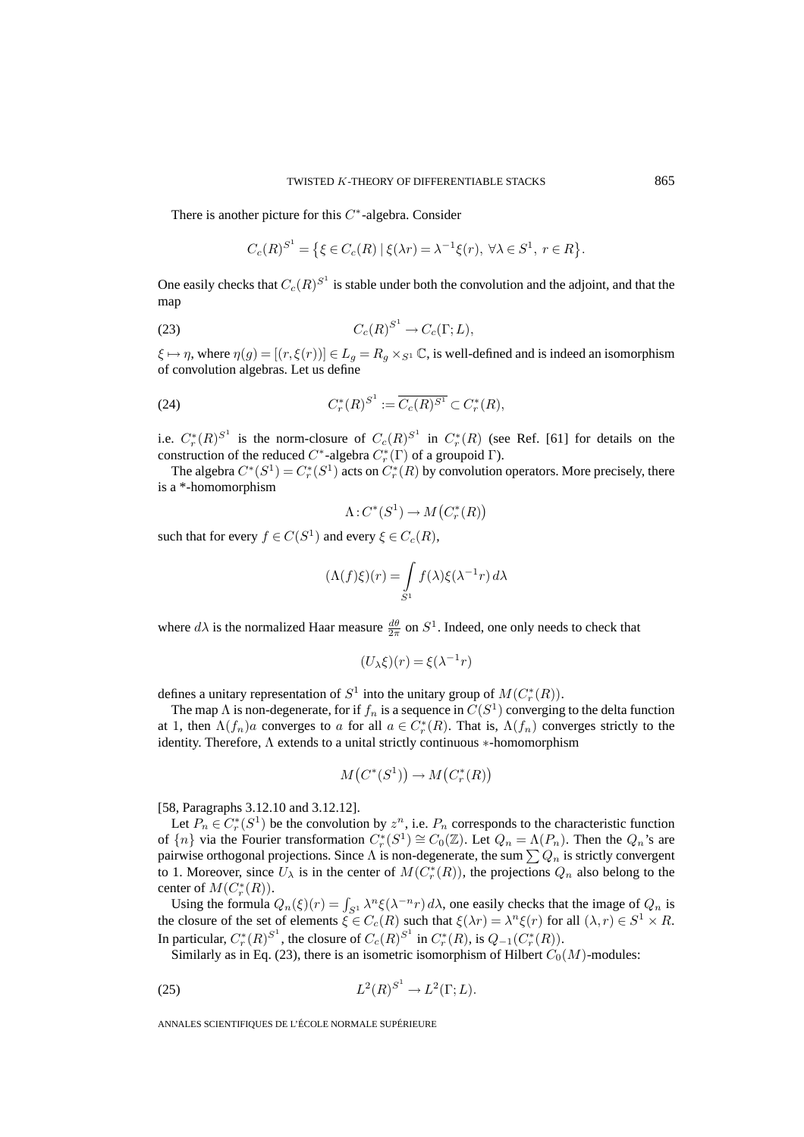There is another picture for this  $C^*$ -algebra. Consider

$$
C_c(R)^{S^1} = \{ \xi \in C_c(R) \mid \xi(\lambda r) = \lambda^{-1} \xi(r), \ \forall \lambda \in S^1, \ r \in R \}.
$$

One easily checks that  $C_c(R)^{S^1}$  is stable under both the convolution and the adjoint, and that the map

$$
(23) \tC_c(R)^{S^1} \to C_c(\Gamma;L),
$$

 $\xi \mapsto \eta$ , where  $\eta(g) = [(r, \xi(r))] \in L_g = R_g \times_{S^1} \mathbb{C}$ , is well-defined and is indeed an isomorphism of convolution algebras. Let us define

(24) 
$$
C_r^*(R)^{S^1} := \overline{C_c(R)^{S^1}} \subset C_r^*(R),
$$

i.e.  $C_r^*(R)^{S^1}$  is the norm-closure of  $C_c(R)^{S^1}$  in  $C_r^*(R)$  (see Ref. [61] for details on the construction of the reduced  $C^*$ -algebra  $C_r^*(\Gamma)$  of a groupoid  $\Gamma$ ).

The algebra  $C^*(S^1) = C^*_r(S^1)$  acts on  $C^*_r(R)$  by convolution operators. More precisely, there is a \*-homomorphism

$$
\Lambda\!:\!C^*(S^1)\to M\!\left(C^*_r(R)\right)
$$

such that for every  $f \in C(S^1)$  and every  $\xi \in C_c(R)$ ,

$$
(\Lambda(f)\xi)(r) = \int_{S^1} f(\lambda)\xi(\lambda^{-1}r) d\lambda
$$

where  $d\lambda$  is the normalized Haar measure  $\frac{d\theta}{2\pi}$  on  $S^1$ . Indeed, one only needs to check that

$$
(U_{\lambda}\xi)(r) = \xi(\lambda^{-1}r)
$$

defines a unitary representation of  $S^1$  into the unitary group of  $M(C_r^*(R))$ .

The map  $\Lambda$  is non-degenerate, for if  $f_n$  is a sequence in  $C(S^1)$  converging to the delta function at 1, then  $\Lambda(f_n)a$  converges to a for all  $a \in C_r^*(R)$ . That is,  $\Lambda(f_n)$  converges strictly to the identity. Therefore, Λ extends to a unital strictly continuous ∗-homomorphism

$$
M\big(C^*(S^1)\big) \to M\big(C^*_r(R)\big)
$$

[58, Paragraphs 3.12.10 and 3.12.12].

Let  $P_n \in C_r^*(S^1)$  be the convolution by  $z^n$ , i.e.  $P_n$  corresponds to the characteristic function of  $\{n\}$  via the Fourier transformation  $C_r^*(S^1) \cong C_0(\mathbb{Z})$ . Let  $Q_n = \Lambda(P_n)$ . Then the  $Q_n$ 's are pairwise orthogonal projections. Since  $\Lambda$  is non-degenerate, the sum  $\sum Q_n$  is strictly convergent to 1. Moreover, since  $U_{\lambda}$  is in the center of  $M(C_{r}^{*}(R))$ , the projections  $Q_{n}$  also belong to the center of  $M(C_r^*(R))$ .

Using the formula  $Q_n(\xi)(r) = \int_{S^1} \lambda^n \xi(\lambda^{-n} r) d\lambda$ , one easily checks that the image of  $Q_n$  is the closure of the set of elements  $\xi \in C_c(R)$  such that  $\xi(\lambda r) = \lambda^n \xi(r)$  for all  $(\lambda, r) \in S^1 \times R$ . In particular,  $C_r^*(R)^{S^1}$ , the closure of  $C_c(R)^{S^1}$  in  $C_r^*(R)$ , is  $Q_{-1}(C_r^*(R))$ .

Similarly as in Eq. (23), there is an isometric isomorphism of Hilbert  $C_0(M)$ -modules:

$$
(25) \tL2(R)S1 \to L2(\Gamma; L).
$$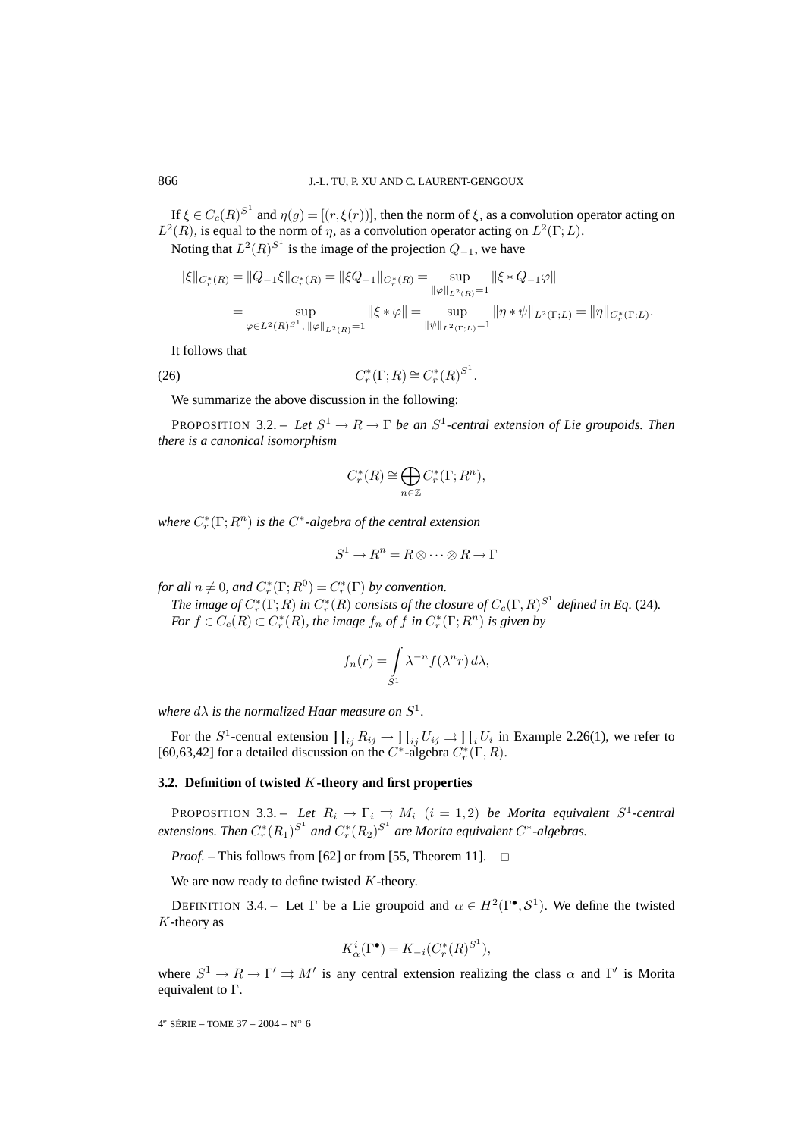If  $\xi \in C_c(R)^{S^1}$  and  $\eta(g) = [(r, \xi(r))]$ , then the norm of  $\xi$ , as a convolution operator acting on  $L^2(R)$ , is equal to the norm of  $\eta$ , as a convolution operator acting on  $L^2(\Gamma;L)$ .

Noting that  $L^2(R)^{S^1}$  is the image of the projection  $Q_{-1}$ , we have

$$
\|\xi\|_{C_r^*(R)} = \|Q_{-1}\xi\|_{C_r^*(R)} = \|\xi Q_{-1}\|_{C_r^*(R)} = \sup_{\|\varphi\|_{L^2(R)}=1} \|\xi \ast Q_{-1}\varphi\|
$$
  

$$
= \sup_{\varphi \in L^2(R)^{S^1}, \ \|\varphi\|_{L^2(R)}=1} \|\xi \ast \varphi\| = \sup_{\|\psi\|_{L^2(\Gamma;L)}=1} \|\eta \ast \psi\|_{L^2(\Gamma;L)} = \|\eta\|_{C_r^*(\Gamma;L)}.
$$

It follows that

(26)  $C_r^*(\Gamma; R) \cong C_r^*(R)^{S^1}.$ 

We summarize the above discussion in the following:

PROPOSITION 3.2. – *Let*  $S^1 \to R \to \Gamma$  *be an*  $S^1$ -central extension of Lie groupoids. Then *there is a canonical isomorphism*

$$
C_r^*(R) \cong \bigoplus_{n \in \mathbb{Z}} C_r^*(\Gamma; R^n),
$$

*where*  $C_r^*(\Gamma;R^n)$  *is the C<sup>∗</sup>-algebra of the central extension* 

$$
S^1 \to R^n = R \otimes \cdots \otimes R \to \Gamma
$$

*for all*  $n \neq 0$ *, and*  $C_r^*(\Gamma; R^0) = C_r^*(\Gamma)$  *by convention.* 

*The image of*  $C_r^*(\Gamma;R)$  *in*  $C_r^*(R)$  *consists of the closure of*  $C_c(\Gamma,R)^{S^1}$  *defined in Eq.* (24)*. For*  $f \in C_c(R) \subset C_r^*(R)$ , the image  $f_n$  of  $f$  in  $C_r^*(\Gamma; R^n)$  is given by

$$
f_n(r) = \int_{S^1} \lambda^{-n} f(\lambda^n r) d\lambda,
$$

*where*  $d\lambda$  *is the normalized Haar measure on*  $S^1$ *.* 

For the S<sup>1</sup>-central extension  $\coprod_{ij} R_{ij} \to \coprod_{ij} U_{ij} \rightrightarrows \coprod_{i} U_i$  in Example 2.26(1), we refer to [60,63,42] for a detailed discussion on the  $C^*$ -algebra  $C_r^*(\Gamma, R)$ .

### **3.2. Definition of twisted** K**-theory and first properties**

PROPOSITION 3.3. – *Let*  $R_i \rightarrow \Gamma_i \rightrightarrows M_i$   $(i = 1, 2)$  *be Morita equivalent*  $S^1$ -central  $extensions.$  Then  $C_r^*(R_1)^{S^1}$  and  $C_r^*(R_2)^{S^1}$  are Morita equivalent  $C^*$ -algebras.

*Proof.* – This follows from [62] or from [55, Theorem 11].  $\square$ 

We are now ready to define twisted  $K$ -theory.

DEFINITION 3.4. – Let  $\Gamma$  be a Lie groupoid and  $\alpha \in H^2(\Gamma^{\bullet}, \mathcal{S}^1)$ . We define the twisted  $K$ -theory as

$$
K^i_{\alpha}(\Gamma^{\bullet}) = K_{-i}(C^*_r(R)^{S^1}),
$$

where  $S^1 \to R \to \Gamma' \rightrightarrows M'$  is any central extension realizing the class  $\alpha$  and  $\Gamma'$  is Morita equivalent to Γ.

 $4^e$  SÉRIE – TOME 37 – 2004 – N° 6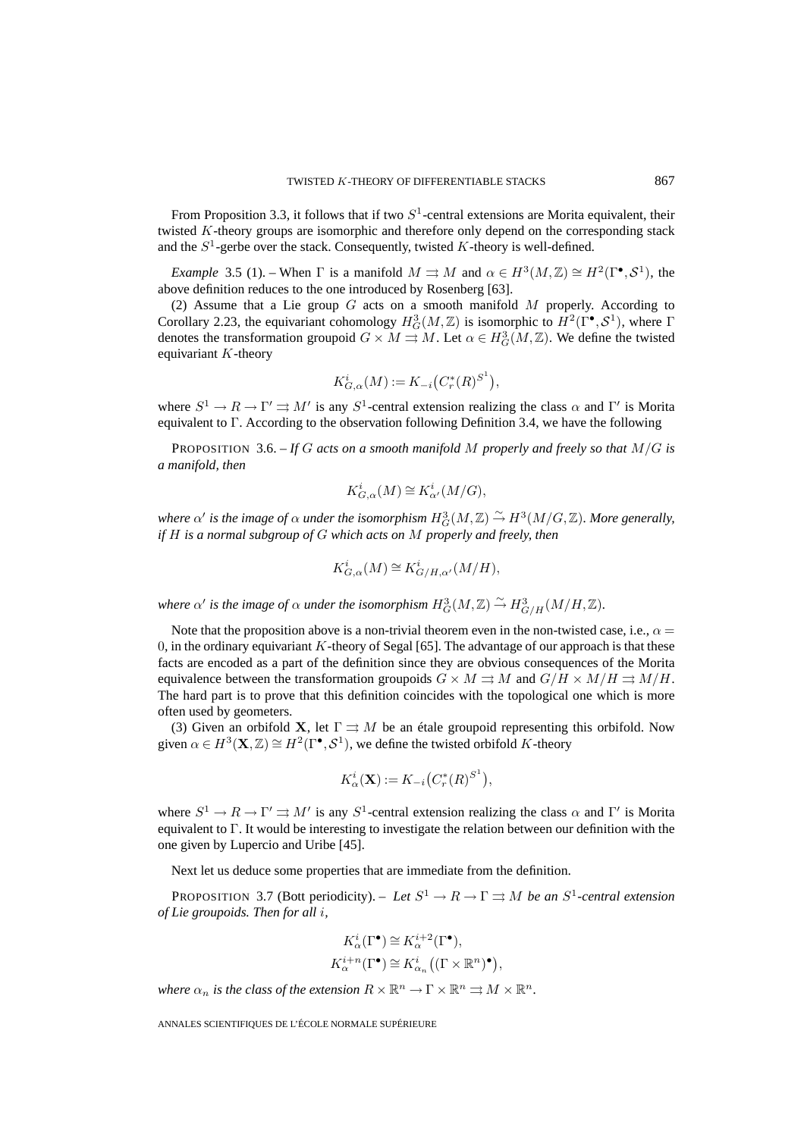From Proposition 3.3, it follows that if two  $S<sup>1</sup>$ -central extensions are Morita equivalent, their twisted K-theory groups are isomorphic and therefore only depend on the corresponding stack and the  $S^1$ -gerbe over the stack. Consequently, twisted K-theory is well-defined.

*Example* 3.5 (1). – When  $\Gamma$  is a manifold  $M \rightrightarrows M$  and  $\alpha \in H^3(M, \mathbb{Z}) \cong H^2(\Gamma^{\bullet}, \mathcal{S}^1)$ , the above definition reduces to the one introduced by Rosenberg [63].

(2) Assume that a Lie group  $G$  acts on a smooth manifold  $M$  properly. According to Corollary 2.23, the equivariant cohomology  $H_G^3(M,\mathbb{Z})$  is isomorphic to  $H^2(\Gamma^{\bullet}, \mathcal{S}^1)$ , where  $\Gamma$ denotes the transformation groupoid  $G \times M \rightrightarrows M$ . Let  $\alpha \in H^3_G(M, \mathbb{Z})$ . We define the twisted equivariant  $K$ -theory

$$
K_{G,\alpha}^{i}(M) := K_{-i}(C_{r}^{*}(R)^{S^{1}}),
$$

where  $S^1 \to R \to \Gamma' \rightrightarrows M'$  is any  $S^1$ -central extension realizing the class  $\alpha$  and  $\Gamma'$  is Morita equivalent to Γ. According to the observation following Definition 3.4, we have the following

PROPOSITION 3.6. – *If* G *acts on a smooth manifold* M *properly and freely so that* M/G *is a manifold, then*

$$
K^i_{G,\alpha}(M) \cong K^i_{\alpha'}(M/G),
$$

where  $\alpha'$  is the image of  $\alpha$  under the isomorphism  $H^3_G(M,\mathbb{Z})\stackrel{\sim}{\to} H^3(M/G,\mathbb{Z})$ . More generally, *if* H *is a normal subgroup of* G *which acts on* M *properly and freely, then*

$$
K_{G,\alpha}^i(M) \cong K_{G/H,\alpha'}^i(M/H),
$$

where  $\alpha'$  is the image of  $\alpha$  under the isomorphism  $H^3_G(M,\mathbb{Z}) \stackrel{\sim}{\rightarrow} H^3_{G/H}(M/H,\mathbb{Z})$ .

Note that the proposition above is a non-trivial theorem even in the non-twisted case, i.e.,  $\alpha =$ 0, in the ordinary equivariant K-theory of Segal [65]. The advantage of our approach is that these facts are encoded as a part of the definition since they are obvious consequences of the Morita equivalence between the transformation groupoids  $G \times M \rightrightarrows M$  and  $G/H \times M/H \rightrightarrows M/H$ . The hard part is to prove that this definition coincides with the topological one which is more often used by geometers.

(3) Given an orbifold **X**, let  $\Gamma \rightrightarrows M$  be an étale groupoid representing this orbifold. Now given  $\alpha \in H^3(\mathbf{X}, \mathbb{Z}) \cong H^2(\Gamma^{\bullet}, \mathcal{S}^1)$ , we define the twisted orbifold K-theory

$$
K^i_{\alpha}(\mathbf{X}) := K_{-i} \left( C^*_r(R)^{S^1} \right),
$$

where  $S^1 \to R \to \Gamma' \rightrightarrows M'$  is any  $S^1$ -central extension realizing the class  $\alpha$  and  $\Gamma'$  is Morita equivalent to Γ. It would be interesting to investigate the relation between our definition with the one given by Lupercio and Uribe [45].

Next let us deduce some properties that are immediate from the definition.

PROPOSITION 3.7 (Bott periodicity). – *Let*  $S^1 \to R \to \Gamma \rightrightarrows M$  *be an*  $S^1$ -central extension *of Lie groupoids. Then for all* i*,*

$$
K^i_{\alpha}(\Gamma^{\bullet}) \cong K^{i+2}_{\alpha}(\Gamma^{\bullet}),
$$
  

$$
K^{i+n}_{\alpha}(\Gamma^{\bullet}) \cong K^i_{\alpha_n}((\Gamma \times \mathbb{R}^n)^{\bullet}),
$$

*where*  $\alpha_n$  *is the class of the extension*  $R \times \mathbb{R}^n \to \Gamma \times \mathbb{R}^n \Rightarrow M \times \mathbb{R}^n$ .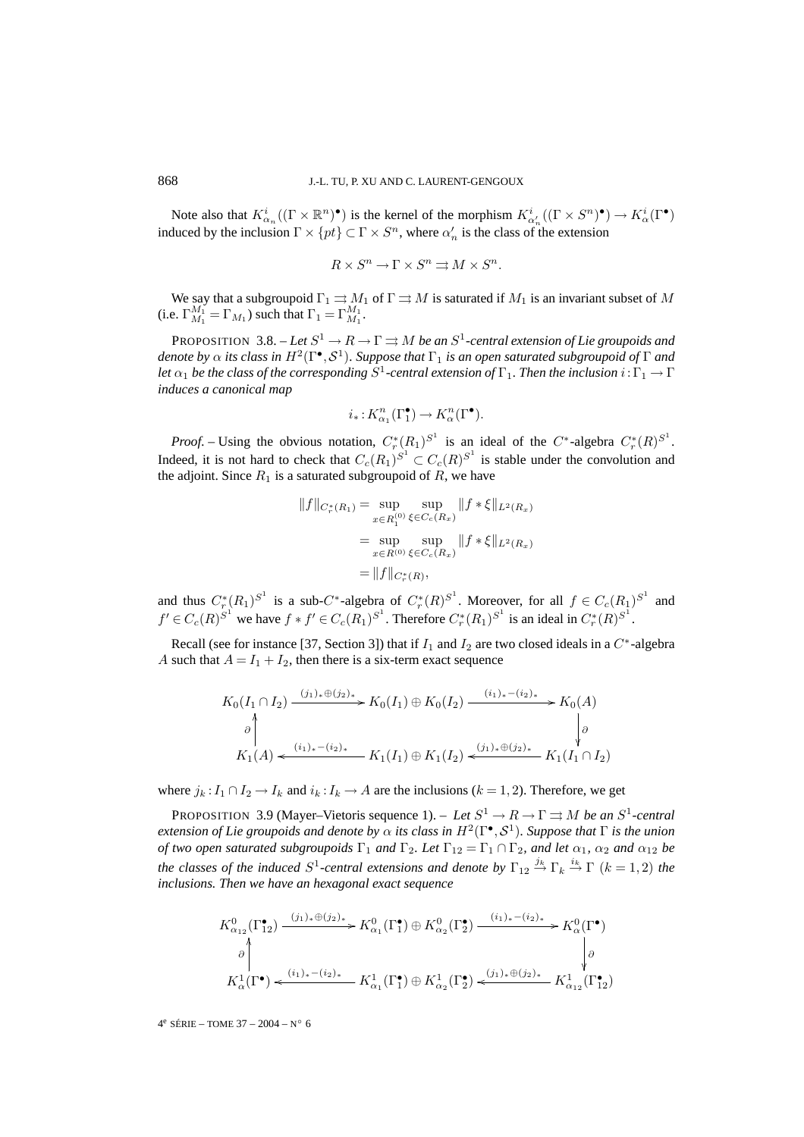Note also that  $K^i_{\alpha_n}((\Gamma \times \mathbb{R}^n)^{\bullet})$  is the kernel of the morphism  $K^i_{\alpha'_n}((\Gamma \times S^n)^{\bullet}) \to K^i_{\alpha}(\Gamma^{\bullet})$ induced by the inclusion  $\Gamma \times \{pt\} \subset \Gamma \times S^n$ , where  $\alpha'_n$  is the class of the extension

$$
R \times S^n \to \Gamma \times S^n \rightrightarrows M \times S^n.
$$

We say that a subgroupoid  $\Gamma_1 \rightrightarrows M_1$  of  $\Gamma \rightrightarrows M$  is saturated if  $M_1$  is an invariant subset of M (i.e.  $\Gamma_{M_1}^{M_1} = \Gamma_{M_1}$ ) such that  $\Gamma_1 = \Gamma_{M_1}^{M_1}$ .

PROPOSITION 3.8. – Let  $S^1 \to R \to \Gamma \rightrightarrows M$  *be an*  $S^1$ -central extension of Lie groupoids and *denote by*  $\alpha$  *its class in*  $H^2(\Gamma^{\bullet}, \mathcal{S}^1)$ *. Suppose that*  $\Gamma_1$  *is an open saturated subgroupoid of*  $\Gamma$  *and let*  $\alpha_1$  *be the class of the corresponding*  $S^1$ -central extension of  $\Gamma_1$ . Then the inclusion  $i:\Gamma_1 \to \Gamma$ *induces a canonical map*

$$
i_{\ast}: K^{n}_{\alpha_{1}}(\Gamma^{ \bullet}_{1})\to K^{n}_{\alpha}(\Gamma^{ \bullet}).
$$

*Proof.* – Using the obvious notation,  $C_r^*(R_1)^{S^1}$  is an ideal of the  $C^*$ -algebra  $C_r^*(R)^{S^1}$ . Indeed, it is not hard to check that  $C_c(R_1)^{S^1} \subset C_c(R)^{S^1}$  is stable under the convolution and the adjoint. Since  $R_1$  is a saturated subgroupoid of  $R$ , we have

$$
||f||_{C_r^*(R_1)} = \sup_{x \in R_1^{(0)}} \sup_{\xi \in C_c(R_x)} ||f * \xi||_{L^2(R_x)}
$$
  
= 
$$
\sup_{x \in R^{(0)}} \sup_{\xi \in C_c(R_x)} ||f * \xi||_{L^2(R_x)}
$$
  
= 
$$
||f||_{C_r^*(R)},
$$

and thus  $C_r^*(R_1)^{S^1}$  is a sub-C<sup>∗</sup>-algebra of  $C_r^*(R)^{S^1}$ . Moreover, for all  $f \in C_c(R_1)^{S^1}$  and  $f' \in C_c(R)^{S^1}$  we have  $f * f' \in C_c(R_1)^{S^1}$ . Therefore  $C_r^*(R_1)^{S^1}$  is an ideal in  $C_r^*(R)^{S^1}$ .

Recall (see for instance [37, Section 3]) that if  $I_1$  and  $I_2$  are two closed ideals in a  $C^*$ -algebra A such that  $A = I_1 + I_2$ , then there is a six-term exact sequence

$$
K_0(I_1 \cap I_2) \xrightarrow{(j_1)_* \oplus (j_2)_*} K_0(I_1) \oplus K_0(I_2) \xrightarrow{(i_1)_*-(i_2)_*} K_0(A)
$$
  
\n
$$
\downarrow \qquad \qquad \downarrow \qquad \qquad \downarrow
$$
  
\n
$$
K_1(A) \xleftarrow{(i_1)_*-(i_2)_*} K_1(I_1) \oplus K_1(I_2) \xleftarrow{(j_1)_* \oplus (j_2)_*} K_1(I_1 \cap I_2)
$$

where  $j_k$ :  $I_1 \cap I_2 \to I_k$  and  $i_k$ :  $I_k \to A$  are the inclusions ( $k = 1, 2$ ). Therefore, we get

PROPOSITION 3.9 (Mayer–Vietoris sequence 1). – *Let*  $S^1 \to R \to \Gamma \rightrightarrows M$  *be an*  $S^1$ -central *extension of Lie groupoids and denote by*  $\alpha$  *its class in*  $H^2(\Gamma^{\bullet}, \mathcal{S}^1)$ *. Suppose that*  $\Gamma$  *is the union of two open saturated subgroupoids*  $\Gamma_1$  *and*  $\Gamma_2$ *. Let*  $\Gamma_{12} = \Gamma_1 \cap \Gamma_2$ *, and let*  $\alpha_1$ *,*  $\alpha_2$  *and*  $\alpha_{12}$  *be the classes of the induced*  $S^1$ -central extensions and denote by  $\Gamma_{12} \stackrel{j_k}{\rightarrow} \Gamma_k \stackrel{i_k}{\rightarrow} \Gamma$   $(k = 1, 2)$  the *inclusions. Then we have an hexagonal exact sequence*

$$
K_{\alpha_{12}}^{0}(\Gamma_{12}^{\bullet}) \xrightarrow{(j_1)_* \oplus (j_2)_*} K_{\alpha_1}^{0}(\Gamma_1^{\bullet}) \oplus K_{\alpha_2}^{0}(\Gamma_2^{\bullet}) \xrightarrow{(i_1)_*-(i_2)_*} K_{\alpha}^{0}(\Gamma^{\bullet})
$$
  
\n
$$
\downarrow \circ
$$
  
\n
$$
K_{\alpha}^{1}(\Gamma^{\bullet}) \xleftarrow{(i_1)_*-(i_2)_*} K_{\alpha_1}^{1}(\Gamma_1^{\bullet}) \oplus K_{\alpha_2}^{1}(\Gamma_2^{\bullet}) \xleftarrow{(j_1)_* \oplus (j_2)_*} K_{\alpha_{12}}^{1}(\Gamma_1^{\bullet})
$$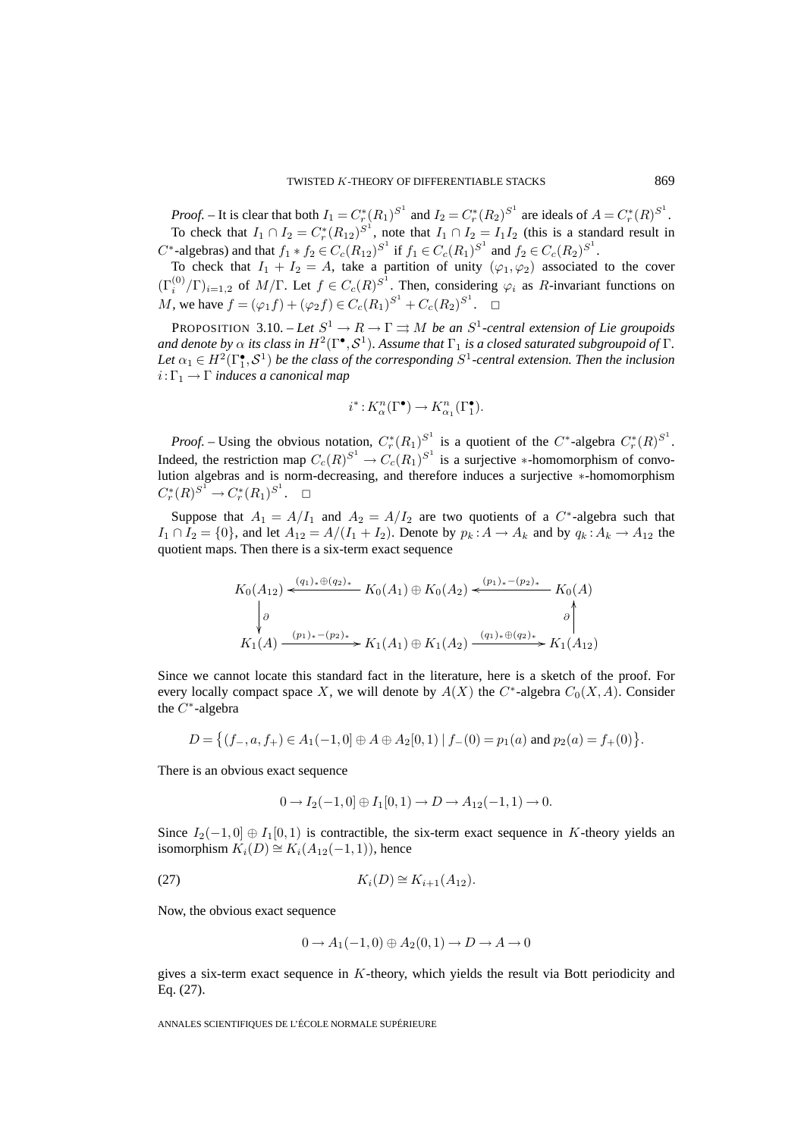*Proof.* – It is clear that both  $I_1 = C^*_r (R_1)^{S^1}$  and  $I_2 = C^*_r (R_2)^{S^1}$  are ideals of  $A = C^*_r (R)^{S^1}$ . To check that  $I_1 \cap I_2 = C_r^*(R_{12})^{S^1}$ , note that  $I_1 \cap I_2 = I_1I_2$  (this is a standard result in  $C^*$ -algebras) and that  $f_1 * f_2 \in C_c(R_{12})^{S^1}$  if  $f_1 \in C_c(R_1)^{S^1}$  and  $f_2 \in C_c(R_2)^{S^1}$ .

To check that  $I_1 + I_2 = A$ , take a partition of unity  $(\varphi_1, \varphi_2)$  associated to the cover  $(\Gamma_i^{(0)}/\Gamma)_{i=1,2}$  of  $M/\Gamma$ . Let  $f \in C_c(R)^{S^1}$ . Then, considering  $\varphi_i$  as R-invariant functions on M, we have  $f = (\varphi_1 f) + (\varphi_2 f) \in C_c(R_1)^{S^1} + C_c(R_2)^{S^1}$ .  $\Box$ 

PROPOSITION 3.10. – *Let*  $S^1 \to R \to \Gamma \rightrightarrows M$  *be an*  $S^1$ -central extension of Lie groupoids *and denote by*  $\alpha$  *its class in*  $H^2(\Gamma^{\bullet}, \mathcal{S}^1)$ *. Assume that*  $\Gamma_1$  *is a closed saturated subgroupoid of*  $\Gamma$ *.* Let  $\alpha_1 \in H^2(\Gamma_1^{\bullet}, \mathcal{S}^1)$  *be the class of the corresponding*  $S^1$ -central extension. Then the inclusion  $i:\Gamma_1\to\Gamma$  *induces a canonical map* 

$$
i^*: K^{n}_{\alpha}(\Gamma^\bullet) \to K^{n}_{\alpha_1}(\Gamma^\bullet_1).
$$

*Proof.* – Using the obvious notation,  $C_r^*(R_1)^{S^1}$  is a quotient of the  $C^*$ -algebra  $C_r^*(R)^{S^1}$ . Indeed, the restriction map  $C_c(R)^{S^1} \to C_c(R_1)^{S^1}$  is a surjective \*-homomorphism of convolution algebras and is norm-decreasing, and therefore induces a surjective ∗-homomorphism  $C_r^*(R)^{S^1} \to C_r^*(R_1)^{S^1}. \quad \Box$ 

Suppose that  $A_1 = A/I_1$  and  $A_2 = A/I_2$  are two quotients of a C<sup>\*</sup>-algebra such that  $I_1 \cap I_2 = \{0\}$ , and let  $A_{12} = A/(I_1 + I_2)$ . Denote by  $p_k : A \rightarrow A_k$  and by  $q_k : A_k \rightarrow A_{12}$  the quotient maps. Then there is a six-term exact sequence

$$
K_0(A_{12}) \xleftarrow{\left(q_1\right)_* \oplus \left(q_2\right)_*} K_0(A_1) \oplus K_0(A_2) \xleftarrow{\left(p_1\right)_* - \left(p_2\right)_*} K_0(A)
$$
\n
$$
\downarrow \qquad \qquad \downarrow
$$
\n
$$
K_1(A) \xrightarrow{\left(p_1\right)_* - \left(p_2\right)_*} K_1(A_1) \oplus K_1(A_2) \xrightarrow{\left(q_1\right)_* \oplus \left(q_2\right)_*} K_1(A_{12})
$$

Since we cannot locate this standard fact in the literature, here is a sketch of the proof. For every locally compact space X, we will denote by  $A(X)$  the  $C^*$ -algebra  $C_0(X, A)$ . Consider the  $C^*$ -algebra

$$
D = \big\{ (f_-, a, f_+) \in A_1(-1, 0] \oplus A \oplus A_2[0, 1) \mid f_-(0) = p_1(a) \text{ and } p_2(a) = f_+(0) \big\}.
$$

There is an obvious exact sequence

$$
0 \to I_2(-1,0] \oplus I_1[0,1] \to D \to A_{12}(-1,1) \to 0.
$$

Since  $I_2(-1,0] \oplus I_1[0,1)$  is contractible, the six-term exact sequence in K-theory yields an isomorphism  $K_i(D) \cong K_i(A_{12}(-1, 1))$ , hence

(27) 
$$
K_i(D) \cong K_{i+1}(A_{12}).
$$

Now, the obvious exact sequence

$$
0\longrightarrow A_1(-1,0)\oplus A_2(0,1)\longrightarrow D\longrightarrow A\longrightarrow 0
$$

gives a six-term exact sequence in K-theory, which yields the result via Bott periodicity and Eq. (27).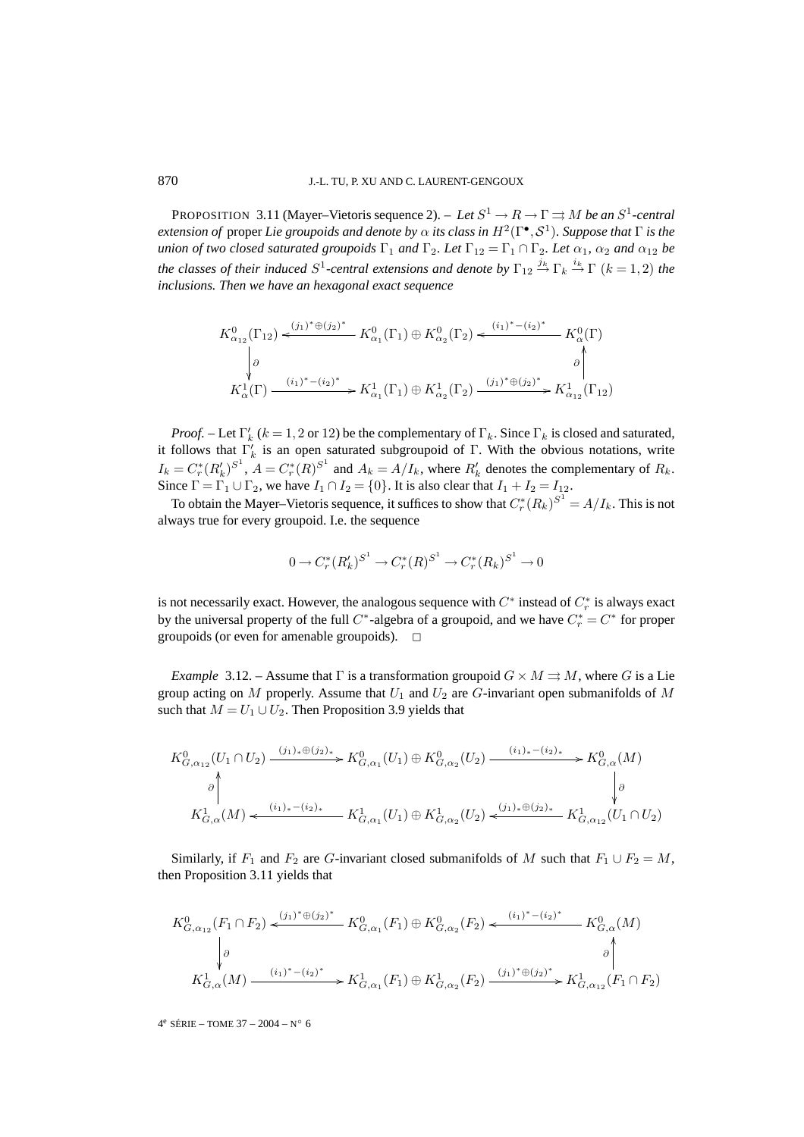PROPOSITION 3.11 (Mayer–Vietoris sequence 2). – *Let*  $S^1 \rightarrow R \rightarrow \Gamma \rightrightarrows M$  *be an*  $S^1$ -central *extension of* proper *Lie groupoids and denote by*  $\alpha$  *its class in*  $H^2(\Gamma^{\bullet}, \mathcal{S}^1)$ *. Suppose that*  $\Gamma$  *is the union of two closed saturated groupoids*  $\Gamma_1$  *and*  $\Gamma_2$ *. Let*  $\Gamma_{12} = \Gamma_1 \cap \Gamma_2$ *. Let*  $\alpha_1$ *,*  $\alpha_2$  *and*  $\alpha_{12}$  *be the classes of their induced*  $S^1$ -central extensions and denote by  $\Gamma_{12} \stackrel{j_k}{\to} \Gamma_k \stackrel{i_k}{\to} \Gamma$   $(k = 1, 2)$  the *inclusions. Then we have an hexagonal exact sequence*

$$
K^{0}_{\alpha_{12}}(\Gamma_{12}) \xleftarrow{\left(j_{1}\right)^{*} \oplus \left(j_{2}\right)^{*}} K^{0}_{\alpha_{1}}(\Gamma_{1}) \oplus K^{0}_{\alpha_{2}}(\Gamma_{2}) \xleftarrow{\left(i_{1}\right)^{*} - \left(i_{2}\right)^{*}} K^{0}_{\alpha}(\Gamma)
$$
\n
$$
\downarrow \theta \qquad \qquad \downarrow \qquad \qquad \theta \qquad \qquad \downarrow
$$
\n
$$
K^{1}_{\alpha}(\Gamma) \xrightarrow{\left(i_{1}\right)^{*} - \left(i_{2}\right)^{*}} K^{1}_{\alpha_{1}}(\Gamma_{1}) \oplus K^{1}_{\alpha_{2}}(\Gamma_{2}) \xrightarrow{\left(j_{1}\right)^{*} \oplus \left(j_{2}\right)^{*}} K^{1}_{\alpha_{12}}(\Gamma_{12})
$$

*Proof.* – Let  $\Gamma'_k$  ( $k = 1, 2$  or 12) be the complementary of  $\Gamma_k$ . Since  $\Gamma_k$  is closed and saturated, it follows that  $\Gamma'_k$  is an open saturated subgroupoid of Γ. With the obvious notations, write  $I_k = C_r^*(R'_k)^{S^1}$ ,  $A = C_r^*(R)^{S^1}$  and  $A_k = A/I_k$ , where  $R'_k$  denotes the complementary of  $R_k$ . Since  $\Gamma = \Gamma_1 \cup \Gamma_2$ , we have  $I_1 \cap I_2 = \{0\}$ . It is also clear that  $I_1 + I_2 = I_{12}$ .

To obtain the Mayer–Vietoris sequence, it suffices to show that  $C_r^*(R_k)^{S^1} = A/I_k$ . This is not always true for every groupoid. I.e. the sequence

$$
0\rightarrow C^*_r(R'_k)^{S^1}\rightarrow C^*_r(R)^{S^1}\rightarrow C^*_r(R_k)^{S^1}\rightarrow 0
$$

is not necessarily exact. However, the analogous sequence with  $C^*$  instead of  $C^*_r$  is always exact by the universal property of the full  $C^*$ -algebra of a groupoid, and we have  $C^*_r = C^*$  for proper groupoids (or even for amenable groupoids).  $\Box$ 

*Example* 3.12. – Assume that  $\Gamma$  is a transformation groupoid  $G \times M \rightrightarrows M$ , where G is a Lie group acting on M properly. Assume that  $U_1$  and  $U_2$  are G-invariant open submanifolds of M such that  $M = U_1 \cup U_2$ . Then Proposition 3.9 yields that

$$
K_{G,\alpha_{12}}^{0}(U_{1} \cap U_{2}) \xrightarrow{(j_{1})_{*} \oplus (j_{2})_{*}} K_{G,\alpha_{1}}^{0}(U_{1}) \oplus K_{G,\alpha_{2}}^{0}(U_{2}) \xrightarrow{(i_{1})_{*} \oplus (i_{2})_{*}} K_{G,\alpha}^{0}(M)
$$
\n
$$
\downarrow \downarrow 0
$$
\n
$$
K_{G,\alpha}^{1}(M) \xleftarrow{(i_{1})_{*} \oplus (i_{2})_{*}} K_{G,\alpha_{1}}^{1}(U_{1}) \oplus K_{G,\alpha_{2}}^{1}(U_{2}) \xleftarrow{(j_{1})_{*} \oplus (j_{2})_{*}} K_{G,\alpha_{12}}^{1}(U_{1} \cap U_{2})
$$

Similarly, if  $F_1$  and  $F_2$  are G-invariant closed submanifolds of M such that  $F_1 \cup F_2 = M$ , then Proposition 3.11 yields that

$$
K_{G,\alpha_{12}}^{0}(F_1 \cap F_2) \xleftarrow{(j_1)^* \oplus (j_2)^*} K_{G,\alpha_1}^{0}(F_1) \oplus K_{G,\alpha_2}^{0}(F_2) \xleftarrow{(i_1)^* - (i_2)^*} K_{G,\alpha}^{0}(M)
$$
\n
$$
\downarrow \phi
$$
\n
$$
K_{G,\alpha}^{1}(M) \xrightarrow{(i_1)^* - (i_2)^*} K_{G,\alpha_1}^{1}(F_1) \oplus K_{G,\alpha_2}^{1}(F_2) \xrightarrow{(j_1)^* \oplus (j_2)^*} K_{G,\alpha_{12}}^{1}(F_1 \cap F_2)
$$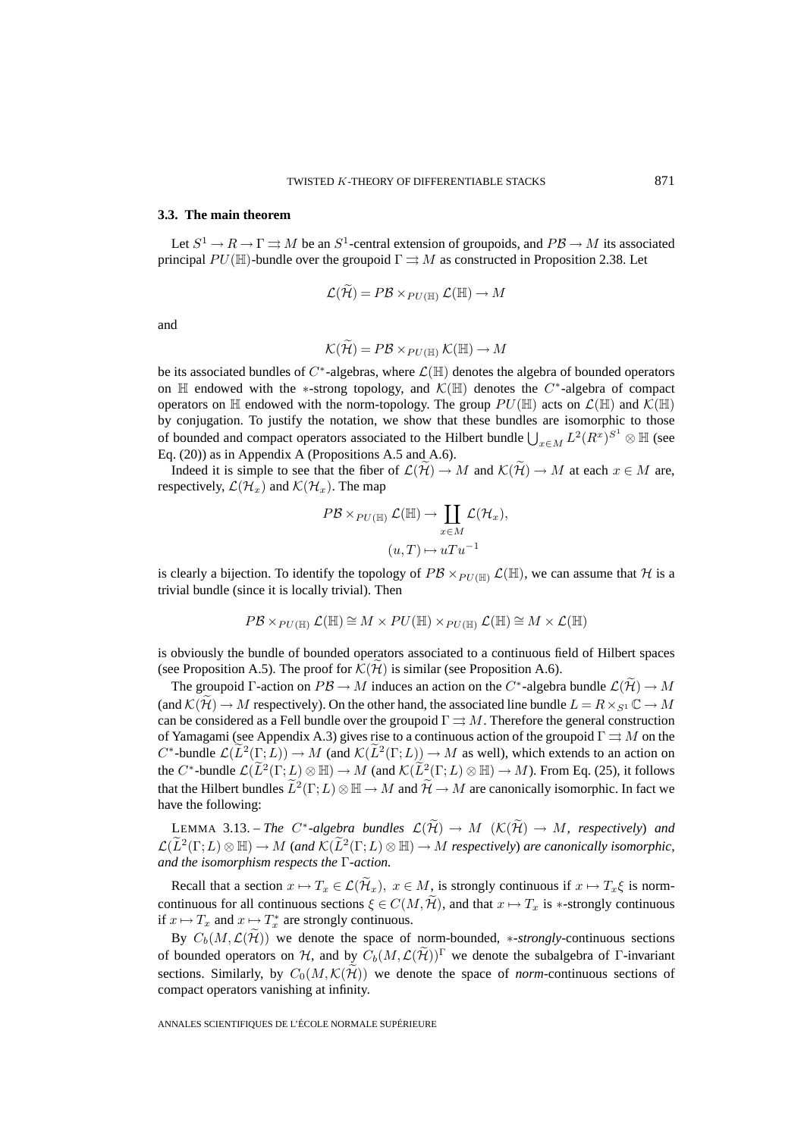### **3.3. The main theorem**

Let  $S^1 \to R \to \Gamma \rightrightarrows M$  be an  $S^1$ -central extension of groupoids, and  $PB \to M$  its associated principal  $PU(\mathbb{H})$ -bundle over the groupoid  $\Gamma \rightrightarrows M$  as constructed in Proposition 2.38. Let

$$
\mathcal{L}(\mathcal{H}) = P\mathcal{B} \times_{PU(\mathbb{H})} \mathcal{L}(\mathbb{H}) \to M
$$

and

$$
\mathcal{K}(\mathcal{H}) = P\mathcal{B} \times_{PU(\mathbb{H})} \mathcal{K}(\mathbb{H}) \to M
$$

be its associated bundles of C∗-algebras, where L(H) denotes the algebra of bounded operators on  $\mathbb H$  endowed with the ∗-strong topology, and  $\mathcal K(\mathbb H)$  denotes the C<sup>∗</sup>-algebra of compact operators on H endowed with the norm-topology. The group  $PU(\mathbb{H})$  acts on  $\mathcal{L}(\mathbb{H})$  and  $\mathcal{K}(\mathbb{H})$ by conjugation. To justify the notation, we show that these bundles are isomorphic to those of bounded and compact operators associated to the Hilbert bundle  $\bigcup_{x \in M} L^2(R^x)^{S^1} \otimes \mathbb{H}$  (see Eq. (20)) as in Appendix A (Propositions A.5 and A.6).

Indeed it is simple to see that the fiber of  $\mathcal{L}(\widetilde{\mathcal{H}}) \to M$  and  $\mathcal{K}(\widetilde{\mathcal{H}}) \to M$  at each  $x \in M$  are, respectively,  $\mathcal{L}(\mathcal{H}_x)$  and  $\mathcal{K}(\mathcal{H}_x)$ . The map

$$
PB \times_{PU(\mathbb{H})} \mathcal{L}(\mathbb{H}) \to \coprod_{x \in M} \mathcal{L}(\mathcal{H}_x),
$$

$$
(u, T) \mapsto uTu^{-1}
$$

is clearly a bijection. To identify the topology of  $P\mathcal{B} \times_{PU(\mathbb{H})} \mathcal{L}(\mathbb{H})$ , we can assume that H is a trivial bundle (since it is locally trivial). Then

$$
P\mathcal{B} \times_{PU(\mathbb{H})} \mathcal{L}(\mathbb{H}) \cong M \times PU(\mathbb{H}) \times_{PU(\mathbb{H})} \mathcal{L}(\mathbb{H}) \cong M \times \mathcal{L}(\mathbb{H})
$$

is obviously the bundle of bounded operators associated to a continuous field of Hilbert spaces (see Proposition A.5). The proof for  $\mathcal{K}(\tilde{\mathcal{H}})$  is similar (see Proposition A.6).

The groupoid Γ-action on  $PB \to M$  induces an action on the  $C^*$ -algebra bundle  $\mathcal{L}(\mathcal{H}) \to M$ (and  $\mathcal{K}(\mathcal{H}) \to M$  respectively). On the other hand, the associated line bundle  $L = R \times_{S^1} \mathbb{C} \to M$ can be considered as a Fell bundle over the groupoid  $\Gamma \rightrightarrows M$ . Therefore the general construction of Yamagami (see Appendix A.3) gives rise to a continuous action of the groupoid  $\Gamma \rightrightarrows M$  on the  $C^*$ -bundle  $\mathcal{L}(\widetilde{L}^2(\Gamma;L)) \to M$  (and  $\mathcal{K}(\widetilde{L}^2(\Gamma;L)) \to M$  as well), which extends to an action on the  $C^*$ -bundle  $\mathcal{L}(\widetilde{L}^2(\Gamma;L)\otimes \mathbb{H}) \to M$  (and  $\mathcal{K}(\widetilde{L}^2(\Gamma;L)\otimes \mathbb{H}) \to M$ ). From Eq. (25), it follows that the Hilbert bundles  $\tilde{L}^2(\Gamma;L) \otimes \mathbb{H} \to M$  and  $\tilde{\mathcal{H}} \to M$  are canonically isomorphic. In fact we have the following:

LEMMA 3.13. – *The*  $C^*$ -algebra bundles  $\mathcal{L}(\widetilde{\mathcal{H}}) \to M$   $(\mathcal{K}(\widetilde{\mathcal{H}}) \to M$ , respectively) and  $\mathcal{L}(\tilde{L}^2(\Gamma;L)\otimes \mathbb{H}) \to M$  (and  $\mathcal{K}(\tilde{L}^2(\Gamma;L)\otimes \mathbb{H}) \to M$  respectively) are canonically isomorphic, *and the isomorphism respects the* Γ*-action.*

Recall that a section  $x \mapsto T_x \in \mathcal{L}(\widetilde{\mathcal{H}}_x)$ ,  $x \in M$ , is strongly continuous if  $x \mapsto T_x \xi$  is normcontinuous for all continuous sections  $\xi \in C(M, \tilde{\mathcal{H}})$ , and that  $x \mapsto T_x$  is  $\ast$ -strongly continuous if  $x \mapsto T_x$  and  $x \mapsto T_x^*$  are strongly continuous.

By  $C_b(M,\mathcal{L}(\widetilde{\mathcal{H}}))$  we denote the space of norm-bounded, \*-*strongly*-continuous sections of bounded operators on H, and by  $C_b(M,\mathcal{L}(\widetilde{\mathcal{H}}))^{\Gamma}$  we denote the subalgebra of Γ-invariant sections. Similarly, by  $C_0(M,\mathcal{K}(\tilde{\mathcal{H}}))$  we denote the space of *norm*-continuous sections of compact operators vanishing at infinity.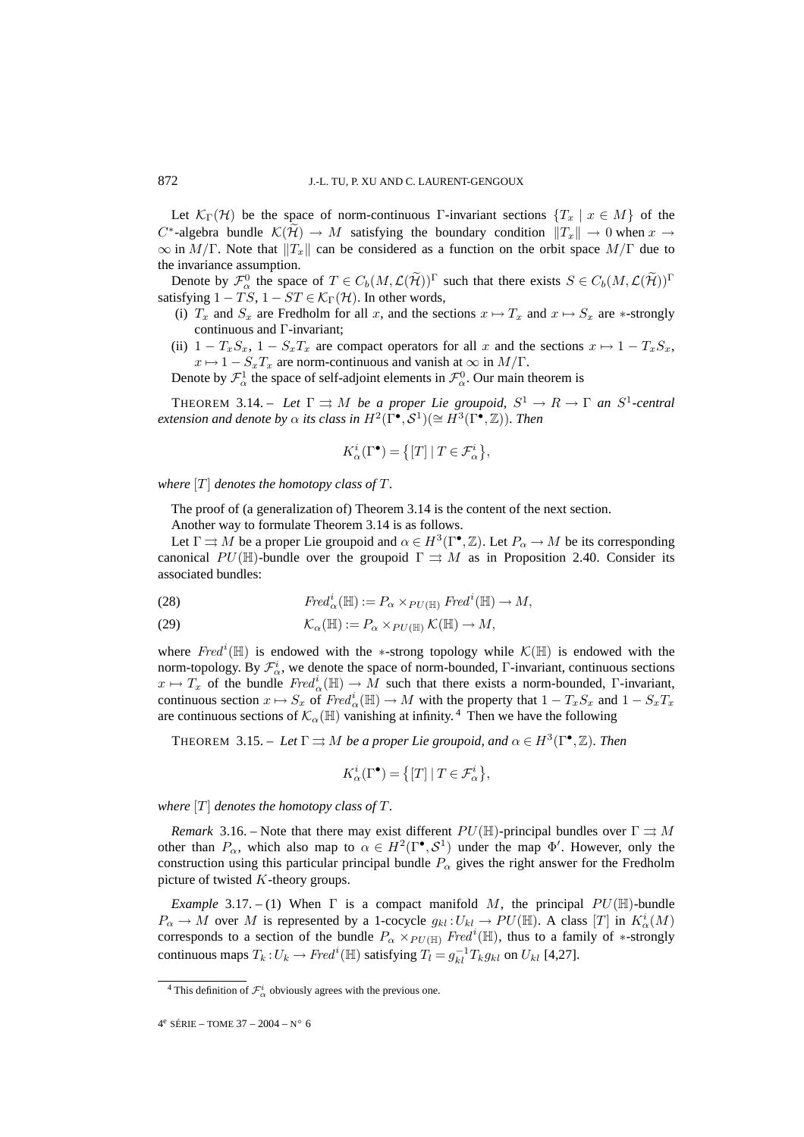Let  $\mathcal{K}_{\Gamma}(\mathcal{H})$  be the space of norm-continuous Γ-invariant sections  $\{T_x \mid x \in M\}$  of the  $C^*$ -algebra bundle  $\mathcal{K}(\mathcal{H}) \to M$  satisfying the boundary condition  $||T_x|| \to 0$  when  $x \to 0$  $\infty$  in  $M/\Gamma$ . Note that  $||T_x||$  can be considered as a function on the orbit space  $M/\Gamma$  due to the invariance assumption.

Denote by  $\mathcal{F}^0_\alpha$  the space of  $T \in C_b(M, \mathcal{L}(\widetilde{\mathcal{H}}))^{\Gamma}$  such that there exists  $S \in C_b(M, \mathcal{L}(\widetilde{\mathcal{H}}))^{\Gamma}$ satisfying  $1 - TS$ ,  $1 - ST \in \mathcal{K}_{\Gamma}(\mathcal{H})$ . In other words,

- (i)  $T_x$  and  $S_x$  are Fredholm for all x, and the sections  $x \mapsto T_x$  and  $x \mapsto S_x$  are  $\ast$ -strongly continuous and Γ-invariant;
- (ii)  $1 T_xS_x$ ,  $1 S_xT_x$  are compact operators for all x and the sections  $x \mapsto 1 T_xS_x$ ,  $x \mapsto 1 - S_x T_x$  are norm-continuous and vanish at  $\infty$  in  $M/\Gamma$ .

Denote by  $\mathcal{F}^1_\alpha$  the space of self-adjoint elements in  $\mathcal{F}^0_\alpha$ . Our main theorem is

THEOREM 3.14. – *Let*  $\Gamma \rightrightarrows M$  *be a proper Lie groupoid,*  $S^1 \to R \to \Gamma$  *an*  $S^1$ -central *extension and denote by*  $\alpha$  *its class in*  $H^2(\Gamma^{\bullet}, \mathcal{S}^1)(\cong H^3(\Gamma^{\bullet}, \mathbb{Z}))$ *. Then* 

$$
K^i_{\alpha}(\Gamma^{\bullet}) = \left\{ [T] \mid T \in \mathcal{F}^i_{\alpha} \right\},\
$$

*where*  $[T]$  *denotes the homotopy class of*  $T$ *.* 

The proof of (a generalization of) Theorem 3.14 is the content of the next section.

Another way to formulate Theorem 3.14 is as follows.

Let  $\Gamma \rightrightarrows M$  be a proper Lie groupoid and  $\alpha \in H^3(\Gamma^{\bullet}, \mathbb{Z})$ . Let  $P_{\alpha} \to M$  be its corresponding canonical PU(H)-bundle over the groupoid  $\Gamma \rightrightarrows M$  as in Proposition 2.40. Consider its associated bundles:

(28) 
$$
Fred_{\alpha}^{i}(\mathbb{H}) := P_{\alpha} \times_{PU(\mathbb{H})} Fred^{i}(\mathbb{H}) \to M,
$$

(29) 
$$
\mathcal{K}_{\alpha}(\mathbb{H}) := P_{\alpha} \times_{PU(\mathbb{H})} \mathcal{K}(\mathbb{H}) \to M,
$$

where  $Fred<sup>i</sup>(\mathbb{H})$  is endowed with the ∗-strong topology while  $\mathcal{K}(\mathbb{H})$  is endowed with the norm-topology. By  $\mathcal{F}_{\alpha}^{i}$ , we denote the space of norm-bounded,  $\Gamma$ -invariant, continuous sections  $x \mapsto T_x$  of the bundle  $Fred^i_{\alpha}(\mathbb{H}) \to M$  such that there exists a norm-bounded, Γ-invariant, continuous section  $x \mapsto S_x$  of  $Fred_{\alpha}^i(\mathbb{H}) \to M$  with the property that  $1 - T_xS_x$  and  $1 - S_xT_x$ are continuous sections of  $\mathcal{K}_{\alpha}(\mathbb{H})$  vanishing at infinity.<sup>4</sup> Then we have the following

THEOREM 3.15. – *Let*  $\Gamma \rightrightarrows M$  *be a proper Lie groupoid, and*  $\alpha \in H^3(\Gamma^{\bullet}, \mathbb{Z})$ *. Then* 

$$
K^i_{\alpha}(\Gamma^{\bullet}) = \left\{ [T] \mid T \in \mathcal{F}^i_{\alpha} \right\},\
$$

*where*  $[T]$  *denotes the homotopy class of*  $T$ *.* 

*Remark* 3.16. – Note that there may exist different  $PU(\mathbb{H})$ -principal bundles over  $\Gamma \rightrightarrows M$ other than  $P_{\alpha}$ , which also map to  $\alpha \in H^2(\Gamma^{\bullet}, \mathcal{S}^1)$  under the map  $\Phi'$ . However, only the construction using this particular principal bundle  $P_{\alpha}$  gives the right answer for the Fredholm picture of twisted K-theory groups.

*Example* 3.17. – (1) When  $\Gamma$  is a compact manifold M, the principal  $PU(\mathbb{H})$ -bundle  $P_{\alpha} \to M$  over M is represented by a 1-cocycle  $g_{kl}: U_{kl} \to PU(\mathbb{H})$ . A class [T] in  $K_{\alpha}^{i}(M)$ corresponds to a section of the bundle  $P_{\alpha} \times_{PU(\mathbb{H})} Fred^{i}(\mathbb{H})$ , thus to a family of  $*$ -strongly continuous maps  $T_k: U_k \to Fred^i(\mathbb{H})$  satisfying  $T_l = g_{kl}^{-1}T_k g_{kl}$  on  $U_{kl}$  [4,27].

<sup>&</sup>lt;sup>4</sup> This definition of  $\mathcal{F}_{\alpha}^{i}$  obviously agrees with the previous one.

<sup>4&</sup>lt;sup>e</sup> SÉRIE – TOME 37 – 2004 – N° 6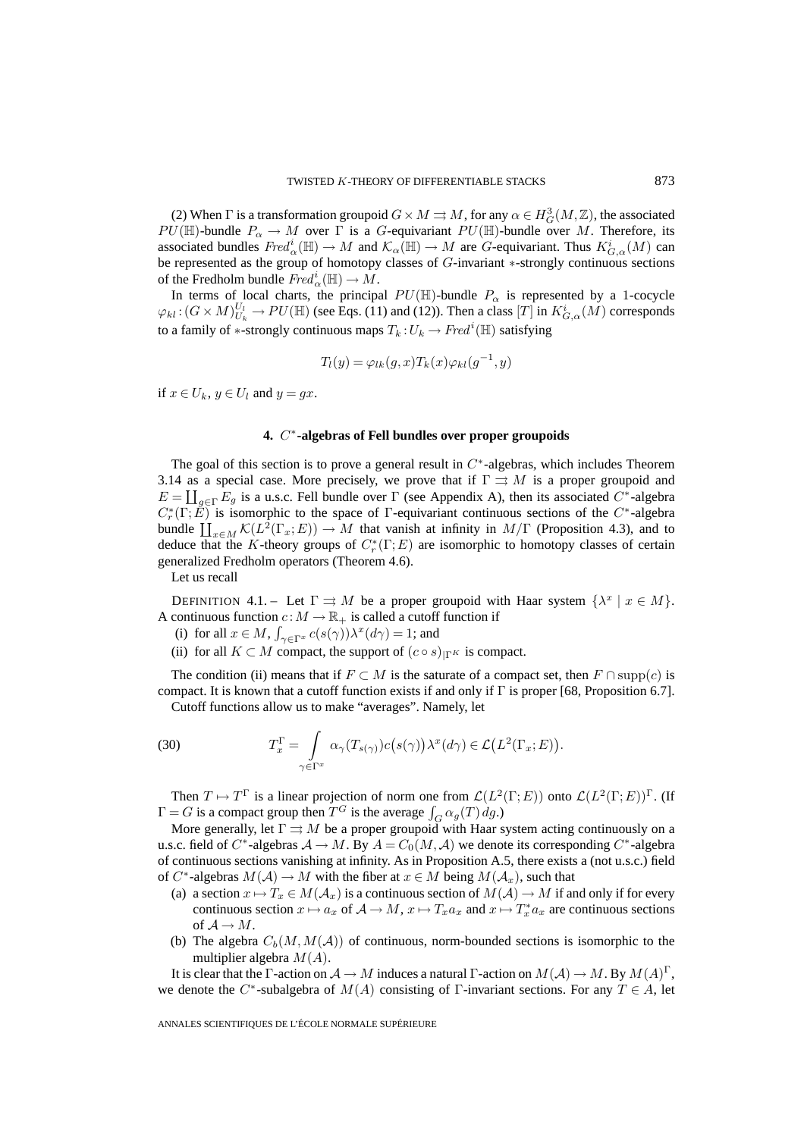(2) When  $\Gamma$  is a transformation groupoid  $G \times M \rightrightarrows M$ , for any  $\alpha \in H^3_G(M, \mathbb{Z})$ , the associated  $PU(\mathbb{H})$ -bundle  $P_{\alpha} \to M$  over  $\Gamma$  is a G-equivariant  $PU(\mathbb{H})$ -bundle over M. Therefore, its associated bundles  $Fred^i_{\alpha}(\mathbb{H}) \to M$  and  $\mathcal{K}_{\alpha}(\mathbb{H}) \to M$  are  $G$ -equivariant. Thus  $K^i_{G,\alpha}(M)$  can be represented as the group of homotopy classes of G-invariant ∗-strongly continuous sections of the Fredholm bundle  $Fred_{\alpha}^{i}(\mathbb{H}) \to \overline{M}$ .

In terms of local charts, the principal  $PU(\mathbb{H})$ -bundle  $P_{\alpha}$  is represented by a 1-cocycle  $\varphi_{kl}$ :  $(G \times M)_{U_k}^{U_l} \to PU(\mathbb{H})$  (see Eqs. (11) and (12)). Then a class  $[T]$  in  $K_{G,\alpha}^i(M)$  corresponds to a family of  $\ast$ -strongly continuous maps  $T_k$  :  $U_k \to Fred^i(\mathbb{H})$  satisfying

$$
T_l(y) = \varphi_{lk}(g, x) T_k(x) \varphi_{kl}(g^{-1}, y)
$$

if  $x \in U_k$ ,  $y \in U_l$  and  $y = gx$ .

### **4.** C∗**-algebras of Fell bundles over proper groupoids**

The goal of this section is to prove a general result in  $C^*$ -algebras, which includes Theorem 3.14 as a special case. More precisely, we prove that if  $\Gamma \rightrightarrows M$  is a proper groupoid and  $E = \coprod_{g \in \Gamma} E_g$  is a u.s.c. Fell bundle over  $\Gamma$  (see Appendix A), then its associated  $C^*$ -algebra  $C_r^*(\Gamma; \vec{E})$  is isomorphic to the space of Γ-equivariant continuous sections of the  $C^*$ -algebra bundle  $\coprod_{x\in M} \mathcal{K}(L^2(\Gamma_x; E)) \to M$  that vanish at infinity in  $M/\Gamma$  (Proposition 4.3), and to deduce that the K-theory groups of  $C_r^*(\Gamma;E)$  are isomorphic to homotopy classes of certain generalized Fredholm operators (Theorem 4.6).

Let us recall

DEFINITION 4.1. – Let  $\Gamma \rightrightarrows M$  be a proper groupoid with Haar system  $\{\lambda^x \mid x \in M\}$ . A continuous function  $c : M \to \mathbb{R}_+$  is called a cutoff function if

- (i) for all  $x \in M$ ,  $\int_{\gamma \in \Gamma^x} c(s(\gamma)) \lambda^x (d\gamma) = 1$ ; and
- (ii) for all  $K \subset M$  compact, the support of  $(c \circ s)_{\Gamma^K}$  is compact.

The condition (ii) means that if  $F \subset M$  is the saturate of a compact set, then  $F \cap \text{supp}(c)$  is compact. It is known that a cutoff function exists if and only if  $\Gamma$  is proper [68, Proposition 6.7].

Cutoff functions allow us to make "averages". Namely, let

(30) 
$$
T_x^{\Gamma} = \int_{\gamma \in \Gamma^x} \alpha_{\gamma}(T_{s(\gamma)}) c(s(\gamma)) \lambda^x(d\gamma) \in \mathcal{L}\big(L^2(\Gamma_x; E)\big).
$$

Then  $T \mapsto T^{\Gamma}$  is a linear projection of norm one from  $\mathcal{L}(L^2(\Gamma;E))$  onto  $\mathcal{L}(L^2(\Gamma;E))^{\Gamma}$ . (If  $\Gamma = G$  is a compact group then  $T^G$  is the average  $\int_G \alpha_g(T) \, dg$ .)

More generally, let  $\Gamma \rightrightarrows M$  be a proper groupoid with Haar system acting continuously on a u.s.c. field of C<sup>∗</sup>-algebras  $A \to M$ . By  $A = C_0(M, \mathcal{A})$  we denote its corresponding C<sup>∗</sup>-algebra of continuous sections vanishing at infinity. As in Proposition A.5, there exists a (not u.s.c.) field of C<sup>\*</sup>-algebras  $M(A) \to M$  with the fiber at  $x \in M$  being  $M(A_x)$ , such that

- (a) a section  $x \mapsto T_x \in M(\mathcal{A}_x)$  is a continuous section of  $M(\mathcal{A}) \to M$  if and only if for every continuous section  $x \mapsto a_x$  of  $\mathcal{A} \to M$ ,  $x \mapsto T_x a_x$  and  $x \mapsto T_x^* a_x$  are continuous sections of  $A \rightarrow M$ .
- (b) The algebra  $C_b(M,M(\mathcal{A}))$  of continuous, norm-bounded sections is isomorphic to the multiplier algebra  $M(A)$ .

It is clear that the Γ-action on  $\mathcal{A} \to M$  induces a natural Γ-action on  $M(\mathcal{A}) \to M$ . By  $M(A)^{\Gamma}$ , we denote the C<sup>∗</sup>-subalgebra of  $M(A)$  consisting of Γ-invariant sections. For any  $T \in A$ , let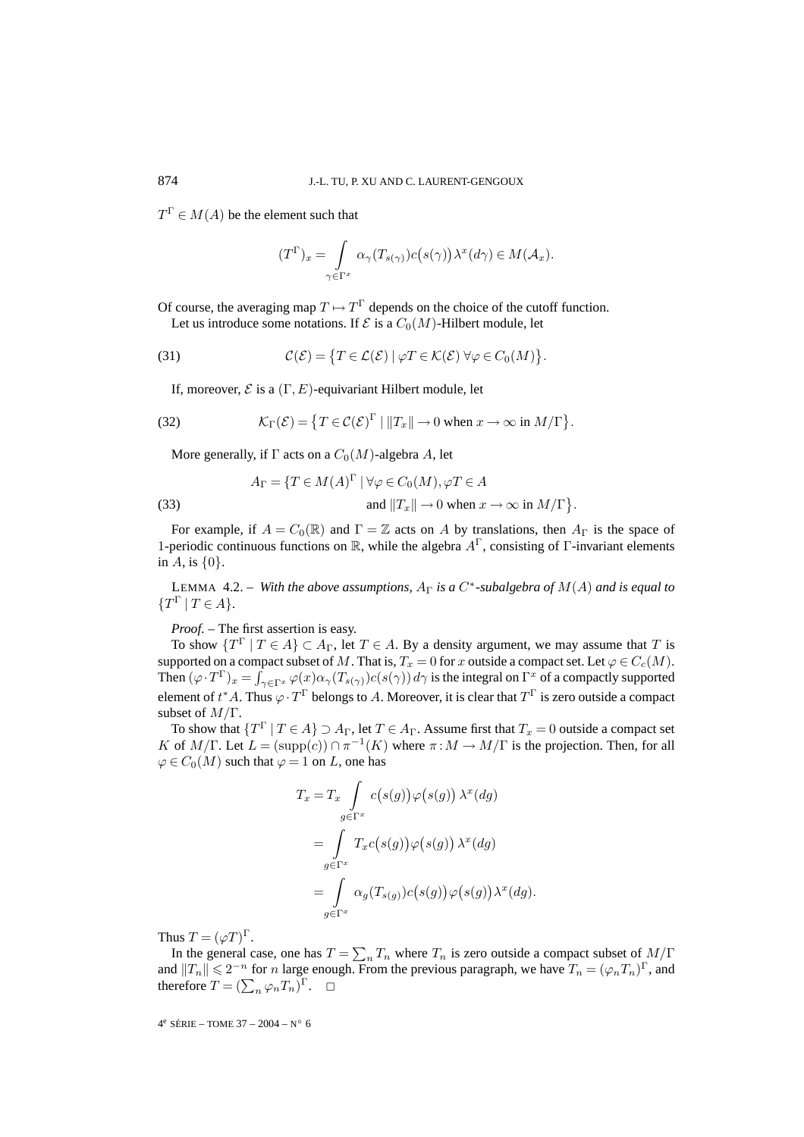$T^{\Gamma} \in M(A)$  be the element such that

$$
(T^{\Gamma})_x = \int_{\gamma \in \Gamma^x} \alpha_{\gamma}(T_{s(\gamma)}) c(s(\gamma)) \lambda^x(d\gamma) \in M(\mathcal{A}_x).
$$

Of course, the averaging map  $T \mapsto T^{\Gamma}$  depends on the choice of the cutoff function. Let us introduce some notations. If  $\mathcal E$  is a  $C_0(M)$ -Hilbert module, let

(31) 
$$
\mathcal{C}(\mathcal{E}) = \{ T \in \mathcal{L}(\mathcal{E}) \mid \varphi T \in \mathcal{K}(\mathcal{E}) \,\forall \varphi \in C_0(M) \}.
$$

If, moreover,  $\mathcal E$  is a  $(\Gamma, E)$ -equivariant Hilbert module, let

(32) 
$$
\mathcal{K}_{\Gamma}(\mathcal{E}) = \{ T \in \mathcal{C}(\mathcal{E})^{\Gamma} \mid ||T_x|| \to 0 \text{ when } x \to \infty \text{ in } M/\Gamma \}.
$$

More generally, if  $\Gamma$  acts on a  $C_0(M)$ -algebra A, let

(33) 
$$
A_{\Gamma} = \{ T \in M(A)^{\Gamma} \mid \forall \varphi \in C_0(M), \varphi T \in A \text{ and } ||T_x|| \to 0 \text{ when } x \to \infty \text{ in } M/\Gamma \}.
$$

For example, if  $A = C_0(\mathbb{R})$  and  $\Gamma = \mathbb{Z}$  acts on A by translations, then  $A_{\Gamma}$  is the space of 1-periodic continuous functions on R, while the algebra  $A^{\Gamma}$ , consisting of Γ-invariant elements in A, is  $\{0\}$ .

LEMMA 4.2. – *With the above assumptions,*  $A_{\Gamma}$  *is a C<sup>\*</sup>-subalgebra of*  $M(A)$  *and is equal to*  $\{T^{\Gamma} \mid T \in A\}.$ 

*Proof. –* The first assertion is easy.

To show  $\{T^{\Gamma} | T \in A\} \subset A_{\Gamma}$ , let  $T \in A$ . By a density argument, we may assume that T is supported on a compact subset of M. That is,  $T_x = 0$  for x outside a compact set. Let  $\varphi \in C_c(M)$ . Then  $(\varphi \cdot T^{\Gamma})_x = \int_{\gamma \in \Gamma^x} \varphi(x) \alpha_{\gamma}(T_{s(\gamma)}) c(s(\gamma)) d\gamma$  is the integral on  $\Gamma^x$  of a compactly supported element of  $t^*A$ . Thus  $\varphi\cdot T^\Gamma$  belongs to  $A$ . Moreover, it is clear that  $T^\Gamma$  is zero outside a compact subset of  $M/\Gamma$ .

To show that  $\{T^{\Gamma} | T \in A\} \supset A_{\Gamma}$ , let  $T \in A_{\Gamma}$ . Assume first that  $T_x = 0$  outside a compact set K of  $M/\Gamma$ . Let  $L = (supp(c)) \cap \pi^{-1}(K)$  where  $\pi : M \to M/\Gamma$  is the projection. Then, for all  $\varphi \in C_0(M)$  such that  $\varphi = 1$  on L, one has

$$
T_x = T_x \int_{g \in \Gamma^x} c(s(g)) \varphi(s(g)) \lambda^x (dg)
$$
  
= 
$$
\int_{g \in \Gamma^x} T_x c(s(g)) \varphi(s(g)) \lambda^x (dg)
$$
  
= 
$$
\int_{g \in \Gamma^x} \alpha_g(T_{s(g)}) c(s(g)) \varphi(s(g)) \lambda^x (dg).
$$

Thus  $T = (\varphi T)^{\Gamma}$ .

In the general case, one has  $T = \sum_n T_n$  where  $T_n$  is zero outside a compact subset of  $M/\Gamma$ and  $||T_n|| \leq 2^{-n}$  for n large enough. From the previous paragraph, we have  $T_n = (\varphi_n T_n)^{\Gamma}$ , and therefore  $T = (\sum_n \varphi_n T_n)^{\Gamma}$ .  $\Box$ 

 $4^e$  SÉRIE – TOME 37 – 2004 – N° 6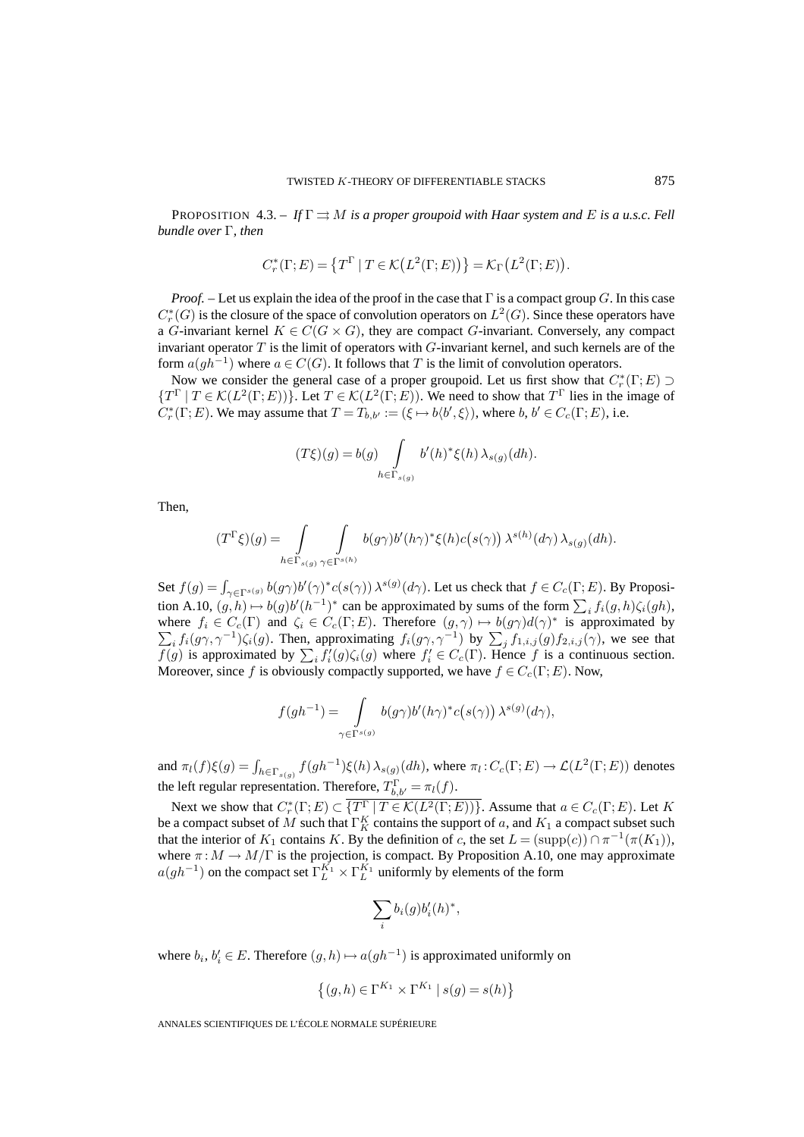PROPOSITION 4.3. – If  $\Gamma \rightrightarrows M$  *is a proper groupoid with Haar system and* E *is a u.s.c. Fell bundle over* Γ*, then*

$$
C_r^*(\Gamma;E) = \left\{T^{\Gamma} \mid T \in \mathcal{K}\big(L^2(\Gamma;E)\big)\right\} = \mathcal{K}_{\Gamma}\big(L^2(\Gamma;E)\big).
$$

*Proof. –* Let us explain the idea of the proof in the case that Γ is a compact group G. In this case  $C^*_r(G)$  is the closure of the space of convolution operators on  $L^2(G)$ . Since these operators have a G-invariant kernel  $K \in C(G \times G)$ , they are compact G-invariant. Conversely, any compact invariant operator  $T$  is the limit of operators with  $G$ -invariant kernel, and such kernels are of the form  $a(gh^{-1})$  where  $a \in C(G)$ . It follows that T is the limit of convolution operators.

Now we consider the general case of a proper groupoid. Let us first show that  $C_r^*(\Gamma;E) \supset$  ${T^{\Gamma} | T \in \mathcal{K}(L^2(\Gamma;E))}$ . Let  $T \in \mathcal{K}(L^2(\Gamma;E))$ . We need to show that  $T^{\Gamma}$  lies in the image of  $C_r^*(\Gamma;E)$ . We may assume that  $T = T_{b,b'} := (\xi \mapsto b \langle b', \xi \rangle)$ , where  $b, b' \in C_c(\Gamma;E)$ , i.e.

$$
(T\xi)(g) = b(g) \int\limits_{h \in \Gamma_{s(g)}} b'(h)^* \xi(h) \lambda_{s(g)}(dh).
$$

Then,

$$
(T^{\Gamma}\xi)(g) = \int\limits_{h \in \Gamma_{s(g)}} \int\limits_{\gamma \in \Gamma^{s(h)}} b(g\gamma)b'(h\gamma)^{*} \xi(h)c(s(\gamma)) \lambda^{s(h)}(d\gamma) \lambda_{s(g)}(dh).
$$

Set  $f(g) = \int_{\gamma \in \Gamma^{s(g)}} b(g\gamma) b'(\gamma)^* c(s(\gamma)) \lambda^{s(g)}(d\gamma)$ . Let us check that  $f \in C_c(\Gamma; E)$ . By Proposition A.10,  $(g, h) \mapsto b(g)b'(h^{-1})^*$  can be approximated by sums of the form  $\sum_i f_i(g, h)\zeta_i(gh)$ , where  $f_i \in C_c(\Gamma)$  and  $\zeta_i \in C_c(\Gamma; E)$ . Therefore  $(g, \gamma) \mapsto b(g\gamma)d(\gamma)^*$  $\sum$ is approximated by  $i_j f_i(g\gamma,\gamma^{-1}) \zeta_i(g)$ . Then, approximating  $f_i(g\gamma,\gamma^{-1})$  by  $\sum_j f_{1,i,j}(g) f_{2,i,j}(\gamma)$ , we see that  $\overline{f(g)}$  is approximated by  $\sum_i f'_i(g)\zeta_i(g)$  where  $f'_i \in C_c(\Gamma)$ . Hence f is a continuous section. Moreover, since f is obviously compactly supported, we have  $f \in C_c(\Gamma; E)$ . Now,

$$
f(gh^{-1}) = \int_{\gamma \in \Gamma^{s(g)}} b(g\gamma) b'(h\gamma)^* c(s(\gamma)) \lambda^{s(g)}(d\gamma),
$$

and  $\pi_l(f)\xi(g) = \int_{h \in \Gamma_{s(g)}} f(gh^{-1})\xi(h) \lambda_{s(g)}(dh)$ , where  $\pi_l : C_c(\Gamma; E) \to \mathcal{L}(L^2(\Gamma; E))$  denotes the left regular representation. Therefore,  $T_{b,b'}^{\Gamma} = \pi_l(f)$ .

Next we show that  $C_r^*(\Gamma;E) \subset \{T_{\_}^\Gamma \mid T \in \mathcal{K}(L^2(\Gamma;E))\}$ . Assume that  $a \in C_c(\Gamma;E)$ . Let K be a compact subset of M such that  $\Gamma_K^K$  contains the support of a, and  $K_1$  a compact subset such that the interior of K<sub>1</sub> contains K. By the definition of c, the set  $L = (supp(c)) \cap \pi^{-1}(\pi(K_1)),$ where  $\pi : M \to M/\Gamma$  is the projection, is compact. By Proposition A.10, one may approximate  $a(gh^{-1})$  on the compact set  $\Gamma_L^{K_1} \times \Gamma_L^{K_1}$  uniformly by elements of the form

$$
\sum_i b_i(g)b_i'(h)^*,
$$

where  $b_i, b_i' \in E$ . Therefore  $(g, h) \mapsto a(gh^{-1})$  is approximated uniformly on

$$
\left\{(g,h)\in \Gamma^{K_1}\times \Gamma^{K_1}\:|\:s(g)=s(h)\right\}
$$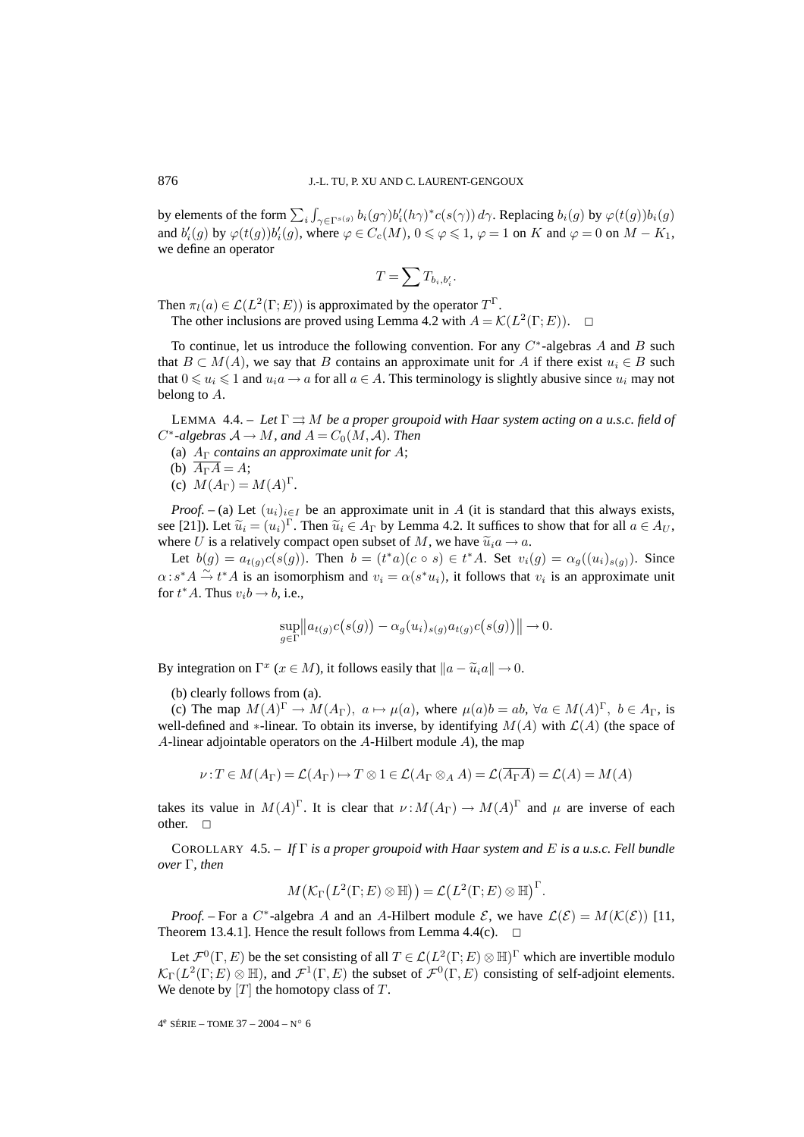by elements of the form  $\sum_i \int_{\gamma \in \Gamma^{s(g)}} b_i(g\gamma) b'_i(h\gamma)^* c(s(\gamma)) d\gamma$ . Replacing  $b_i(g)$  by  $\varphi(t(g))b_i(g)$ and  $b_i'(g)$  by  $\varphi(t(g))b_i'(g)$ , where  $\varphi \in C_c(M)$ ,  $0 \le \varphi \le 1$ ,  $\varphi = 1$  on  $K$  and  $\varphi = 0$  on  $M - K_1$ , we define an operator

$$
T=\sum T_{b_i,b_i'}.
$$

Then  $\pi_l(a) \in \mathcal{L}(L^2(\Gamma; E))$  is approximated by the operator  $T^{\Gamma}$ .

The other inclusions are proved using Lemma 4.2 with  $A = \mathcal{K}(L^2(\Gamma; E))$ .  $\Box$ 

To continue, let us introduce the following convention. For any  $C^*$ -algebras A and B such that  $B \subset M(A)$ , we say that B contains an approximate unit for A if there exist  $u_i \in B$  such that  $0 \le u_i \le 1$  and  $u_i a \to a$  for all  $a \in A$ . This terminology is slightly abusive since  $u_i$  may not belong to A.

LEMMA 4.4. – Let  $\Gamma \rightrightarrows M$  be a proper groupoid with Haar system acting on a u.s.c. field of  $C^*$ *-algebras*  $A \to M$ *, and*  $A = C_0(M, \mathcal{A})$ *. Then* 

- (a) A<sup>Γ</sup> *contains an approximate unit for* A;
- (b)  $\overline{A_{\Gamma}A} = A$ ;
- (c)  $M(A_{\Gamma}) = M(A)^{\Gamma}$ .

*Proof.* – (a) Let  $(u_i)_{i \in I}$  be an approximate unit in A (it is standard that this always exists, see [21]). Let  $\tilde{u}_i = (u_i)^{\Gamma}$ . Then  $\tilde{u}_i \in A_{\Gamma}$  by Lemma 4.2. It suffices to show that for all  $a \in A_{U}$ , where U is a relatively compact open subset of M, we have  $\tilde{u}_i a \rightarrow a$ .

Let  $b(g) = a_{t(g)}c(s(g))$ . Then  $b = (t^*a)(c \circ s) \in t^*A$ . Set  $v_i(g) = \alpha_g((u_i)_{s(g)})$ . Since  $\alpha$ : s<sup>\*</sup> $A \stackrel{\sim}{\rightarrow} t^*A$  is an isomorphism and  $v_i = \alpha(s^*u_i)$ , it follows that  $v_i$  is an approximate unit for  $t^*A$ . Thus  $v_i b \rightarrow b$ , i.e.,

$$
\sup_{g \in \Gamma} \|a_{t(g)}c(s(g)) - \alpha_g(u_i)_{s(g)}a_{t(g)}c(s(g))\| \to 0.
$$

By integration on  $\Gamma^x$  ( $x \in M$ ), it follows easily that  $\|a - \tilde{u}_i a\| \to 0$ .

(b) clearly follows from (a).

(c) The map  $M(A)^{\Gamma} \to M(A_{\Gamma})$ ,  $a \mapsto \mu(a)$ , where  $\mu(a)b = ab$ ,  $\forall a \in M(A)^{\Gamma}$ ,  $b \in A_{\Gamma}$ , is well-defined and ∗-linear. To obtain its inverse, by identifying  $M(A)$  with  $\mathcal{L}(A)$  (the space of A-linear adjointable operators on the  $A$ -Hilbert module  $A$ ), the map

$$
\nu: T \in M(A_{\Gamma}) = \mathcal{L}(A_{\Gamma}) \mapsto T \otimes 1 \in \mathcal{L}(A_{\Gamma} \otimes_A A) = \mathcal{L}(\overline{A_{\Gamma}A}) = \mathcal{L}(A) = M(A)
$$

takes its value in  $M(A)^{\Gamma}$ . It is clear that  $\nu : M(A_{\Gamma}) \to M(A)^{\Gamma}$  and  $\mu$  are inverse of each other.  $\square$ 

COROLLARY 4.5. – *If* Γ *is a proper groupoid with Haar system and* E *is a u.s.c. Fell bundle over* Γ*, then*

$$
M\big(\mathcal{K}_\Gamma\big(L^2(\Gamma;E)\otimes \mathbb{H}\big)\big)=\mathcal{L}\big(L^2(\Gamma;E)\otimes \mathbb{H}\big)^\Gamma.
$$

*Proof.* – For a C<sup>\*</sup>-algebra A and an A-Hilbert module  $\mathcal{E}$ , we have  $\mathcal{L}(\mathcal{E}) = M(\mathcal{K}(\mathcal{E}))$  [11, Theorem 13.4.1]. Hence the result follows from Lemma 4.4(c).  $\Box$ 

Let  $\mathcal{F}^0(\Gamma, E)$  be the set consisting of all  $T \in \mathcal{L}(L^2(\Gamma; E) \otimes \mathbb{H})^{\Gamma}$  which are invertible modulo  $\mathcal{K}_{\Gamma}(L^2(\Gamma;E)\otimes \mathbb{H})$ , and  $\mathcal{F}^1(\Gamma,E)$  the subset of  $\mathcal{F}^0(\Gamma,E)$  consisting of self-adjoint elements. We denote by  $[T]$  the homotopy class of  $T$ .

 $4^e$  SÉRIE – TOME 37 – 2004 – N° 6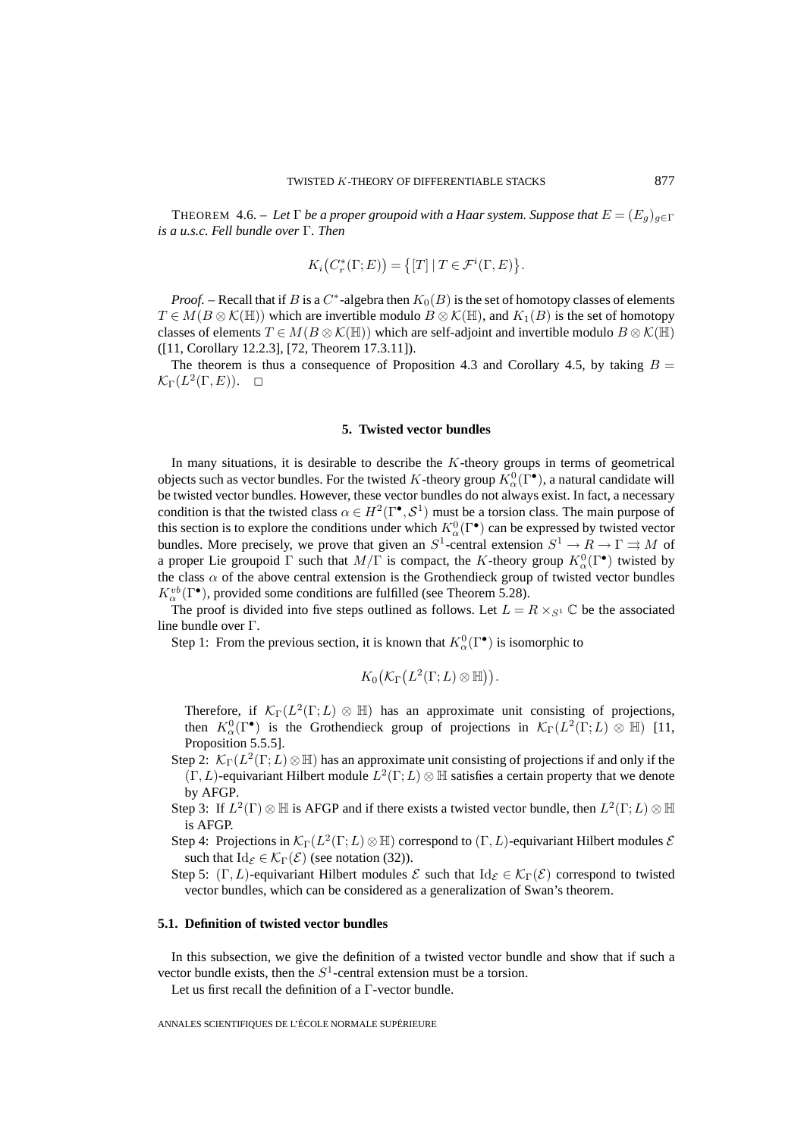THEOREM 4.6. – Let  $\Gamma$  *be a proper groupoid with a Haar system. Suppose that*  $E = (E_q)_{q \in \Gamma}$ *is a u.s.c. Fell bundle over* Γ*. Then*

$$
K_i(C_r^*(\Gamma;E)) = \big\{ [T] \mid T \in \mathcal{F}^i(\Gamma,E) \big\}.
$$

*Proof.* – Recall that if B is a  $C^*$ -algebra then  $K_0(B)$  is the set of homotopy classes of elements  $T \in M(B \otimes \mathcal{K}(\mathbb{H}))$  which are invertible modulo  $B \otimes \mathcal{K}(\mathbb{H})$ , and  $K_1(B)$  is the set of homotopy classes of elements  $T \in M(B \otimes \mathcal{K}(\mathbb{H}))$  which are self-adjoint and invertible modulo  $B \otimes \mathcal{K}(\mathbb{H})$ ([11, Corollary 12.2.3], [72, Theorem 17.3.11]).

The theorem is thus a consequence of Proposition 4.3 and Corollary 4.5, by taking  $B =$  $\mathcal{K}_{\Gamma}(L^2(\Gamma,E)). \quad \Box$ 

### **5. Twisted vector bundles**

In many situations, it is desirable to describe the  $K$ -theory groups in terms of geometrical objects such as vector bundles. For the twisted K-theory group  $K^0_\alpha(\Gamma^{\bullet})$ , a natural candidate will be twisted vector bundles. However, these vector bundles do not always exist. In fact, a necessary condition is that the twisted class  $\alpha \in H^2(\Gamma^{\bullet}, \mathcal{S}^1)$  must be a torsion class. The main purpose of this section is to explore the conditions under which  $K^0_\alpha(\Gamma^\bullet)$  can be expressed by twisted vector bundles. More precisely, we prove that given an  $S^1$ -central extension  $S^1 \to R \to \Gamma \rightrightarrows M$  of a proper Lie groupoid  $\Gamma$  such that  $M/\Gamma$  is compact, the K-theory group  $K^0_\alpha(\Gamma^{\bullet})$  twisted by the class  $\alpha$  of the above central extension is the Grothendieck group of twisted vector bundles  $K_\alpha^{vb}(\Gamma^{\bullet})$ , provided some conditions are fulfilled (see Theorem 5.28).

The proof is divided into five steps outlined as follows. Let  $L = R \times_{S^1} \mathbb{C}$  be the associated line bundle over Γ.

Step 1: From the previous section, it is known that  $K^0_\alpha(\Gamma^{\bullet})$  is isomorphic to

$$
K_0(\mathcal{K}_{\Gamma}(L^2(\Gamma;L)\otimes \mathbb{H})).
$$

Therefore, if  $\mathcal{K}_{\Gamma}(L^2(\Gamma;L) \otimes \mathbb{H})$  has an approximate unit consisting of projections, then  $K^0_\alpha(\Gamma^\bullet)$  is the Grothendieck group of projections in  $\mathcal{K}_\Gamma(L^2(\Gamma;L) \otimes \mathbb{H})$  [11, Proposition 5.5.5].

- Step 2:  $\mathcal{K}_{\Gamma}(L^2(\Gamma;L)\otimes\mathbb{H})$  has an approximate unit consisting of projections if and only if the  $(\Gamma, L)$ -equivariant Hilbert module  $L^2(\Gamma; L) \otimes \mathbb{H}$  satisfies a certain property that we denote by AFGP.
- Step 3: If  $L^2(\Gamma) \otimes \mathbb{H}$  is AFGP and if there exists a twisted vector bundle, then  $L^2(\Gamma;L) \otimes \mathbb{H}$ is AFGP.
- Step 4: Projections in  $\mathcal{K}_{\Gamma}(L^2(\Gamma;L)\otimes \mathbb{H})$  correspond to  $(\Gamma,L)$ -equivariant Hilbert modules  $\mathcal E$ such that  $\text{Id}_{\mathcal{E}} \in \mathcal{K}_{\Gamma}(\mathcal{E})$  (see notation (32)).
- Step 5:  $(\Gamma, L)$ -equivariant Hilbert modules  $\mathcal E$  such that  $\mathrm{Id}_{\mathcal E} \in \mathcal K_{\Gamma}(\mathcal E)$  correspond to twisted vector bundles, which can be considered as a generalization of Swan's theorem.

### **5.1. Definition of twisted vector bundles**

In this subsection, we give the definition of a twisted vector bundle and show that if such a vector bundle exists, then the  $S<sup>1</sup>$ -central extension must be a torsion.

Let us first recall the definition of a Γ-vector bundle.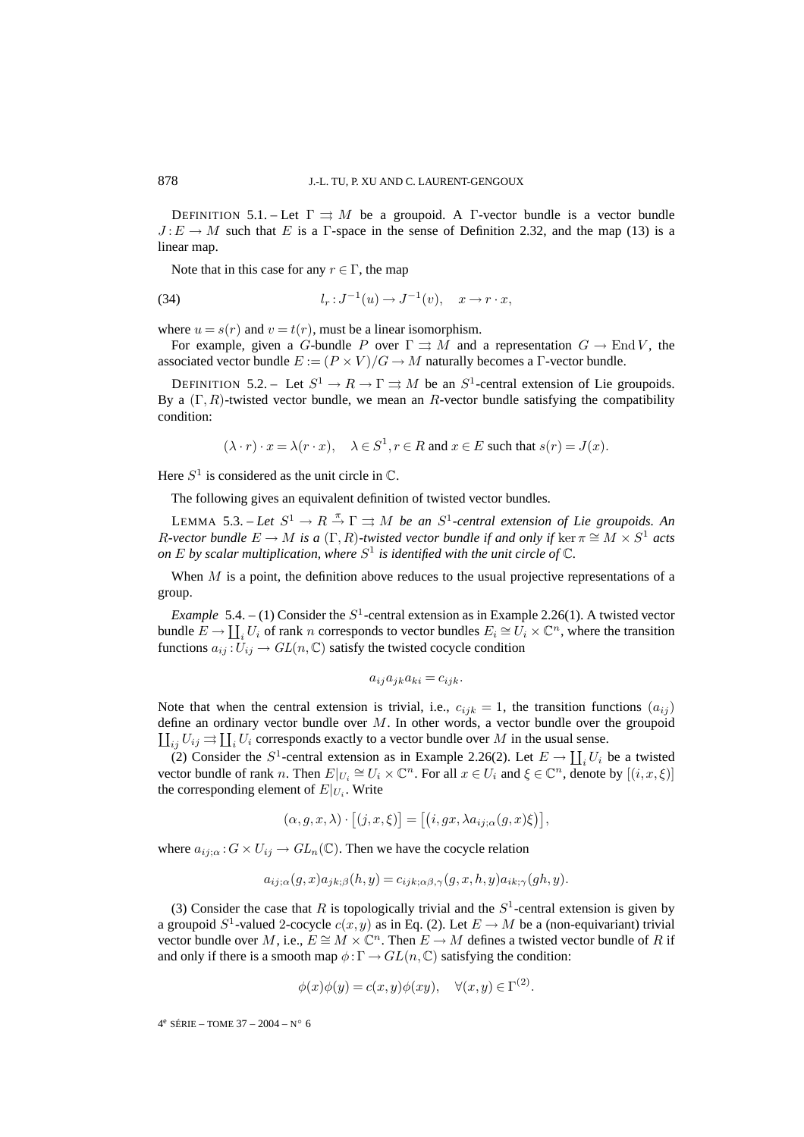DEFINITION 5.1. – Let  $\Gamma \rightrightarrows M$  be a groupoid. A  $\Gamma$ -vector bundle is a vector bundle  $J: E \to M$  such that E is a Γ-space in the sense of Definition 2.32, and the map (13) is a linear map.

Note that in this case for any  $r \in \Gamma$ , the map

(34) 
$$
l_r : J^{-1}(u) \to J^{-1}(v), \quad x \to r \cdot x,
$$

where  $u = s(r)$  and  $v = t(r)$ , must be a linear isomorphism.

For example, given a G-bundle P over  $\Gamma \rightrightarrows M$  and a representation  $G \to \text{End }V$ , the associated vector bundle  $E := (P \times V)/G \rightarrow M$  naturally becomes a  $\Gamma$ -vector bundle.

DEFINITION 5.2. – Let  $S^1 \to R \to \Gamma \rightrightarrows M$  be an  $S^1$ -central extension of Lie groupoids. By a  $(\Gamma, R)$ -twisted vector bundle, we mean an R-vector bundle satisfying the compatibility condition:

$$
(\lambda \cdot r) \cdot x = \lambda (r \cdot x), \quad \lambda \in S^1, r \in R \text{ and } x \in E \text{ such that } s(r) = J(x).
$$

Here  $S^1$  is considered as the unit circle in  $\mathbb{C}$ .

The following gives an equivalent definition of twisted vector bundles.

LEMMA 5.3. – Let  $S^1 \to R \stackrel{\pi}{\to} \Gamma \rightrightarrows M$  be an  $S^1$ -central extension of Lie groupoids. An R-vector bundle  $E \to M$  is a  $(\Gamma, R)$ -twisted vector bundle if and only if ker  $\pi \cong M \times S^1$  acts *on*  $E$  *by scalar multiplication, where*  $S^1$  *is identified with the unit circle of*  $\mathbb{C}$ *.* 

When  $M$  is a point, the definition above reduces to the usual projective representations of a group.

*Example* 5.4. – (1) Consider the  $S<sup>1</sup>$ -central extension as in Example 2.26(1). A twisted vector bundle  $E \to \coprod_i U_i$  of rank n corresponds to vector bundles  $E_i \cong U_i \times \mathbb{C}^n$ , where the transition functions  $a_{ij}: U_{ij} \to GL(n, \mathbb{C})$  satisfy the twisted cocycle condition

$$
a_{ij}a_{jk}a_{ki}=c_{ijk}.
$$

Note that when the central extension is trivial, i.e.,  $c_{ijk} = 1$ , the transition functions  $(a_{ij})$ define an ordinary vector bundle over  $M$ . In other words, a vector bundle over the groupoid  $\coprod_{ij} U_{ij} \rightrightarrows \coprod_i U_i$  corresponds exactly to a vector bundle over M in the usual sense.

(2) Consider the  $S^1$ -central extension as in Example 2.26(2). Let  $E \to \coprod_i U_i$  be a twisted vector bundle of rank n. Then  $E|_{U_i} \cong U_i \times \mathbb{C}^n$ . For all  $x \in U_i$  and  $\xi \in \mathbb{C}^n$ , denote by  $[(i, x, \xi)]$ the corresponding element of  $E|_{U_i}$ . Write

$$
(\alpha, g, x, \lambda) \cdot [(j, x, \xi)] = [(i, gx, \lambda a_{ij;\alpha}(g, x)\xi)],
$$

where  $a_{ij;\alpha}$ :  $G \times U_{ij} \to GL_n(\mathbb{C})$ . Then we have the cocycle relation

$$
a_{ij;\alpha}(g,x)a_{jk;\beta}(h,y) = c_{ijk;\alpha\beta,\gamma}(g,x,h,y)a_{ik;\gamma}(gh,y).
$$

(3) Consider the case that R is topologically trivial and the  $S<sup>1</sup>$ -central extension is given by a groupoid  $S^1$ -valued 2-cocycle  $c(x, y)$  as in Eq. (2). Let  $E \to M$  be a (non-equivariant) trivial vector bundle over M, i.e.,  $E \cong M \times \mathbb{C}^n$ . Then  $E \to M$  defines a twisted vector bundle of R if and only if there is a smooth map  $\phi : \Gamma \to GL(n, \mathbb{C})$  satisfying the condition:

$$
\phi(x)\phi(y) = c(x,y)\phi(xy), \quad \forall (x,y) \in \Gamma^{(2)}.
$$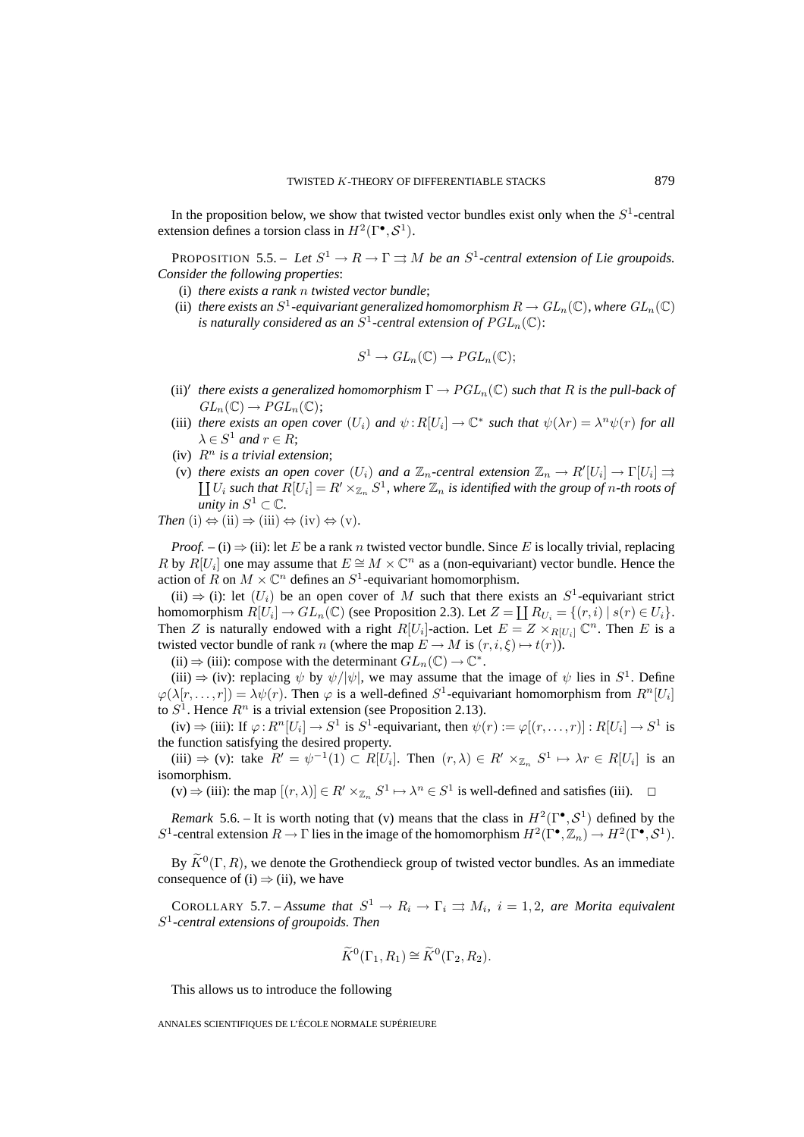In the proposition below, we show that twisted vector bundles exist only when the  $S<sup>1</sup>$ -central extension defines a torsion class in  $H^2(\Gamma^{\bullet}, \mathcal{S}^1)$ .

PROPOSITION 5.5. – Let  $S^1 \to R \to \Gamma \rightrightarrows M$  be an  $S^1$ -central extension of Lie groupoids. *Consider the following properties*:

- (i) *there exists a rank* n *twisted vector bundle*;
- (ii) *there exists an*  $S^1$ -equivariant generalized homomorphism  $R \to GL_n(\mathbb{C})$ *, where*  $GL_n(\mathbb{C})$ *is naturally considered as an*  $S^1$ -central extension of  $PGL_n(\mathbb{C})$ :

$$
S^1 \to GL_n(\mathbb{C}) \to PGL_n(\mathbb{C});
$$

- (ii) $'$  there exists a generalized homomorphism  $\Gamma \to PGL_n(\mathbb C)$  such that  $R$  is the pull-back of  $GL_n(\mathbb{C}) \to PGL_n(\mathbb{C});$
- (iii) *there exists an open cover*  $(U_i)$  *and*  $\psi: R[U_i] \to \mathbb{C}^*$  *such that*  $\psi(\lambda r) = \lambda^n \psi(r)$  *for all*  $\lambda \in S^1$  and  $r \in R$ ;
- (iv)  $R^n$  *is a trivial extension*;
- (v) there exists an open cover  $(U_i)$  and a  $\mathbb{Z}_n$ -central extension  $\mathbb{Z}_n \to R'[U_i] \to \Gamma[U_i] \rightrightarrows$  $\coprod U_i$  such that  $R[U_i]=R'\times_{\mathbb{Z}_n} S^1$ , where  $\mathbb{Z}_n$  is identified with the group of n-th roots of *unity in*  $S^1 \subset \mathbb{C}$ *.*

Then (i) 
$$
\Leftrightarrow
$$
 (ii)  $\Rightarrow$  (iii)  $\Leftrightarrow$  (iv)  $\Leftrightarrow$  (v).

*Proof.* – (i)  $\Rightarrow$  (ii): let E be a rank n twisted vector bundle. Since E is locally trivial, replacing R by  $R[U_i]$  one may assume that  $E \cong M \times \mathbb{C}^n$  as a (non-equivariant) vector bundle. Hence the action of R on  $M \times \mathbb{C}^n$  defines an  $S^1$ -equivariant homomorphism.

(ii)  $\Rightarrow$  (i): let  $(U_i)$  be an open cover of M such that there exists an  $S^1$ -equivariant strict homomorphism  $R[U_i] \to GL_n(\mathbb{C})$  (see Proposition 2.3). Let  $Z = \prod R_{U_i} = \{(r, i) \mid s(r) \in U_i\}$ . Then Z is naturally endowed with a right  $R[U_i]$ -action. Let  $E = Z \times_{R[U_i]} \mathbb{C}^n$ . Then E is a twisted vector bundle of rank n (where the map  $E \to M$  is  $(r, i, \xi) \mapsto t(r)$ ).

(ii)  $\Rightarrow$  (iii): compose with the determinant  $GL_n(\mathbb{C}) \to \mathbb{C}^*$ .

(iii)  $\Rightarrow$  (iv): replacing  $\psi$  by  $\psi/|\psi|$ , we may assume that the image of  $\psi$  lies in  $S^1$ . Define  $\varphi(\lambda[r, \ldots, r]) = \lambda \psi(r)$ . Then  $\varphi$  is a well-defined  $S^1$ -equivariant homomorphism from  $R^n[U_i]$ to  $S<sup>1</sup>$ . Hence  $R<sup>n</sup>$  is a trivial extension (see Proposition 2.13).

(iv)  $\Rightarrow$  (iii): If  $\varphi: R^n[U_i] \to S^1$  is  $S^1$ -equivariant, then  $\psi(r) := \varphi[(r, \dots, r)] : R[U_i] \to S^1$  is the function satisfying the desired property.

(iii)  $\Rightarrow$  (v): take  $R' = \psi^{-1}(1) \subset R[U_i]$ . Then  $(r, \lambda) \in R' \times_{\mathbb{Z}_n} S^1 \mapsto \lambda r \in R[U_i]$  is an isomorphism.

 $(v) \Rightarrow (iii)$ : the map  $[(r, \lambda)] \in R' \times_{\mathbb{Z}_n} S^1 \mapsto \lambda^n \in S^1$  is well-defined and satisfies (iii).  $\Box$ 

*Remark* 5.6. – It is worth noting that (v) means that the class in  $H^2(\Gamma^{\bullet}, \mathcal{S}^1)$  defined by the S<sup>1</sup>-central extension  $R \to \Gamma$  lies in the image of the homomorphism  $H^2(\Gamma^{\bullet}, \mathbb{Z}_n) \to H^2(\Gamma^{\bullet}, \mathcal{S}^1)$ .

By  $\widetilde{K}^0(\Gamma, R)$ , we denote the Grothendieck group of twisted vector bundles. As an immediate consequence of (i)  $\Rightarrow$  (ii), we have

COROLLARY 5.7. – *Assume that*  $S^1 \to R_i \to \Gamma_i \implies M_i$ ,  $i = 1, 2$ , are Morita equivalent S<sup>1</sup>*-central extensions of groupoids. Then*

$$
\widetilde{K}^0(\Gamma_1, R_1) \cong \widetilde{K}^0(\Gamma_2, R_2).
$$

This allows us to introduce the following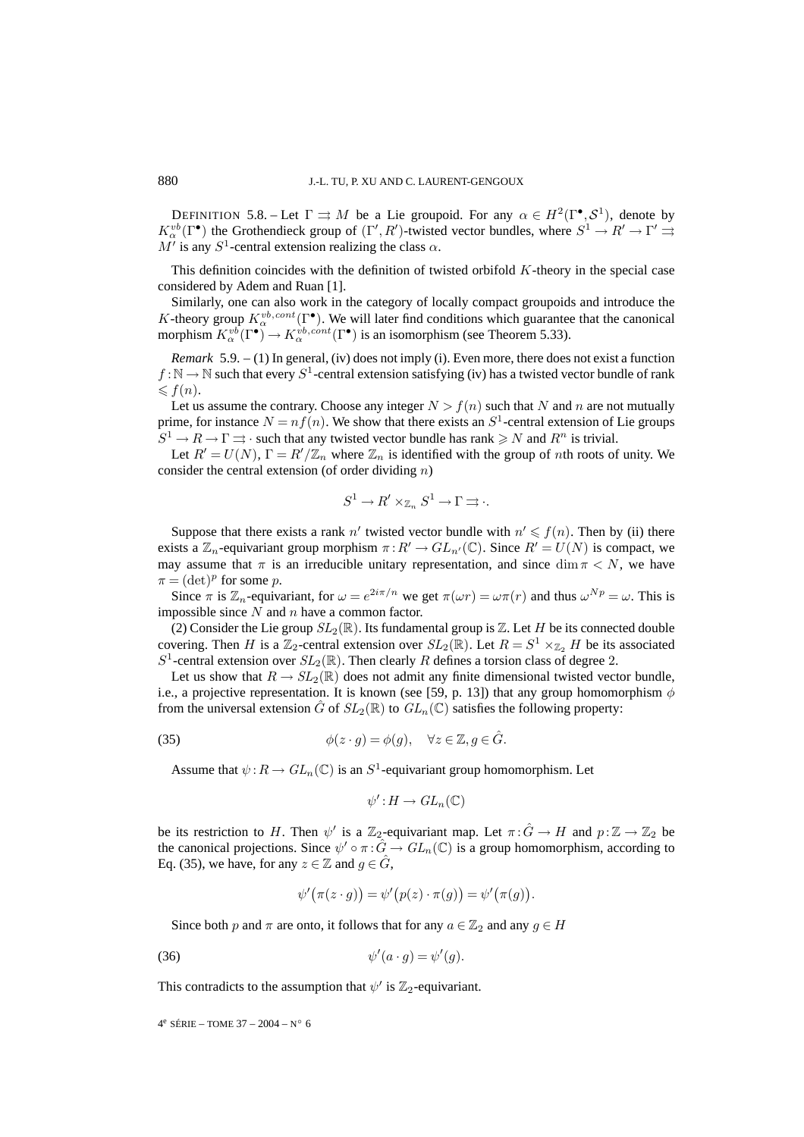DEFINITION 5.8. – Let  $\Gamma \rightrightarrows M$  be a Lie groupoid. For any  $\alpha \in H^2(\Gamma^{\bullet}, \mathcal{S}^1)$ , denote by  $K_\alpha^{vb}(\Gamma^{\bullet})$  the Grothendieck group of  $(\Gamma', R')$ -twisted vector bundles, where  $S^1 \to R' \to \Gamma' \rightrightarrows$  $M'$  is any  $S^1$ -central extension realizing the class  $\alpha$ .

This definition coincides with the definition of twisted orbifold  $K$ -theory in the special case considered by Adem and Ruan [1].

Similarly, one can also work in the category of locally compact groupoids and introduce the K-theory group  $K^{vb,cont}_{\alpha}(\Gamma^{\bullet})$ . We will later find conditions which guarantee that the canonical morphism  $K_\alpha^{vb}(\Gamma^{\bullet}) \to K_\alpha^{vb, cont}(\Gamma^{\bullet})$  is an isomorphism (see Theorem 5.33).

*Remark* 5.9. – (1) In general, (iv) does not imply (i). Even more, there does not exist a function  $f : \mathbb{N} \to \mathbb{N}$  such that every  $S^1$ -central extension satisfying (iv) has a twisted vector bundle of rank  $\leqslant f(n).$ 

Let us assume the contrary. Choose any integer  $N>f(n)$  such that N and n are not mutually prime, for instance  $N = nf(n)$ . We show that there exists an  $S<sup>1</sup>$ -central extension of Lie groups  $S^1 \to R \to \Gamma \rightrightarrows \cdot$  such that any twisted vector bundle has rank  $\geq N$  and  $R^n$  is trivial.

Let  $R' = U(N)$ ,  $\Gamma = R'/\mathbb{Z}_n$  where  $\mathbb{Z}_n$  is identified with the group of nth roots of unity. We consider the central extension (of order dividing  $n$ )

$$
S^1 \to R' \times_{\mathbb{Z}_n} S^1 \to \Gamma \rightrightarrows \cdot.
$$

Suppose that there exists a rank  $n'$  twisted vector bundle with  $n' \leq f(n)$ . Then by (ii) there exists a  $\mathbb{Z}_n$ -equivariant group morphism  $\pi: R' \to GL_{n'}(\mathbb{C})$ . Since  $R' = U(N)$  is compact, we may assume that  $\pi$  is an irreducible unitary representation, and since dim  $\pi < N$ , we have  $\pi = (\det)^p$  for some p.

Since  $\pi$  is  $\mathbb{Z}_n$ -equivariant, for  $\omega = e^{2i\pi/n}$  we get  $\pi(\omega r) = \omega \pi(r)$  and thus  $\omega^{Np} = \omega$ . This is impossible since  $N$  and  $n$  have a common factor.

(2) Consider the Lie group  $SL_2(\mathbb{R})$ . Its fundamental group is  $\mathbb{Z}$ . Let H be its connected double covering. Then H is a  $\mathbb{Z}_2$ -central extension over  $SL_2(\mathbb{R})$ . Let  $R = S^1 \times_{\mathbb{Z}_2} H$  be its associated  $S^1$ -central extension over  $SL_2(\mathbb{R})$ . Then clearly R defines a torsion class of degree 2.

Let us show that  $R \to SL_2(\mathbb{R})$  does not admit any finite dimensional twisted vector bundle, i.e., a projective representation. It is known (see [59, p. 13]) that any group homomorphism  $\phi$ from the universal extension G of  $SL_2(\mathbb{R})$  to  $GL_n(\mathbb{C})$  satisfies the following property:

(35) 
$$
\phi(z \cdot g) = \phi(g), \quad \forall z \in \mathbb{Z}, g \in \hat{G}.
$$

Assume that  $\psi: R \to GL_n(\mathbb{C})$  is an  $S^1$ -equivariant group homomorphism. Let

$$
\psi': H \to GL_n(\mathbb{C})
$$

be its restriction to H. Then  $\psi'$  is a  $\mathbb{Z}_2$ -equivariant map. Let  $\pi: \hat{G} \to H$  and  $p: \mathbb{Z} \to \mathbb{Z}_2$  be the canonical projections. Since  $\psi' \circ \pi : \hat{G} \to GL_n(\mathbb{C})$  is a group homomorphism, according to Eq. (35), we have, for any  $z \in \mathbb{Z}$  and  $g \in \tilde{G}$ ,

$$
\psi'(\pi(z \cdot g)) = \psi'(p(z) \cdot \pi(g)) = \psi'(\pi(g)).
$$

Since both p and  $\pi$  are onto, it follows that for any  $a \in \mathbb{Z}_2$  and any  $q \in H$ 

$$
\psi'(a \cdot g) = \psi'(g).
$$

This contradicts to the assumption that  $\psi'$  is  $\mathbb{Z}_2$ -equivariant.

$$
4^e \text{ SÉRIE} - \text{TOME } 37 - 2004 - N^{\circ} 6
$$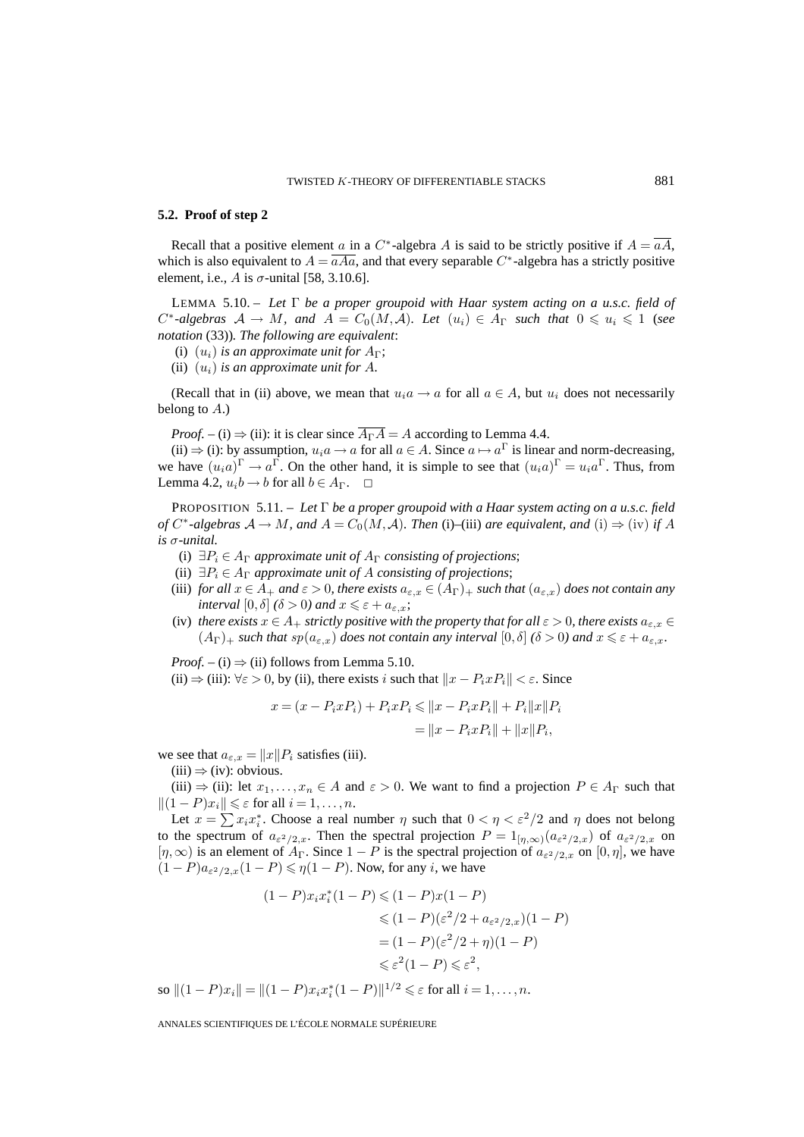#### **5.2. Proof of step 2**

Recall that a positive element a in a C<sup>∗</sup>-algebra A is said to be strictly positive if  $A = \overline{aA}$ , which is also equivalent to  $A = \overline{aAa}$ , and that every separable C<sup>∗</sup>-algebra has a strictly positive element, i.e., A is  $\sigma$ -unital [58, 3.10.6].

LEMMA 5.10. – *Let* Γ *be a proper groupoid with Haar system acting on a u.s.c. field of*  $C^*$ -algebras  $A \to M$ , and  $A = C_0(M, A)$ . Let  $(u_i) \in A_\Gamma$  such that  $0 \leq u_i \leq 1$  (see *notation* (33))*. The following are equivalent*:

- (i)  $(u_i)$  *is an approximate unit for*  $A_{\Gamma}$ ;
- (ii)  $(u_i)$  *is an approximate unit for A.*

(Recall that in (ii) above, we mean that  $u_i a \rightarrow a$  for all  $a \in A$ , but  $u_i$  does not necessarily belong to  $A$ .)

*Proof.* – (i)  $\Rightarrow$  (ii): it is clear since  $\overline{A_{\Gamma}A} = A$  according to Lemma 4.4.

(ii)  $\Rightarrow$  (i): by assumption,  $u_i a \rightarrow a$  for all  $a \in A$ . Since  $a \mapsto a^{\Gamma}$  is linear and norm-decreasing, we have  $(u_i a)^{\Gamma} \to a^{\Gamma}$ . On the other hand, it is simple to see that  $(u_i a)^{\Gamma} = u_i a^{\Gamma}$ . Thus, from Lemma 4.2,  $u_i b \rightarrow b$  for all  $b \in A_{\Gamma}$ .  $\Box$ 

PROPOSITION 5.11. – *Let* Γ *be a proper groupoid with a Haar system acting on a u.s.c. field of*  $C^*$ -algebras  $A \to M$ , and  $A = C_0(M, \mathcal{A})$ . Then (i)–(iii) are equivalent, and (i)  $\Rightarrow$  (iv) if A *is* σ*-unital.*

- (i)  $\exists P_i \in A_\Gamma$  *approximate unit of*  $A_\Gamma$  *consisting of projections*;
- (ii)  $\exists P_i \in A_\Gamma$  *approximate unit of A consisting of projections*;
- (iii) *for all*  $x \in A_+$  *and*  $\varepsilon > 0$ *, there exists*  $a_{\varepsilon,x} \in (A_\Gamma)_+$  *such that*  $(a_{\varepsilon,x})$  *does not contain any interval*  $[0, \delta]$   $(\delta > 0)$  *and*  $x \leq \varepsilon + a_{\varepsilon,x}$ ;
- (iv) *there exists*  $x \in A_+$  *strictly positive with the property that for all*  $\varepsilon > 0$ *, there exists*  $a_{\varepsilon,x} \in$  $(A_{\Gamma})_+$  *such that*  $sp(a_{\varepsilon,x})$  *does not contain any interval*  $[0,\delta]$   $(\delta > 0)$  *and*  $x \leq \varepsilon + a_{\varepsilon,x}$ *.*

*Proof.* – (i)  $\Rightarrow$  (ii) follows from Lemma 5.10.

(ii)  $\Rightarrow$  (iii):  $\forall \varepsilon > 0$ , by (ii), there exists i such that  $||x - P_i x P_i|| < \varepsilon$ . Since

$$
x = (x - P_i x P_i) + P_i x P_i \le ||x - P_i x P_i|| + P_i ||x|| P_i
$$
  
=  $||x - P_i x P_i|| + ||x|| P_i$ ,

we see that  $a_{\varepsilon,x} = ||x|| P_i$  satisfies (iii).

 $(iii) \Rightarrow (iv):$  obvious.

(iii)  $\Rightarrow$  (ii): let  $x_1, \ldots, x_n \in A$  and  $\varepsilon > 0$ . We want to find a projection  $P \in A_\Gamma$  such that  $||(1 - P)x_i|| \leq \varepsilon$  for all  $i = 1, \ldots, n$ .

Let  $x = \sum x_i x_i^*$ . Choose a real number  $\eta$  such that  $0 < \eta < \varepsilon^2/2$  and  $\eta$  does not belong to the spectrum of  $a_{\varepsilon^2/2,x}$ . Then the spectral projection  $P = 1_{[\eta,\infty)}(a_{\varepsilon^2/2,x})$  of  $a_{\varepsilon^2/2,x}$  on  $[\eta,\infty)$  is an element of  $A_{\Gamma}$ . Since  $1-P$  is the spectral projection of  $a_{\varepsilon^2/2,x}$  on  $[0,\eta]$ , we have  $(1 - P)a_{\varepsilon^2/2,x}(1 - P) \leq \eta(1 - P)$ . Now, for any *i*, we have

$$
(1 - P)x_i x_i^* (1 - P) \le (1 - P)x(1 - P)
$$
  
\n
$$
\le (1 - P)(\varepsilon^2/2 + a_{\varepsilon^2/2, x})(1 - P)
$$
  
\n
$$
= (1 - P)(\varepsilon^2/2 + \eta)(1 - P)
$$
  
\n
$$
\le \varepsilon^2 (1 - P) \le \varepsilon^2,
$$

so  $||(1 - P)x_i|| = ||(1 - P)x_i x_i^* (1 - P)||^{1/2} \leq \varepsilon$  for all  $i = 1, ..., n$ .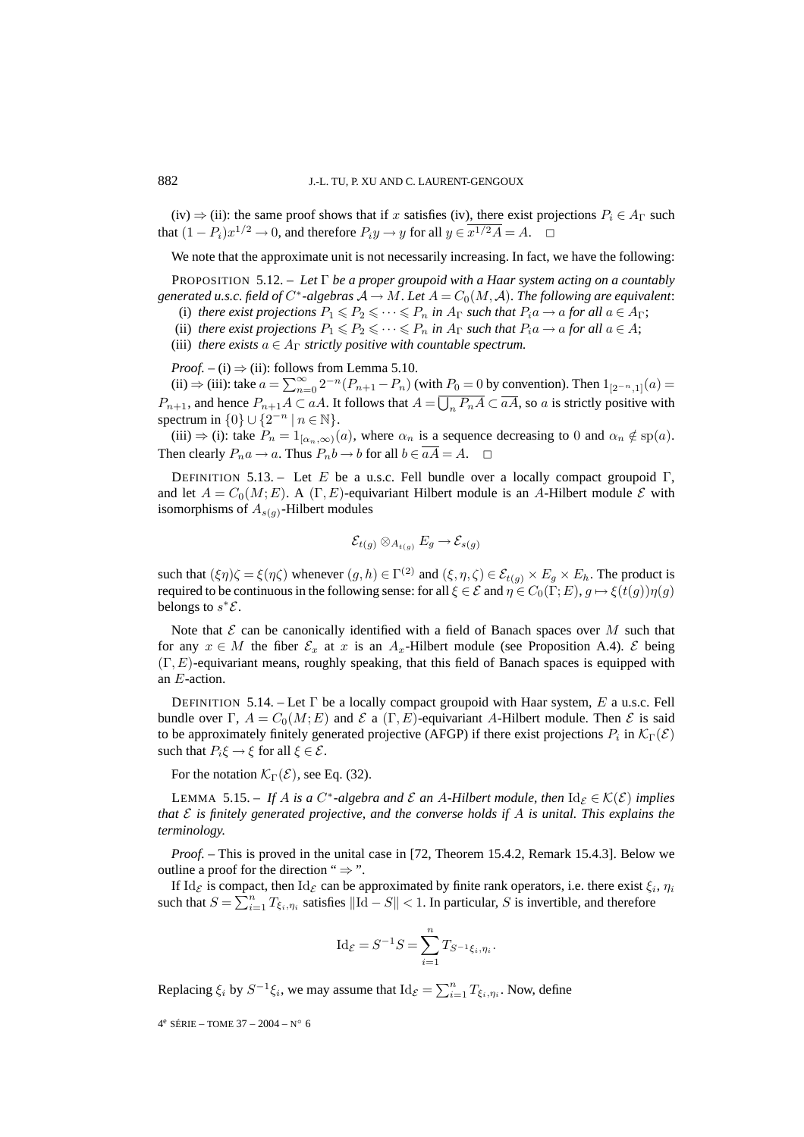(iv)  $\Rightarrow$  (ii): the same proof shows that if x satisfies (iv), there exist projections  $P_i \in A_\Gamma$  such that  $(1 - P_i)x^{1/2} \to 0$ , and therefore  $P_iy \to y$  for all  $y \in \overline{x^{1/2}A} = A$ .

We note that the approximate unit is not necessarily increasing. In fact, we have the following:

PROPOSITION 5.12. – *Let* Γ *be a proper groupoid with a Haar system acting on a countably generated u.s.c. field of*  $C^*$ -algebras  $A \to M$ *. Let*  $A = C_0(M, \mathcal{A})$ *. The following are equivalent:* 

(i) *there exist projections*  $P_1 \leq P_2 \leq \cdots \leq P_n$  *in*  $A_{\Gamma}$  *such that*  $P_i a \rightarrow a$  *for all*  $a \in A_{\Gamma}$ ;

(ii) *there exist projections*  $P_1 \leq P_2 \leq \cdots \leq P_n$  *in*  $A_{\Gamma}$  *such that*  $P_i a \rightarrow a$  *for all*  $a \in A$ ;

(iii) *there exists*  $a \in A_{\Gamma}$  *strictly positive with countable spectrum.* 

*Proof.* – (i)  $\Rightarrow$  (ii): follows from Lemma 5.10.

(ii) ⇒ (iii): take  $a = \sum_{n=0}^{\infty} 2^{-n} (P_{n+1} - P_n)$  (with  $P_0 = 0$  by convention). Then  $1_{[2^{-n},1]}(a) =$  $P_{n+1}$ , and hence  $P_{n+1}A \subset aA$ . It follows that  $A = \overline{\bigcup_n P_n A} \subset \overline{aA}$ , so a is strictly positive with spectrum in  $\{0\} \cup \{2^{-n} | n \in \mathbb{N}\}.$ 

(iii)  $\Rightarrow$  (i): take  $P_n = 1_{[\alpha_n,\infty)}(a)$ , where  $\alpha_n$  is a sequence decreasing to 0 and  $\alpha_n \notin sp(a)$ . Then clearly  $P_n a \to a$ . Thus  $P_n b \to b$  for all  $b \in \overline{aA} = A$ .  $\Box$ 

DEFINITION 5.13. – Let E be a u.s.c. Fell bundle over a locally compact groupoid  $\Gamma$ , and let  $A = C_0(M; E)$ . A (Γ, E)-equivariant Hilbert module is an A-Hilbert module E with isomorphisms of  $A_{s(g)}$ -Hilbert modules

$$
\mathcal{E}_{t(g)} \otimes_{A_{t(g)}} E_g \to \mathcal{E}_{s(g)}
$$

such that  $(\xi \eta) \zeta = \xi(\eta \zeta)$  whenever  $(g, h) \in \Gamma^{(2)}$  and  $(\xi, \eta, \zeta) \in \mathcal{E}_{t(g)} \times E_g \times E_h$ . The product is required to be continuous in the following sense: for all  $\xi \in \mathcal{E}$  and  $\eta \in C_0(\Gamma;E)$ ,  $g \mapsto \xi(t(g))\eta(g)$ belongs to  $s^*\mathcal{E}$ .

Note that  $\mathcal E$  can be canonically identified with a field of Banach spaces over  $M$  such that for any  $x \in M$  the fiber  $\mathcal{E}_x$  at x is an  $A_x$ -Hilbert module (see Proposition A.4).  $\mathcal{E}$  being (Γ, E)-equivariant means, roughly speaking, that this field of Banach spaces is equipped with an E-action.

DEFINITION 5.14. – Let  $\Gamma$  be a locally compact groupoid with Haar system, E a u.s.c. Fell bundle over Γ,  $A = C_0(M; E)$  and  $\mathcal E$  a (Γ, E)-equivariant A-Hilbert module. Then  $\mathcal E$  is said to be approximately finitely generated projective (AFGP) if there exist projections  $P_i$  in  $\mathcal{K}_{\Gamma}(\mathcal{E})$ such that  $P_i \xi \to \xi$  for all  $\xi \in \mathcal{E}$ .

For the notation  $\mathcal{K}_{\Gamma}(\mathcal{E})$ , see Eq. (32).

LEMMA 5.15. – If A is a  $C^*$ -algebra and  $\mathcal E$  an A-Hilbert module, then  $\mathrm{Id}_{\mathcal E} \in \mathcal K(\mathcal E)$  implies *that* E *is finitely generated projective, and the converse holds if* A *is unital. This explains the terminology.*

*Proof. –* This is proved in the unital case in [72, Theorem 15.4.2, Remark 15.4.3]. Below we outline a proof for the direction " $\Rightarrow$ ".

If Id<sub>E</sub> is compact, then Id<sub>E</sub> can be approximated by finite rank operators, i.e. there exist  $\xi_i$ ,  $\eta_i$ such that  $S = \sum_{i=1}^{n} T_{\xi_i, \eta_i}$  satisfies  $\|\text{Id} - S\| < 1$ . In particular, S is invertible, and therefore

$$
Id_{\mathcal{E}} = S^{-1}S = \sum_{i=1}^{n} T_{S^{-1}\xi_i, \eta_i}.
$$

Replacing  $\xi_i$  by  $S^{-1}\xi_i$ , we may assume that  $\text{Id}_{\mathcal{E}} = \sum_{i=1}^n T_{\xi_i, \eta_i}$ . Now, define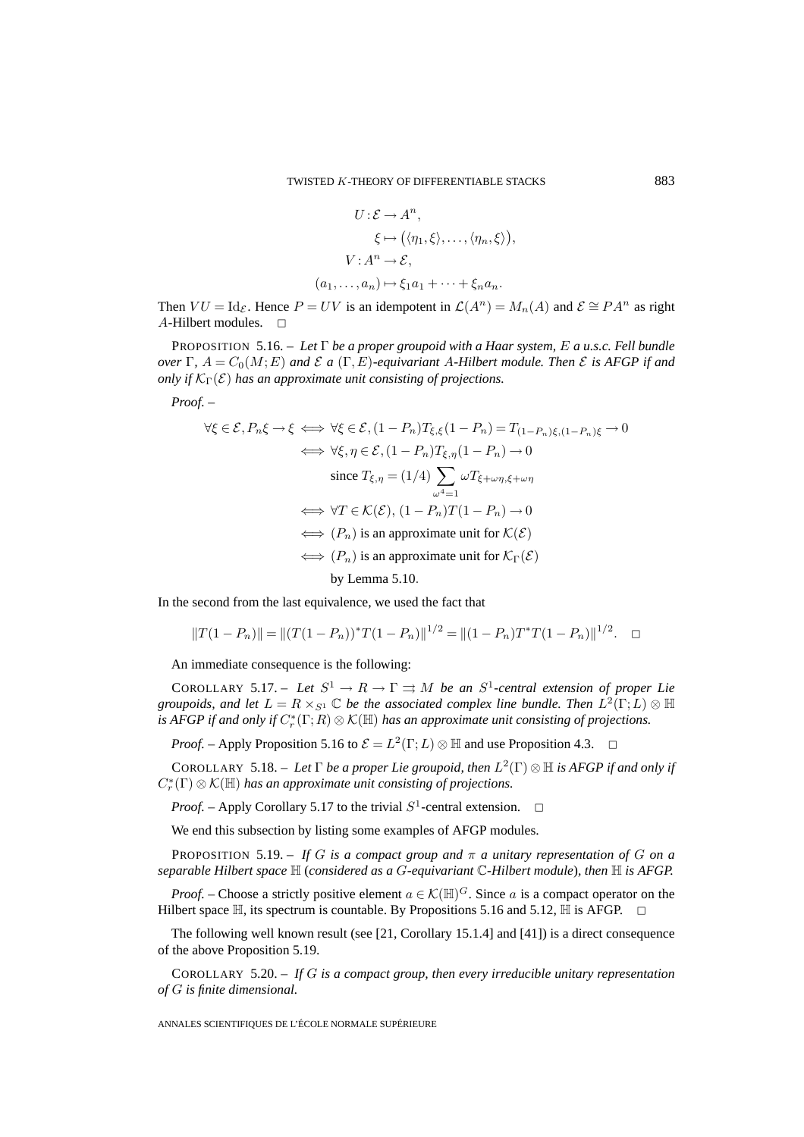$$
U: \mathcal{E} \to A^n,
$$
  
\n
$$
\xi \mapsto (\langle \eta_1, \xi \rangle, \dots, \langle \eta_n, \xi \rangle),
$$
  
\n
$$
V: A^n \to \mathcal{E},
$$
  
\n
$$
(a_1, \dots, a_n) \mapsto \xi_1 a_1 + \dots + \xi_n a_n.
$$

Then  $VU = \text{Id}_{\mathcal{E}}$ . Hence  $P = UV$  is an idempotent in  $\mathcal{L}(A^n) = M_n(A)$  and  $\mathcal{E} \cong PA^n$  as right A-Hilbert modules.  $\Box$ 

PROPOSITION 5.16. – *Let* Γ *be a proper groupoid with a Haar system,* E *a u.s.c. Fell bundle over*  $\Gamma$ ,  $A = C_0(M; E)$  *and*  $\mathcal{E}$  *a* ( $\Gamma$ ,  $E$ )*-equivariant* A-Hilbert module. Then  $\mathcal{E}$  *is AFGP if and only if*  $K_{\Gamma}(\mathcal{E})$  *has an approximate unit consisting of projections.* 

*Proof. –*

$$
\forall \xi \in \mathcal{E}, P_n \xi \to \xi \iff \forall \xi \in \mathcal{E}, (1 - P_n)T_{\xi, \xi}(1 - P_n) = T_{(1 - P_n)\xi, (1 - P_n)\xi} \to 0
$$
  

$$
\iff \forall \xi, \eta \in \mathcal{E}, (1 - P_n)T_{\xi, \eta}(1 - P_n) \to 0
$$
  
since  $T_{\xi, \eta} = (1/4) \sum_{\omega^4 = 1} \omega T_{\xi + \omega \eta, \xi + \omega \eta}$   

$$
\iff \forall T \in \mathcal{K}(\mathcal{E}), (1 - P_n)T(1 - P_n) \to 0
$$
  

$$
\iff (P_n) \text{ is an approximate unit for } \mathcal{K}(\mathcal{E})
$$
  

$$
\iff (P_n) \text{ is an approximate unit for } \mathcal{K}_{\Gamma}(\mathcal{E})
$$
  
by Lemma 5.10.

In the second from the last equivalence, we used the fact that

$$
||T(1 - P_n)|| = ||(T(1 - P_n))^*T(1 - P_n)||^{1/2} = ||(1 - P_n)T^*T(1 - P_n)||^{1/2}.
$$

An immediate consequence is the following:

COROLLARY 5.17. – Let  $S^1 \to R \to \Gamma \rightrightarrows M$  be an  $S^1$ -central extension of proper Lie *groupoids, and let*  $L = R \times_{S^1} \mathbb{C}$  *be the associated complex line bundle. Then*  $L^2(\Gamma;L) \otimes \mathbb{H}$ is AFGP if and only if  $C_r^*(\Gamma;R)\otimes \mathcal K(\mathbb H)$  has an approximate unit consisting of projections.

*Proof.* – Apply Proposition 5.16 to  $\mathcal{E} = L^2(\Gamma; L) \otimes \mathbb{H}$  and use Proposition 4.3.  $\Box$ 

COROLLARY 5.18. – Let  $\Gamma$  be a proper Lie groupoid, then  $L^2(\Gamma) \otimes \mathbb{H}$  is AFGP if and only if  $C_r^*(\Gamma) \otimes \mathcal{K}(\mathbb{H})$  has an approximate unit consisting of projections.

*Proof.* – Apply Corollary 5.17 to the trivial  $S^1$ -central extension.  $\Box$ 

We end this subsection by listing some examples of AFGP modules.

PROPOSITION 5.19. – *If* G *is a compact group and*  $\pi$  *a unitary representation of* G *on a separable Hilbert space* H (*considered as a* G*-equivariant* C*-Hilbert module*)*, then* H *is AFGP.*

*Proof.* – Choose a strictly positive element  $a \in \mathcal{K}(\mathbb{H})^G$ . Since a is a compact operator on the Hilbert space  $\mathbb{H}$ , its spectrum is countable. By Propositions 5.16 and 5.12,  $\mathbb{H}$  is AFGP.

The following well known result (see [21, Corollary 15.1.4] and [41]) is a direct consequence of the above Proposition 5.19.

COROLLARY 5.20. – *If* G *is a compact group, then every irreducible unitary representation of* G *is finite dimensional.*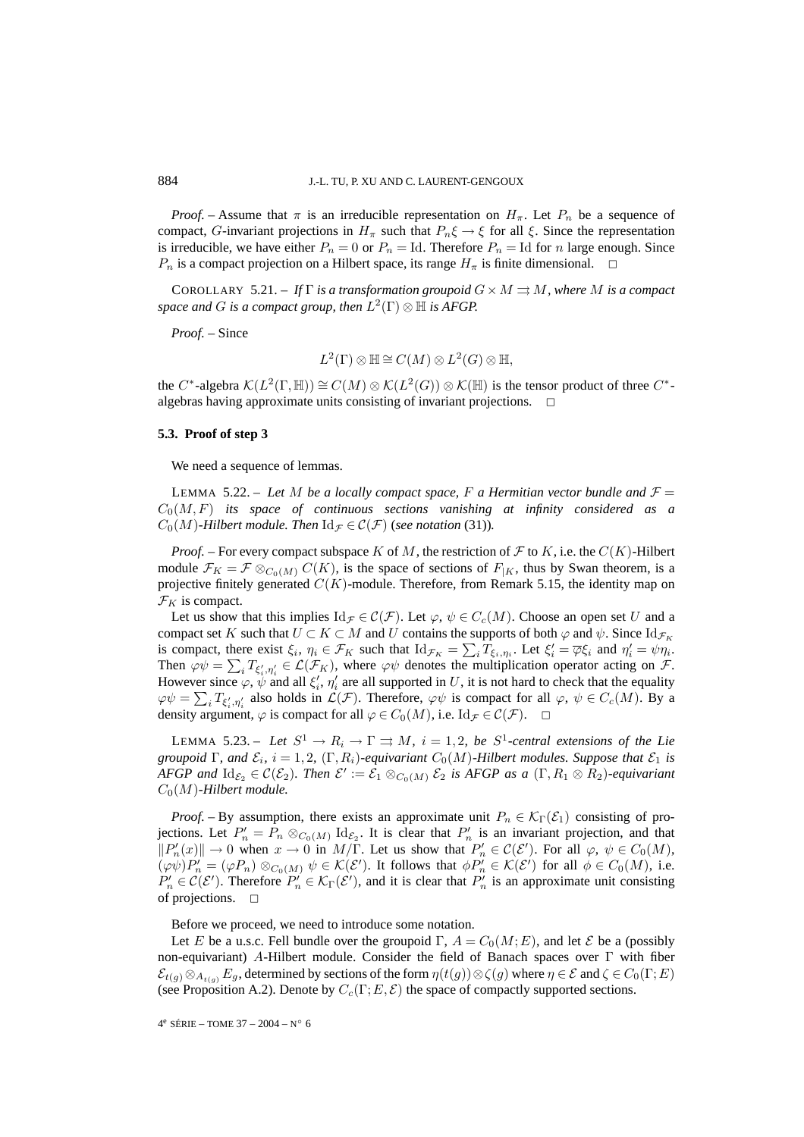*Proof.* – Assume that  $\pi$  is an irreducible representation on  $H_{\pi}$ . Let  $P_n$  be a sequence of compact, G-invariant projections in  $H_{\pi}$  such that  $P_n \xi \to \xi$  for all  $\xi$ . Since the representation is irreducible, we have either  $P_n = 0$  or  $P_n = \text{Id}$ . Therefore  $P_n = \text{Id}$  for n large enough. Since  $P_n$  is a compact projection on a Hilbert space, its range  $H_{\pi}$  is finite dimensional.

COROLLARY 5.21. – If  $\Gamma$  *is a transformation groupoid*  $G \times M \rightrightarrows M$ *, where* M *is a compact space and G is a compact group, then*  $L^2(\Gamma) \otimes \mathbb{H}$  *is AFGP.* 

*Proof. –* Since

$$
L^2(\Gamma)\otimes \mathbb{H}\cong C(M)\otimes L^2(G)\otimes \mathbb{H},
$$

the C<sup>∗</sup>-algebra  $\mathcal{K}(L^2(\Gamma, \mathbb{H})) \cong C(M) \otimes \mathcal{K}(L^2(G)) \otimes \mathcal{K}(\mathbb{H})$  is the tensor product of three C<sup>\*</sup>algebras having approximate units consisting of invariant projections.  $\Box$ 

### **5.3. Proof of step 3**

We need a sequence of lemmas.

LEMMA 5.22. – Let M be a locally compact space, F a Hermitian vector bundle and  $\mathcal{F} =$  $C_0(M, F)$  *its space of continuous sections vanishing at infinity considered as a*  $C_0(M)$ -Hilbert module. Then  $\mathrm{Id}_{\mathcal{F}} \in \mathcal{C}(\mathcal{F})$  (*see notation* (31)).

*Proof.* – For every compact subspace K of M, the restriction of F to K, i.e. the  $C(K)$ -Hilbert module  $\mathcal{F}_K = \mathcal{F} \otimes_{C_0(M)} C(K)$ , is the space of sections of  $F_{|K}$ , thus by Swan theorem, is a projective finitely generated  $C(K)$ -module. Therefore, from Remark 5.15, the identity map on  $\mathcal{F}_K$  is compact.

Let us show that this implies  $\mathrm{Id}_{\mathcal{F}} \in \mathcal{C}(\mathcal{F})$ . Let  $\varphi, \psi \in C_c(M)$ . Choose an open set U and a compact set K such that  $U \subset K \subset M$  and U contains the supports of both  $\varphi$  and  $\psi$ . Since  $\mathrm{Id}_{\mathcal{F}_K}$ is compact, there exist  $\xi_i$ ,  $\eta_i \in \mathcal{F}_K$  such that  $\mathrm{Id}_{\mathcal{F}_K} = \sum_i T_{\xi_i, \eta_i}$ . Let  $\xi'_i = \overline{\varphi} \xi_i$  and  $\eta'_i = \psi \eta_i$ . Then  $\varphi \psi = \sum_i T_{\xi'_i, \eta'_i} \in \mathcal{L}(\mathcal{F}_K)$ , where  $\varphi \psi$  denotes the multiplication operator acting on  $\mathcal{F}$ . However since  $\varphi$ ,  $\psi$  and all  $\xi'_i$ ,  $\eta'_i$  are all supported in U, it is not hard to check that the equality  $\varphi \psi = \sum_i T_{\xi'_i, \eta'_i}$  also holds in  $\mathcal{L}(\mathcal{F})$ . Therefore,  $\varphi \psi$  is compact for all  $\varphi, \psi \in C_c(M)$ . By a density argument,  $\varphi$  is compact for all  $\varphi \in C_0(M)$ , i.e. Id  $\tau \in \mathcal{C}(\mathcal{F})$ .  $\Box$ 

LEMMA 5.23. – Let  $S^1 \to R_i \to \Gamma \rightrightarrows M$ ,  $i = 1, 2$ , be  $S^1$ -central extensions of the Lie *groupoid*  $\Gamma$ *, and*  $\mathcal{E}_i$ *, i* = 1, 2*,* ( $\Gamma$ *, R<sub>i</sub>*)*-equivariant*  $C_0(M)$ *-Hilbert modules. Suppose that*  $\mathcal{E}_1$  *is AFGP* and  $\text{Id}_{\mathcal{E}_2} \in \mathcal{C}(\mathcal{E}_2)$ . Then  $\mathcal{E}' := \mathcal{E}_1 \otimes_{C_0(M)} \mathcal{E}_2$  is AFGP as a  $(\Gamma, R_1 \otimes R_2)$ -equivariant  $C_0(M)$ -Hilbert module.

*Proof.* – By assumption, there exists an approximate unit  $P_n \in \mathcal{K}_{\Gamma}(\mathcal{E}_1)$  consisting of projections. Let  $P'_n = P_n \otimes_{C_0(M)} \text{Id}_{\mathcal{E}_2}$ . It is clear that  $P'_n$  is an invariant projection, and that  $||P'_n(x)|| \to 0$  when  $x \to 0$  in  $M/\Gamma$ . Let us show that  $P'_n \in C(\mathcal{E}')$ . For all  $\varphi, \psi \in C_0(M)$ ,  $(\varphi\psi)P'_n = (\varphi P_n) \otimes_{C_0(M)} \psi \in \mathcal{K}(\mathcal{E}').$  It follows that  $\phi P'_n \in \mathcal{K}(\mathcal{E}')]$  for all  $\phi \in C_0(M)$ , i.e.  $P'_n \in C(\mathcal{E}')$ . Therefore  $P'_n \in \mathcal{K}_{\Gamma}(\mathcal{E}')$ , and it is clear that  $P'_n$  is an approximate unit consisting of projections.  $\Box$ 

Before we proceed, we need to introduce some notation.

Let E be a u.s.c. Fell bundle over the groupoid  $\Gamma$ ,  $A = C_0(M; E)$ , and let E be a (possibly non-equivariant) A-Hilbert module. Consider the field of Banach spaces over Γ with fiber  $\mathcal{E}_{t(q)} \otimes_{A_{t(q)}} E_q$ , determined by sections of the form  $\eta(t(q)) \otimes \zeta(q)$  where  $\eta \in \mathcal{E}$  and  $\zeta \in C_0(\Gamma;E)$ (see Proposition A.2). Denote by  $C_c(\Gamma; E, \mathcal{E})$  the space of compactly supported sections.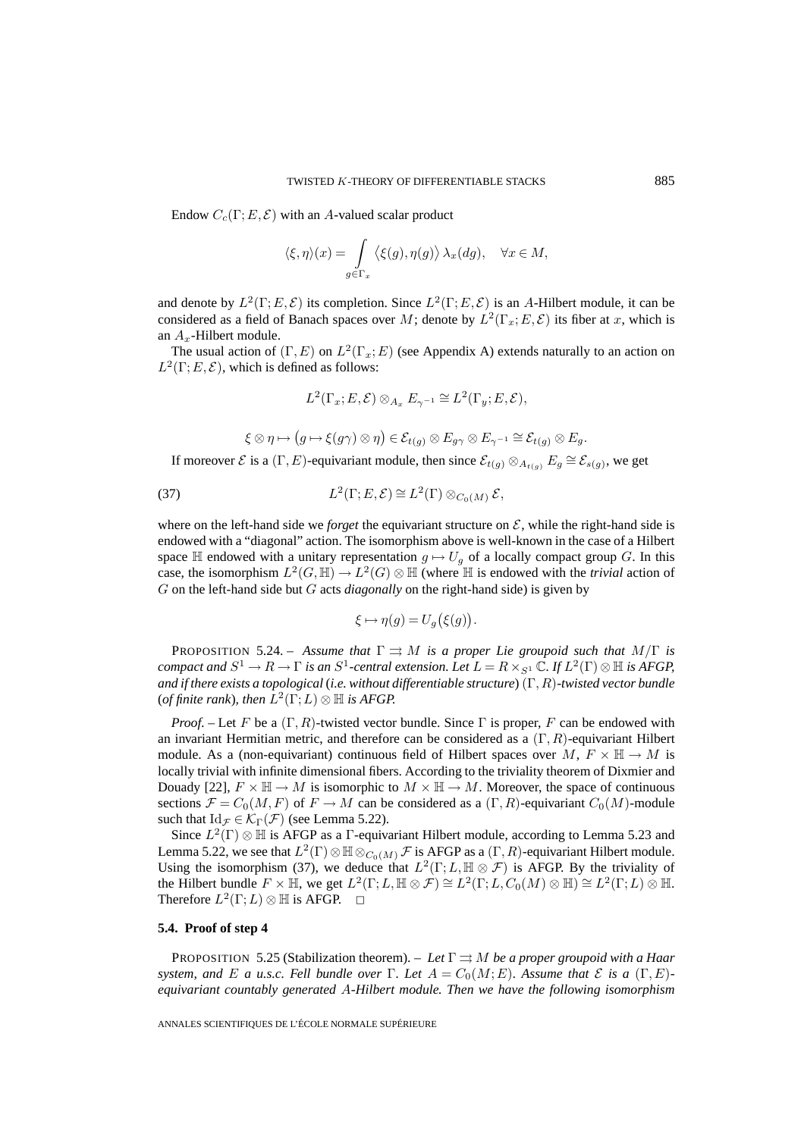Endow  $C_c(\Gamma; E, \mathcal{E})$  with an A-valued scalar product

$$
\langle \xi, \eta \rangle (x) = \int\limits_{g \in \Gamma_x} \langle \xi(g), \eta(g) \rangle \, \lambda_x(dg), \quad \forall x \in M,
$$

and denote by  $L^2(\Gamma; E, \mathcal{E})$  its completion. Since  $L^2(\Gamma; E, \mathcal{E})$  is an A-Hilbert module, it can be considered as a field of Banach spaces over M; denote by  $L^2(\Gamma_x; E, \mathcal{E})$  its fiber at x, which is an  $A_x$ -Hilbert module.

The usual action of  $(\Gamma, E)$  on  $L^2(\Gamma_x; E)$  (see Appendix A) extends naturally to an action on  $L^2(\Gamma; E, \mathcal{E})$ , which is defined as follows:

$$
L^2(\Gamma_x; E, \mathcal{E}) \otimes_{A_x} E_{\gamma^{-1}} \cong L^2(\Gamma_y; E, \mathcal{E}),
$$

$$
\xi \otimes \eta \mapsto (g \mapsto \xi(g\gamma) \otimes \eta) \in \mathcal{E}_{t(g)} \otimes E_{g\gamma} \otimes E_{\gamma^{-1}} \cong \mathcal{E}_{t(g)} \otimes E_g.
$$

If moreover *E* is a (Γ, E)-equivariant module, then since  $\mathcal{E}_{t(q)} \otimes_{A_{t(q)}} E_g \cong \mathcal{E}_{s(q)}$ , we get

(37) 
$$
L^2(\Gamma; E, \mathcal{E}) \cong L^2(\Gamma) \otimes_{C_0(M)} \mathcal{E},
$$

where on the left-hand side we *forget* the equivariant structure on  $\mathcal{E}$ , while the right-hand side is endowed with a "diagonal" action. The isomorphism above is well-known in the case of a Hilbert space H endowed with a unitary representation  $g \mapsto U_g$  of a locally compact group G. In this case, the isomorphism  $L^2(G,\mathbb{H}) \to L^2(G) \otimes \mathbb{H}$  (where  $\mathbb H$  is endowed with the *trivial* action of G on the left-hand side but G acts *diagonally* on the right-hand side) is given by

$$
\xi \mapsto \eta(g) = U_g(\xi(g)).
$$

**PROPOSITION 5.24.** – *Assume that*  $\Gamma \rightrightarrows M$  *is a proper Lie groupoid such that*  $M/\Gamma$  *is compact and*  $S^1 \to R \to \Gamma$  *is an*  $S^1$ -central extension. Let  $L = R \times_{S^1} \mathbb{C}$ . If  $L^2(\Gamma) \otimes \mathbb{H}$  *is AFGP, and if there exists a topological* (*i.e. without differentiable structure*) (Γ, R)*-twisted vector bundle* (*of finite rank*)*, then*  $L^2(\Gamma;L) \otimes \mathbb{H}$  *is AFGP.* 

*Proof.* – Let F be a  $(\Gamma, R)$ -twisted vector bundle. Since  $\Gamma$  is proper, F can be endowed with an invariant Hermitian metric, and therefore can be considered as a  $(\Gamma, R)$ -equivariant Hilbert module. As a (non-equivariant) continuous field of Hilbert spaces over  $M, F \times \mathbb{H} \to M$  is locally trivial with infinite dimensional fibers. According to the triviality theorem of Dixmier and Douady [22],  $F \times \mathbb{H} \to M$  is isomorphic to  $M \times \mathbb{H} \to M$ . Moreover, the space of continuous sections  $\mathcal{F} = C_0(M, F)$  of  $F \to M$  can be considered as a  $(\Gamma, R)$ -equivariant  $C_0(M)$ -module such that  $\mathrm{Id}_{\mathcal{F}} \in \mathcal{K}_{\Gamma}(\mathcal{F})$  (see Lemma 5.22).

Since  $L^2(\Gamma) \otimes \mathbb{H}$  is AFGP as a  $\Gamma$ -equivariant Hilbert module, according to Lemma 5.23 and Lemma 5.22, we see that  $L^2(\Gamma)\otimes \mathbb{H}\otimes_{C_0(M)}\mathcal{F}$  is AFGP as a  $(\Gamma, R)$ -equivariant Hilbert module. Using the isomorphism (37), we deduce that  $L^2(\Gamma;L,\mathbb{H}\otimes\mathcal{F})$  is AFGP. By the triviality of the Hilbert bundle  $F \times \mathbb{H}$ , we get  $L^2(\Gamma; L, \mathbb{H} \otimes \mathcal{F}) \cong L^2(\Gamma; L, C_0(M) \otimes \mathbb{H}) \cong L^2(\Gamma; L) \otimes \mathbb{H}$ . Therefore  $L^2(\Gamma;L) \otimes \mathbb{H}$  is AFGP.  $\Box$ 

#### **5.4. Proof of step 4**

PROPOSITION 5.25 (Stabilization theorem). – Let  $\Gamma \rightrightarrows M$  be a proper groupoid with a Haar *system, and* E *a u.s.c. Fell bundle over*  $\Gamma$ *. Let*  $A = C_0(M; E)$ *. Assume that*  $\mathcal E$  *is a*  $(\Gamma, E)$ *equivariant countably generated* A*-Hilbert module. Then we have the following isomorphism*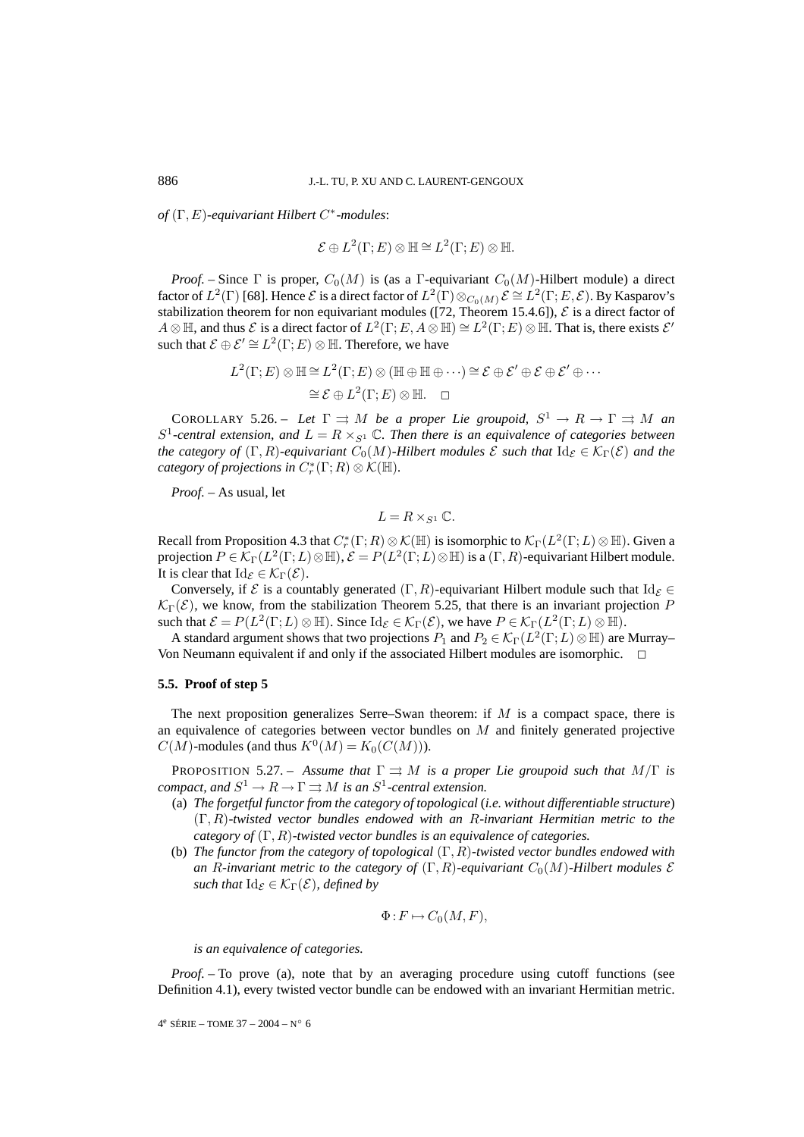*of* (Γ, E)*-equivariant Hilbert* C∗*-modules*:

$$
\mathcal{E} \oplus L^2(\Gamma; E) \otimes \mathbb{H} \cong L^2(\Gamma; E) \otimes \mathbb{H}.
$$

*Proof.* – Since  $\Gamma$  is proper,  $C_0(M)$  is (as a  $\Gamma$ -equivariant  $C_0(M)$ -Hilbert module) a direct factor of  $L^2(\Gamma)$  [68]. Hence  $\mathcal E$  is a direct factor of  $L^2(\Gamma)\otimes_{C_0(M)}\mathcal E\cong L^2(\Gamma;E,\mathcal E)$ . By Kasparov's stabilization theorem for non equivariant modules ([72, Theorem 15.4.6]),  $\mathcal E$  is a direct factor of  $A \otimes \mathbb{H}$ , and thus  $\mathcal E$  is a direct factor of  $L^2(\Gamma; E, A \otimes \mathbb{H}) \cong L^2(\Gamma; E) \otimes \mathbb{H}$ . That is, there exists  $\mathcal E'$ such that  $\mathcal{E} \oplus \mathcal{E}' \cong L^2(\Gamma; E) \otimes \mathbb{H}$ . Therefore, we have

$$
L^2(\Gamma; E) \otimes \mathbb{H} \cong L^2(\Gamma; E) \otimes (\mathbb{H} \oplus \mathbb{H} \oplus \cdots) \cong \mathcal{E} \oplus \mathcal{E}' \oplus \mathcal{E} \oplus \mathcal{E}' \oplus \cdots
$$

$$
\cong \mathcal{E} \oplus L^2(\Gamma; E) \otimes \mathbb{H}. \quad \Box
$$

COROLLARY 5.26. – *Let*  $\Gamma \rightrightarrows M$  *be a proper Lie groupoid,*  $S^1 \to R \to \Gamma \rightrightarrows M$  *an*  $S^1$ -central extension, and  $L = R \times_{S^1} \mathbb{C}$ . Then there is an equivalence of categories between *the category of*  $(\Gamma, R)$ *-equivariant*  $C_0(M)$ *-Hilbert modules*  $\mathcal E$  *such that*  $\mathrm{Id}_{\mathcal E} \in \mathcal K_\Gamma(\mathcal E)$  *and the category of projections in*  $C_r^*(\Gamma;R) \otimes \mathcal{K}(\mathbb{H})$ *.* 

*Proof. –* As usual, let

$$
L=R\times_{S^1}\mathbb{C}.
$$

Recall from Proposition 4.3 that  $C_r^*(\Gamma;R)\otimes \mathcal K(\mathbb H)$  is isomorphic to  $\mathcal K_\Gamma(L^2(\Gamma;L)\otimes \mathbb H)$ . Given a projection  $P \in \mathcal{K}_{\Gamma}(L^2(\Gamma;L)\otimes\mathbb{H})$ ,  $\mathcal{E} = P(L^2(\Gamma;L)\otimes\mathbb{H})$  is a  $(\Gamma, R)$ -equivariant Hilbert module. It is clear that  $\mathrm{Id}_{\mathcal{E}} \in \mathcal{K}_{\Gamma}(\mathcal{E})$ .

Conversely, if  $\mathcal E$  is a countably generated  $(\Gamma, R)$ -equivariant Hilbert module such that  $\mathrm{Id}_{\mathcal E} \in$  $\mathcal{K}_{\Gamma}(\mathcal{E})$ , we know, from the stabilization Theorem 5.25, that there is an invariant projection P such that  $\mathcal{E} = P(L^2(\Gamma; L) \otimes \mathbb{H})$ . Since  $\mathrm{Id}_{\mathcal{E}} \in \mathcal{K}_{\Gamma}(\mathcal{E})$ , we have  $P \in \mathcal{K}_{\Gamma}(L^2(\Gamma; L) \otimes \mathbb{H})$ .

A standard argument shows that two projections  $P_1$  and  $P_2 \in \mathcal{K}_{\Gamma}(L^2(\Gamma;L) \otimes \mathbb{H})$  are Murray– Von Neumann equivalent if and only if the associated Hilbert modules are isomorphic.  $\Box$ 

### **5.5. Proof of step 5**

The next proposition generalizes Serre–Swan theorem: if  $M$  is a compact space, there is an equivalence of categories between vector bundles on M and finitely generated projective  $C(M)$ -modules (and thus  $K^0(M) = K_0(C(M))$ ).

**PROPOSITION 5.27.** – *Assume that*  $\Gamma \rightrightarrows M$  *is a proper Lie groupoid such that*  $M/\Gamma$  *is compact, and*  $S^1 \to R \to \Gamma \rightrightarrows M$  *is an*  $S^1$ -central extension.

- (a) *The forgetful functor from the category of topological* (*i.e. without differentiable structure*) (Γ, R)*-twisted vector bundles endowed with an* R*-invariant Hermitian metric to the category of* (Γ, R)*-twisted vector bundles is an equivalence of categories.*
- (b) *The functor from the category of topological* (Γ, R)*-twisted vector bundles endowed with an* R-invariant metric to the category of  $(\Gamma, R)$ -equivariant  $C_0(M)$ -Hilbert modules  $\mathcal E$ *such that*  $\mathrm{Id}_{\mathcal{E}} \in \mathcal{K}_{\Gamma}(\mathcal{E})$ *, defined by*

$$
\Phi: F \mapsto C_0(M, F),
$$

*is an equivalence of categories.*

*Proof.* – To prove (a), note that by an averaging procedure using cutoff functions (see Definition 4.1), every twisted vector bundle can be endowed with an invariant Hermitian metric.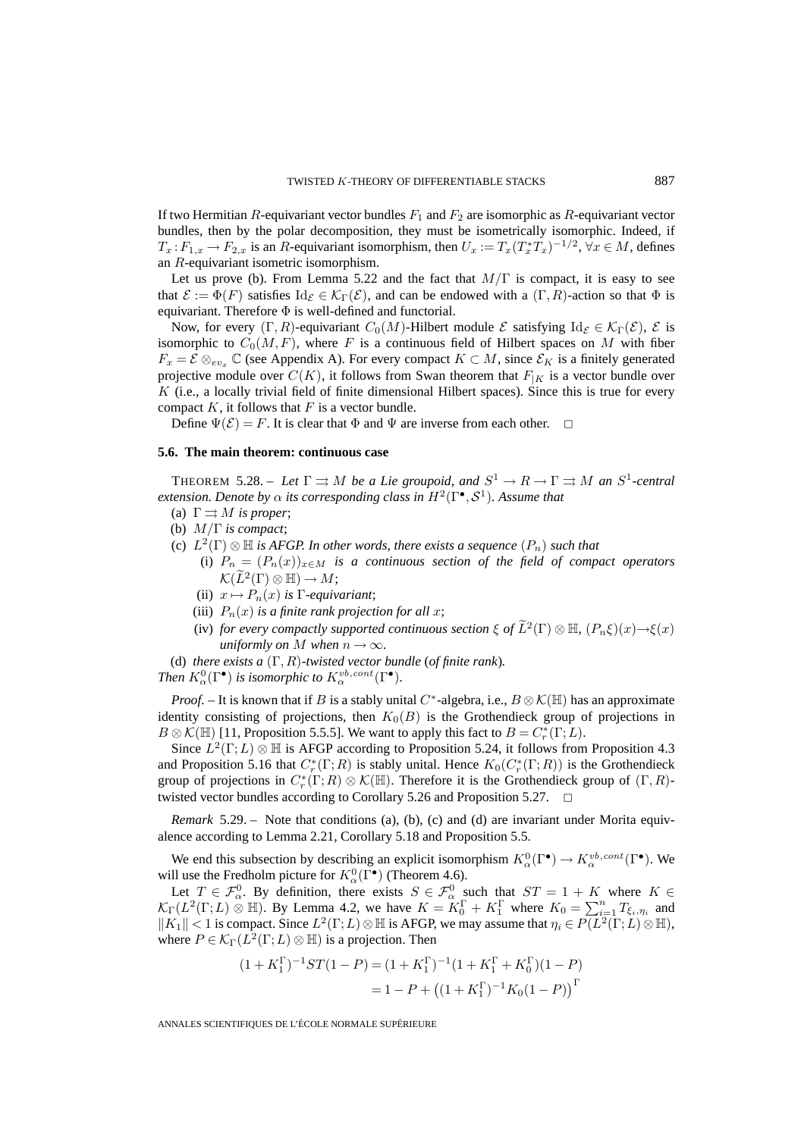If two Hermitian R-equivariant vector bundles  $F_1$  and  $F_2$  are isomorphic as R-equivariant vector bundles, then by the polar decomposition, they must be isometrically isomorphic. Indeed, if  $T_x: F_{1,x} \to F_{2,x}$  is an R-equivariant isomorphism, then  $U_x := T_x(T_x^*T_x)^{-1/2}$ ,  $\forall x \in M$ , defines an R-equivariant isometric isomorphism.

Let us prove (b). From Lemma 5.22 and the fact that  $M/\Gamma$  is compact, it is easy to see that  $\mathcal{E} := \Phi(F)$  satisfies  $\mathrm{Id}_{\mathcal{E}} \in \mathcal{K}_{\Gamma}(\mathcal{E})$ , and can be endowed with a  $(\Gamma, R)$ -action so that  $\Phi$  is equivariant. Therefore  $\Phi$  is well-defined and functorial.

Now, for every  $(\Gamma, R)$ -equivariant  $C_0(M)$ -Hilbert module  $\mathcal E$  satisfying  $\mathrm{Id}_{\mathcal E} \in \mathcal K_{\Gamma}(\mathcal E)$ ,  $\mathcal E$  is isomorphic to  $C_0(M, F)$ , where F is a continuous field of Hilbert spaces on M with fiber  $F_x = \mathcal{E} \otimes_{ev_x} \mathbb{C}$  (see Appendix A). For every compact  $K \subset M$ , since  $\mathcal{E}_K$  is a finitely generated projective module over  $C(K)$ , it follows from Swan theorem that  $F_{|K}$  is a vector bundle over K (i.e., a locally trivial field of finite dimensional Hilbert spaces). Since this is true for every compact  $K$ , it follows that  $F$  is a vector bundle.

Define  $\Psi(\mathcal{E}) = F$ . It is clear that  $\Phi$  and  $\Psi$  are inverse from each other.  $\Box$ 

### **5.6. The main theorem: continuous case**

THEOREM 5.28. – Let  $\Gamma \rightrightarrows M$  be a Lie groupoid, and  $S^1 \to R \to \Gamma \rightrightarrows M$  an  $S^1$ -central *extension. Denote by*  $\alpha$  *its corresponding class in*  $H^2(\Gamma^{\bullet}, \mathcal{S}^1)$ *. Assume that* 

- (a)  $\Gamma \rightrightarrows M$  *is proper*;
- (b) M/Γ *is compact*;
- (c)  $L^2(\Gamma) \otimes \mathbb{H}$  *is AFGP. In other words, there exists a sequence*  $(P_n)$  *such that* 
	- (i)  $P_n = (P_n(x))_{x \in M}$  *is a continuous section of the field of compact operators*  $\mathcal{K}(\widetilde{L}^2(\Gamma)\otimes \mathbb{H})\to M;$
	- (ii)  $x \mapsto P_n(x)$  *is* Γ*-equivariant*;
	- (iii)  $P_n(x)$  *is a finite rank projection for all x*;
	- (iv) *for every compactly supported continuous section*  $\xi$  *of*  $\tilde{L}^2(\Gamma) \otimes \mathbb{H}$ ,  $(P_n\xi)(x) \rightarrow \xi(x)$ *uniformly on M* when  $n \to \infty$ *.*

(d) *there exists a* (Γ, R)*-twisted vector bundle* (*of finite rank*)*.*

*Then*  $K_{\alpha}^{0}(\Gamma^{\bullet})$  *is isomorphic to*  $K_{\alpha}^{vb, cont}(\Gamma^{\bullet})$ *.* 

*Proof.* – It is known that if B is a stably unital C<sup>∗</sup>-algebra, i.e.,  $B \otimes \mathcal{K}(\mathbb{H})$  has an approximate identity consisting of projections, then  $K_0(B)$  is the Grothendieck group of projections in  $B \otimes \mathcal{K}(\mathbb{H})$  [11, Proposition 5.5.5]. We want to apply this fact to  $B = C_r^*(\Gamma; L)$ .

Since  $L^2(\Gamma;L) \otimes \mathbb{H}$  is AFGP according to Proposition 5.24, it follows from Proposition 4.3 and Proposition 5.16 that  $C_r^*(\Gamma;R)$  is stably unital. Hence  $K_0(C_r^*(\Gamma;R))$  is the Grothendieck group of projections in  $C_r^*(\Gamma;R)\otimes \mathcal K(\mathbb H)$ . Therefore it is the Grothendieck group of  $(\Gamma,R)$ twisted vector bundles according to Corollary 5.26 and Proposition 5.27.  $\Box$ 

*Remark* 5.29. – Note that conditions (a), (b), (c) and (d) are invariant under Morita equivalence according to Lemma 2.21, Corollary 5.18 and Proposition 5.5.

We end this subsection by describing an explicit isomorphism  $K^0_\alpha(\Gamma^{\bullet}) \to K^{vb, cont}_{\alpha}(\Gamma^{\bullet})$ . We will use the Fredholm picture for  $K^0_\alpha(\Gamma^{\bullet})$  (Theorem 4.6).

Let  $T \in \mathcal{F}^0_\alpha$ . By definition, there exists  $S \in \mathcal{F}^0_\alpha$  such that  $ST = 1 + K$  where  $K \in$  $\mathcal{K}_{\Gamma}(L^2(\Gamma;L) \overset{\circ}{\otimes} \mathbb{H})$ . By Lemma 4.2, we have  $K = \overset{\circ}{K}_{0}^{\Gamma} + K_{1}^{\Gamma}$  where  $K_0 = \sum_{i=1}^{n}$  $\sum_{i=1} T_{\xi_i, \eta_i}$  and  $||K_1|| < 1$  is compact. Since  $L^2(\Gamma; L) \otimes \mathbb{H}$  is AFGP, we may assume that  $\eta_i \in P(L^2(\Gamma; L) \otimes \mathbb{H})$ , where  $P \in \mathcal{K}_{\Gamma}(L^2(\Gamma;L) \otimes \mathbb{H})$  is a projection. Then

$$
(1 + K_1^{\Gamma})^{-1}ST(1 - P) = (1 + K_1^{\Gamma})^{-1}(1 + K_1^{\Gamma} + K_0^{\Gamma})(1 - P)
$$
  
= 1 - P + ((1 + K\_1^{\Gamma})^{-1}K\_0(1 - P))<sup>\Gamma</sup>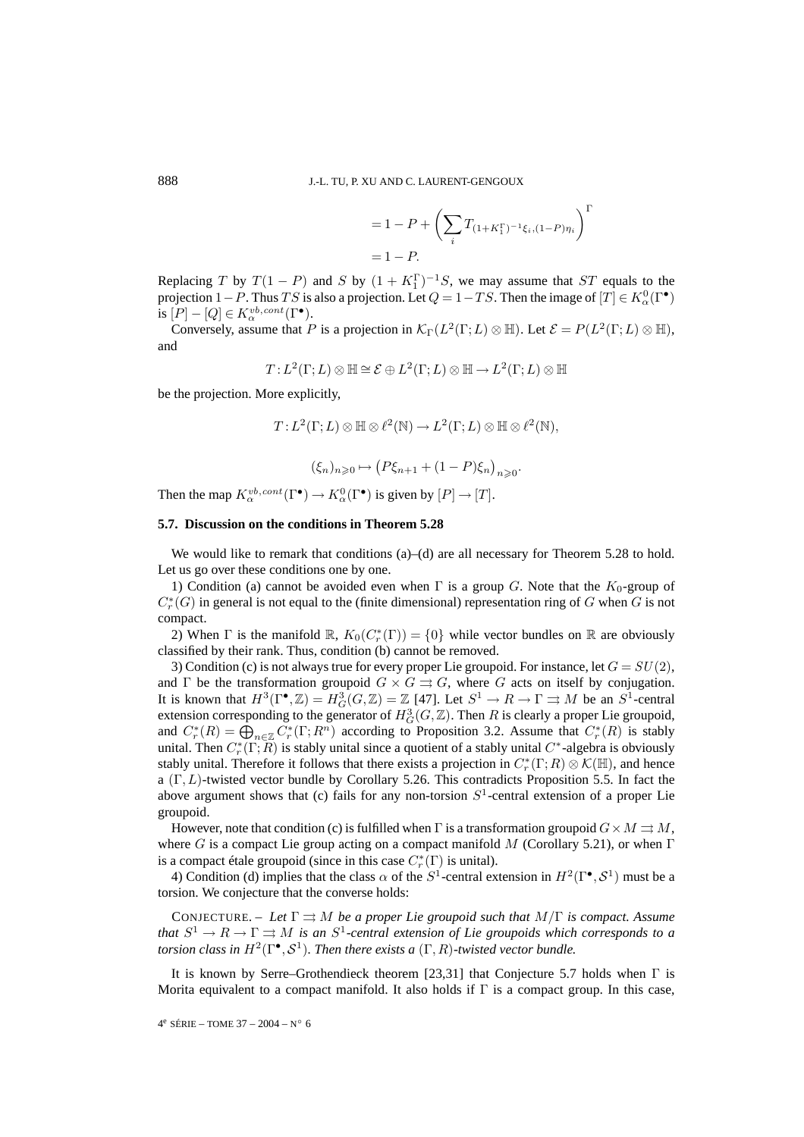$$
= 1 - P + \left(\sum_{i} T_{(1+K_1^{\Gamma})^{-1}\xi_i, (1-P)\eta_i}\right)^{\Gamma}
$$
  
= 1 - P.

Replacing T by  $T(1 - P)$  and S by  $(1 + K_1^{\Gamma})^{-1}S$ , we may assume that ST equals to the projection 1 – P. Thus TS is also a projection. Let  $Q = 1 - TS$ . Then the image of  $[T] \in K^0_\alpha(\Gamma^{\bullet})$ is  $[P] - [Q] \in K_\alpha^{vb, cont}(\Gamma^\bullet).$ 

Conversely, assume that P is a projection in  $\mathcal{K}_{\Gamma}(L^2(\Gamma;L) \otimes \mathbb{H})$ . Let  $\mathcal{E} = P(L^2(\Gamma;L) \otimes \mathbb{H})$ , and

$$
T:L^2(\Gamma;L)\otimes\mathbb{H}\cong\mathcal{E}\oplus L^2(\Gamma;L)\otimes\mathbb{H}\to L^2(\Gamma;L)\otimes\mathbb{H}
$$

be the projection. More explicitly,

$$
T:L^2(\Gamma;L)\otimes\mathbb{H}\otimes \ell^2(\mathbb{N})\to L^2(\Gamma;L)\otimes\mathbb{H}\otimes \ell^2(\mathbb{N}),
$$

 $\left(\xi_n\right)_{n\geqslant 0} \mapsto \left(P\xi_{n+1}+(1-P)\xi_n\right)_{n\geqslant 0}.$ 

Then the map  $K^{vb, cont}_{\alpha}(\Gamma^{\bullet}) \to K^{0}_{\alpha}(\Gamma^{\bullet})$  is given by  $[P] \to [T]$ .

### **5.7. Discussion on the conditions in Theorem 5.28**

We would like to remark that conditions (a)–(d) are all necessary for Theorem 5.28 to hold. Let us go over these conditions one by one.

1) Condition (a) cannot be avoided even when  $\Gamma$  is a group G. Note that the  $K_0$ -group of  $C^*_r(G)$  in general is not equal to the (finite dimensional) representation ring of G when G is not compact.

2) When  $\Gamma$  is the manifold  $\mathbb{R}$ ,  $K_0(C_r^*(\Gamma)) = \{0\}$  while vector bundles on  $\mathbb{R}$  are obviously classified by their rank. Thus, condition (b) cannot be removed.

3) Condition (c) is not always true for every proper Lie groupoid. For instance, let  $G = SU(2)$ , and  $\Gamma$  be the transformation groupoid  $G \times G \rightrightarrows G$ , where G acts on itself by conjugation. It is known that  $H^3(\Gamma^{\bullet}, \mathbb{Z}) = H^3_G(G, \mathbb{Z}) = \mathbb{Z}$  [47]. Let  $S^1 \to R \to \Gamma \rightrightarrows M$  be an  $S^1$ -central extension corresponding to the generator of  $H^3_G(G,\mathbb{Z})$ . Then R is clearly a proper Lie groupoid, and  $C_r^*(R) = \bigoplus_{n \in \mathbb{Z}} C_r^*(\Gamma; R^n)$  according to Proposition 3.2. Assume that  $C_r^*(R)$  is stably unital. Then  $C_r^*(\Gamma;R)$  is stably unital since a quotient of a stably unital  $C^*$ -algebra is obviously stably unital. Therefore it follows that there exists a projection in  $C_r^*(\Gamma;R)\otimes \mathcal K(\mathbb H)$ , and hence a  $(\Gamma, L)$ -twisted vector bundle by Corollary 5.26. This contradicts Proposition 5.5. In fact the above argument shows that (c) fails for any non-torsion  $S<sup>1</sup>$ -central extension of a proper Lie groupoid.

However, note that condition (c) is fulfilled when  $\Gamma$  is a transformation groupoid  $G \times M \rightrightarrows M$ , where G is a compact Lie group acting on a compact manifold M (Corollary 5.21), or when  $\Gamma$ is a compact étale groupoid (since in this case  $C_r^*(\Gamma)$  is unital).

4) Condition (d) implies that the class  $\alpha$  of the  $S^1$ -central extension in  $H^2(\Gamma^{\bullet}, S^1)$  must be a torsion. We conjecture that the converse holds:

CONJECTURE. – Let  $\Gamma \rightrightarrows M$  be a proper Lie groupoid such that  $M/\Gamma$  is compact. Assume *that*  $S^1 \to R \to \Gamma \rightrightarrows M$  *is an*  $S^1$ -central extension of Lie groupoids which corresponds to a *torsion class in*  $H^2(\Gamma^{\bullet}, \mathcal{S}^1)$ *. Then there exists a*  $(\Gamma, R)$ *-twisted vector bundle.* 

It is known by Serre–Grothendieck theorem [23,31] that Conjecture 5.7 holds when  $\Gamma$  is Morita equivalent to a compact manifold. It also holds if  $\Gamma$  is a compact group. In this case,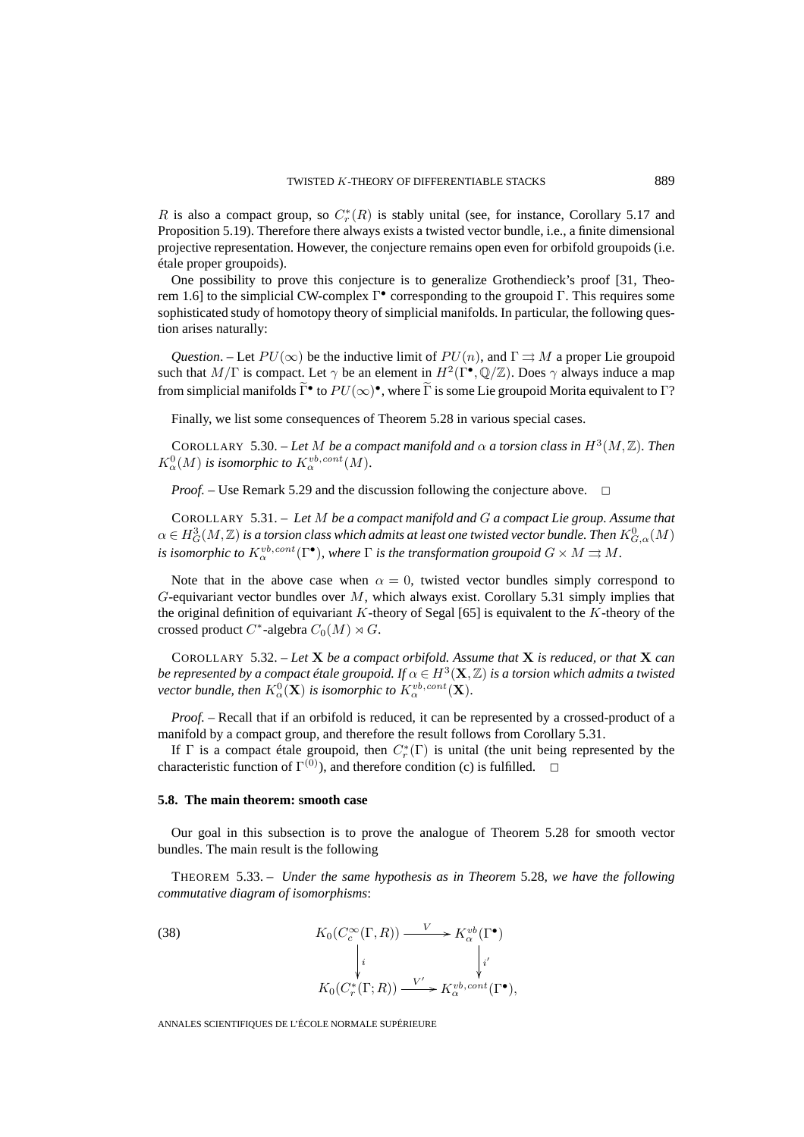R is also a compact group, so  $C_r^*(R)$  is stably unital (see, for instance, Corollary 5.17 and Proposition 5.19). Therefore there always exists a twisted vector bundle, i.e., a finite dimensional projective representation. However, the conjecture remains open even for orbifold groupoids (i.e. étale proper groupoids).

One possibility to prove this conjecture is to generalize Grothendieck's proof [31, Theorem 1.6] to the simplicial CW-complex Γ• corresponding to the groupoid Γ. This requires some sophisticated study of homotopy theory of simplicial manifolds. In particular, the following question arises naturally:

*Question.* – Let  $PU(\infty)$  be the inductive limit of  $PU(n)$ , and  $\Gamma \rightrightarrows M$  a proper Lie groupoid such that  $M/\Gamma$  is compact. Let  $\gamma$  be an element in  $H^2(\Gamma^{\bullet}, \mathbb{Q}/\mathbb{Z})$ . Does  $\gamma$  always induce a map from simplicial manifolds  $\tilde{\Gamma}^{\bullet}$  to  $PU(\infty)^{\bullet}$ , where  $\tilde{\Gamma}$  is some Lie groupoid Morita equivalent to  $\Gamma$ ?

Finally, we list some consequences of Theorem 5.28 in various special cases.

COROLLARY 5.30. – Let M be a compact manifold and  $\alpha$  a torsion class in  $H^3(M, \mathbb{Z})$ . Then  $K_{\alpha}^{0}(M)$  is isomorphic to  $K_{\alpha}^{vb, cont}(M)$ .

*Proof.* – Use Remark 5.29 and the discussion following the conjecture above.  $\Box$ 

COROLLARY 5.31. – *Let* M *be a compact manifold and* G *a compact Lie group. Assume that*  $\alpha\in H^3_G(M,\mathbb{Z})$  is a torsion class which admits at least one twisted vector bundle. Then  $K^0_{G,\alpha}(M)$ *is isomorphic to*  $K_{\alpha}^{vb, cont}(\Gamma^{\bullet})$ *, where*  $\Gamma$  *is the transformation groupoid*  $G \times M \rightrightarrows M$ *.* 

Note that in the above case when  $\alpha = 0$ , twisted vector bundles simply correspond to  $G$ -equivariant vector bundles over  $M$ , which always exist. Corollary 5.31 simply implies that the original definition of equivariant K-theory of Segal  $[65]$  is equivalent to the K-theory of the crossed product  $C^*$ -algebra  $C_0(M) \rtimes G$ .

COROLLARY 5.32. – *Let* **X** *be a compact orbifold. Assume that* **X** *is reduced, or that* **X** *can be represented by a compact étale groupoid. If*  $\alpha \in H^3(\mathbf{X}, \mathbb{Z})$  *is a torsion which admits a twisted vector bundle, then*  $K^0_\alpha(\mathbf{X})$  *is isomorphic to*  $K^{vb,cont}_\alpha(\mathbf{X})$ *.* 

*Proof. –* Recall that if an orbifold is reduced, it can be represented by a crossed-product of a manifold by a compact group, and therefore the result follows from Corollary 5.31.

If  $\Gamma$  is a compact étale groupoid, then  $C_r^*(\Gamma)$  is unital (the unit being represented by the characteristic function of  $\Gamma^{(0)}$ ), and therefore condition (c) is fulfilled.  $\Box$ 

### **5.8. The main theorem: smooth case**

Our goal in this subsection is to prove the analogue of Theorem 5.28 for smooth vector bundles. The main result is the following

THEOREM 5.33. – *Under the same hypothesis as in Theorem* 5.28*, we have the following commutative diagram of isomorphisms*:

(38) 
$$
K_0(C_c^{\infty}(\Gamma, R)) \xrightarrow{V} K_{\alpha}^{vb}(\Gamma^{\bullet})
$$

$$
\downarrow \qquad \qquad \downarrow i
$$

$$
K_0(C_r^{*}(\Gamma; R)) \xrightarrow{V'} K_{\alpha}^{vb, cont}(\Gamma^{\bullet}),
$$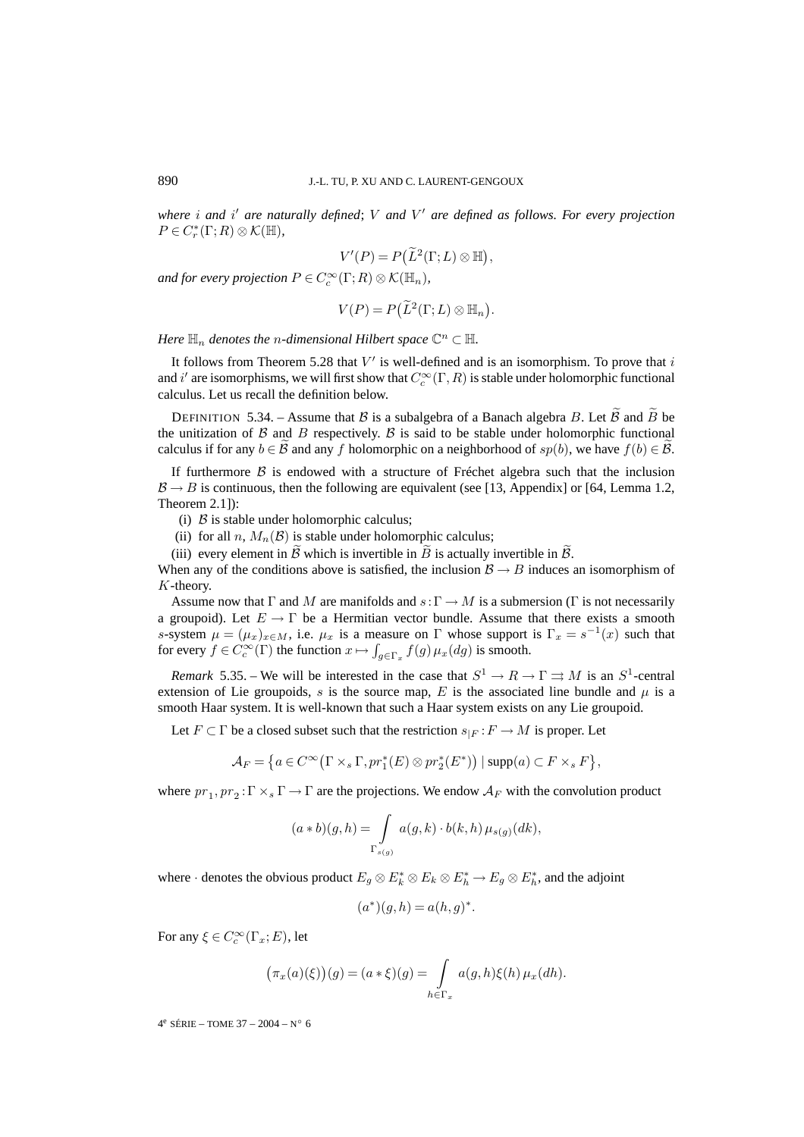where *i* and *i'* are naturally defined; V and V' are defined as follows. For every projection  $P\in C_r^*(\Gamma;R)\otimes\mathcal{K}(\mathbb{H}),$ 

$$
V'(P) = P(\widetilde{L}^2(\Gamma;L) \otimes \mathbb{H}),
$$

and for every projection  $P \in C_c^\infty(\Gamma;R) \otimes \mathcal{K}(\mathbb{H}_n)$ ,

$$
V(P) = P(\widetilde{L}^2(\Gamma; L) \otimes \mathbb{H}_n).
$$

*Here*  $\mathbb{H}_n$  *denotes the n*-dimensional Hilbert space  $\mathbb{C}^n \subset \mathbb{H}$ *.* 

It follows from Theorem 5.28 that  $V'$  is well-defined and is an isomorphism. To prove that i and  $i'$  are isomorphisms, we will first show that  $C_c^{\infty}(\Gamma,R)$  is stable under holomorphic functional calculus. Let us recall the definition below.

DEFINITION 5.34. – Assume that B is a subalgebra of a Banach algebra B. Let B and B be the unitization of  $\beta$  and  $\beta$  respectively.  $\beta$  is said to be stable under holomorphic functional calculus if for any  $b \in \mathcal{B}$  and any f holomorphic on a neighborhood of  $sp(b)$ , we have  $f(b) \in \mathcal{B}$ .

If furthermore  $\beta$  is endowed with a structure of Fréchet algebra such that the inclusion  $\mathcal{B} \rightarrow B$  is continuous, then the following are equivalent (see [13, Appendix] or [64, Lemma 1.2, Theorem 2.1]):

(i)  $\beta$  is stable under holomorphic calculus;

- (ii) for all n,  $M_n(\mathcal{B})$  is stable under holomorphic calculus;
- (iii) every element in  $\tilde{B}$  which is invertible in  $\tilde{B}$  is actually invertible in  $\tilde{B}$ .

When any of the conditions above is satisfied, the inclusion  $B \rightarrow B$  induces an isomorphism of K-theory.

Assume now that  $\Gamma$  and M are manifolds and  $s:\Gamma \to M$  is a submersion ( $\Gamma$  is not necessarily a groupoid). Let  $E \to \Gamma$  be a Hermitian vector bundle. Assume that there exists a smooth s-system  $\mu = (\mu_x)_{x \in M}$ , i.e.  $\mu_x$  is a measure on  $\Gamma$  whose support is  $\Gamma_x = s^{-1}(x)$  such that for every  $f \in C_c^{\infty}(\Gamma)$  the function  $x \mapsto \int_{g \in \Gamma_x} f(g) \mu_x(g)$  is smooth.

*Remark* 5.35. – We will be interested in the case that  $S^1 \to R \to \Gamma \rightrightarrows M$  is an  $S^1$ -central extension of Lie groupoids, s is the source map, E is the associated line bundle and  $\mu$  is a smooth Haar system. It is well-known that such a Haar system exists on any Lie groupoid.

Let  $F \subset \Gamma$  be a closed subset such that the restriction  $s_{|F} : F \to M$  is proper. Let

$$
\mathcal{A}_F = \left\{ a \in C^{\infty}(\Gamma \times_s \Gamma, pr_1^*(E) \otimes pr_2^*(E^*)) \mid \text{supp}(a) \subset F \times_s F \right\},\
$$

where  $pr_1, pr_2 : \Gamma \times_s \Gamma \to \Gamma$  are the projections. We endow  $A_F$  with the convolution product

$$
(a * b)(g,h) = \int_{\Gamma_{s(g)}} a(g,k) \cdot b(k,h) \mu_{s(g)}(dk),
$$

where  $\cdot$  denotes the obvious product  $E_g \otimes E_k^* \otimes E_k \otimes E_h^* \to E_g \otimes E_h^*$ , and the adjoint

$$
(a^*)(g,h) = a(h,g)^*.
$$

For any  $\xi \in C_c^\infty(\Gamma_x; E)$ , let

$$
(\pi_x(a)(\xi))(g) = (a * \xi)(g) = \int_{h \in \Gamma_x} a(g, h)\xi(h) \mu_x(dh).
$$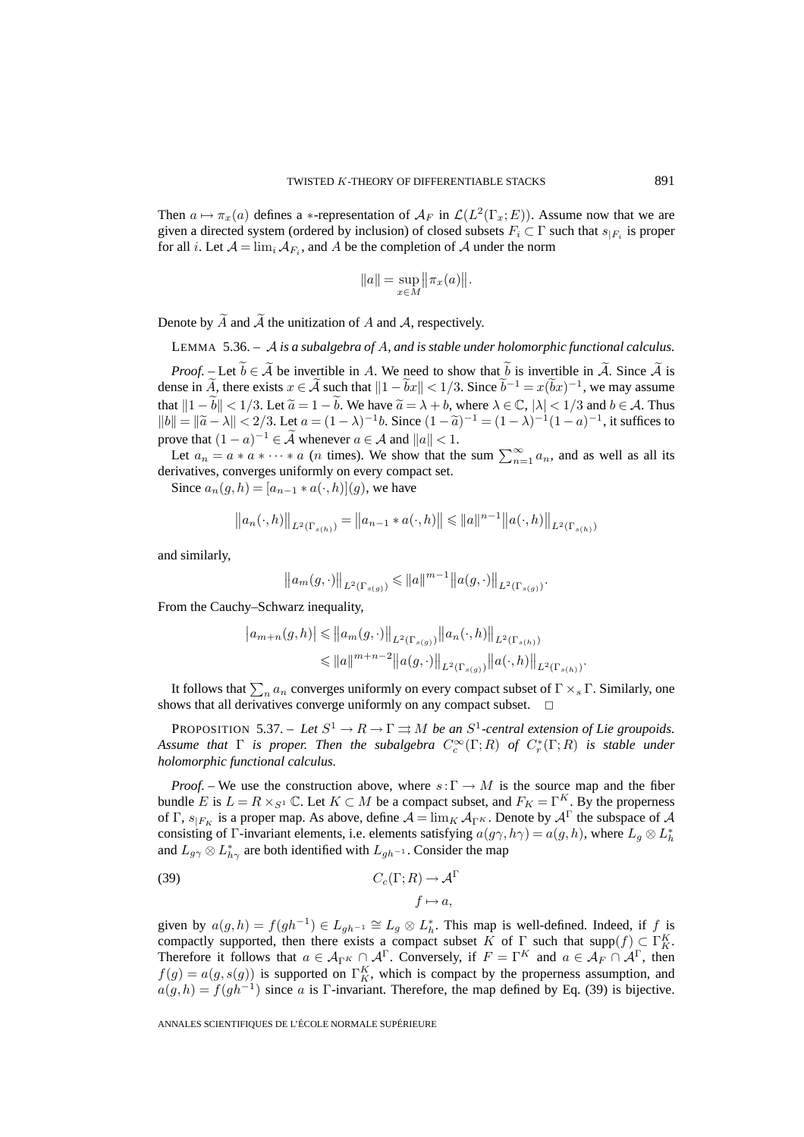Then  $a \mapsto \pi_x(a)$  defines a \*-representation of  $\mathcal{A}_F$  in  $\mathcal{L}(L^2(\Gamma_x; E))$ . Assume now that we are given a directed system (ordered by inclusion) of closed subsets  $F_i \subset \Gamma$  such that  $s_{|F_i}$  is proper for all *i*. Let  $A = \lim_{i} A_{F_i}$ , and *A* be the completion of *A* under the norm

$$
||a|| = \sup_{x \in M} ||\pi_x(a)||.
$$

Denote by  $\widetilde{A}$  and  $\widetilde{A}$  the unitization of A and A, respectively.

LEMMA 5.36. – A *is a subalgebra of* A*, and is stable under holomorphic functional calculus.*

*Proof.* – Let  $b \in \tilde{A}$  be invertible in A. We need to show that b is invertible in  $\tilde{A}$ . Since  $\tilde{A}$  is dense in A, there exists  $x \in \tilde{A}$  such that  $||1 - \tilde{b}x|| < 1/3$ . Since  $\tilde{b}^{-1} = x(\tilde{b}x)^{-1}$ , we may assume that  $||1 - \widetilde{b}|| < 1/3$ . Let  $\widetilde{a} = 1 - \widetilde{b}$ . We have  $\widetilde{a} = \lambda + b$ , where  $\lambda \in \mathbb{C}$ ,  $|\lambda| < 1/3$  and  $b \in \mathcal{A}$ . Thus  $||b|| = ||\tilde{a} - \lambda|| < 2/3$ . Let  $a = (1 - \lambda)^{-1}b$ . Since  $(1 - \tilde{a})^{-1} = (1 - \lambda)^{-1}(1 - a)^{-1}$ , it suffices to prove that  $(1 - a)^{-1} \in \tilde{\mathcal{A}}$  whenever  $a \in \mathcal{A}$  and  $||a|| < 1$ .

Let  $a_n = a * a * \cdots * a$  (*n* times). We show that the sum  $\sum_{n=1}^{\infty} a_n$ , and as well as all its derivatives, converges uniformly on every compact set.

Since  $a_n(q, h) = [a_{n-1} * a(\cdot, h)](q)$ , we have

$$
||a_n(\cdot,h)||_{L^2(\Gamma_{s(h)})} = ||a_{n-1} * a(\cdot,h)|| \le ||a||^{n-1} ||a(\cdot,h)||_{L^2(\Gamma_{s(h)})}
$$

and similarly,

$$
\left\|a_m(g,\cdot)\right\|_{L^2\left(\Gamma_{s(g)}\right)} \leqslant \left\|a\right\|^{m-1}\left\|a(g,\cdot)\right\|_{L^2\left(\Gamma_{s(g)}\right)}.
$$

From the Cauchy–Schwarz inequality,

$$
|a_{m+n}(g,h)| \leq |a_m(g,\cdot)|_{L^2(\Gamma_{s(g)})} ||a_n(\cdot,h)||_{L^2(\Gamma_{s(h)})}
$$
  

$$
\leq |a||^{m+n-2} ||a(g,\cdot)||_{L^2(\Gamma_{s(g)})} ||a(\cdot,h)||_{L^2(\Gamma_{s(h)})}.
$$

It follows that  $\sum_n a_n$  converges uniformly on every compact subset of  $\Gamma\times_s\Gamma$ . Similarly, one shows that all derivatives converge uniformly on any compact subset.

PROPOSITION 5.37. – Let  $S^1 \to R \to \Gamma \rightrightarrows M$  be an  $S^1$ -central extension of Lie groupoids. *Assume that* Γ *is proper. Then the subalgebra* C<sup>∞</sup> <sup>c</sup> (Γ;R) *of* C<sup>∗</sup> <sup>r</sup> (Γ;R) *is stable under holomorphic functional calculus.*

*Proof.* – We use the construction above, where  $s: \Gamma \to M$  is the source map and the fiber bundle E is  $L = R \times_{S^1} \mathbb{C}$ . Let  $K \subset M$  be a compact subset, and  $F_K = \Gamma^K$ . By the properness of Γ,  $s_{F_K}$  is a proper map. As above, define  $A = \lim_K A_{\Gamma}$ . Denote by  $A^{\Gamma}$  the subspace of A consisting of  $\Gamma$ -invariant elements, i.e. elements satisfying  $a(g\gamma, h\gamma) = a(g, h)$ , where  $L_g \otimes L_h^*$ and  $L_{g\gamma} \otimes L_{h\gamma}^*$  are both identified with  $L_{gh^{-1}}$ . Consider the map

(39) 
$$
C_c(\Gamma; R) \to \mathcal{A}^{\Gamma}
$$

$$
f \mapsto a,
$$

given by  $a(g, h) = f(gh^{-1}) \in L_{gh^{-1}} \cong L_g \otimes L_h^*$ . This map is well-defined. Indeed, if f is compactly supported, then there exists a compact subset K of  $\Gamma$  such that supp $(f) \subset \Gamma_K^K$ . Therefore it follows that  $a \in A_{\Gamma^K} \cap A^{\Gamma}$ . Conversely, if  $F = \Gamma^K$  and  $a \in A_F \cap A^{\Gamma}$ , then  $f(g) = a(g, s(g))$  is supported on  $\Gamma_K^K$ , which is compact by the properness assumption, and  $a(g,h) = f(gh^{-1})$  since a is Γ-invariant. Therefore, the map defined by Eq. (39) is bijective.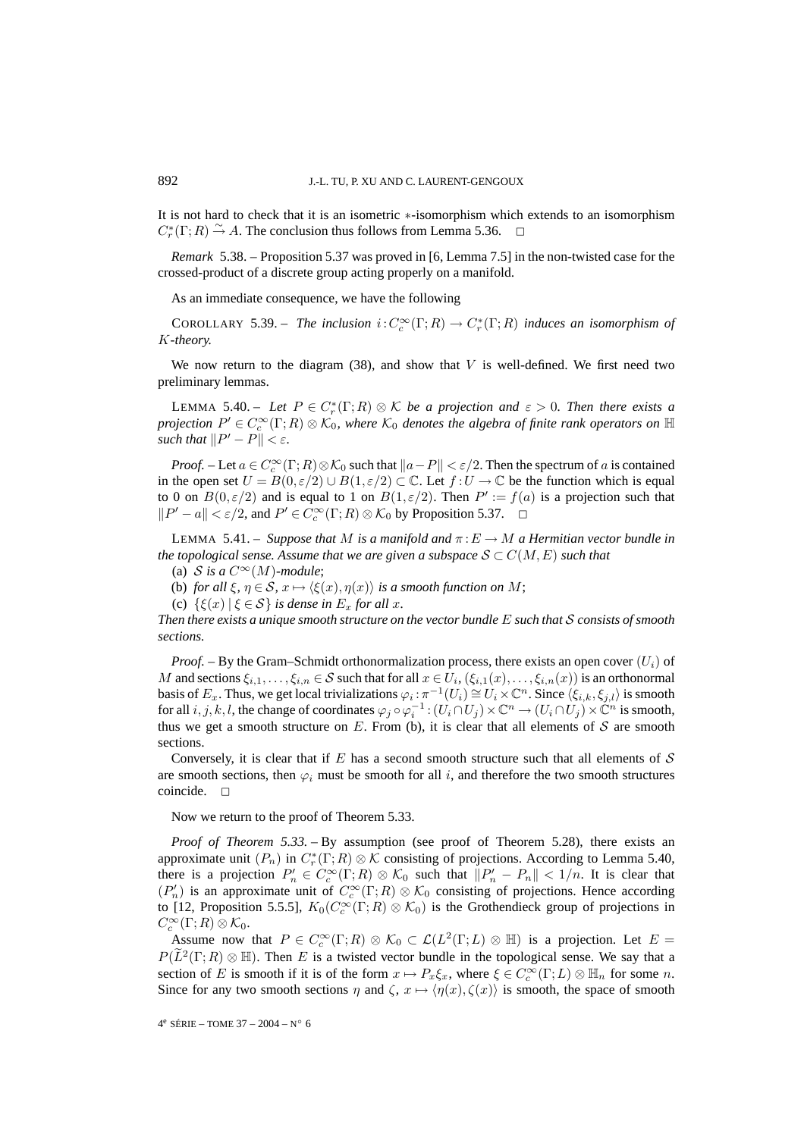It is not hard to check that it is an isometric ∗-isomorphism which extends to an isomorphism  $C_r^*(\Gamma;R) \stackrel{\sim}{\rightarrow} A$ . The conclusion thus follows from Lemma 5.36.  $\Box$ 

*Remark* 5.38. – Proposition 5.37 was proved in [6, Lemma 7.5] in the non-twisted case for the crossed-product of a discrete group acting properly on a manifold.

As an immediate consequence, we have the following

COROLLARY 5.39. – *The inclusion*  $i: C_c^{\infty}(\Gamma; R) \to C_r^*(\Gamma; R)$  *induces an isomorphism of* K*-theory.*

We now return to the diagram  $(38)$ , and show that V is well-defined. We first need two preliminary lemmas.

LEMMA 5.40. – Let  $P \in C_r^*(\Gamma;R) \otimes \mathcal{K}$  *be a projection and*  $\varepsilon > 0$ . Then there exists a  $\rho$ rojection  $P' \in C_c^\infty(\Gamma;R) \otimes \mathcal{K}_0$ , where  $\mathcal{K}_0$  denotes the algebra of finite rank operators on  $\mathbb H$ *such that*  $||P' - P|| < \varepsilon$ *.* 

*Proof.* – Let  $a \in C_c^{\infty}(\Gamma; R) \otimes \mathcal{K}_0$  such that  $||a - P|| < \varepsilon/2$ . Then the spectrum of a is contained in the open set  $U = B(0, \varepsilon/2) \cup B(1, \varepsilon/2) \subset \mathbb{C}$ . Let  $f: U \to \mathbb{C}$  be the function which is equal to 0 on  $B(0,\varepsilon/2)$  and is equal to 1 on  $B(1,\varepsilon/2)$ . Then  $P' := f(a)$  is a projection such that  $||P' - a|| < \varepsilon/2$ , and  $P' \in C_c^{\infty}(\Gamma; R) \otimes \mathcal{K}_0$  by Proposition 5.37.  $\Box$ 

LEMMA 5.41. – *Suppose that* M *is a manifold and*  $\pi : E \to M$  *a Hermitian vector bundle in the topological sense. Assume that we are given a subspace*  $S \subset C(M, E)$  *such that* 

(a) S is a  $C^{\infty}(M)$ -module;

(b) *for all*  $\xi$ ,  $\eta \in S$ ,  $x \mapsto \langle \xi(x), \eta(x) \rangle$  *is a smooth function on M*;

(c)  $\{\xi(x) | \xi \in S\}$  *is dense in*  $E_x$  *for all x.* 

*Then there exists a unique smooth structure on the vector bundle* E *such that* S *consists of smooth sections.*

*Proof.* – By the Gram–Schmidt orthonormalization process, there exists an open cover  $(U_i)$  of M and sections  $\xi_{i,1},\ldots,\xi_{i,n} \in S$  such that for all  $x \in U_i$ ,  $(\xi_{i,1}(x),\ldots,\xi_{i,n}(x))$  is an orthonormal basis of  $E_x$ . Thus, we get local trivializations  $\varphi_i : \pi^{-1}(U_i) \cong U_i \times \mathbb{C}^n$ . Since  $\langle \xi_{i,k}, \xi_{j,l} \rangle$  is smooth for all  $i, j, k, l$ , the change of coordinates  $\varphi_j \circ \varphi_i^{-1}$  :  $(U_i \cap U_j) \times \mathbb{C}^n \to (U_i \cap U_j) \times \mathbb{C}^n$  is smooth, thus we get a smooth structure on  $E$ . From (b), it is clear that all elements of  $S$  are smooth sections.

Conversely, it is clear that if E has a second smooth structure such that all elements of  $S$ are smooth sections, then  $\varphi_i$  must be smooth for all i, and therefore the two smooth structures coincide.  $\square$ 

Now we return to the proof of Theorem 5.33.

*Proof of Theorem 5.33.* – By assumption (see proof of Theorem 5.28), there exists an approximate unit  $(P_n)$  in  $C_r^*(\Gamma;R)\otimes\mathcal{K}$  consisting of projections. According to Lemma 5.40, there is a projection  $P'_n \in C_c^{\infty}(\Gamma; R) \otimes \mathcal{K}_0$  such that  $||P'_n - P_n|| < 1/n$ . It is clear that  $(P'_n)$  is an approximate unit of  $C_c^{\infty}(\Gamma;R) \otimes \mathcal{K}_0$  consisting of projections. Hence according to [12, Proposition 5.5.5],  $K_0(C_c^\infty(\Gamma;R)\otimes\mathcal{K}_0)$  is the Grothendieck group of projections in  $C_c^{\infty}(\Gamma;R)\otimes \mathcal{K}_0.$ 

Assume now that  $P \in C_c^{\infty}(\Gamma; R) \otimes \mathcal{K}_0 \subset \mathcal{L}(L^2(\Gamma; L) \otimes \mathbb{H})$  is a projection. Let  $E =$  $P(\overline{L}^2(\Gamma;R)\otimes \mathbb{H})$ . Then E is a twisted vector bundle in the topological sense. We say that a section of E is smooth if it is of the form  $x \mapsto P_x \xi_x$ , where  $\xi \in C_c^{\infty}(\Gamma; L) \otimes \mathbb{H}_n$  for some n. Since for any two smooth sections  $\eta$  and  $\zeta$ ,  $x \mapsto \langle \eta(x), \zeta(x) \rangle$  is smooth, the space of smooth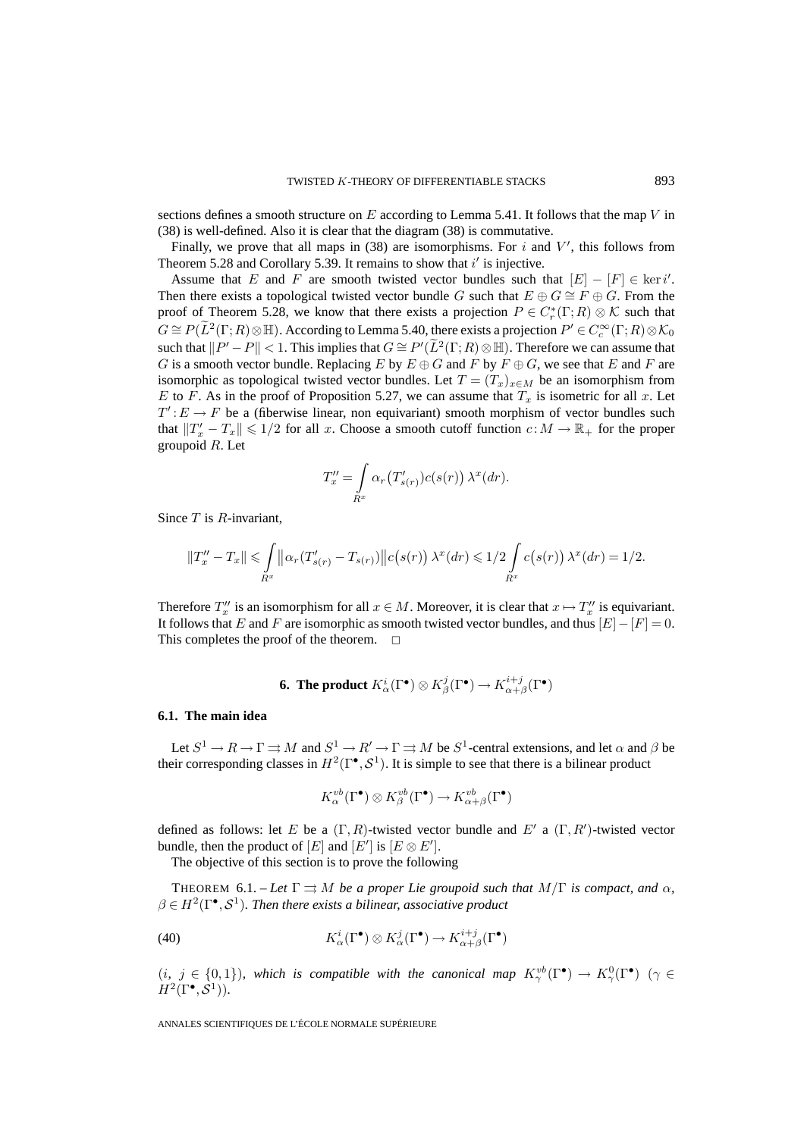sections defines a smooth structure on  $E$  according to Lemma 5.41. It follows that the map V in (38) is well-defined. Also it is clear that the diagram (38) is commutative.

Finally, we prove that all maps in  $(38)$  are isomorphisms. For i and V', this follows from Theorem 5.28 and Corollary 5.39. It remains to show that  $i'$  is injective.

Assume that E and F are smooth twisted vector bundles such that  $[E] - [F] \in \text{ker } i'$ . Then there exists a topological twisted vector bundle G such that  $E \oplus G \cong F \oplus G$ . From the proof of Theorem 5.28, we know that there exists a projection  $P \in C_r^*(\Gamma;R) \otimes \mathcal{K}$  such that  $G\cong P(\widetilde{L}^2(\Gamma;R)\otimes \mathbb{H}).$  According to Lemma 5.40, there exists a projection  $P'\in C_c^\infty(\Gamma;R)\otimes \mathcal{K}_0$ such that  $||P' - P|| < 1$ . This implies that  $G \cong P'(\tilde{L}^2(\Gamma; R) \otimes \mathbb{H})$ . Therefore we can assume that G is a smooth vector bundle. Replacing E by  $E \oplus G$  and F by  $F \oplus G$ , we see that E and F are isomorphic as topological twisted vector bundles. Let  $T = (T_x)_{x \in M}$  be an isomorphism from E to F. As in the proof of Proposition 5.27, we can assume that  $T_x$  is isometric for all x. Let  $T': E \to F$  be a (fiberwise linear, non equivariant) smooth morphism of vector bundles such that  $||T'_x - T_x|| \leq 1/2$  for all x. Choose a smooth cutoff function  $c : M \to \mathbb{R}_+$  for the proper groupoid  $R$ . Let

$$
T''_x = \int_{R^x} \alpha_r(T'_{s(r)}) c(s(r)) \lambda^x(dr).
$$

Since  $T$  is  $R$ -invariant,

$$
||T''_x - T_x|| \leq \int_{R^x} ||\alpha_r(T'_{s(r)} - T_{s(r)})||c(s(r)) \lambda^x(dr) \leq 1/2 \int_{R^x} c(s(r)) \lambda^x(dr) = 1/2.
$$

Therefore  $T''_x$  is an isomorphism for all  $x \in M$ . Moreover, it is clear that  $x \mapsto T''_x$  is equivariant. It follows that E and F are isomorphic as smooth twisted vector bundles, and thus  $[E]-[F]=0$ . This completes the proof of the theorem.  $\Box$ 

**6. The product** 
$$
K^i_\alpha(\Gamma^{\bullet}) \otimes K^j_\beta(\Gamma^{\bullet}) \to K^{i+j}_{\alpha+\beta}(\Gamma^{\bullet})
$$

### **6.1. The main idea**

Let  $S^1 \to R \to \Gamma \rightrightarrows M$  and  $S^1 \to R' \to \Gamma \rightrightarrows M$  be  $S^1$ -central extensions, and let  $\alpha$  and  $\beta$  be their corresponding classes in  $H^2(\Gamma^{\bullet}, \mathcal{S}^1)$ . It is simple to see that there is a bilinear product

$$
K^{vb}_{\alpha}(\Gamma^\bullet) \otimes K^{vb}_{\beta}(\Gamma^\bullet) \to K^{vb}_{\alpha+\beta}(\Gamma^\bullet)
$$

defined as follows: let E be a  $(\Gamma, R)$ -twisted vector bundle and E' a  $(\Gamma, R')$ -twisted vector bundle, then the product of  $[E]$  and  $[E']$  is  $[E \otimes E'].$ 

The objective of this section is to prove the following

THEOREM 6.1. – Let  $\Gamma \rightrightarrows M$  be a proper Lie groupoid such that  $M/\Gamma$  is compact, and  $\alpha$ ,  $\beta \in H^2(\Gamma^{\bullet}, \mathcal{S}^1)$ . Then there exists a bilinear, associative product

(40) 
$$
K^i_{\alpha}(\Gamma^{\bullet}) \otimes K^j_{\alpha}(\Gamma^{\bullet}) \to K^{i+j}_{\alpha+\beta}(\Gamma^{\bullet})
$$

 $(i, j \in \{0,1\})$ , which is compatible with the canonical map  $K^{vb}_{\gamma}(\Gamma^{\bullet}) \to K^{0}_{\gamma}(\Gamma^{\bullet})$  ( $\gamma \in$  $H^2(\Gamma^{\bullet}, \mathcal{S}^1)$ ).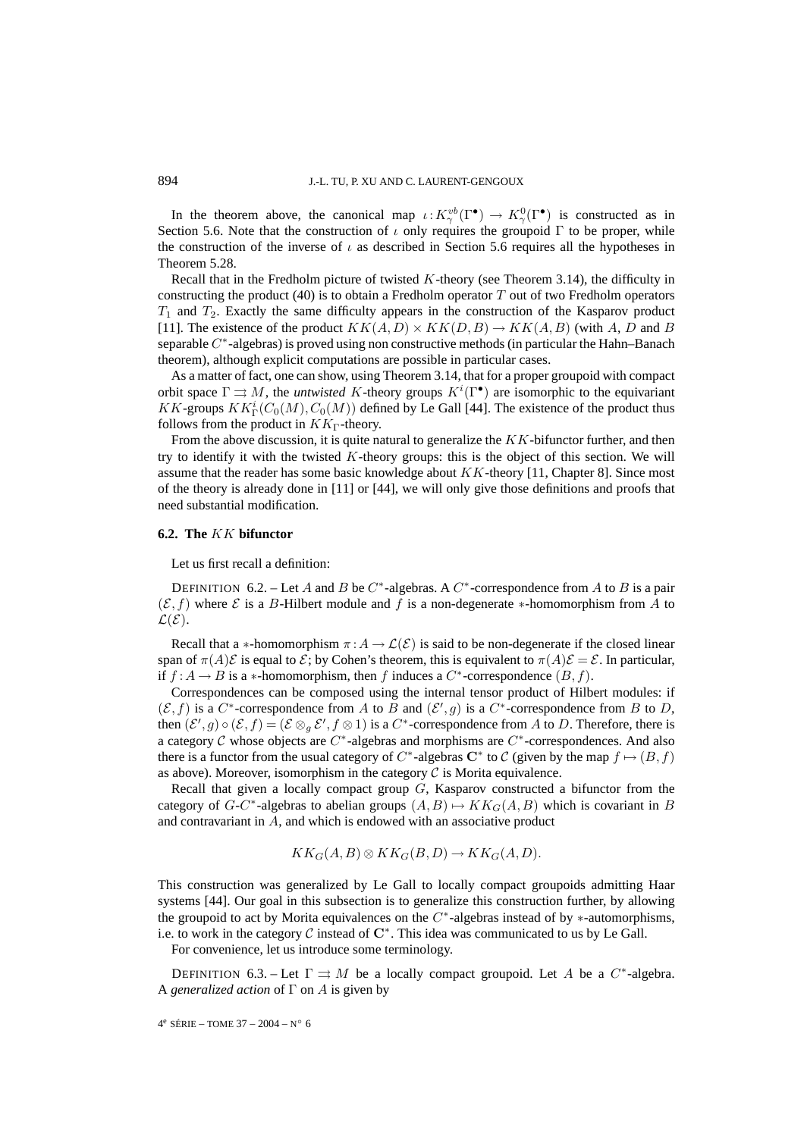In the theorem above, the canonical map  $\iota: K_\gamma^{vb}(\Gamma^{\bullet}) \to K_\gamma^{0}(\Gamma^{\bullet})$  is constructed as in Section 5.6. Note that the construction of  $\iota$  only requires the groupoid  $\Gamma$  to be proper, while the construction of the inverse of  $\iota$  as described in Section 5.6 requires all the hypotheses in Theorem 5.28.

Recall that in the Fredholm picture of twisted K-theory (see Theorem 3.14), the difficulty in constructing the product (40) is to obtain a Fredholm operator  $T$  out of two Fredholm operators  $T_1$  and  $T_2$ . Exactly the same difficulty appears in the construction of the Kasparov product [11]. The existence of the product  $KK(A, D) \times KK(D, B) \rightarrow KK(A, B)$  (with A, D and B separable  $C^*$ -algebras) is proved using non constructive methods (in particular the Hahn–Banach theorem), although explicit computations are possible in particular cases.

As a matter of fact, one can show, using Theorem 3.14, that for a proper groupoid with compact orbit space  $\Gamma \rightrightarrows M$ , the *untwisted* K-theory groups  $K^i(\Gamma^{\bullet})$  are isomorphic to the equivariant KK-groups  $KK^i_{\Gamma}(C_0(M), C_0(M))$  defined by Le Gall [44]. The existence of the product thus follows from the product in  $KK_{\Gamma}$ -theory.

From the above discussion, it is quite natural to generalize the KK-bifunctor further, and then try to identify it with the twisted  $K$ -theory groups: this is the object of this section. We will assume that the reader has some basic knowledge about  $KK$ -theory [11, Chapter 8]. Since most of the theory is already done in [11] or [44], we will only give those definitions and proofs that need substantial modification.

### **6.2. The** KK **bifunctor**

Let us first recall a definition:

DEFINITION 6.2. – Let A and B be  $C^*$ -algebras. A  $C^*$ -correspondence from A to B is a pair  $(\mathcal{E}, f)$  where  $\mathcal E$  is a B-Hilbert module and f is a non-degenerate  $*$ -homomorphism from A to  $\mathcal{L}(\mathcal{E})$ .

Recall that a ∗-homomorphism  $\pi : A \to \mathcal{L}(\mathcal{E})$  is said to be non-degenerate if the closed linear span of  $\pi(A)\mathcal{E}$  is equal to  $\mathcal{E}$ ; by Cohen's theorem, this is equivalent to  $\pi(A)\mathcal{E} = \mathcal{E}$ . In particular, if  $f : A \to B$  is a ∗-homomorphism, then f induces a  $C^*$ -correspondence  $(B, f)$ .

Correspondences can be composed using the internal tensor product of Hilbert modules: if  $(\mathcal{E}, f)$  is a  $C^*$ -correspondence from A to B and  $(\mathcal{E}', g)$  is a  $C^*$ -correspondence from B to D, then  $(\mathcal{E}', g) \circ (\mathcal{E}, f) = (\mathcal{E} \otimes_g \mathcal{E}', f \otimes 1)$  is a  $C^*$ -correspondence from A to D. Therefore, there is a category C whose objects are  $C^*$ -algebras and morphisms are  $C^*$ -correspondences. And also there is a functor from the usual category of  $C^*$ -algebras  $\mathbb{C}^*$  to  $\mathcal C$  (given by the map  $f \mapsto (B, f)$ ) as above). Moreover, isomorphism in the category  $\mathcal C$  is Morita equivalence.

Recall that given a locally compact group  $G$ , Kasparov constructed a bifunctor from the category of G-C<sup>\*</sup>-algebras to abelian groups  $(A, B) \mapsto KK_G(A, B)$  which is covariant in B and contravariant in A, and which is endowed with an associative product

$$
KK_G(A, B) \otimes KK_G(B, D) \to KK_G(A, D).
$$

This construction was generalized by Le Gall to locally compact groupoids admitting Haar systems [44]. Our goal in this subsection is to generalize this construction further, by allowing the groupoid to act by Morita equivalences on the  $C^*$ -algebras instead of by ∗-automorphisms, i.e. to work in the category  $\mathcal C$  instead of  $\mathbb C^*$ . This idea was communicated to us by Le Gall.

For convenience, let us introduce some terminology.

DEFINITION 6.3. – Let  $\Gamma \rightrightarrows M$  be a locally compact groupoid. Let A be a  $C^*$ -algebra. A *generalized action* of Γ on A is given by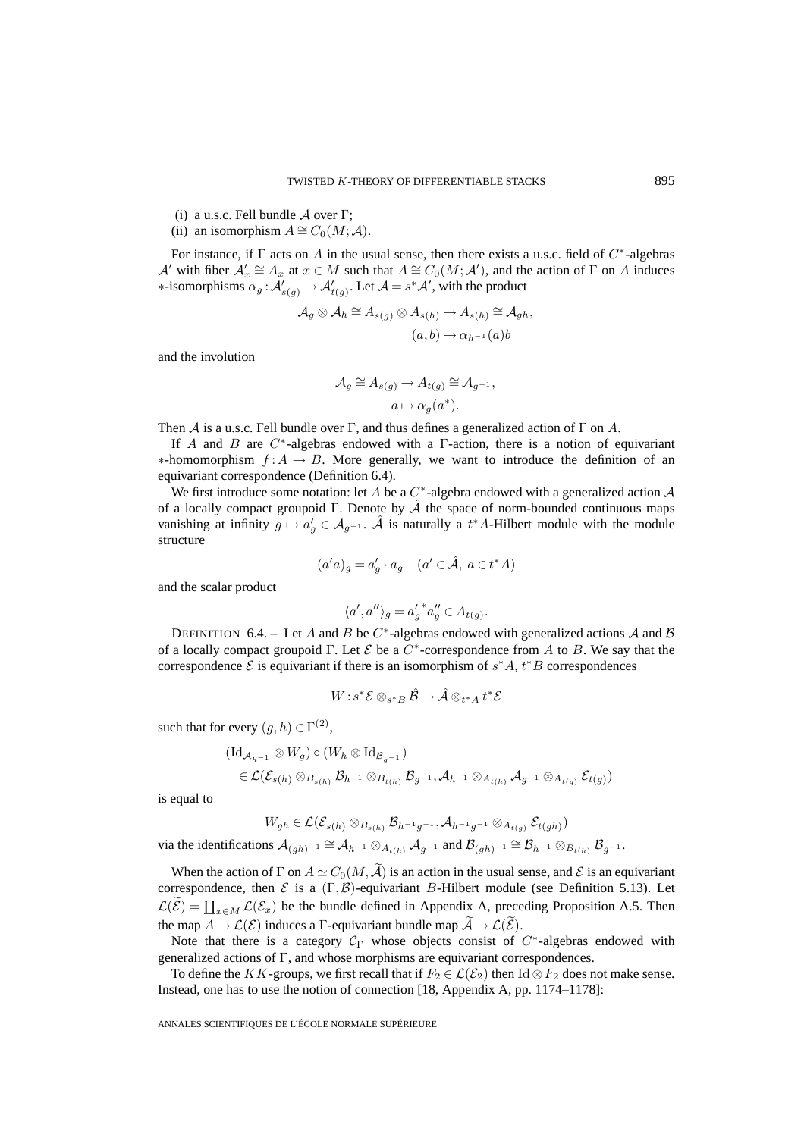- (i) a u.s.c. Fell bundle  $\mathcal A$  over  $\Gamma$ ;
- (ii) an isomorphism  $A \cong C_0(M; \mathcal{A})$ .

For instance, if  $\Gamma$  acts on A in the usual sense, then there exists a u.s.c. field of  $C^*$ -algebras A' with fiber  $\mathcal{A}'_x \cong A_x$  at  $x \in M$  such that  $A \cong C_0(M; \mathcal{A}')$ , and the action of  $\Gamma$  on A induces  $*$ -isomorphisms  $\alpha_g : \mathcal{A}'_{s(g)} \to \mathcal{A}'_{t(g)}$ . Let  $\mathcal{A} = s^*\mathcal{A}'$ , with the product

$$
\mathcal{A}_g \otimes \mathcal{A}_h \cong A_{s(g)} \otimes A_{s(h)} \to A_{s(h)} \cong \mathcal{A}_{gh},
$$

$$
(a,b) \mapsto \alpha_{h^{-1}}(a)b
$$

and the involution

$$
\mathcal{A}_g \cong A_{s(g)} \to A_{t(g)} \cong \mathcal{A}_{g^{-1}},
$$
  

$$
a \mapsto \alpha_g(a^*).
$$

Then A is a u.s.c. Fell bundle over  $\Gamma$ , and thus defines a generalized action of  $\Gamma$  on A.

If A and B are  $C^*$ -algebras endowed with a  $\Gamma$ -action, there is a notion of equivariant  $*$ -homomorphism  $f: A \rightarrow B$ . More generally, we want to introduce the definition of an equivariant correspondence (Definition 6.4).

We first introduce some notation: let A be a  $C^*$ -algebra endowed with a generalized action A of a locally compact groupoid Γ. Denote by  $\hat{A}$  the space of norm-bounded continuous maps vanishing at infinity  $g \mapsto a'_g \in \mathcal{A}_{g^{-1}}$ .  $\hat{\mathcal{A}}$  is naturally a  $t^*A$ -Hilbert module with the module structure

$$
(a'a)_g = a'_g \cdot a_g \quad (a' \in \hat{\mathcal{A}}, \ a \in t^*A)
$$

and the scalar product

$$
\langle a',a''\rangle_g = {a'_g}^* a''_g \in A_{t(g)}.
$$

DEFINITION 6.4. – Let A and B be  $C^*$ -algebras endowed with generalized actions A and B of a locally compact groupoid Γ. Let  $\mathcal E$  be a  $C^*$ -correspondence from A to B. We say that the correspondence  $\mathcal E$  is equivariant if there is an isomorphism of  $s^*A$ ,  $t^*B$  correspondences

$$
W: s^*\mathcal{E} \otimes_{s^*B} \hat{\mathcal{B}} \to \hat{\mathcal{A}} \otimes_{t^*A} t^*\mathcal{E}
$$

such that for every  $(q,h) \in \Gamma^{(2)}$ ,

$$
\begin{aligned} & (\mathrm{Id}_{\mathcal{A}_{h^{-1}}} \otimes W_g) \circ (W_h \otimes \mathrm{Id}_{\mathcal{B}_{g^{-1}}}) \\ &\in \mathcal{L}(\mathcal{E}_{s(h)} \otimes_{B_{s(h)}} \mathcal{B}_{h^{-1}} \otimes_{B_{t(h)}} \mathcal{B}_{g^{-1}}, \mathcal{A}_{h^{-1}} \otimes_{A_{t(h)}} \mathcal{A}_{g^{-1}} \otimes_{A_{t(g)}} \mathcal{E}_{t(g)}) \end{aligned}
$$

is equal to

$$
W_{gh} \in \mathcal{L}(\mathcal{E}_{s(h)} \otimes_{B_{s(h)}} \mathcal{B}_{h^{-1}g^{-1}}, \mathcal{A}_{h^{-1}g^{-1}} \otimes_{A_{t(g)}} \mathcal{E}_{t(gh)})
$$
  
via the identifications  $\mathcal{A}_{(gh)^{-1}} \cong \mathcal{A}_{h^{-1}} \otimes_{A_{t(h)}} \mathcal{A}_{g^{-1}}$  and  $\mathcal{B}_{(gh)^{-1}} \cong \mathcal{B}_{h^{-1}} \otimes_{B_{t(h)}} \mathcal{B}_{g^{-1}}.$ 

When the action of  $\Gamma$  on  $A \simeq C_0(M,\tilde{A})$  is an action in the usual sense, and  $\mathcal E$  is an equivariant correspondence, then  $\mathcal E$  is a  $(\Gamma, \mathcal B)$ -equivariant B-Hilbert module (see Definition 5.13). Let  $\mathcal{L}(\widetilde{\mathcal{E}}) = \coprod_{x \in M} \mathcal{L}(\mathcal{E}_x)$  be the bundle defined in Appendix A, preceding Proposition A.5. Then the map  $A \to \mathcal{L}(\mathcal{E})$  induces a  $\Gamma$ -equivariant bundle map  $\mathcal{A} \to \mathcal{L}(\mathcal{E})$ .

Note that there is a category  $C_{\Gamma}$  whose objects consist of  $C^*$ -algebras endowed with generalized actions of Γ, and whose morphisms are equivariant correspondences.

To define the KK-groups, we first recall that if  $F_2 \in \mathcal{L}(\mathcal{E}_2)$  then Id  $\otimes F_2$  does not make sense. Instead, one has to use the notion of connection [18, Appendix A, pp. 1174–1178]: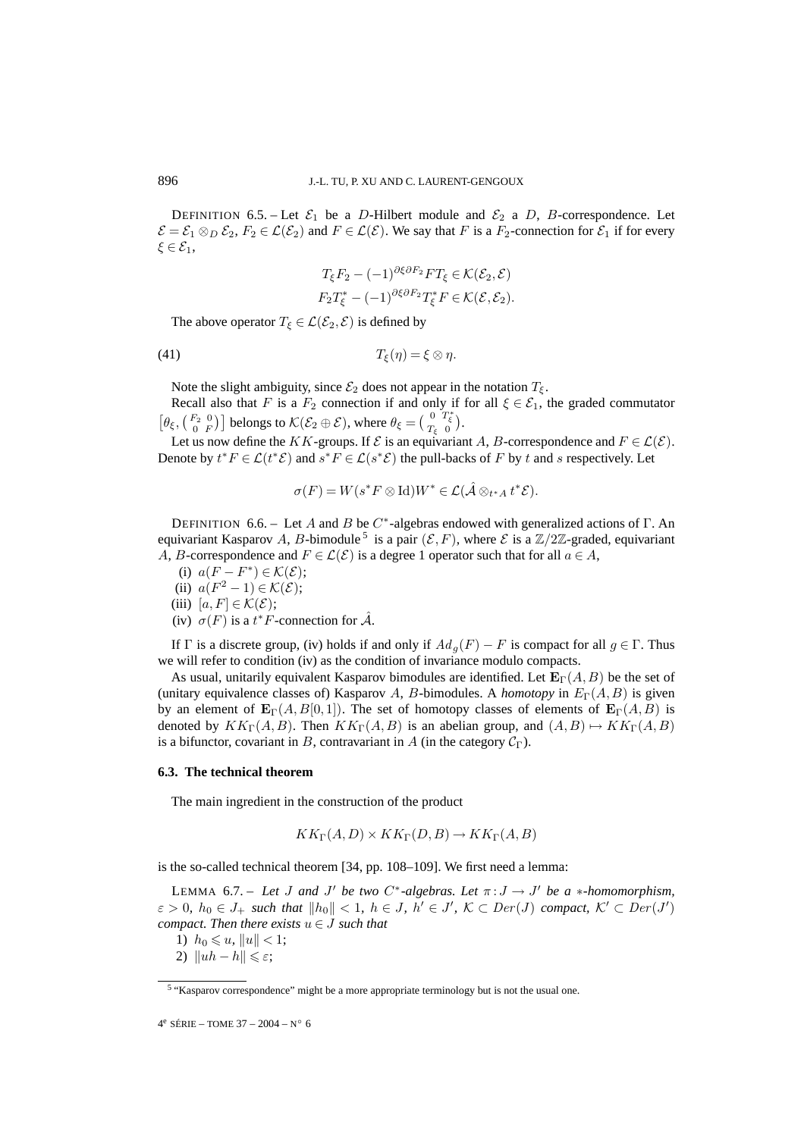DEFINITION 6.5. – Let  $\mathcal{E}_1$  be a D-Hilbert module and  $\mathcal{E}_2$  a D, B-correspondence. Let  $\mathcal{E} = \mathcal{E}_1 \otimes_D \mathcal{E}_2$ ,  $F_2 \in \mathcal{L}(\mathcal{E}_2)$  and  $F \in \mathcal{L}(\mathcal{E})$ . We say that F is a  $F_2$ -connection for  $\mathcal{E}_1$  if for every  $\xi \in \mathcal{E}_1$ ,

$$
T_{\xi}F_2 - (-1)^{\partial \xi \partial F_2}FT_{\xi} \in \mathcal{K}(\mathcal{E}_2, \mathcal{E})
$$
  
\n
$$
F_2T_{\xi}^* - (-1)^{\partial \xi \partial F_2}T_{\xi}^*F \in \mathcal{K}(\mathcal{E}, \mathcal{E}_2).
$$

The above operator  $T_{\xi} \in \mathcal{L}(\mathcal{E}_2, \mathcal{E})$  is defined by

(41)  $T_{\xi}(\eta) = \xi \otimes \eta$ .

Note the slight ambiguity, since  $\mathcal{E}_2$  does not appear in the notation  $T_{\xi}$ .

Recall also that F is a  $F_2$  connection if and only if for all  $\xi \in \mathcal{E}_1$ , the graded commutator  $\left[\theta_{\xi}, \begin{pmatrix} F_2 & 0 \\ 0 & F \end{pmatrix} \right]$  belongs to  $\mathcal{K}(\mathcal{E}_2 \oplus \mathcal{E})$ , where  $\theta_{\xi} = \begin{pmatrix} 0 & T_{\xi}^* \\ T_{\xi} & 0 \end{pmatrix}$ .

Let us now define the KK-groups. If  $\mathcal E$  is an equivariant A, B-correspondence and  $F \in \mathcal L(\mathcal E)$ . Denote by  $t^*F \in \mathcal{L}(t^*\mathcal{E})$  and  $s^*F \in \mathcal{L}(s^*\mathcal{E})$  the pull-backs of F by t and s respectively. Let

$$
\sigma(F) = W(s^*F \otimes \mathrm{Id})W^* \in \mathcal{L}(\hat{\mathcal{A}} \otimes_{t^*A} t^*\mathcal{E}).
$$

DEFINITION 6.6. – Let A and B be  $C^*$ -algebras endowed with generalized actions of  $\Gamma$ . An equivariant Kasparov A, B-bimodule<sup>5</sup> is a pair  $(\mathcal{E}, F)$ , where  $\mathcal{E}$  is a  $\mathbb{Z}/2\mathbb{Z}$ -graded, equivariant A, B-correspondence and  $F \in \mathcal{L}(\mathcal{E})$  is a degree 1 operator such that for all  $a \in A$ ,

- (i)  $a(F F^*) \in \mathcal{K}(\mathcal{E});$
- (ii)  $a(F^2 1) \in \mathcal{K}(\mathcal{E});$

(iii)  $[a, F] \in \mathcal{K}(\mathcal{E});$ 

(iv)  $\sigma(F)$  is a  $t^*F$ -connection for  $\hat{\mathcal{A}}$ .

If Γ is a discrete group, (iv) holds if and only if  $Ad<sub>q</sub>(F) - F$  is compact for all  $g \in \Gamma$ . Thus we will refer to condition (iv) as the condition of invariance modulo compacts.

As usual, unitarily equivalent Kasparov bimodules are identified. Let  $\mathbf{E}_{\Gamma}(A, B)$  be the set of (unitary equivalence classes of) Kasparov A, B-bimodules. A *homotopy* in  $E_{\Gamma}(A, B)$  is given by an element of  $\mathbf{E}_{\Gamma}(A, B[0,1])$ . The set of homotopy classes of elements of  $\mathbf{E}_{\Gamma}(A, B)$  is denoted by  $KK_{\Gamma}(A, B)$ . Then  $KK_{\Gamma}(A, B)$  is an abelian group, and  $(A, B) \mapsto KK_{\Gamma}(A, B)$ is a bifunctor, covariant in B, contravariant in A (in the category  $C_{\Gamma}$ ).

### **6.3. The technical theorem**

The main ingredient in the construction of the product

$$
KK_{\Gamma}(A, D) \times KK_{\Gamma}(D, B) \to KK_{\Gamma}(A, B)
$$

is the so-called technical theorem [34, pp. 108–109]. We first need a lemma:

LEMMA 6.7. – Let J and J' be two  $C^*$ -algebras. Let  $\pi: J \to J'$  be a  $*$ -homomorphism,  $\varepsilon > 0$ ,  $h_0 \in J_+$  such that  $||h_0|| < 1$ ,  $h \in J$ ,  $h' \in J'$ ,  $K \subset Der(J)$  compact,  $K' \subset Der(J')$ *compact. Then there exists*  $u \in J$  *such that* 

1)  $h_0 \leq u, \|u\| < 1;$ 

<sup>2)</sup>  $\|uh - h\| \leqslant \varepsilon$ ;

<sup>5</sup> "Kasparov correspondence" might be a more appropriate terminology but is not the usual one.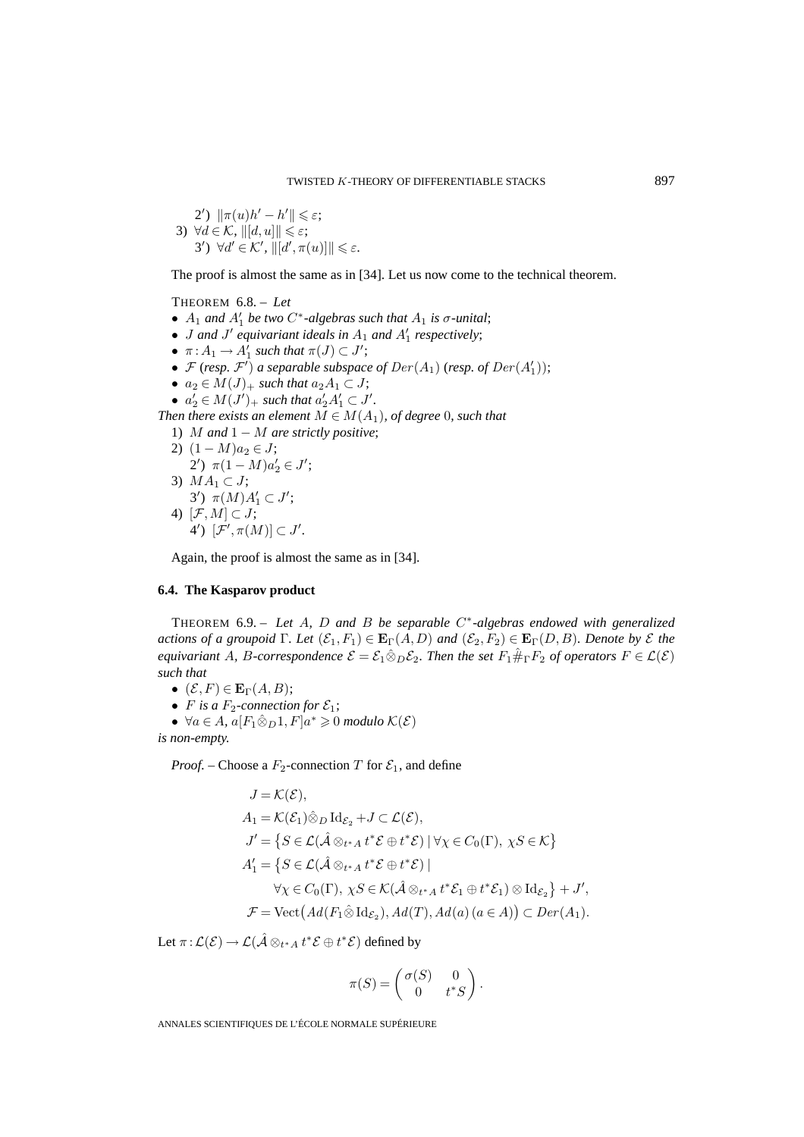\n- \n
$$
2') \|\pi(u)h' - h'\| \leq \varepsilon;
$$
\n
\n- \n
$$
3) \forall d \in \mathcal{K}, \|[d, u]\| \leq \varepsilon;
$$
\n
\n- \n
$$
3') \forall d' \in \mathcal{K}', \|[d', \pi(u)]\| \leq \varepsilon.
$$
\n
\n

The proof is almost the same as in [34]. Let us now come to the technical theorem.

THEOREM 6.8. – *Let*

- $A_1$  *and*  $A'_1$  *be two*  $C^*$ *-algebras such that*  $A_1$  *is*  $\sigma$ *-unital*;
- *J* and *J'* equivariant ideals in  $A_1$  and  $A'_1$  respectively;
- $\pi: A_1 \to A'_1$  such that  $\pi(J) \subset J'$ ;
- $\mathcal F$  (*resp.*  $\mathcal F'$ ) a separable subspace of  $Der(A_1)$  (*resp.* of  $Der(A'_1)$ );
- $a_2 \in M(J)_+$  *such that*  $a_2A_1 \subset J$ ;
- $a'_2 \in M(J')_+$  such that  $a'_2A'_1 \subset J'$ .

*Then there exists an element*  $M \in M(A_1)$ *, of degree* 0*, such that* 

1) M *and* 1 − M *are strictly positive*;

2) 
$$
(1 - M)a_2 \in J
$$
;  
\n2')  $\pi(1 - M)a'_2 \in J'$ ;  
\n3)  $MA_1 \subset J$ ;  
\n3')  $\pi(M)A'_1 \subset J'$ ;  
\n4)  $[\mathcal{F}, M] \subset J$ ;  
\n4')  $[\mathcal{F}', \pi(M)] \subset J'$ .

Again, the proof is almost the same as in [34].

### **6.4. The Kasparov product**

THEOREM 6.9. – *Let* A*,* D *and* B *be separable* C∗*-algebras endowed with generalized actions of a groupoid*  $\Gamma$ *. Let*  $(\mathcal{E}_1, F_1) \in \mathbf{E}_{\Gamma}(A, D)$  *and*  $(\mathcal{E}_2, F_2) \in \mathbf{E}_{\Gamma}(D, B)$ *. Denote by*  $\mathcal{E}$  *the equivariant* A, B-correspondence  $\mathcal{E} = \mathcal{E}_1 \hat{\otimes}_D \mathcal{E}_2$ . Then the set  $F_1 \hat{\#}_\Gamma F_2$  of operators  $F \in \mathcal{L}(\mathcal{E})$ *such that*

- $(\mathcal{E}, F) \in \mathbf{E}_{\Gamma}(A, B);$
- *F* is a  $F_2$ -connection for  $\mathcal{E}_1$ ;
- $\forall a \in A$ ,  $a[F_1 \hat{\otimes}_D 1, F]a^* \geq 0$  modulo  $\mathcal{K}(\mathcal{E})$ *is non-empty.*

*Proof.* – Choose a  $F_2$ -connection T for  $\mathcal{E}_1$ , and define

$$
J = \mathcal{K}(\mathcal{E}),
$$
  
\n
$$
A_1 = \mathcal{K}(\mathcal{E}_1) \hat{\otimes}_D \mathrm{Id}_{\mathcal{E}_2} + J \subset \mathcal{L}(\mathcal{E}),
$$
  
\n
$$
J' = \{ S \in \mathcal{L}(\hat{A} \otimes_{t^* A} t^* \mathcal{E} \oplus t^* \mathcal{E}) \mid \forall \chi \in C_0(\Gamma), \chi S \in \mathcal{K} \}
$$
  
\n
$$
A'_1 = \{ S \in \mathcal{L}(\hat{A} \otimes_{t^* A} t^* \mathcal{E} \oplus t^* \mathcal{E}) \mid
$$
  
\n
$$
\forall \chi \in C_0(\Gamma), \chi S \in \mathcal{K}(\hat{A} \otimes_{t^* A} t^* \mathcal{E}_1 \oplus t^* \mathcal{E}_1) \otimes \mathrm{Id}_{\mathcal{E}_2} \} + J',
$$
  
\n
$$
\mathcal{F} = \mathrm{Vect} (Ad(F_1 \hat{\otimes} \mathrm{Id}_{\mathcal{E}_2}), Ad(T), Ad(a) (a \in A)) \subset Der(A_1).
$$

Let  $\pi\!:\! \mathcal{L}(\mathcal{E})\to \mathcal{L}(\hat{\mathcal{A}}\otimes_{t^*A} t^*\mathcal{E}\oplus t^*\mathcal{E})$  defined by

$$
\pi(S) = \begin{pmatrix} \sigma(S) & 0 \\ 0 & t^*S \end{pmatrix}.
$$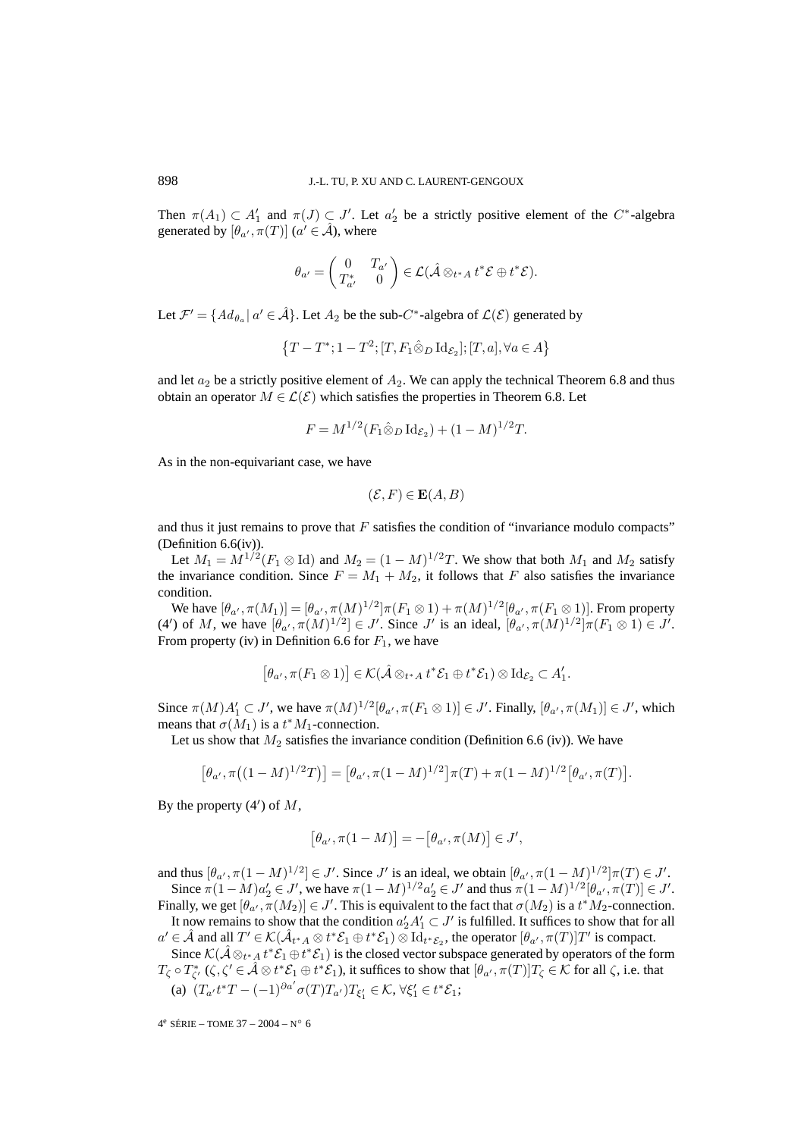Then  $\pi(A_1) \subset A'_1$  and  $\pi(J) \subset J'$ . Let  $a'_2$  be a strictly positive element of the C<sup>\*</sup>-algebra generated by  $[\theta_{a'}, \pi(T)]$   $(a' \in \hat{\mathcal{A}})$ , where

$$
\theta_{a'} = \begin{pmatrix} 0 & T_{a'} \\ T_{a'}^* & 0 \end{pmatrix} \in \mathcal{L}(\hat{\mathcal{A}} \otimes_{t^* A} t^* \mathcal{E} \oplus t^* \mathcal{E}).
$$

Let  $\mathcal{F}' = \{Ad_{\theta_\alpha} | \alpha' \in \hat{\mathcal{A}}\}$ . Let  $A_2$  be the sub-C<sup>\*</sup>-algebra of  $\mathcal{L}(\mathcal{E})$  generated by

$$
\left\{T-T^*; 1-T^2; [T,F_1\hat\otimes_D \mathrm{Id}_{\mathcal{E}_2}]; [T,a], \forall a\in A\right\}
$$

and let  $a_2$  be a strictly positive element of  $A_2$ . We can apply the technical Theorem 6.8 and thus obtain an operator  $M \in \mathcal{L}(\mathcal{E})$  which satisfies the properties in Theorem 6.8. Let

$$
F = M^{1/2} (F_1 \hat{\otimes}_D \mathrm{Id}_{\mathcal{E}_2}) + (1 - M)^{1/2} T.
$$

As in the non-equivariant case, we have

$$
(\mathcal{E}, F) \in \mathbf{E}(A, B)
$$

and thus it just remains to prove that  $F$  satisfies the condition of "invariance modulo compacts" (Definition 6.6(iv)).

Let  $M_1 = M^{1/2}(F_1 \otimes \text{Id})$  and  $M_2 = (1 - M)^{1/2}T$ . We show that both  $M_1$  and  $M_2$  satisfy the invariance condition. Since  $F = M_1 + M_2$ , it follows that F also satisfies the invariance condition.

We have  $[\theta_{a'}, \pi(M_1)] = [\theta_{a'}, \pi(M)^{1/2}] \pi(F_1 \otimes 1) + \pi(M)^{1/2} [\theta_{a'}, \pi(F_1 \otimes 1)]$ . From property (4') of M, we have  $[\theta_{\alpha'}, \pi(M)^{1/2}] \in J'$ . Since J' is an ideal,  $[\theta_{\alpha'}, \pi(M)^{1/2}] \pi(F_1 \otimes 1) \in J'$ . From property (iv) in Definition 6.6 for  $F_1$ , we have

$$
[\theta_{a'}, \pi(F_1 \otimes 1)] \in \mathcal{K}(\hat{\mathcal{A}} \otimes_{t^* A} t^* \mathcal{E}_1 \oplus t^* \mathcal{E}_1) \otimes \mathrm{Id}_{\mathcal{E}_2} \subset A'_1.
$$

Since  $\pi(M)A'_1 \subset J'$ , we have  $\pi(M)^{1/2}[\theta_{\alpha'}, \pi(F_1 \otimes 1)] \in J'$ . Finally,  $[\theta_{\alpha'}, \pi(M_1)] \in J'$ , which means that  $\sigma(M_1)$  is a  $t^*M_1$ -connection.

Let us show that  $M_2$  satisfies the invariance condition (Definition 6.6 (iv)). We have

$$
[\theta_{a'}, \pi((1-M)^{1/2}T)] = [\theta_{a'}, \pi(1-M)^{1/2}]\pi(T) + \pi(1-M)^{1/2}[\theta_{a'}, \pi(T)].
$$

By the property  $(4')$  of  $M$ ,

$$
[\theta_{a'}, \pi(1-M)] = -[\theta_{a'}, \pi(M)] \in J',
$$

and thus  $[\theta_{a'}, \pi(1-M)^{1/2}] \in J'$ . Since J' is an ideal, we obtain  $[\theta_{a'}, \pi(1-M)^{1/2}] \pi(T) \in J'$ . Since  $\pi(1-M)a'_2 \in J'$ , we have  $\pi(1-M)^{1/2}a'_2 \in J'$  and thus  $\pi(1-M)^{1/2}[\theta_{a'}, \pi(T)] \in J'.$ 

Finally, we get  $[\theta_{a'}, \pi(M_2)] \in J'$ . This is equivalent to the fact that  $\sigma(M_2)$  is a  $t^*M_2$ -connection. It now remains to show that the condition  $a'_2A'_1 \subset J'$  is fulfilled. It suffices to show that for all

 $a' \in \hat{\mathcal{A}}$  and all  $T' \in \mathcal{K}(\hat{\mathcal{A}}_{t^*A} \otimes t^* \mathcal{E}_1 \oplus t^* \mathcal{E}_1) \otimes \mathrm{Id}_{t^* \mathcal{E}_2}$ , the operator  $[\theta_{a'}, \pi(T)]T'$  is compact. Since  $\mathcal{K}(\hat{\mathcal{A}} \otimes_{t^*A} t^* \mathcal{E}_1 \oplus t^* \mathcal{E}_1)$  is the closed vector subspace generated by operators of the form  $T_{\zeta} \circ T_{\zeta'}^*$   $(\zeta, \zeta' \in \hat{\mathcal{A}} \otimes t^* \mathcal{E}_1 \oplus t^* \mathcal{E}_1)$ , it suffices to show that  $[\theta_{\alpha'}, \pi(T)]T_{\zeta} \in \hat{\mathcal{K}}$  for all  $\zeta$ , i.e. that (a)  $(T_{a'}t^*T - (-1)^{\partial a'}\sigma(T)T_{a'})T_{\xi'_1} \in \mathcal{K}, \forall \xi'_1 \in t^*\mathcal{E}_1;$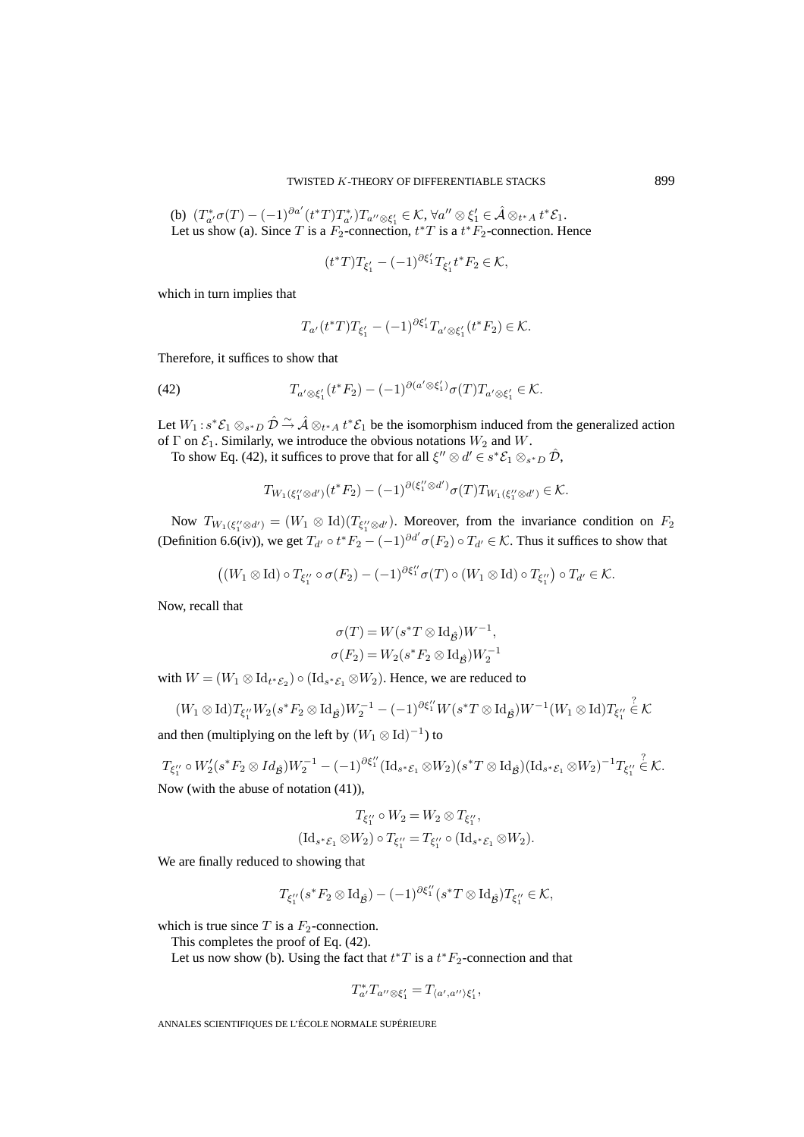(b)  $(T^*_{a'}\sigma(T)-(-1)^{\partial a'}(t^*T)T^*_{a'})T_{a''\otimes \xi'_1}\in \mathcal{K}, \forall a''\otimes \xi'_1\in \hat{\mathcal{A}}\otimes_{t^*A}t^*\mathcal{E}_1.$ Let us show (a). Since T is a  $F_2$ -connection,  $t^*T$  is a  $t^*F_2$ -connection. Hence

$$
(t^*T)T_{\xi'_1} - (-1)^{\partial \xi'_1}T_{\xi'_1}t^*F_2 \in \mathcal{K},
$$

which in turn implies that

$$
T_{a'}(t^*T)T_{\xi'_1} - (-1)^{\partial \xi'_1}T_{a' \otimes \xi'_1}(t^*F_2) \in \mathcal{K}.
$$

Therefore, it suffices to show that

(42) 
$$
T_{a' \otimes \xi'_1}(t^*F_2) - (-1)^{\partial (a' \otimes \xi'_1)} \sigma(T) T_{a' \otimes \xi'_1} \in \mathcal{K}.
$$

Let  $W_1$ :  $s^*\mathcal{E}_1 \otimes_{s^*D} \hat{\mathcal{D}} \stackrel{\sim}{\to} \hat{\mathcal{A}} \otimes_{t^*A} t^*\mathcal{E}_1$  be the isomorphism induced from the generalized action of  $\Gamma$  on  $\mathcal{E}_1$ . Similarly, we introduce the obvious notations  $W_2$  and  $W$ .

To show Eq. (42), it suffices to prove that for all  $\xi'' \otimes d' \in s^* \mathcal{E}_1 \otimes_{s^* D} \hat{\mathcal{D}}$ ,

$$
T_{W_1(\xi_1''\otimes d')}(t^*F_2)-(-1)^{\partial(\xi_1''\otimes d')}\sigma(T)T_{W_1(\xi_1''\otimes d')}\in\mathcal{K}.
$$

Now  $T_{W_1(\xi_1''\otimes d')} = (W_1 \otimes \text{Id})(T_{\xi_1''\otimes d'})$ . Moreover, from the invariance condition on  $F_2$ (Definition 6.6(iv)), we get  $T_{d'} \circ t^* F_2 - (-1)^{\partial d'} \sigma(F_2) \circ T_{d'} \in \mathcal{K}$ . Thus it suffices to show that

$$
((W_1 \otimes \mathrm{Id}) \circ T_{\xi_1''} \circ \sigma(F_2) - (-1)^{\partial \xi_1''} \sigma(T) \circ (W_1 \otimes \mathrm{Id}) \circ T_{\xi_1''}) \circ T_{d'} \in \mathcal{K}.
$$

Now, recall that

$$
\sigma(T) = W(s^*T \otimes \text{Id}_{\hat{\mathcal{B}}})W^{-1},
$$
  

$$
\sigma(F_2) = W_2(s^*F_2 \otimes \text{Id}_{\hat{\mathcal{B}}})W_2^{-1}
$$

with  $W = (W_1 \otimes \mathrm{Id}_{t^* \mathcal{E}_2}) \circ (\mathrm{Id}_{s^* \mathcal{E}_1} \otimes W_2)$ . Hence, we are reduced to

$$
(W_1 \otimes \mathrm{Id})T_{\xi_1^{\prime\prime}} W_2(s^* F_2 \otimes \mathrm{Id}_{\hat{\mathcal{B}}}) W_2^{-1} - (-1)^{\partial \xi_1^{\prime\prime}} W(s^* T \otimes \mathrm{Id}_{\hat{\mathcal{B}}}) W^{-1} (W_1 \otimes \mathrm{Id}) T_{\xi_1^{\prime\prime}} \stackrel{?}{\in} \mathcal{K}
$$

and then (multiplying on the left by  $(W_1 \otimes Id)^{-1}$ ) to

 $T_{\xi''_1}\circ W'_2(s^*F_2\otimes Id_{\hat{\mathcal{B}}})W_2^{-1}-(-1)^{\partial \xi''_1}(\mathrm{Id}_{s^*\mathcal{E}_1}\otimes W_2)(s^*T\otimes \mathrm{Id}_{\hat{\mathcal{B}}})(\mathrm{Id}_{s^*\mathcal{E}_1}\otimes W_2)^{-1}T_{\xi''_1}$  $E \n\in \mathcal{K}.$ Now (with the abuse of notation (41)),

$$
T_{\xi_1^{\prime\prime}} \circ W_2 = W_2 \otimes T_{\xi_1^{\prime\prime}},
$$
  

$$
(\mathrm{Id}_{s^*\mathcal{E}_1} \otimes W_2) \circ T_{\xi_1^{\prime\prime}} = T_{\xi_1^{\prime\prime}} \circ (\mathrm{Id}_{s^*\mathcal{E}_1} \otimes W_2).
$$

We are finally reduced to showing that

$$
T_{\xi_1^{\prime\prime}}(s^*F_2\otimes \mathrm{Id}_{\hat{\mathcal{B}}}) - (-1)^{\partial \xi_1^{\prime\prime}}(s^*T\otimes \mathrm{Id}_{\hat{\mathcal{B}}})T_{\xi_1^{\prime\prime}} \in \mathcal{K},
$$

which is true since T is a  $F_2$ -connection.

This completes the proof of Eq. (42).

Let us now show (b). Using the fact that  $t^*T$  is a  $t^*F_2$ -connection and that

$$
T_{a'}^*T_{a''\otimes \xi_1'}=T_{\langle a',a''\rangle \xi_1'},
$$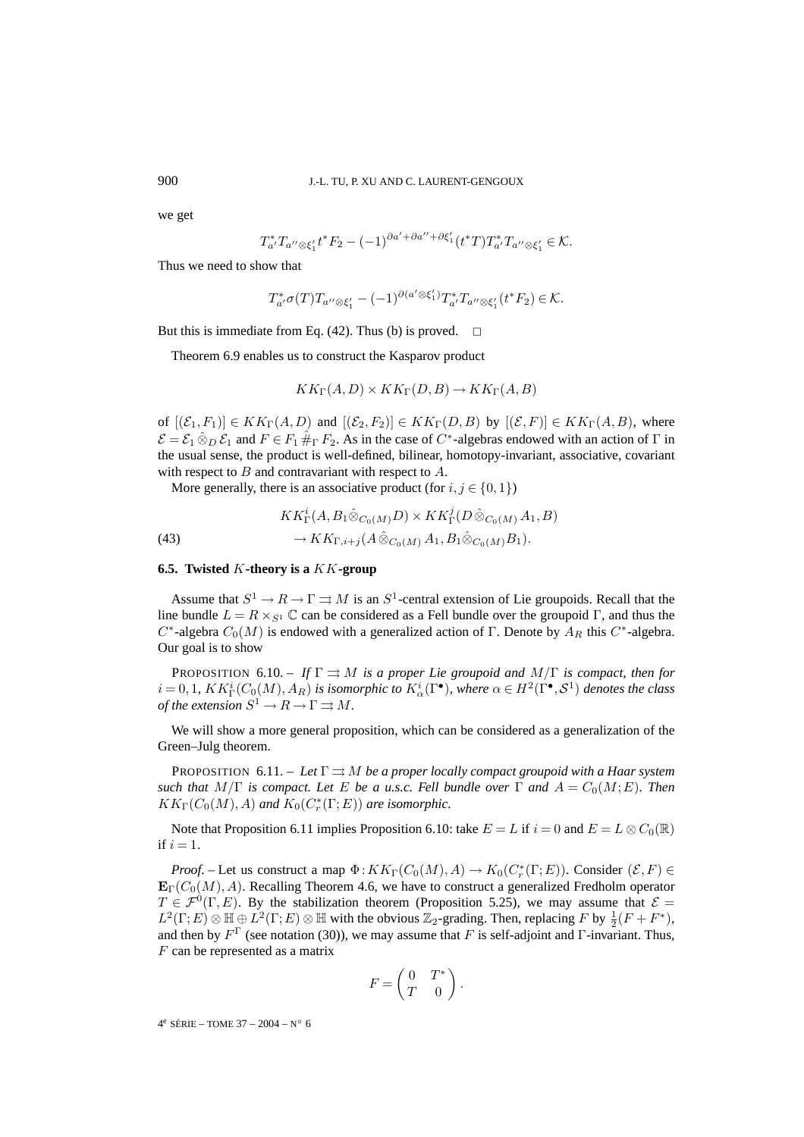we get

$$
T_{a'}^*T_{a''\otimes\xi_1'}t^*F_2-(-1)^{\partial a'+\partial a''+\partial\xi_1'}(t^*T)T_{a'}^*T_{a''\otimes\xi_1'}\in\mathcal{K}.
$$

Thus we need to show that

$$
T_{a'}^* \sigma(T) T_{a'' \otimes \xi_1'} - (-1)^{\partial(a' \otimes \xi_1')} T_{a'}^* T_{a'' \otimes \xi_1'} (t^* F_2) \in \mathcal{K}.
$$

But this is immediate from Eq. (42). Thus (b) is proved.  $\Box$ 

Theorem 6.9 enables us to construct the Kasparov product

$$
KK_{\Gamma}(A, D) \times KK_{\Gamma}(D, B) \to KK_{\Gamma}(A, B)
$$

of  $[(\mathcal{E}_1, F_1)] \in KK_\Gamma(A, D)$  and  $[(\mathcal{E}_2, F_2)] \in KK_\Gamma(D, B)$  by  $[(\mathcal{E}, F)] \in KK_\Gamma(A, B)$ , where  $\mathcal{E} = \mathcal{E}_1 \otimes_D \mathcal{E}_1$  and  $F \in F_1 \#_{\Gamma} F_2$ . As in the case of  $C^*$ -algebras endowed with an action of  $\Gamma$  in the usual sense, the product is well-defined, bilinear, homotopy-invariant, associative, covariant with respect to  $B$  and contravariant with respect to  $A$ .

More generally, there is an associative product (for  $i, j \in \{0, 1\}$ )

 $\lambda$ 

(43) 
$$
KK_{\Gamma}^i(A, B_1 \hat{\otimes}_{C_0(M)} D) \times KK_{\Gamma}^j(D \hat{\otimes}_{C_0(M)} A_1, B) \rightarrow KK_{\Gamma, i+j}(A \hat{\otimes}_{C_0(M)} A_1, B_1 \hat{\otimes}_{C_0(M)} B_1).
$$

### **6.5. Twisted** K**-theory is a** KK**-group**

Assume that  $S^1 \to R \to \Gamma \rightrightarrows M$  is an  $S^1$ -central extension of Lie groupoids. Recall that the line bundle  $L = R \times_{S^1} \mathbb{C}$  can be considered as a Fell bundle over the groupoid Γ, and thus the C<sup>∗</sup>-algebra  $C_0(M)$  is endowed with a generalized action of Γ. Denote by  $A_R$  this C<sup>∗</sup>-algebra. Our goal is to show

PROPOSITION 6.10. – *If*  $\Gamma \rightrightarrows M$  *is a proper Lie groupoid and*  $M/\Gamma$  *is compact, then for*  $i = 0, 1$ *, K* $K_{\Gamma}^{i}(C_0(M), A_R)$  *is isomorphic to*  $K_{\alpha}^{i}(\Gamma^{\bullet})$ *, where*  $\alpha \in H^{2}(\Gamma^{\bullet}, \mathcal{S}^{1})$  *denotes the class of the extension*  $S^1 \to R \to \Gamma \rightrightarrows M$ .

We will show a more general proposition, which can be considered as a generalization of the Green–Julg theorem.

PROPOSITION 6.11. – Let  $\Gamma \rightrightarrows M$  be a proper locally compact groupoid with a Haar system *such that*  $M/\Gamma$  *is compact. Let* E *be a u.s.c. Fell bundle over*  $\Gamma$  *and*  $A = C_0(M; E)$ *. Then*  $KK_\Gamma(C_0(M), A)$  and  $K_0(C^*_r(\Gamma; E))$  are isomorphic.

Note that Proposition 6.11 implies Proposition 6.10: take  $E = L$  if  $i = 0$  and  $E = L \otimes C_0(\mathbb{R})$ if  $i = 1$ .

*Proof.* – Let us construct a map  $\Phi$ :  $KK_\Gamma(C_0(M), A) \to K_0(C_r^*(\Gamma; E))$ . Consider  $(\mathcal{E}, F) \in$  $\mathbf{E}_{\Gamma}(C_0(M), A)$ . Recalling Theorem 4.6, we have to construct a generalized Fredholm operator  $T \in \mathcal{F}^0(\Gamma, E)$ . By the stabilization theorem (Proposition 5.25), we may assume that  $\mathcal{E} =$  $L^2(\Gamma; E) \otimes \mathbb{H} \oplus L^2(\Gamma; E) \otimes \mathbb{H}$  with the obvious  $\mathbb{Z}_2$ -grading. Then, replacing F by  $\frac{1}{2}(F + F^*)$ , and then by  $F^{\Gamma}$  (see notation (30)), we may assume that F is self-adjoint and Γ-invariant. Thus, F can be represented as a matrix

$$
F = \begin{pmatrix} 0 & T^* \\ T & 0 \end{pmatrix}.
$$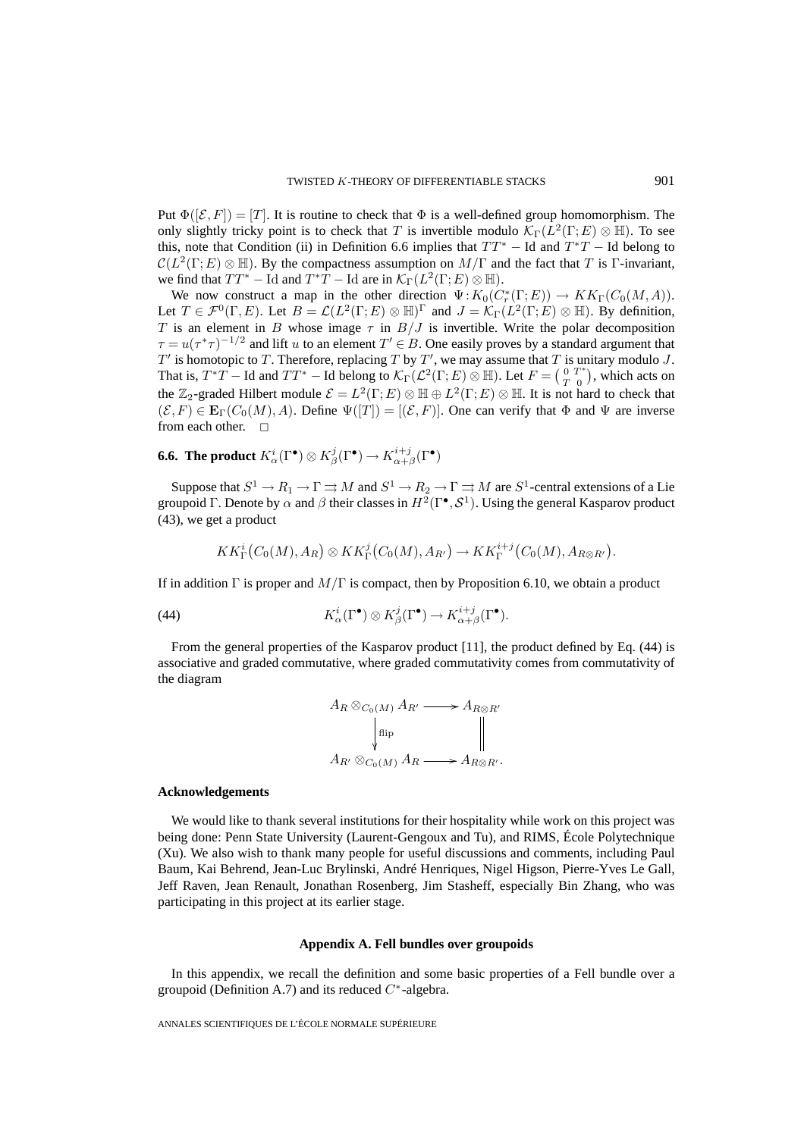Put  $\Phi([\mathcal{E}, F]) = [T]$ . It is routine to check that  $\Phi$  is a well-defined group homomorphism. The only slightly tricky point is to check that T is invertible modulo  $\mathcal{K}_{\Gamma}(L^2(\Gamma;E) \otimes \mathbb{H})$ . To see this, note that Condition (ii) in Definition 6.6 implies that  $TT^*$  – Id and  $T^*T$  – Id belong to  $\mathcal{C}(L^2(\Gamma;E)\otimes\mathbb{H})$ . By the compactness assumption on  $M/\Gamma$  and the fact that T is Γ-invariant, we find that  $TT^*$  – Id and  $T^*T$  – Id are in  $\mathcal{K}_{\Gamma}(L^2(\Gamma;E)\otimes \mathbb{H}).$ 

We now construct a map in the other direction  $\Psi: K_0(C_r^*(\Gamma;E)) \to KK_\Gamma(C_0(M,A)).$ Let  $T \in \mathcal{F}^0(\Gamma, E)$ . Let  $B = \mathcal{L}(L^2(\Gamma; E) \otimes \mathbb{H})^{\Gamma}$  and  $J = \mathcal{K}_{\Gamma}(L^2(\Gamma; E) \otimes \mathbb{H})$ . By definition, T is an element in B whose image  $\tau$  in  $B/J$  is invertible. Write the polar decomposition  $\tau = u(\tau^*\tau)^{-1/2}$  and lift u to an element  $T' \in B$ . One easily proves by a standard argument that  $T'$  is homotopic to T. Therefore, replacing T by T', we may assume that T is unitary modulo J. That is,  $T^*T$  – Id and  $TT^*$  – Id belong to  $\mathcal{K}_{\Gamma}(\mathcal{L}^2(\Gamma; E) \otimes \mathbb{H})$ . Let  $F = \begin{pmatrix} 0 & T^* \\ T & 0 \end{pmatrix}$ , which acts on the  $\mathbb{Z}_2$ -graded Hilbert module  $\mathcal{E} = L^2(\Gamma; E) \otimes \mathbb{H} \oplus L^2(\Gamma; E) \otimes \mathbb{H}$ . It is not hard to check that  $(\mathcal{E}, F) \in \mathbf{E}_{\Gamma}(C_0(M), A)$ . Define  $\Psi([T]) = [(\mathcal{E}, F)]$ . One can verify that  $\Phi$  and  $\Psi$  are inverse from each other.  $\square$ 

**6.6. The product**  $K^i_\alpha(\Gamma^\bullet)\otimes K^j_\beta(\Gamma^\bullet)\to K^{i+j}_{\alpha+\beta}(\Gamma^\bullet)$ 

Suppose that  $S^1 \to R_1 \to \Gamma \rightrightarrows M$  and  $S^1 \to R_2 \to \Gamma \rightrightarrows M$  are  $S^1$ -central extensions of a Lie groupoid Γ. Denote by  $\alpha$  and  $\beta$  their classes in  $H^2(\Gamma^{\bullet}, \mathcal{S}^1)$ . Using the general Kasparov product (43), we get a product

$$
KK^i_{\Gamma}(C_0(M), A_R) \otimes KK^j_{\Gamma}(C_0(M), A_{R'}) \to KK^{i+j}_{\Gamma}(C_0(M), A_{R \otimes R'}).
$$

If in addition Γ is proper and  $M/\Gamma$  is compact, then by Proposition 6.10, we obtain a product

(44) 
$$
K^i_{\alpha}(\Gamma^{\bullet}) \otimes K^j_{\beta}(\Gamma^{\bullet}) \to K^{i+j}_{\alpha+\beta}(\Gamma^{\bullet}).
$$

From the general properties of the Kasparov product [11], the product defined by Eq. (44) is associative and graded commutative, where graded commutativity comes from commutativity of the diagram

$$
A_R \otimes_{C_0(M)} A_{R'} \longrightarrow A_{R \otimes R'}
$$
  
\n
$$
\downarrow_{\text{flip}} \qquad \qquad \downarrow_{\text{map}}
$$
  
\n
$$
A_{R'} \otimes_{C_0(M)} A_R \longrightarrow A_{R \otimes R'}.
$$

### **Acknowledgements**

We would like to thank several institutions for their hospitality while work on this project was being done: Penn State University (Laurent-Gengoux and Tu), and RIMS, École Polytechnique (Xu). We also wish to thank many people for useful discussions and comments, including Paul Baum, Kai Behrend, Jean-Luc Brylinski, André Henriques, Nigel Higson, Pierre-Yves Le Gall, Jeff Raven, Jean Renault, Jonathan Rosenberg, Jim Stasheff, especially Bin Zhang, who was participating in this project at its earlier stage.

### **Appendix A. Fell bundles over groupoids**

In this appendix, we recall the definition and some basic properties of a Fell bundle over a groupoid (Definition A.7) and its reduced  $C^*$ -algebra.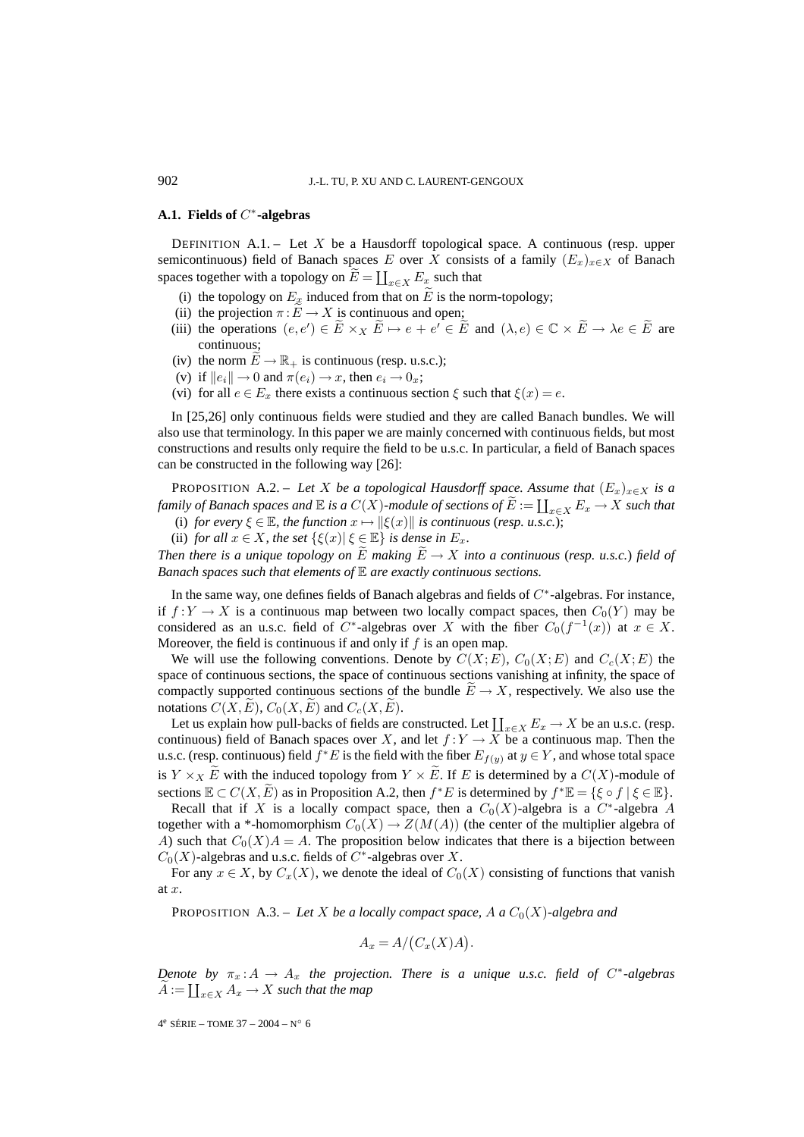### **A.1. Fields of** C∗**-algebras**

DEFINITION  $A.1 -$  Let X be a Hausdorff topological space. A continuous (resp. upper semicontinuous) field of Banach spaces E over X consists of a family  $(E_x)_{x\in X}$  of Banach spaces together with a topology on  $\widetilde{E} = \coprod_{x \in X} E_x$  such that

- (i) the topology on  $E_x$  induced from that on  $\widetilde{E}$  is the norm-topology;
- (ii) the projection  $\pi : E \to X$  is continuous and open;
- (iii) the operations  $(e, e') \in E \times_X E \mapsto e + e' \in E$  and  $(\lambda, e) \in \mathbb{C} \times E \to \lambda e \in E$  are continuous;
- (iv) the norm  $E \to \mathbb{R}_+$  is continuous (resp. u.s.c.);
- (v) if  $||e_i|| \to 0$  and  $\pi(e_i) \to x$ , then  $e_i \to 0_x$ ;
- (vi) for all  $e \in E_x$  there exists a continuous section  $\xi$  such that  $\xi(x) = e$ .

In [25,26] only continuous fields were studied and they are called Banach bundles. We will also use that terminology. In this paper we are mainly concerned with continuous fields, but most constructions and results only require the field to be u.s.c. In particular, a field of Banach spaces can be constructed in the following way [26]:

PROPOSITION A.2. – Let X be a topological Hausdorff space. Assume that  $(E_x)_{x\in X}$  is a *family of Banach spaces and*  $\mathbb E$  *is a*  $C(X)$ *-module of sections of*  $\widetilde{E} := \coprod_{x \in X} E_x \to X$  *such that* 

- (i) *for every*  $\xi \in \mathbb{E}$ *, the function*  $x \mapsto ||\xi(x)||$  *is continuous (resp. u.s.c.)*;
- (ii) *for all*  $x \in X$ *, the set*  $\{\xi(x) | \xi \in \mathbb{E}\}\)$  *is dense in*  $E_x$ *.*

*Then there is a unique topology on*  $\widetilde{E}$  *making*  $\widetilde{E} \rightarrow X$  *into a continuous* (*resp. u.s.c.*) *field of Banach spaces such that elements of* E *are exactly continuous sections.*

In the same way, one defines fields of Banach algebras and fields of C∗-algebras. For instance, if  $f:Y \to X$  is a continuous map between two locally compact spaces, then  $C_0(Y)$  may be considered as an u.s.c. field of  $C^*$ -algebras over X with the fiber  $C_0(f^{-1}(x))$  at  $x \in X$ . Moreover, the field is continuous if and only if  $f$  is an open map.

We will use the following conventions. Denote by  $C(X;E)$ ,  $C_0(X;E)$  and  $C_c(X;E)$  the space of continuous sections, the space of continuous sections vanishing at infinity, the space of compactly supported continuous sections of the bundle  $E \to X$ , respectively. We also use the notations  $C(X, E)$ ,  $C_0(X, E)$  and  $C_c(X, E)$ .

Let us explain how pull-backs of fields are constructed. Let  $\coprod_{x \in X} E_x \to X$  be an u.s.c. (resp. continuous) field of Banach spaces over X, and let  $f:Y \to X$  be a continuous map. Then the u.s.c. (resp. continuous) field  $f^*E$  is the field with the fiber  $E_{f(y)}$  at  $y \in Y$ , and whose total space is  $Y \times_X E$  with the induced topology from  $Y \times E$ . If E is determined by a  $C(X)$ -module of sections  $\mathbb{E} \subset C(X, \tilde{E})$  as in Proposition A.2, then  $f^*E$  is determined by  $f^*\mathbb{E} = {\{\xi \circ f \mid \xi \in \mathbb{E}\}.}$ 

Recall that if X is a locally compact space, then a  $C_0(X)$ -algebra is a C<sup>∗</sup>-algebra A together with a \*-homomorphism  $C_0(X) \to Z(M(A))$  (the center of the multiplier algebra of A) such that  $C_0(X)A = A$ . The proposition below indicates that there is a bijection between  $C_0(X)$ -algebras and u.s.c. fields of  $C^*$ -algebras over X.

For any  $x \in X$ , by  $C_x(X)$ , we denote the ideal of  $C_0(X)$  consisting of functions that vanish at x.

PROPOSITION A.3. – Let X be a locally compact space, A a  $C_0(X)$ -algebra and

$$
A_x = A/(C_x(X)A).
$$

*Denote by*  $\pi_x : A \to A_x$  *the projection. There is a unique u.s.c. field of*  $C^*$ -algebras  $\widetilde{A} := \coprod_{x \in X} A_x \to X$  such that the map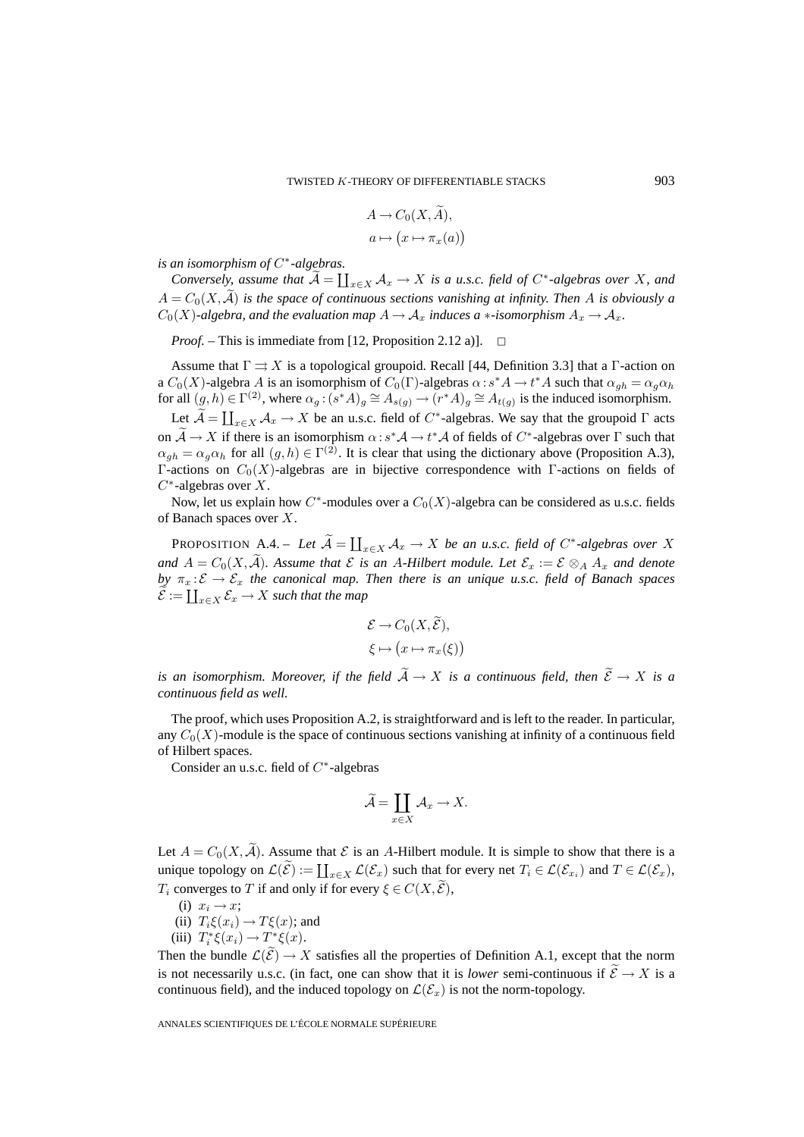$$
A \to C_0(X, A),
$$
  

$$
a \mapsto (x \mapsto \pi_x(a))
$$

*is an isomorphism of* C∗*-algebras.*

*Conversely, assume that*  $\widetilde{A} = \coprod_{x \in X} A_x \to X$  *is a u.s.c. field of*  $C^*$ -algebras over X, and  $A = C_0(X, \tilde{A})$  *is the space of continuous sections vanishing at infinity. Then* A *is obviously a*  $C_0(X)$ -algebra, and the evaluation map  $A \to \mathcal{A}_x$  induces a  $*$ -isomorphism  $A_x \to \mathcal{A}_x$ .

*Proof.* – This is immediate from [12, Proposition 2.12 a)]. □

Assume that  $\Gamma \rightrightarrows X$  is a topological groupoid. Recall [44, Definition 3.3] that a Γ-action on a  $C_0(X)$ -algebra A is an isomorphism of  $C_0(\Gamma)$ -algebras  $\alpha : s^*A \to t^*A$  such that  $\alpha_{gh} = \alpha_g \alpha_h$ for all  $(g,h) \in \Gamma^{(2)}$ , where  $\alpha_g$ :  $(s^*A)_g \cong A_{s(g)} \to (r^*A)_g \cong A_{t(g)}$  is the induced isomorphism.

Let  $\widetilde{A} = \coprod_{x \in X} A_x \to X$  be an u.s.c. field of  $C^*$ -algebras. We say that the groupoid  $\Gamma$  acts on  $\mathcal{A} \to X$  if there is an isomorphism  $\alpha : s^* \mathcal{A} \to t^* \mathcal{A}$  of fields of  $C^*$ -algebras over  $\Gamma$  such that  $\alpha_{ah} = \alpha_a \alpha_h$  for all  $(g, h) \in \Gamma^{(2)}$ . It is clear that using the dictionary above (Proposition A.3), Γ-actions on  $C_0(X)$ -algebras are in bijective correspondence with Γ-actions on fields of  $C^*$ -algebras over X.

Now, let us explain how  $C^*$ -modules over a  $C_0(X)$ -algebra can be considered as u.s.c. fields of Banach spaces over X.

**PROPOSITION**  $A.4. - Let \widetilde{A} = \coprod_{x \in X} A_x \to X$  *be an u.s.c. field of*  $C^*$ -algebras over X *and*  $A = C_0(X, \tilde{A})$ *. Assume that*  $\mathcal E$  *is an A-Hilbert module. Let*  $\mathcal E_x := \mathcal E \otimes_A A_x$  *and denote by*  $\pi_x : \mathcal{E} \to \mathcal{E}_x$  *the canonical map. Then there is an unique u.s.c. field of Banach spaces*  $\widetilde{\mathcal{E}}:=\coprod_{x\in X}\mathcal{E}_x\to X$  such that the map

$$
\mathcal{E} \to C_0(X, \tilde{\mathcal{E}}),
$$
  

$$
\xi \mapsto (x \mapsto \pi_x(\xi))
$$

*is an isomorphism. Moreover, if the field*  $\widetilde{A} \to X$  *is a continuous field, then*  $\widetilde{\mathcal{E}} \to X$  *is a continuous field as well.*

The proof, which uses Proposition A.2, is straightforward and is left to the reader. In particular, any  $C_0(X)$ -module is the space of continuous sections vanishing at infinity of a continuous field of Hilbert spaces.

Consider an u.s.c. field of  $C^*$ -algebras

$$
\widetilde{\mathcal{A}} = \coprod_{x \in X} \mathcal{A}_x \to X.
$$

Let  $A = C_0(X, \mathcal{A})$ . Assume that  $\mathcal E$  is an A-Hilbert module. It is simple to show that there is a unique topology on  $\mathcal{L}(\widetilde{\mathcal{E}}) := \coprod_{x \in X} \mathcal{L}(\mathcal{E}_x)$  such that for every net  $T_i \in \mathcal{L}(\mathcal{E}_{x_i})$  and  $T \in \mathcal{L}(\mathcal{E}_x)$ ,  $T_i$  converges to  $T$  if and only if for every  $\xi \in C(X, \mathcal{E}),$ 

- (i)  $x_i \rightarrow x;$
- (ii)  $T_i\xi(x_i) \rightarrow T\xi(x)$ ; and
- (iii)  $T_i^* \xi(x_i) \rightarrow T^* \xi(x)$ .

Then the bundle  $\mathcal{L}(\mathcal{E}) \to X$  satisfies all the properties of Definition A.1, except that the norm is not necessarily u.s.c. (in fact, one can show that it is *lower* semi-continuous if  $\widetilde{\mathcal{E}} \to X$  is a continuous field), and the induced topology on  $\mathcal{L}(\mathcal{E}_x)$  is not the norm-topology.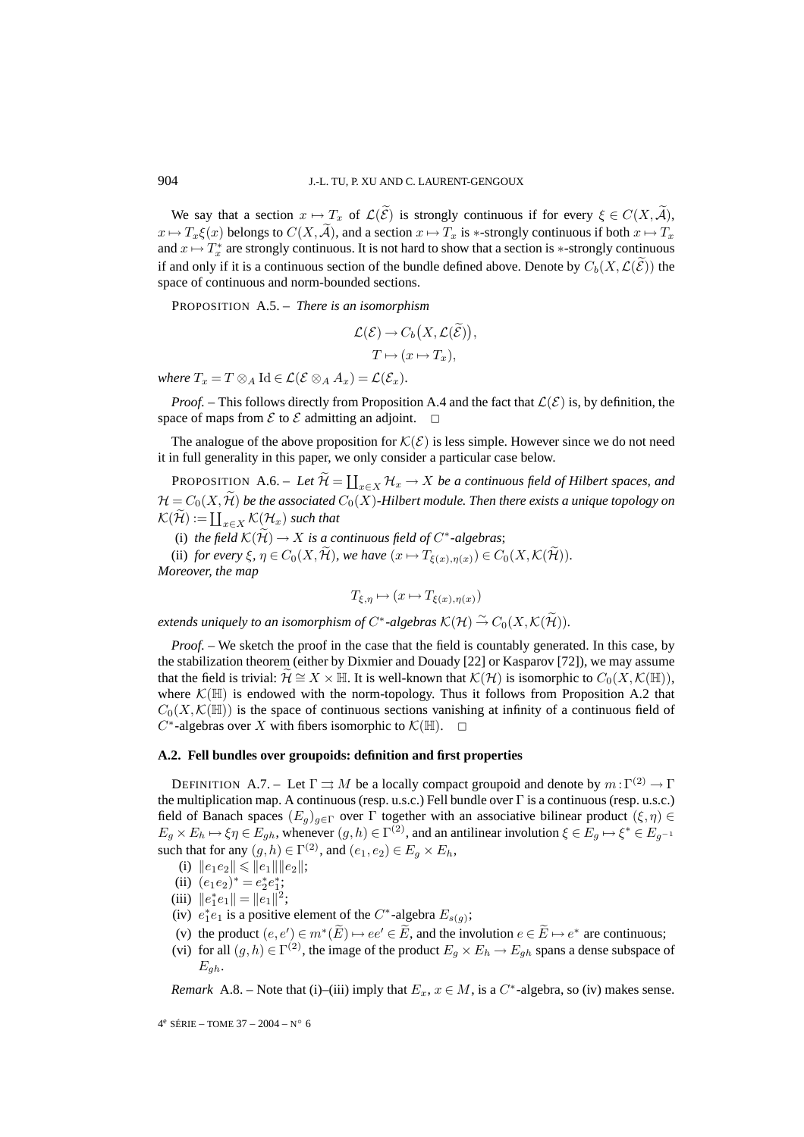We say that a section  $x \mapsto T_x$  of  $\mathcal{L}(\mathcal{E})$  is strongly continuous if for every  $\xi \in C(X, \mathcal{A})$ ,  $x \mapsto T_x \xi(x)$  belongs to  $C(X, \widetilde{A})$ , and a section  $x \mapsto T_x$  is \*-strongly continuous if both  $x \mapsto T_x$ and  $x \mapsto T_x^*$  are strongly continuous. It is not hard to show that a section is  $*$ -strongly continuous if and only if it is a continuous section of the bundle defined above. Denote by  $C_b(X, \mathcal{L}(\mathcal{E}))$  the space of continuous and norm-bounded sections.

PROPOSITION A.5. – *There is an isomorphism*

$$
\mathcal{L}(\mathcal{E}) \to C_b\big(X, \mathcal{L}(\widetilde{\mathcal{E}})\big),
$$
  

$$
T \mapsto (x \mapsto T_x),
$$

*where*  $T_x = T \otimes_A \text{Id} \in \mathcal{L}(\mathcal{E} \otimes_A A_x) = \mathcal{L}(\mathcal{E}_x)$ .

*Proof.* – This follows directly from Proposition A.4 and the fact that  $\mathcal{L}(\mathcal{E})$  is, by definition, the space of maps from  $\mathcal E$  to  $\mathcal E$  admitting an adjoint.  $\Box$ 

The analogue of the above proposition for  $\mathcal{K}(\mathcal{E})$  is less simple. However since we do not need it in full generality in this paper, we only consider a particular case below.

PROPOSITION A.6. – Let  $\widetilde{\mathcal{H}} = \coprod_{x \in X} \mathcal{H}_x \to X$  *be a continuous field of Hilbert spaces, and*  $\mathcal{H} = C_0(X, \mathcal{H})$  *be the associated*  $C_0(X)$ *-Hilbert module. Then there exists a unique topology on*  $\mathcal{K}(\widetilde{\mathcal{H}}) := \coprod_{x \in X} \mathcal{K}(\mathcal{H}_x)$  such that

(i) *the field*  $K(\tilde{\mathcal{H}}) \to X$  *is a continuous field of*  $C^*$ -algebras;

(ii) *for every*  $\xi$ ,  $\eta \in C_0(X, \widetilde{\mathcal{H}})$ , we have  $(x \mapsto T_{\xi(x), \eta(x)}) \in C_0(X, \mathcal{K}(\widetilde{\mathcal{H}}))$ . *Moreover, the map*

$$
T_{\xi,\eta} \mapsto (x \mapsto T_{\xi(x),\eta(x)})
$$

*extends uniquely to an isomorphism of*  $C^*$ -*algebras*  $\mathcal{K}(\mathcal{H}) \stackrel{\sim}{\rightarrow} C_0(X, \mathcal{K}(\mathcal{H})).$ 

*Proof.* – We sketch the proof in the case that the field is countably generated. In this case, by the stabilization theorem (either by Dixmier and Douady [22] or Kasparov [72]), we may assume that the field is trivial:  $\mathcal{H} \cong X \times \mathbb{H}$ . It is well-known that  $\mathcal{K}(\mathcal{H})$  is isomorphic to  $C_0(X,\mathcal{K}(\mathbb{H}))$ , where  $\mathcal{K}(\mathbb{H})$  is endowed with the norm-topology. Thus it follows from Proposition A.2 that  $C_0(X,\mathcal{K}(\mathbb{H}))$  is the space of continuous sections vanishing at infinity of a continuous field of  $C^*$ -algebras over X with fibers isomorphic to  $\mathcal{K}(\mathbb{H})$ .  $\Box$ 

#### **A.2. Fell bundles over groupoids: definition and first properties**

DEFINITION A.7. – Let  $\Gamma \rightrightarrows M$  be a locally compact groupoid and denote by  $m:\Gamma^{(2)} \to \Gamma$ the multiplication map. A continuous (resp. u.s.c.) Fell bundle over Γ is a continuous (resp. u.s.c.) field of Banach spaces  $(E_q)_{q\in\Gamma}$  over  $\Gamma$  together with an associative bilinear product  $(\xi,\eta)$  $E_g \times E_h \mapsto \xi \eta \in E_{gh}$ , whenever  $(g, h) \in \Gamma^{(2)}$ , and an antilinear involution  $\xi \in E_g \mapsto \xi^* \in E_{g^{-1}}$ such that for any  $(g,h) \in \Gamma^{(2)}$ , and  $(e_1,e_2) \in E_a \times E_h$ ,

- (i)  $||e_1e_2|| \leq ||e_1|| ||e_2||;$
- (ii)  $(e_1e_2)^* = e_2^*e_1^*;$
- (iii)  $||e_1^*e_1|| = ||e_1||^2;$
- (iv)  $e_1^*e_1$  is a positive element of the  $C^*$ -algebra  $E_{s(g)}$ ;
- (v) the product  $(e, e') \in m^*(E) \mapsto ee' \in E$ , and the involution  $e \in E \mapsto e^*$  are continuous;
- (vi) for all  $(g,h) \in \Gamma^{(2)}$ , the image of the product  $E_g \times E_h \to E_{gh}$  spans a dense subspace of  $E_{gh}$ .

*Remark* A.8. – Note that (i)–(iii) imply that  $E_x$ ,  $x \in M$ , is a  $C^*$ -algebra, so (iv) makes sense.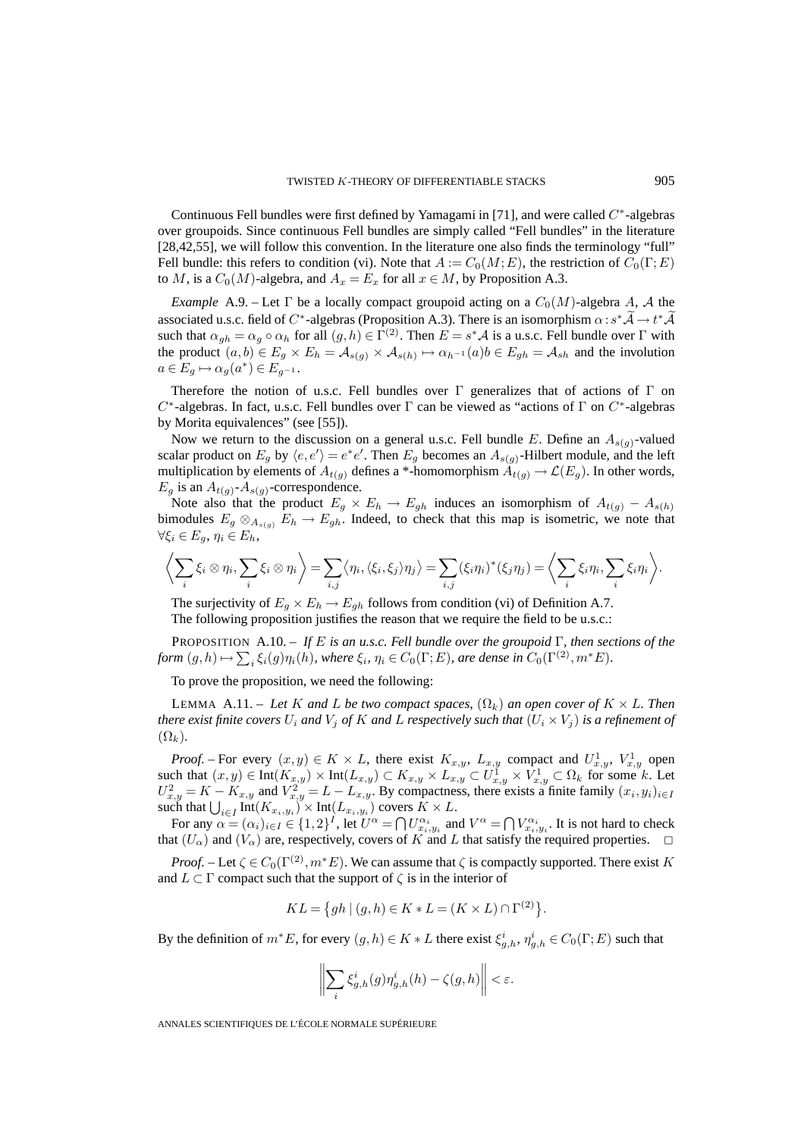Continuous Fell bundles were first defined by Yamagami in [71], and were called  $C^*$ -algebras over groupoids. Since continuous Fell bundles are simply called "Fell bundles" in the literature [28,42,55], we will follow this convention. In the literature one also finds the terminology "full" Fell bundle: this refers to condition (vi). Note that  $A := C_0(M;E)$ , the restriction of  $C_0(\Gamma;E)$ to M, is a  $C_0(M)$ -algebra, and  $A_x = E_x$  for all  $x \in M$ , by Proposition A.3.

*Example* A.9. – Let  $\Gamma$  be a locally compact groupoid acting on a  $C_0(M)$ -algebra A, A the associated u.s.c. field of  $C^*$ -algebras (Proposition A.3). There is an isomorphism  $\alpha : s^* A \to t^* A$ such that  $\alpha_{gh} = \alpha_g \circ \alpha_h$  for all  $(g,h) \in \Gamma^{(2)}$ . Then  $E = s^* A$  is a u.s.c. Fell bundle over  $\Gamma$  with the product  $(a, b) \in E_g \times E_h = \mathcal{A}_{s(g)} \times \mathcal{A}_{s(h)} \mapsto \alpha_{h-1}(a)b \in E_{gh} = \mathcal{A}_{sh}$  and the involution  $a \in E_g \mapsto \alpha_g(a^*) \in E_{g^{-1}}.$ 

Therefore the notion of u.s.c. Fell bundles over  $\Gamma$  generalizes that of actions of  $\Gamma$  on  $C^*$ -algebras. In fact, u.s.c. Fell bundles over  $\Gamma$  can be viewed as "actions of  $\Gamma$  on  $C^*$ -algebras by Morita equivalences" (see [55]).

Now we return to the discussion on a general u.s.c. Fell bundle E. Define an  $A_{s(q)}$ -valued scalar product on  $E_g$  by  $\langle e, e' \rangle = e^* e'$ . Then  $E_g$  becomes an  $A_{s(g)}$ -Hilbert module, and the left multiplication by elements of  $A_{t(q)}$  defines a \*-homomorphism  $A_{t(q)} \to \mathcal{L}(E_q)$ . In other words,  $E_g$  is an  $A_{t(g)}$ - $A_{s(g)}$ -correspondence.

Note also that the product  $E_g \times E_h \to E_{gh}$  induces an isomorphism of  $A_{t(g)} - A_{s(h)}$ bimodules  $E_g \otimes_{A_{s(g)}} E_h \to E_{gh}$ . Indeed, to check that this map is isometric, we note that  $\forall \xi_i \in E_q, \eta_i \in E_h,$ 

$$
\left\langle \sum_i \xi_i \otimes \eta_i, \sum_i \xi_i \otimes \eta_i \right\rangle = \sum_{i,j} \left\langle \eta_i, \langle \xi_i, \xi_j \rangle \eta_j \right\rangle = \sum_{i,j} (\xi_i \eta_i)^* (\xi_j \eta_j) = \left\langle \sum_i \xi_i \eta_i, \sum_i \xi_i \eta_i \right\rangle.
$$

The surjectivity of  $E_g \times E_h \to E_{gh}$  follows from condition (vi) of Definition A.7. The following proposition justifies the reason that we require the field to be u.s.c.:

PROPOSITION A.10. – *If* E *is an u.s.c. Fell bundle over the groupoid* Γ*, then sections of the form*  $(g,h) \mapsto \sum_i \xi_i(g)\eta_i(h)$ *, where*  $\xi_i$ *,*  $\eta_i \in C_0(\Gamma;E)$ *, are dense in*  $C_0(\Gamma^{(2)},m^*E)$ *.* 

To prove the proposition, we need the following:

LEMMA A.11. – Let K and L be two compact spaces,  $(\Omega_k)$  an open cover of  $K \times L$ . Then *there exist finite covers*  $U_i$  *and*  $V_j$  *of*  $K$  *and*  $L$  *respectively such that*  $(U_i \times V_j)$  *is a refinement of*  $(\Omega_k)$ .

*Proof.* – For every  $(x, y) \in K \times L$ , there exist  $K_{x,y}$ ,  $L_{x,y}$  compact and  $U_{x,y}^1$ ,  $V_{x,y}^1$  open such that  $(x, y) \in \text{Int}(K_{x,y}) \times \text{Int}(L_{x,y}) \subset K_{x,y} \times L_{x,y} \subset U_{x,y}^1 \times V_{x,y}^1 \subset \Omega_k$  for some k. Let  $U_{x,y}^2 = K - K_{x,y}$  and  $V_{x,y}^2 = L - L_{x,y}$ . By compactness, there exists a finite family  $(x_i, y_i)_{i \in I}$ such that  $\bigcup_{i\in I} \text{Int}(K_{x_i,y_i}) \times \text{Int}(L_{x_i,y_i})$  covers  $K \times L$ .

For any  $\alpha = (\alpha_i)_{i \in I} \in \{1,2\}^I$ , let  $U^{\alpha} = \bigcap U^{\alpha_i}_{x_i, y_i}$  and  $V^{\alpha} = \bigcap V^{\alpha_i}_{x_i, y_i}$ . It is not hard to check that  $(U_\alpha)$  and  $(V_\alpha)$  are, respectively, covers of K and L that satisfy the required properties.

*Proof.* – Let  $\zeta \in C_0(\Gamma^{(2)}, m^*E)$ . We can assume that  $\zeta$  is compactly supported. There exist K and  $L \subset \Gamma$  compact such that the support of  $\zeta$  is in the interior of

$$
KL = \{ gh \mid (g, h) \in K * L = (K \times L) \cap \Gamma^{(2)} \}.
$$

By the definition of  $m^*E$ , for every  $(g,h) \in K * L$  there exist  $\xi_{g,h}^i$ ,  $\eta_{g,h}^i \in C_0(\Gamma;E)$  such that

$$
\bigg\|\sum_i \xi^i_{g,h}(g)\eta^i_{g,h}(h)-\zeta(g,h)\bigg\|<\varepsilon.
$$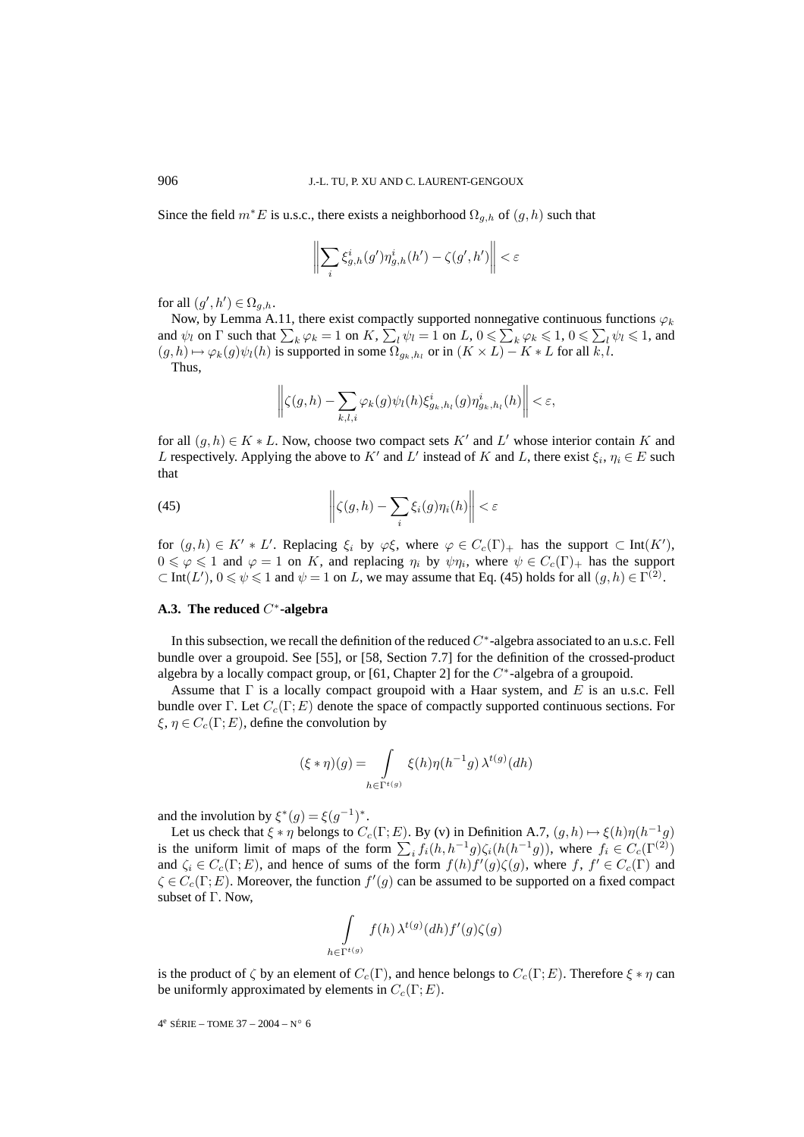Since the field  $m^*E$  is u.s.c., there exists a neighborhood  $\Omega_{g,h}$  of  $(g,h)$  such that

$$
\biggl\|\sum_i \xi^i_{g,h}(g')\eta^i_{g,h}(h')-\zeta(g',h')\biggr\|<\varepsilon
$$

for all  $(g',h') \in \Omega_{g,h}$ .

Now, by Lemma A.11, there exist compactly supported nonnegative continuous functions  $\varphi_k$ and  $\psi_l$  on  $\Gamma$  such that  $\sum_k \varphi_k = 1$  on  $K$ ,  $\sum_l \psi_l = 1$  on  $L$ ,  $0 \le \sum_k \varphi_k \le 1$ ,  $0 \le \sum_l \psi_l \le 1$ , and  $(g,h) \mapsto \varphi_k(g)\psi_l(h)$  is supported in some  $\Omega_{g_k,h_l}$  or in  $(K \times L) - K * L$  for all  $\overline{k,l}$ .

Thus,

$$
\left\| \zeta(g,h) - \sum_{k,l,i} \varphi_k(g) \psi_l(h) \xi_{g_k,h_l}^i(g) \eta_{g_k,h_l}^i(h) \right\| < \varepsilon,
$$

for all  $(g, h) \in K * L$ . Now, choose two compact sets K' and L' whose interior contain K and L respectively. Applying the above to K' and L' instead of K and L, there exist  $\xi_i$ ,  $\eta_i \in E$  such that

(45) 
$$
\left\| \zeta(g,h) - \sum_{i} \xi_i(g) \eta_i(h) \right\| < \varepsilon
$$

 $\overline{11}$ 

for  $(g, h) \in K' * L'$ . Replacing  $\xi_i$  by  $\varphi \xi$ , where  $\varphi \in C_c(\Gamma)_+$  has the support  $\subset \text{Int}(K')$ ,  $0 \leq \varphi \leq 1$  and  $\varphi = 1$  on K, and replacing  $\eta_i$  by  $\psi \eta_i$ , where  $\psi \in C_c(\Gamma)_+$  has the support  $\subset$  Int(L'),  $0 \le \psi \le 1$  and  $\psi = 1$  on L, we may assume that Eq. (45) holds for all  $(g, h) \in \Gamma^{(2)}$ .

#### **A.3. The reduced** C∗**-algebra**

In this subsection, we recall the definition of the reduced C∗-algebra associated to an u.s.c. Fell bundle over a groupoid. See [55], or [58, Section 7.7] for the definition of the crossed-product algebra by a locally compact group, or [61, Chapter 2] for the  $C<sup>*</sup>$ -algebra of a groupoid.

Assume that  $\Gamma$  is a locally compact groupoid with a Haar system, and E is an u.s.c. Fell bundle over Γ. Let  $C_c(\Gamma; E)$  denote the space of compactly supported continuous sections. For  $\xi, \eta \in C_c(\Gamma; E)$ , define the convolution by

$$
(\xi * \eta)(g) = \int\limits_{h \in \Gamma^{t(g)}} \xi(h)\eta(h^{-1}g) \lambda^{t(g)}(dh)
$$

and the involution by  $\xi^*(q) = \xi(q^{-1})^*$ .

Let us check that  $\xi * \eta$  belongs to  $C_c(\Gamma; E)$ . By (v) in Definition A.7,  $(g, h) \mapsto \xi(h)\eta(h^{-1}g)$ is the uniform limit of maps of the form  $\sum_i f_i(h, h^{-1}g)\zeta_i(h(h^{-1}g))$ , where  $f_i \in C_c(\Gamma^{(2)})$ and  $\zeta_i \in C_c(\Gamma;E)$ , and hence of sums of the form  $f(h)f'(g)\zeta(g)$ , where  $f, f' \in C_c(\Gamma)$  and  $\zeta \in C_c(\Gamma; E)$ . Moreover, the function  $f'(g)$  can be assumed to be supported on a fixed compact subset of  $\Gamma$ . Now,

$$
\int_{h \in \Gamma^{t(g)}} f(h) \,\lambda^{t(g)}(dh) f'(g) \zeta(g)
$$

is the product of  $\zeta$  by an element of  $C_c(\Gamma)$ , and hence belongs to  $C_c(\Gamma;E)$ . Therefore  $\xi * \eta$  can be uniformly approximated by elements in  $C_c(\Gamma;E)$ .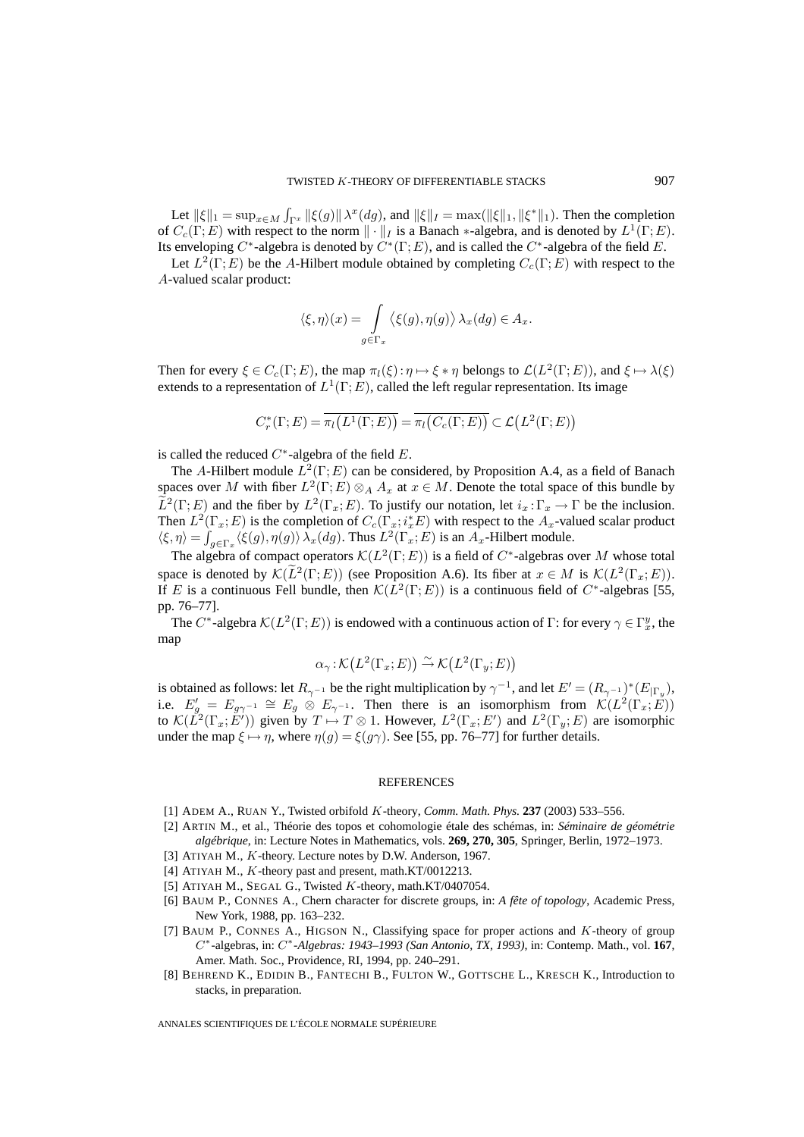Let  $\|\xi\|_1 = \sup_{x \in M} \int_{\Gamma^x} \|\xi(g)\| \lambda^x(dg)$ , and  $\|\xi\|_I = \max(\|\xi\|_1, \|\xi^*\|_1)$ . Then the completion of  $C_c(\Gamma;E)$  with respect to the norm  $\|\cdot\|_I$  is a Banach  $*$ -algebra, and is denoted by  $L^1(\Gamma;E)$ . Its enveloping C<sup>∗</sup>-algebra is denoted by  $C^*(\Gamma;E)$ , and is called the C<sup>∗</sup>-algebra of the field E.

Let  $L^2(\Gamma; E)$  be the A-Hilbert module obtained by completing  $C_c(\Gamma; E)$  with respect to the A-valued scalar product:

$$
\langle \xi, \eta \rangle(x) = \int_{g \in \Gamma_x} \langle \xi(g), \eta(g) \rangle \lambda_x(dg) \in A_x.
$$

Then for every  $\xi \in C_c(\Gamma; E)$ , the map  $\pi_l(\xi): \eta \mapsto \xi * \eta$  belongs to  $\mathcal{L}(L^2(\Gamma; E))$ , and  $\xi \mapsto \lambda(\xi)$ extends to a representation of  $L^1(\Gamma; E)$ , called the left regular representation. Its image

$$
C_r^*(\Gamma;E) = \overline{\pi_l(L^1(\Gamma;E))} = \overline{\pi_l(C_c(\Gamma;E))} \subset \mathcal{L}(L^2(\Gamma;E))
$$

is called the reduced  $C^*$ -algebra of the field  $E$ .

The A-Hilbert module  $L^2(\Gamma; E)$  can be considered, by Proposition A.4, as a field of Banach spaces over M with fiber  $L^2(\Gamma;E) \otimes_A A_x$  at  $x \in M$ . Denote the total space of this bundle by  $\tilde{L}^2(\Gamma;E)$  and the fiber by  $L^2(\Gamma_x;E)$ . To justify our notation, let  $i_x:\Gamma_x\to\Gamma$  be the inclusion. Then  $L^2(\Gamma_x; E)$  is the completion of  $C_c(\Gamma_x; i_x^*E)$  with respect to the  $A_x$ -valued scalar product  $\langle \xi, \eta \rangle = \int_{g \in \Gamma_x} \langle \xi(g), \eta(g) \rangle \, \lambda_x(dg)$ . Thus  $L^2(\Gamma_x; E)$  is an  $A_x$ -Hilbert module.

The algebra of compact operators  $\mathcal{K}(L^2(\Gamma;E))$  is a field of  $C^*$ -algebras over M whose total space is denoted by  $\mathcal{K}(L^2(\Gamma;E))$  (see Proposition A.6). Its fiber at  $x \in M$  is  $\mathcal{K}(L^2(\Gamma_x;E)).$ If E is a continuous Fell bundle, then  $\mathcal{K}(L^2(\Gamma;E))$  is a continuous field of C<sup>∗</sup>-algebras [55, pp. 76–77].

The C<sup>\*</sup>-algebra  $\mathcal{K}(L^2(\Gamma;E))$  is endowed with a continuous action of  $\Gamma$ : for every  $\gamma \in \Gamma_x^y$ , the map

$$
\alpha_{\gamma} : \mathcal{K}(L^2(\Gamma_x; E)) \xrightarrow{\sim} \mathcal{K}(L^2(\Gamma_y; E))
$$

is obtained as follows: let  $R_{\gamma^{-1}}$  be the right multiplication by  $\gamma^{-1}$ , and let  $E' = (R_{\gamma^{-1}})^*(E_{|\Gamma_y}|)$ , i.e.  $E'_{g} = E_{g\gamma^{-1}} \cong E_g \otimes E_{\gamma^{-1}}$ . Then there is an isomorphism from  $\mathcal{K}(L^2(\Gamma_x; E))$ to  $\mathcal{K}(\check{L}^2(\Gamma_x; E'))$  given by  $T \mapsto T \otimes 1$ . However,  $L^2(\Gamma_x; E')$  and  $L^2(\Gamma_y; E)$  are isomorphic under the map  $\xi \mapsto \eta$ , where  $\eta(g) = \xi(g\gamma)$ . See [55, pp. 76–77] for further details.

#### **REFERENCES**

- [1] ADEM A., RUAN Y., Twisted orbifold K-theory, *Comm. Math. Phys.* **237** (2003) 533–556.
- [2] ARTIN M., et al., Théorie des topos et cohomologie étale des schémas, in: *Séminaire de géométrie algébrique*, in: Lecture Notes in Mathematics, vols. **269, 270, 305**, Springer, Berlin, 1972–1973.
- [3] ATIYAH M., K-theory. Lecture notes by D.W. Anderson, 1967.
- [4] ATIYAH M., K-theory past and present, math.KT/0012213.
- [5] ATIYAH M., SEGAL G., Twisted K-theory, math.KT/0407054.
- [6] BAUM P., CONNES A., Chern character for discrete groups, in: *A fête of topology*, Academic Press, New York, 1988, pp. 163–232.
- [7] BAUM P., CONNES A., HIGSON N., Classifying space for proper actions and K-theory of group C∗-algebras, in: C∗*-Algebras: 1943–1993 (San Antonio, TX, 1993)*, in: Contemp. Math., vol. **167**, Amer. Math. Soc., Providence, RI, 1994, pp. 240–291.
- [8] BEHREND K., EDIDIN B., FANTECHI B., FULTON W., GOTTSCHE L., KRESCH K., Introduction to stacks, in preparation.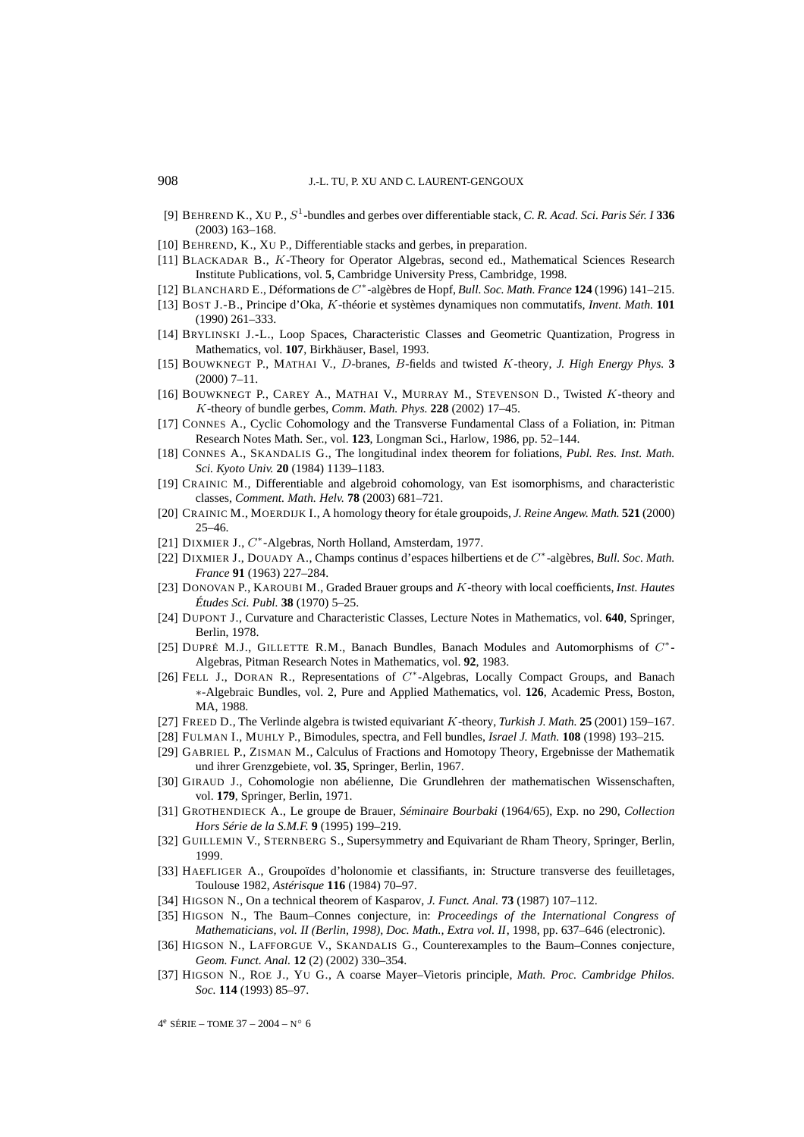- [9] BEHREND K., XU P., S<sup>1</sup>-bundles and gerbes over differentiable stack, *C. R. Acad. Sci. Paris Sér. I* **336** (2003) 163–168.
- [10] BEHREND, K., XU P., Differentiable stacks and gerbes, in preparation.
- [11] BLACKADAR B., K-Theory for Operator Algebras, second ed., Mathematical Sciences Research Institute Publications, vol. **5**, Cambridge University Press, Cambridge, 1998.
- [12] BLANCHARD E., Déformations de C∗-algèbres de Hopf, *Bull. Soc. Math. France* **124** (1996) 141–215.
- [13] BOST J.-B., Principe d'Oka, K-théorie et systèmes dynamiques non commutatifs, *Invent. Math.* **101** (1990) 261–333.
- [14] BRYLINSKI J.-L., Loop Spaces, Characteristic Classes and Geometric Quantization, Progress in Mathematics, vol. **107**, Birkhäuser, Basel, 1993.
- [15] BOUWKNEGT P., MATHAI V., D-branes, B-fields and twisted K-theory, *J. High Energy Phys.* **3** (2000) 7–11.
- [16] BOUWKNEGT P., CAREY A., MATHAI V., MURRAY M., STEVENSON D., Twisted K-theory and K-theory of bundle gerbes, *Comm. Math. Phys.* **228** (2002) 17–45.
- [17] CONNES A., Cyclic Cohomology and the Transverse Fundamental Class of a Foliation, in: Pitman Research Notes Math. Ser., vol. **123**, Longman Sci., Harlow, 1986, pp. 52–144.
- [18] CONNES A., SKANDALIS G., The longitudinal index theorem for foliations, *Publ. Res. Inst. Math. Sci. Kyoto Univ.* **20** (1984) 1139–1183.
- [19] CRAINIC M., Differentiable and algebroid cohomology, van Est isomorphisms, and characteristic classes, *Comment. Math. Helv.* **78** (2003) 681–721.
- [20] CRAINIC M., MOERDIJK I., A homology theory for étale groupoids, *J. Reine Angew. Math.* **521** (2000) 25–46.
- [21] DIXMIER J., C<sup>\*</sup>-Algebras, North Holland, Amsterdam, 1977.
- [22] DIXMIER J., DOUADY A., Champs continus d'espaces hilbertiens et de C∗-algèbres, *Bull. Soc. Math. France* **91** (1963) 227–284.
- [23] DONOVAN P., KAROUBI M., Graded Brauer groups and K-theory with local coefficients, *Inst. Hautes Études Sci. Publ.* **38** (1970) 5–25.
- [24] DUPONT J., Curvature and Characteristic Classes, Lecture Notes in Mathematics, vol. **640**, Springer, Berlin, 1978.
- [25] DUPRÉ M.J., GILLETTE R.M., Banach Bundles, Banach Modules and Automorphisms of C∗- Algebras, Pitman Research Notes in Mathematics, vol. **92**, 1983.
- [26] FELL J., DORAN R., Representations of C∗-Algebras, Locally Compact Groups, and Banach ∗-Algebraic Bundles, vol. 2, Pure and Applied Mathematics, vol. **126**, Academic Press, Boston, MA, 1988.
- [27] FREED D., The Verlinde algebra is twisted equivariant K-theory, *Turkish J. Math.* **25** (2001) 159–167.
- [28] FULMAN I., MUHLY P., Bimodules, spectra, and Fell bundles, *Israel J. Math.* **108** (1998) 193–215.
- [29] GABRIEL P., ZISMAN M., Calculus of Fractions and Homotopy Theory, Ergebnisse der Mathematik und ihrer Grenzgebiete, vol. **35**, Springer, Berlin, 1967.
- [30] GIRAUD J., Cohomologie non abélienne, Die Grundlehren der mathematischen Wissenschaften, vol. **179**, Springer, Berlin, 1971.
- [31] GROTHENDIECK A., Le groupe de Brauer, *Séminaire Bourbaki* (1964/65), Exp. no 290, *Collection Hors Série de la S.M.F.* **9** (1995) 199–219.
- [32] GUILLEMIN V., STERNBERG S., Supersymmetry and Equivariant de Rham Theory, Springer, Berlin, 1999.
- [33] HAEFLIGER A., Groupoïdes d'holonomie et classifiants, in: Structure transverse des feuilletages, Toulouse 1982, *Astérisque* **116** (1984) 70–97.
- [34] HIGSON N., On a technical theorem of Kasparov, *J. Funct. Anal.* **73** (1987) 107–112.
- [35] HIGSON N., The Baum–Connes conjecture, in: *Proceedings of the International Congress of Mathematicians, vol. II (Berlin, 1998), Doc. Math., Extra vol. II*, 1998, pp. 637–646 (electronic).
- [36] HIGSON N., LAFFORGUE V., SKANDALIS G., Counterexamples to the Baum–Connes conjecture, *Geom. Funct. Anal.* **12** (2) (2002) 330–354.
- [37] HIGSON N., ROE J., YU G., A coarse Mayer–Vietoris principle, *Math. Proc. Cambridge Philos. Soc.* **114** (1993) 85–97.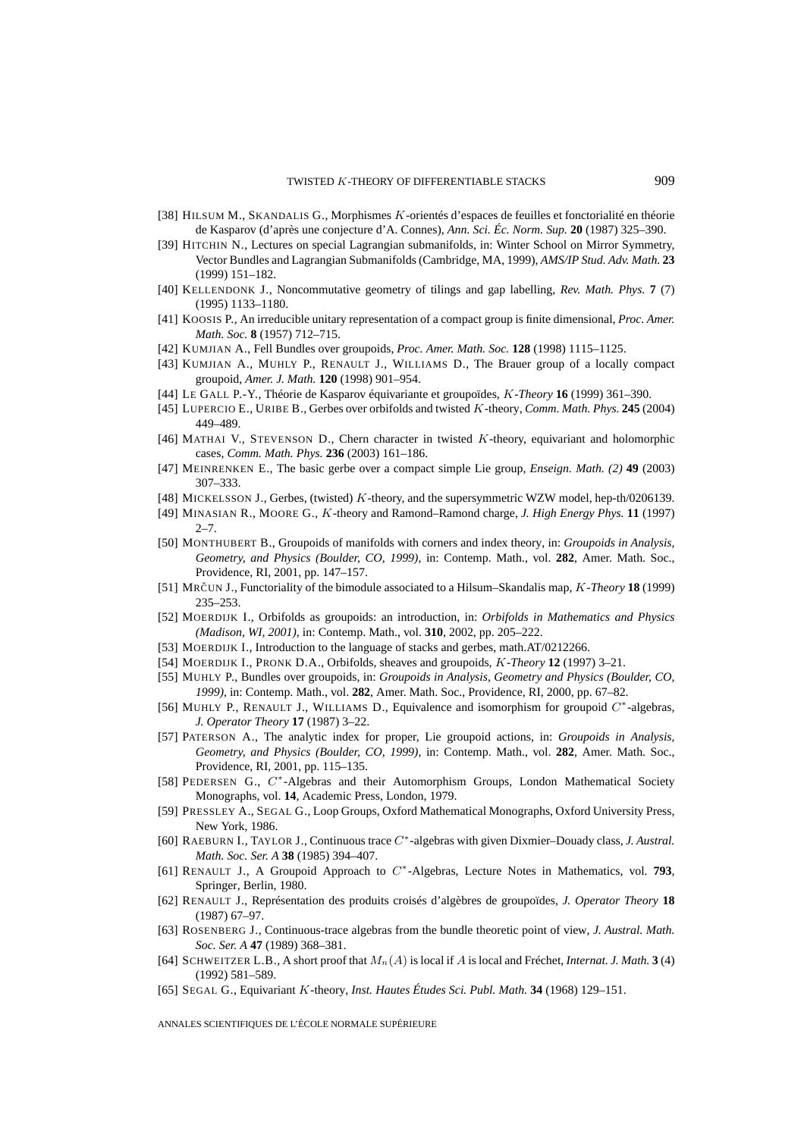- [38] HILSUM M., SKANDALIS G., Morphismes K-orientés d'espaces de feuilles et fonctorialité en théorie de Kasparov (d'après une conjecture d'A. Connes), *Ann. Sci. Éc. Norm. Sup.* **20** (1987) 325–390.
- [39] HITCHIN N., Lectures on special Lagrangian submanifolds, in: Winter School on Mirror Symmetry, Vector Bundles and Lagrangian Submanifolds (Cambridge, MA, 1999), *AMS/IP Stud. Adv. Math.* **23** (1999) 151–182.
- [40] KELLENDONK J., Noncommutative geometry of tilings and gap labelling, *Rev. Math. Phys.* **7** (7) (1995) 1133–1180.
- [41] KOOSIS P., An irreducible unitary representation of a compact group is finite dimensional, *Proc. Amer. Math. Soc.* **8** (1957) 712–715.
- [42] KUMJIAN A., Fell Bundles over groupoids, *Proc. Amer. Math. Soc.* **128** (1998) 1115–1125.
- [43] KUMJIAN A., MUHLY P., RENAULT J., WILLIAMS D., The Brauer group of a locally compact groupoid, *Amer. J. Math.* **120** (1998) 901–954.
- [44] LE GALL P.-Y., Théorie de Kasparov équivariante et groupoïdes, K*-Theory* **16** (1999) 361–390.
- [45] LUPERCIO E., URIBE B., Gerbes over orbifolds and twisted K-theory, *Comm. Math. Phys.* **245** (2004) 449–489.
- [46] MATHAI V., STEVENSON D., Chern character in twisted  $K$ -theory, equivariant and holomorphic cases, *Comm. Math. Phys.* **236** (2003) 161–186.
- [47] MEINRENKEN E., The basic gerbe over a compact simple Lie group, *Enseign. Math. (2)* **49** (2003) 307–333.
- [48] MICKELSSON J., Gerbes, (twisted) K-theory, and the supersymmetric WZW model, hep-th/0206139.
- [49] MINASIAN R., MOORE G., K-theory and Ramond–Ramond charge, *J. High Energy Phys.* **11** (1997) 2–7.
- [50] MONTHUBERT B., Groupoids of manifolds with corners and index theory, in: *Groupoids in Analysis, Geometry, and Physics (Boulder, CO, 1999)*, in: Contemp. Math., vol. **282**, Amer. Math. Soc., Providence, RI, 2001, pp. 147–157.
- [51] MRCUN ˇ J., Functoriality of the bimodule associated to a Hilsum–Skandalis map, K*-Theory* **18** (1999) 235–253.
- [52] MOERDIJK I., Orbifolds as groupoids: an introduction, in: *Orbifolds in Mathematics and Physics (Madison, WI, 2001)*, in: Contemp. Math., vol. **310**, 2002, pp. 205–222.
- [53] MOERDIJK I., Introduction to the language of stacks and gerbes, math.AT/0212266.
- [54] MOERDIJK I., PRONK D.A., Orbifolds, sheaves and groupoids, K*-Theory* **12** (1997) 3–21.
- [55] MUHLY P., Bundles over groupoids, in: *Groupoids in Analysis, Geometry and Physics (Boulder, CO, 1999)*, in: Contemp. Math., vol. **282**, Amer. Math. Soc., Providence, RI, 2000, pp. 67–82.
- [56] MUHLY P., RENAULT J., WILLIAMS D., Equivalence and isomorphism for groupoid C∗-algebras, *J. Operator Theory* **17** (1987) 3–22.
- [57] PATERSON A., The analytic index for proper, Lie groupoid actions, in: *Groupoids in Analysis, Geometry, and Physics (Boulder, CO, 1999)*, in: Contemp. Math., vol. **282**, Amer. Math. Soc., Providence, RI, 2001, pp. 115–135.
- [58] PEDERSEN G., C<sup>∗</sup>-Algebras and their Automorphism Groups, London Mathematical Society Monographs, vol. **14**, Academic Press, London, 1979.
- [59] PRESSLEY A., SEGAL G., Loop Groups, Oxford Mathematical Monographs, Oxford University Press, New York, 1986.
- [60] RAEBURN I., TAYLOR J., Continuous trace C∗-algebras with given Dixmier–Douady class, *J. Austral. Math. Soc. Ser. A* **38** (1985) 394–407.
- [61] RENAULT J., A Groupoid Approach to C∗-Algebras, Lecture Notes in Mathematics, vol. **793**, Springer, Berlin, 1980.
- [62] RENAULT J., Représentation des produits croisés d'algèbres de groupoïdes, *J. Operator Theory* **18** (1987) 67–97.
- [63] ROSENBERG J., Continuous-trace algebras from the bundle theoretic point of view, *J. Austral. Math. Soc. Ser. A* **47** (1989) 368–381.
- [64] SCHWEITZER L.B., A short proof that  $M_n(A)$  is local if A is local and Fréchet, *Internat. J. Math.* **3** (4) (1992) 581–589.
- [65] SEGAL G., Equivariant K-theory, *Inst. Hautes Études Sci. Publ. Math.* **34** (1968) 129–151.